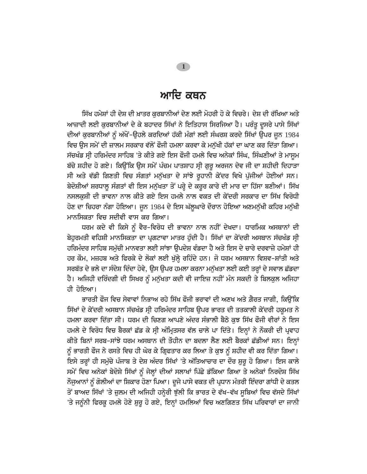### ਆਦਿ ਕਥਨ

ਸਿੱਖ ਹਮੇਸ਼ਾਂ ਹੀ ਦੇਸ਼ ਦੀ ਖ਼ਾਤਰ ਕਰਬਾਨੀਆਂ ਦੇਣ ਲਈ ਮੋਹਰੀ ਹੋ ਕੇ ਵਿਚਰੇ। ਦੇਸ਼ ਦੀ ਰੱਖਿਆ ਅਤੇ ਆਜ਼ਾਦੀ ਲਈ ਕੁਰਬਾਨੀਆਂ ਦੇ ਕੇ ਬਹਾਦਰ ਸਿੱਖਾਂ ਨੇ ਇਤਿਹਾਸ ਸਿਰਜਿਆ ਹੈ। ਪਰੰਤੂ ਦੂਸਰੇ ਪਾਸੇ ਸਿੱਖਾਂ ਦੀਆਂ ਕੁਰਬਾਨੀਆਂ ਨੂੰ ਅੱਖੋਂ-ਉਹਲੇ ਕਰਦਿਆਂ ਹੱਕੀ ਮੰਗਾਂ ਲਈ ਸੰਘਰਸ਼ ਕਰਦੇ ਸਿੱਖਾਂ ਉਪਰ ਜੂਨ 1984 ਵਿਚ ੳਸ ਸਮੇਂ ਦੀ ਜ਼ਾਲਮ ਸਰਕਾਰ ਵੱਲੋਂ ਫੌਜੀ ਹਮਲਾ ਕਰਵਾ ਕੇ ਮਨੱਖੀ ਹੱਕਾਂ ਦਾ ਘਾਣ ਕਰ ਦਿੱਤਾ ਗਿਆ। ਸੱਚਖੰਡ ਸ੍ਰੀ ਹਰਿਮੰਦਰ ਸਾਹਿਬ 'ਤੇ ਕੀਤੇ ਗਏ ਇਸ ਫੌਜੀ ਹਮਲੇ ਵਿਚ ਅਨੇਕਾਂ ਸਿੰਘ, ਸਿੰਘਣੀਆਂ ਤੇ ਮਾਸਮ ਬੱਚੇ ਸ਼ਹੀਦ ਹੋ ਗਏ। ਕਿਉਂਕਿ ਉਸ ਸਮੇਂ ਪੰਚਮ ਪਾਤਸ਼ਾਹ ਸ੍ਰੀ ਗੁਰੂ ਅਰਜਨ ਦੇਵ ਜੀ ਦਾ ਸ਼ਹੀਦੀ ਦਿਹਾੜਾ ਸੀ ਅਤੇ ਵੱਡੀ ਗਿਣਤੀ ਵਿਚ ਸੰਗਤਾਂ ਮਨੁੱਖਤਾ ਦੇ ਸਾਂਝੇ ਰੁਹਾਨੀ ਕੇਂਦਰ ਵਿਖੇ ਪੁੱਜੀਆਂ ਹੋਈਆਂ ਸਨ। ਬੇਦੋਸ਼ੀਆਂ ਸ਼ਰਧਾਲੂ ਸੰਗਤਾਂ ਵੀ ਇਸ ਮਨੁੱਖਤਾ ਤੋਂ ਪਰ੍ਹੇ ਦੇ ਕਰੂਰ ਕਾਰੇ ਦੀ ਮਾਰ ਦਾ ਹਿੱਸਾ ਬਣੀਆਂ। ਸਿੱਖ ਨਸਲਕੁਸ਼ੀ ਦੀ ਭਾਵਨਾ ਨਾਲ ਕੀਤੇ ਗਏ ਇਸ ਹਮਲੇ ਨਾਲ ਵਕਤ ਦੀ ਕੇਂਦਰੀ ਸਰਕਾਰ ਦਾ ਸਿੱਖ ਵਿਰੋਧੀ ਹੋਣ ਦਾ ਚਿਹਰਾ ਨੰਗਾ ਹੋਇਆ। ਜੂਨ 1984 ਦੇ ਇਸ ਘੱਲੂਘਾਰੇ ਦੌਰਾਨ ਹੋਇਆ ਅਣਮਨੁੱਖੀ ਕਹਿਰ ਮਨੁੱਖੀ ਮਾਨਸਿਕਤਾ ਵਿਚ ਸਦੀਵੀ ਵਾਸ ਕਰ ਗਿਆ।

ਧਰਮ ਕਦੇ ਵੀ ਕਿਸੇ ਨੂੰ ਵੈਰ-ਵਿਰੋਧ ਦੀ ਭਾਵਨਾ ਨਾਲ ਨਹੀਂ ਦੇਖਦਾ। ਧਾਰਮਿਕ ਅਸਥਾਨਾਂ ਦੀ ਬੇਹਰਮਤੀ ਵਹਿਸ਼ੀ ਮਾਨਸਿਕਤਾ ਦਾ ਪਗਟਾਵਾ ਮਾਤਰ ਹੰਦੀ ਹੈ। ਸਿੱਖਾਂ ਦਾ ਕੇਂਦਰੀ ਅਸਥਾਨ ਸੱਚਖੰਡ ਸੀ ਹਰਿਮੰਦਰ ਸਾਹਿਬ ਸਮੱਚੀ ਮਾਨਵਤਾ ਲਈ ਸਾਂਝਾ ੳਪਦੇਸ਼ ਵੰਡਦਾ ਹੈ ਅਤੇ ਇਸ ਦੇ ਚਾਰੇ ਦਰਵਾਜ਼ੇ ਹਮੇਸ਼ਾਂ ਹੀ ਹਰ ਕੌਮ, ਮਜ਼ਹਬ ਅਤੇ ਫਿਰਕੇ ਦੇ ਲੋਕਾਂ ਲਈ ਖੁੱਲ੍ਹੇ ਰਹਿੰਦੇ ਹਨ। ਜੋ ਧਰਮ ਅਸਥਾਨ ਵਿਸ਼ਵ-ਸ਼ਾਂਤੀ ਅਤੇ ਸਰਬੱਤ ਦੇ ਭਲੇ ਦਾ ਸੰਦੇਸ਼ ਦਿੰਦਾ ਹੋਵੇ, ਉਸ ਉਪਰ ਹਮਲਾ ਕਰਨਾ ਮਨੁੱਖਤਾ ਲਈ ਕਈ ਤਰ੍ਹਾਂ ਦੇ ਸਵਾਲ ਛੱਡਦਾ ਹੈ। ਅਜਿਹੀ ਦਰਿੰਦਗੀ ਦੀ ਸਿਖਰ ਨੂੰ ਮਨੁੱਖਤਾ ਕਦੀ ਵੀ ਜਾਇਜ਼ ਨਹੀਂ ਮੰਨ ਸਕਦੀ ਤੇ ਬਿਲਕੁਲ ਅਜਿਹਾ ਹੀ ਹੋਇਆ।

ਭਾਰਤੀ ਫੌਜ ਵਿਚ ਸੇਵਾਵਾਂ ਨਿਭਾਅ ਰਹੇ ਸਿੱਖ ਫੌਜੀ ਭਰਾਵਾਂ ਦੀ ਅਣਖ ਅਤੇ ਗ਼ੈਰਤ ਜਾਗੀ, ਕਿੳਂਕਿ <u>ਸਿੱਖਾਂ ਦੇ ਕੇਂਦਰੀ ਅਸਥਾਨ ਸੱਚਖੰਡ ਸ੍ਰੀ</u> ਹਰਿਮੰਦਰ ਸਾਹਿਬ ੳਪਰ ਭਾਰਤ ਦੀ ਤਤਕਾਲੀ ਕੇਂਦਰੀ ਹਕਮਤ ਨੇ ਹਮਲਾ ਕਰਵਾ ਦਿੱਤਾ ਸੀ। ਧਰਮ ਦੀ ਚਿਣਗ ਆਪਣੇ ਅੰਦਰ ਸੰਭਾਲੀ ਬੈਠੇ ਕੁਝ ਸਿੱਖ ਫੌਜੀ ਵੀਰਾਂ ਨੇ ਇਸ ਹਮਲੇ ਦੇ ਵਿਰੋਧ ਵਿਚ ਬੈਰਕਾਂ ਛੱਡ ਕੇ ਸ੍ਰੀ ਅੰਮ੍ਰਿਤਸਰ ਵੱਲ ਚਾਲੇ ਪਾ ਦਿੱਤੇ। ਇਨ੍ਹਾਂ ਨੇ ਨੌਕਰੀ ਦੀ ਪ੍ਰਵਾਹ ਕੀਤੇ ਬਿਨਾਂ ਸਰਬ-ਸਾਂਝੇ ਧਰਮ ਅਸਥਾਨ ਦੀ ਤੌਹੀਨ ਦਾ ਬਦਲਾ ਲੈਣ ਲਈ ਬੈਰਕਾਂ ਛੱਡੀਆਂ ਸਨ। ਇਨ੍ਹਾਂ ਨੂੰ ਭਾਰਤੀ ਫੌਜ ਨੇ ਰਸਤੇ ਵਿਚ ਹੀ ਘੇਰ ਕੇ ਗ੍ਰਿਫਤਾਰ ਕਰ ਲਿਆ ਤੇ ਕੁਝ ਨੂੰ ਸ਼ਹੀਦ ਵੀ ਕਰ ਦਿੱਤਾ ਗਿਆ। ਇਸੇ ਤਰ੍ਹਾਂ ਹੀ ਸਮੁੱਚੇ ਪੰਜਾਬ ਤੇ ਦੇਸ਼ ਅੰਦਰ ਸਿੱਖਾਂ 'ਤੇ ਅੱਤਿਆਚਾਰ ਦਾ ਦੌਰ ਸ਼ੁਰੂ ਹੋ ਗਿਆ। ਇਸ ਕਾਲੇ ਸਮੇਂ ਵਿਚ ਅਨੇਕਾਂ ਬੇਦੋਸ਼ੇ ਸਿੱਖਾਂ ਨੂੰ ਜੇਲ੍ਹਾਂ ਦੀਆਂ ਸਲਾਖਾਂ ਪਿੱਛੇ ਡੱਕਿਆ ਗਿਆ ਤੇ ਅਨੇਕਾਂ ਨਿਰਦੋਸ਼ ਸਿੱਖ ਨੌਜੁਆਨਾਂ ਨੂੰ ਗੋਲੀਆਂ ਦਾ ਸ਼ਿਕਾਰ ਹੋਣਾ ਪਿਆ। ਦੂਜੇ ਪਾਸੇ ਵਕਤ ਦੀ ਪ੍ਰਧਾਨ ਮੰਤਰੀ ਇੰਦਰਾ ਗਾਂਧੀ ਦੇ ਕਤਲ ਤੋਂ ਬਾਅਦ ਸਿੱਖਾਂ 'ਤੇ ਜ਼ੁਲਮ ਦੀ ਅਜਿਹੀ ਹਨ੍ਹੇਰੀ ਝੁੱਲੀ ਕਿ ਭਾਰਤ ਦੇ ਵੱਖ-ਵੱਖ ਸੂਬਿਆਂ ਵਿਚ ਵੱਸਦੇ ਸਿੱਖਾਂ 'ਤੇ ਜਨੂੰਨੀ ਫਿਰਕੂ ਹਮਲੇ ਹੋਣੇ ਸ਼ੁਰੂ ਹੋ ਗਏ, ਇਨ੍ਹਾਂ ਹਮਲਿਆਂ ਵਿਚ ਅਣਗਿਣਤ ਸਿੱਖ ਪਰਿਵਾਰਾਂ ਦਾ ਜਾਨੀ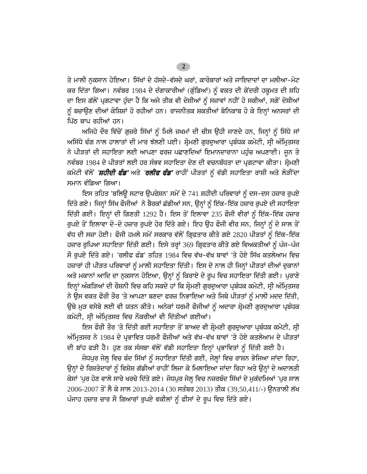ਤੇ ਮਾਲੀ ਨਕਸਾਨ ਹੋਇਆ। ਸਿੱਖਾਂ ਦੇ ਹੱਸਦੇ-ਵੱਸਦੇ ਘਰਾਂ, ਕਾਰੋਬਾਰਾਂ ਅਤੇ ਜਾਇਦਾਦਾਂ ਦਾ ਮਲੀਆ-ਮੇਟ ਕਰ ਦਿੱਤਾ ਗਿਆ। ਨਵੰਬਰ 1984 ਦੇ ਦੰਗਾਕਾਰੀਆਂ (ਗੁੰਡਿਆਂ) ਨੂੰ ਵਕਤ ਦੀ ਕੇਂਦਰੀ ਹਕੂਮਤ ਦੀ ਸ਼ਹਿ ਦਾ ਇਸ ਗੱਲੋਂ ਪ੍ਰਗਟਾਵਾ ਹੁੰਦਾ ਹੈ ਕਿ ਅਜੇ ਤੀਕ ਵੀ ਦੋਸ਼ੀਆਂ ਨੂੰ ਸਜ਼ਾਵਾਂ ਨਹੀਂ ਹੋ ਸਕੀਆਂ, ਸਗੋਂ ਦੋਸ਼ੀਆਂ ਨੂੰ ਬਚਾਉਣ ਦੀਆਂ ਕੋਸ਼ਿਸ਼ਾਂ ਹੋ ਰਹੀਆਂ ਹਨ। ਰਾਜਨੀਤਕ ਸ਼ਕਤੀਆਂ ਬੇਨਿਕਾਬ ਹੋ ਕੇ ਇਨ੍ਹਾਂ ਅਨਸਰਾਂ ਦੀ

ਪਿੱਠ ਥਾਪ ਰਹੀਆਂ ਹਨ। ਅਜਿਹੇ ਦੌਰ ਵਿੱਚੋਂ ਗੁਜ਼ਰੇ ਸਿੱਖਾਂ ਨੂੰ ਮਿਲੇ ਜ਼ਖਮਾਂ ਦੀ ਚੀਸ ਉਹੀ ਜਾਣਦੇ ਹਨ, ਜਿਨ੍ਹਾਂ ਨੂੰ ਸਿੱਧੇ ਜਾਂ ਅਸਿੱਧੇ ਢੰਗ ਨਾਲ ਹਾਲਾਤਾਂ ਦੀ ਮਾਰ ਝੱਲਣੀ ਪਈ। ਸ਼ੋਮਣੀ ਗਰਦਆਰਾ ਪ੍ਰਬੰਧਕ ਕਮੇਟੀ, ਸ੍ਰੀ ਅੰਮ੍ਰਿਤਸਰ ਨੇ ਪੀੜਤਾਂ ਦੀ ਸਹਾਇਤਾ ਲਈ ਆਪਣਾ ਫਰਜ਼ ਪਛਾਣਦਿਆਂ ਇਮਾਨਦਾਰਾਨਾ ਪਹੁੰਚ ਅਪਣਾਈ। ਜੂਨ ਤੇ ਨਵੰਬਰ 1984 ਦੇ ਪੀੜਤਾਂ ਲਈ ਹਰ ਸੰਭਵ ਸਹਾਇਤਾ ਦੇਣ ਦੀ ਵਚਨਬੱਧਤਾ ਦਾ ਪ੍ਰਗਟਾਵਾ ਕੀਤਾ। ਸ਼੍ਰੋਮਣੀ ਕਮੇਟੀ ਵੱਲੋਂ *'ਸ਼ਹੀਦੀ ਫੰਡ'* ਅਤੇ *'ਰਲੀਫ ਫੰਡ'* ਰਾਹੀਂ ਪੀੜਤਾਂ ਨੂੰ ਵੱਡੀ ਸਹਾਇਤਾ ਰਾਸ਼ੀ ਅਤੇ ਲੋੜੀਂਦਾ ਸਮਾਨ ਵੰਡਿਆ ਗਿਆ।

ਇਸ ਤਹਿਤ 'ਬਲਿਊ ਸਟਾਰ ਉਪਰੇਸ਼ਨ' ਸਮੇਂ ਦੇ 741 ਸ਼ਹੀਦੀ ਪਰਿਵਾਰਾਂ ਨੂੰ ਦਸ-ਦਸ ਹਜ਼ਾਰ ਰੁਪਏ ਦਿੱਤੇ ਗਏ। ਜਿਨ੍ਹਾਂ ਸਿੱਖ ਫੌਜੀਆਂ ਨੇ ਬੈਰਕਾਂ ਛੱਡੀਆਂ ਸਨ, ਉਨ੍ਹਾਂ ਨੂੰ ਇੱਕ-ਇੱਕ ਹਜ਼ਾਰ ਰੁਪਏ ਦੀ ਸਹਾਇਤਾ ਦਿੱਤੀ ਗਈ। ਇਨ੍ਹਾਂ ਦੀ ਗਿਣਤੀ 1292 ਹੈ। ਇਸ ਤੋਂ ਇਲਾਵਾ 235 ਫੌਜੀ ਵੀਰਾਂ ਨੂੰ ਇੱਕ-ਇੱਕ ਹਜ਼ਾਰ ਰੁਪਏ ਤੋਂ ਇਲਾਵਾ ਦੋ-ਦੋ ਹਜ਼ਾਰ ਰੁਪਏ ਹੋਰ ਦਿੱਤੇ ਗਏ। ਇਹ ਉਹ ਫੌਜੀ ਵੀਰ ਸਨ, ਜਿਨ੍ਹਾਂ ਨੂੰ ਦੋ ਸਾਲ ਤੋਂ ਵੱਧ ਦੀ ਸਜ਼ਾ ਹੋਈ। ਫੌਜੀ ਹਮਲੇ ਸਮੇਂ ਸਰਕਾਰ ਵੱਲੋਂ ਗ੍ਰਿਫਤਾਰ ਕੀਤੇ ਗਏ 2820 ਪੀੜਤਾਂ ਨੂੰ ਇੱਕ-ਇੱਕ ਹਜ਼ਾਰ ਰੁਪਿਆ ਸਹਾਇਤਾ ਦਿੱਤੀ ਗਈ। ਇਸੇ ਤਰ੍ਹਾਂ 369 ਗ੍ਰਿਫਤਾਰ ਕੀਤੇ ਗਏ ਵਿਅਕਤੀਆਂ ਨੂੰ ਪੰਜ-ਪੰਜ ਸੌ ਰਪਏ ਦਿੱਤੇ ਗਏ। 'ਰਲੀਫ ਫੰਡ' ਤਹਿਤ 1984 ਵਿਚ ਵੱਖ-ਵੱਖ ਥਾਵਾਂ 'ਤੇ ਹੋਏ ਸਿੱਖ ਕਤਲੇਆਮ ਵਿਚ ਹਜ਼ਾਰਾਂ ਹੀ ਪੀੜਤ ਪਰਿਵਾਰਾਂ ਨੂੰ ਮਾਲੀ ਸਹਾਇਤਾ ਦਿੱਤੀ। ਇਸ ਦੇ ਨਾਲ ਹੀ ਜਿਨ੍ਹਾਂ ਪੀੜਤਾਂ ਦੀਆਂ ਦੁਕਾਨਾਂ ਅਤੇ ਮਕਾਨਾਂ ਆਦਿ ਦਾ ਨੁਕਸਾਨ ਹੋਇਆ, ਉਨ੍ਹਾਂ ਨੂੰ ਕਿਰਾਏ ਦੇ ਰੂਪ ਵਿਚ ਸਹਾਇਤਾ ਦਿੱਤੀ ਗਈ। ਪੁਰਾਣੇ ਇਨ੍ਹਾਂ ਅੰਕੜਿਆਂ ਦੀ ਰੌਸ਼ਨੀ ਵਿਚ ਕਹਿ ਸਕਦੇ ਹਾਂ ਕਿ ਸ਼੍ਰੋਮਣੀ ਗੁਰਦੁਆਰਾ ਪ੍ਰਬੰਧਕ ਕਮੇਟੀ, ਸ੍ਰੀ ਅੰਮ੍ਰਿਤਸਰ ਨੇ ਉਸ ਵਕਤ ਫੌਰੀ ਤੌਰ 'ਤੇ ਆਪਣਾ ਬਣਦਾ ਫਰਜ਼ ਨਿਭਾਇਆ ਅਤੇ ਜਿਥੇ ਪੀੜਤਾਂ ਨੂੰ ਮਾਲੀ ਮਦਦ ਦਿੱਤੀ, ਉਥੇ ਮੁੜ ਵਸੇਬੇ ਲਈ ਵੀ ਯਤਨ ਕੀਤੇ। ਅਨੇਕਾਂ ਧਰਮੀ ਫੌਜੀਆਂ ਨੂੰ ਅਦਾਰਾ ਸ਼੍ਰੋਮਣੀ ਗੁਰਦੁਆਰਾ ਪ੍ਰਬੰਧਕ ਕਮੇਟੀ, ਸ੍ਰੀ ਅੰਮ੍ਰਿਤਸਰ ਵਿਚ ਨੌਕਰੀਆਂ ਵੀ ਦਿੱਤੀਆਂ ਗਈਆਂ।

ਇਸ ਫੌਰੀ ਤੌਰ 'ਤੇ ਦਿੱਤੀ ਗਈ ਸਹਾਇਤਾ ਤੋਂ ਬਾਅਦ ਵੀ ਸ਼੍ਰੋਮਣੀ ਗੁਰਦੁਆਰਾ ਪ੍ਰਬੰਧਕ ਕਮੇਟੀ, ਸ੍ਰੀ ਅੰਮ੍ਰਿਤਸਰ ਨੇ 1984 ਦੇ ਪ੍ਰਭਾਵਿਤ ਧਰਮੀ ਫੌਜੀਆਂ ਅਤੇ ਵੱਖ-ਵੱਖ ਥਾਵਾਂ 'ਤੇ ਹੋਏ ਕਤਲੇਆਮ ਦੇ ਪੀੜਤਾਂ ਦੀ ਬਾਂਹ ਫੜੀ ਹੈ। ਹੁਣ ਤਕ ਸੰਸਥਾ ਵੱਲੋਂ ਵੱਡੀ ਸਹਾਇਤਾ ਇਨ੍ਹਾਂ ਪ੍ਰਭਾਵਿਤਾਂ ਨੂੰ ਦਿੱਤੀ ਗਈ ਹੈ।

ਜੋਧਪੁਰ ਜੇਲ੍ਹ ਵਿਚ ਬੰਦ ਸਿੱਖਾਂ ਨੂੰ ਸਹਾਇਤਾ ਦਿੱਤੀ ਗਈ, ਜੇਲ੍ਹਾਂ ਵਿਚ ਰਾਸ਼ਨ ਭੇਜਿਆ ਜਾਂਦਾ ਰਿਹਾ, ਉਨ੍ਹਾਂ ਦੇ ਰਿਸ਼ਤੇਦਾਰਾਂ ਨੂੰ ਵਿਸ਼ੇਸ਼ ਗੱਡੀਆਂ ਰਾਹੀਂ ਲਿਜਾ ਕੇ ਮਿਲਾਇਆ ਜਾਂਦਾ ਰਿਹਾ ਅਤੇ ਉਨ੍ਹਾਂ ਦੇ ਅਦਾਲਤੀ ਕੇਸਾਂ 'ਪੂਰ ਹੋਣ ਵਾਲੇ ਸਾਰੇ ਖਰਚੇ ਦਿੱਤੇ ਗਏ। ਜੋਧਪੁਰ ਜੇਲ੍ਹ ਵਿਚ ਨਜ਼ਰਬੰਦ ਸਿੱਖਾਂ ਦੇ ਮੁਕੱਦਮਿਆਂ 'ਪੂਰ ਸਾਲ  $2006$ - $2007$  ਤੋਂ ਲੈ ਕੇ ਸਾਲ 2013-2014 (30 ਸਤੰਬਰ 2013) ਤੀਕ (39,50,411/-) ਉਨਤਾਲੀ ਲੱਖ ਪੰਜਾਹ ਹਜ਼ਾਰ ਚਾਰ ਸੌ ਗਿਆਰਾਂ ਰੁਪਏ ਵਕੀਲਾਂ ਨੂੰ ਫੀਸਾਂ ਦੇ ਰੂਪ ਵਿਚ ਦਿੱਤੇ ਗਏ।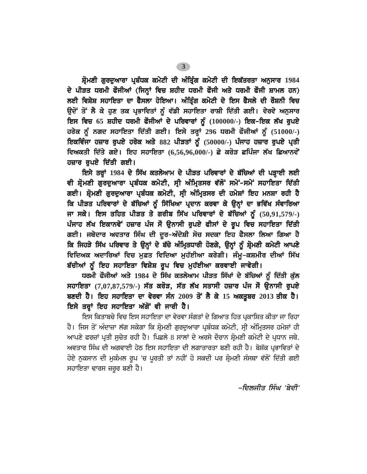ਸ਼ੋਮਣੀ ਗਰਦਆਰਾ ਪ੍ਰਬੰਧਕ ਕਮੇਟੀ ਦੀ ਅੰਤਿੰਗ ਕਮੇਟੀ ਦੀ ਇਕੱਤਰਤਾ ਅਨਸਾਰ 1984 ਦੇ ਪੀੜਤ ਧਰਮੀ ਫੌਜੀਆਂ (ਜਿਨ੍ਹਾਂ ਵਿਚ ਸ਼ਹੀਦ ਧਰਮੀ ਫੌਜੀ ਅਤੇ ਧਰਮੀ ਫੌਜੀ ਸ਼ਾਮਲ ਹਨ) ਲਈ ਵਿਸ਼ੇਸ਼ ਸਹਾਇਤਾ ਦਾ ਫੈਸਲਾ ਹੋਇਆ। ਅੰਤਿੰਗ ਕਮੇਟੀ ਦੇ ਇਸ ਫੈਸਲੇ ਦੀ ਰੌਸ਼ਨੀ ਵਿਚ ਉਦੋਂ ਤੋਂ ਲੈ ਕੇ ਹੁਣ ਤਕ ਪ੍ਰਭਾਵਿਤਾਂ ਨੂੰ ਵੱਡੀ ਸਹਾਇਤਾ ਰਾਸ਼ੀ ਦਿੱਤੀ ਗਈ। ਵੇਰਵੇ ਅਨੁਸਾਰ ਇਸ ਵਿਚ 65 ਸ਼ਹੀਦ ਧਰਮੀ ਫੌਜੀਆਂ ਦੇ ਪਰਿਵਾਰਾਂ ਨੂੰ (100000/-) ਇਕ-ਇਕ ਲੱਖ ਰੁਪਏ ਹਰੇਕ ਨੂੰ ਨਗਦ ਸਹਾਇਤਾ ਦਿੱਤੀ ਗਈ। ਇਸੇ ਤਰ੍ਹਾਂ 296 ਧਰਮੀ ਫੌਜੀਆਂ ਨੂੰ (51000/-) ਇਕਵਿੰਜਾ ਹਜ਼ਾਰ ਰੁਪਏ ਹਰੇਕ ਅਤੇ 882 ਪੀੜਤਾਂ ਨੂੰ (50000/-) ਪੰਜਾਹ ਹਜ਼ਾਰ ਰੁਪਏ ਪ੍ਰਤੀ ਵਿਅਕਤੀ ਦਿੱਤੇ ਗਏ। ਇਹ ਸਹਾਇਤਾ (6,56,96,000/-) ਛੇ ਕਰੋੜ ਛਪਿੰਜਾ ਲੱਖ ਛਿਆਨਵੇ<del>ਂ</del> ਹਜ਼ਾਰ ਰਪਏ ਦਿੱਤੀ ਗਈ।

ਇਸੇ ਤਰ੍ਹਾਂ 1984 ਦੇ ਸਿੱਖ ਕਤਲੇਆਮ ਦੇ ਪੀੜਤ ਪਰਿਵਾਰਾਂ ਦੇ ਬੱਚਿਆਂ ਦੀ ਪੜ੍ਹਾਈ ਲਈ ਵੀ ਸ਼੍ਰੋਮਣੀ ਗੁਰਦੁਆਰਾ ਪ੍ਰਬੰਧਕ ਕਮੇਟੀ, ਸ੍ਰੀ ਅੰਮ੍ਰਿਤਸਰ ਵੱਲੋਂ ਸਮੇਂ-ਸਮੇਂ ਸਹਾਇਤਾ ਦਿੱਤੀ ਗਈ। ਸ਼੍ਰੋਮਣੀ ਗੁਰਦੁਆਰਾ ਪ੍ਰਬੰਧਕ ਕਮੇਟੀ, ਸ੍ਰੀ ਅੰਮ੍ਰਿਤਸਰ ਦੀ ਹਮੇਸ਼ਾਂ ਇਹ ਮਨਸ਼ਾ ਰਹੀ ਹੈ ਕਿ ਪੀੜਤ ਪਰਿਵਾਰਾਂ ਦੇ ਬੱਚਿਆਂ ਨੂੰ ਸਿੱਖਿਆ ਪ੍ਰਦਾਨ ਕਰਵਾ ਕੇ ਉਨ੍ਹਾਂ ਦਾ ਭਵਿੱਖ ਸੰਵਾਰਿਆ ਜਾ ਸਕੇ। ਇਸ ਤਹਿਤ ਪੀੜਤ ਤੇ ਗਰੀਬ ਸਿੱਖ ਪਰਿਵਾਰਾਂ ਦੇ ਬੱਚਿਆਂ ਨੂੰ (50,91,579/-) ਪੰਜਾਹ ਲੱਖ ਇਕਾਨਵੇਂ ਹਜ਼ਾਰ ਪੰਜ ਸੌ ਉਨਾਸੀ ਰੁਪਏ ਫੀਸਾਂ ਦੇ ਰੂਪ ਵਿਚ ਸਹਾਇਤਾ ਦਿੱਤੀ ਗਈ। ਜਥੇਦਾਰ ਅਵਤਾਰ ਸਿੰਘ ਦੀ ਦਰ-ਅੰਦੇਸ਼ੀ ਸੋਚ ਸਦਕਾ ਇਹ ਫੈਸਲਾ ਲਿਆ ਗਿਆ ਹੈ ਕਿ ਜਿਹੜੇ ਸਿੱਖ ਪਰਿਵਾਰ ਤੇ ਉਨ੍ਹਾਂ ਦੇ ਬੱਚੇ ਅੰਮ੍ਰਿਤਧਾਰੀ ਹੋਣਗੇ, ਉਨ੍ਹਾਂ ਨੂੰ ਸ਼੍ਰੋਮਣੀ ਕਮੇਟੀ ਆਪਣੇ ਵਿਦਿਅਕ ਅਦਾਰਿਆਂ ਵਿਚ ਮਫ਼ਤ ਵਿਦਿਆ ਮਹੱਈਆ ਕਰੇਗੀ। ਜੰਮ-ਕਸ਼ਮੀਰ ਦੀਆਂ ਸਿੱਖ ਬੱਚੀਆਂ ਨੂੰ ਇਹ ਸਹਾਇਤਾ ਵਿਸ਼ੇਸ਼ ਰੂਪ ਵਿਚ ਮੁਹੱਈਆ ਕਰਵਾਈ ਜਾਵੇਗੀ।

ਧਰਮੀ ਫੌਜੀਆਂ ਅਤੇ 1984 ਦੇ ਸਿੱਖ ਕਤਲੇਆਮ ਪੀੜਤ ਸਿੱਖਾਂ ਦੇ ਬੱਚਿਆਂ ਨੂੰ ਦਿੱਤੀ ਕੁੱਲ ਸਹਾਇਤਾ (7,07,87,579/-) ਸੱਤ ਕਰੋੜ, ਸੱਤ ਲੱਖ ਸਤਾਸੀ ਹਜ਼ਾਰ ਪੰਜ ਸੌ ਉਨਾਸੀ ਰੁਪਏ ਬਣਦੀ ਹੈ। ਇਹ ਸਹਾਇਤਾ ਦਾ ਵੇਰਵਾ ਸੰਨ 2009 ਤੋਂ ਲੈ ਕੇ 15 ਅਕਤੂਬਰ 2013 ਤੀਕ ਹੈ। ਇਸੇ ਤਰ੍ਹਾਂ ਇਹ ਸਹਾਇਤਾ ਅੱਗੋਂ ਵੀ ਜਾਰੀ ਹੈ।

ਇਸ ਕਿਤਾਬਚੇ ਵਿਚ ਇਸ ਸਹਾਇਤਾ ਦਾ ਵੇਰਵਾ ਸੰਗਤਾਂ ਦੇ ਗਿਆਤ ਹਿਤ ਪਕਾਸ਼ਿਤ ਕੀਤਾ ਜਾ ਰਿਹਾ ਹੈ। ਜਿਸ ਤੋਂ ਅੰਦਾਜ਼ਾ ਲੱਗ ਸਕੇਗਾ ਕਿ ਸ਼੍ਰੋਮਣੀ ਗੁਰਦੁਆਰਾ ਪ੍ਰਬੰਧਕ ਕਮੇਟੀ, ਸ੍ਰੀ ਅੰਮ੍ਰਿਤਸਰ ਹਮੇਸ਼ਾਂ ਹੀ ਆਪਣੇ ਫਰਜ਼ਾਂ ਪ੍ਰਤੀ ਸੁਚੇਤ ਰਹੀ ਹੈ। ਪਿਛਲੇ 8 ਸਾਲਾਂ ਦੇ ਅਰਸੇ ਦੌਰਾਨ ਸ਼੍ਰੋਮਣੀ ਕਮੇਟੀ ਦੇ ਪ੍ਰਧਾਨ ਜਥੇ. ਅਵਤਾਰ ਸਿੰਘ ਦੀ ਅਗਵਾਈ ਹੇਠ ਇਸ ਸਹਾਇਤਾ ਦੀ ਲਗਾਤਾਰਤਾ ਬਣੀ ਰਹੀ ਹੈ। ਬੇਸ਼ੱਕ ਪਭਾਵਿਤਾਂ ਦੇ ਹੋਏ ਨੁਕਸਾਨ ਦੀ ਮੁਕੰਮਲ ਰੂਪ 'ਚ ਪੁਰਤੀ ਤਾਂ ਨਹੀਂ ਹੋ ਸਕਦੀ ਪਰ ਸ਼੍ਰੋਮਣੀ ਸੰਸਥਾ ਵੱਲੋਂ ਦਿੱਤੀ ਗਈ ਸਹਾਇਤਾ ਢਾਰਸ ਜ਼ਰੂਰ ਬਣੀ ਹੈ।

-ਦਿਲਜੀਤ ਸਿੰਘ 'ਬੇਦੀ'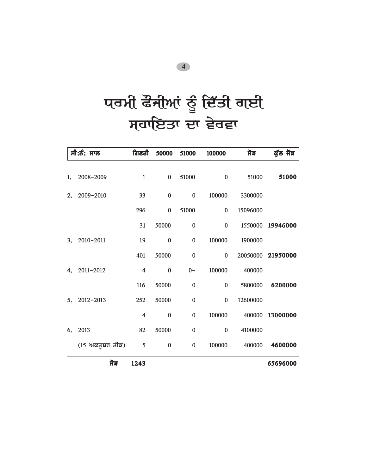# प**ਰਮੀ ਫੌਜੀਆਂ ਨੂੰ ਦਿੱਤੀ ਗਈ** ਸਹਾਇਤਾ ਦਾ ਵੇਰਵਾ

|    | ਸੀ:ਨੰ: ਸਾਲ                 | ਗਿਣਤੀ      | 50000     | 51000     | 100000   | ਜੋੜ      | ਕੁੱਲ ਜੋੜ |
|----|----------------------------|------------|-----------|-----------|----------|----------|----------|
| 1. | 2008-2009                  | $\,1\,$    | $\pmb{0}$ | 51000     | $\bf{0}$ | 51000    | 51000    |
| 2. | 2009-2010                  | 33         | $\pmb{0}$ | $\bf{0}$  | 100000   | 3300000  |          |
|    |                            | 296        | $\bf{0}$  | 51000     | $\bf{0}$ | 15096000 |          |
|    |                            | 31         | 50000     | $\bf{0}$  | $\bf{0}$ | 1550000  | 19946000 |
| 3. | 2010-2011                  | 19         | $\bf{0}$  | $\bf{0}$  | 100000   | 1900000  |          |
|    |                            | 401        | 50000     | $\bf{0}$  | $\bf{0}$ | 20050000 | 21950000 |
| 4. | 2011-2012                  | 4          | $\bf{0}$  | $0-$      | 100000   | 400000   |          |
|    |                            | 116        | 50000     | $\bf{0}$  | $\bf{0}$ | 5800000  | 6200000  |
| 5. | 2012-2013                  | 252        | 50000     | $\bf{0}$  | $\bf{0}$ | 12600000 |          |
|    |                            | 4          | $\bf{0}$  | $\pmb{0}$ | 100000   | 400000   | 13000000 |
| 6. | 2013                       | 82         | 50000     | $\bf{0}$  | $\bf{0}$ | 4100000  |          |
|    | $(15 \text{ m}$ ਕਤੂਬਰ ਤੀਕ) | $\sqrt{5}$ | $\pmb{0}$ | $\pmb{0}$ | 100000   | 400000   | 4600000  |
|    | ਜੋੜ                        | 1243       |           |           |          |          | 65696000 |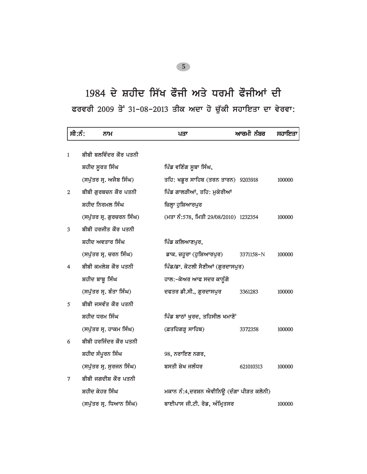## 1984 ਦੇ ਸ਼ਹੀਦ ਸਿੱਖ ਫੌਜੀ ਅਤੇ ਧਰਮੀ ਫੌਜੀਆਂ ਦੀ *PrvrI 2009 qoN 31-08-2013 qIk Adw ho cu`kI shwieqw dw vyrvw:*

| ਸੀ:ਨੰ:       | ਨਾਮ                       | ਪਤਾ                                      | ਆਰਮੀ ਨੰਬਰ | ਸਹਾਇਤਾ |
|--------------|---------------------------|------------------------------------------|-----------|--------|
| $\mathbf{1}$ | ਬੀਬੀ ਬਲਵਿੰਦਰ ਕੌਰ ਪਤਨੀ     |                                          |           |        |
|              | ਸ਼ਹੀਦ ਸੂਰਤ ਸਿੰਘ           | ਪਿੰਡ ਵਣਿੰਗ ਸੂਬਾ ਸਿੰਘ,                    |           |        |
|              | (ਸਪੁੱਤਰ ਸ੍ਰ. ਅਜੈਬ ਸਿੰਘ)   | ਤਹਿ: ਖਡੁਰ ਸਾਹਿਬ (ਤਰਨ ਤਾਰਨ) 9203918       |           | 100000 |
| 2            | ਬੀਬੀ ਗੁਰਬਚਨ ਕੌਰ ਪਤਨੀ      | ਪਿੰਡ ਗਾਲੜੀਆਂ, ਤਹਿ: ਮੁਕੇਰੀਆਂ              |           |        |
|              | ਸ਼ਹੀਦ ਨਿਰਮਲ ਸਿੰਘ          | ਜ਼ਿਲ੍ਹਾ ਹੁਸ਼ਿਆਰਪੁਰ                       |           |        |
|              | (ਸਪੁੱਤਰ ਸ੍ਰ. ਗੁਰਚਰਨ ਸਿੰਘ) | (ਮਤਾ ਨੰ:578, ਮਿਤੀ 29/08/2010) 1232354    |           | 100000 |
| 3            | ਬੀਬੀ ਹਰਜੀਤ ਕੌਰ ਪਤਨੀ       |                                          |           |        |
|              | ਸ਼ਹੀਦ ਅਵਤਾਰ ਸਿੰਘ          | ਪਿੰਡ ਕਲਿਆਣਪੁਰ,                           |           |        |
|              | (ਸਪੁੱਤਰ ਸ੍ਰ. ਚਰਨ ਸਿੰਘ)    | ਡਾਕ. ਜ਼ਹੂਰਾ (ਹੁਸ਼ਿਆਰਪੁਰ)                 | 3371158-N | 100000 |
| 4            | ਬੀਬੀ ਕਮਲੇਸ਼ ਕੌਰ ਪਤਨੀ      | ਪਿੰਡ/ਡਾ. ਕੋਟਲੀ ਸੈਣੀਆਂ (ਗੁਰਦਾਸਪੁਰ)        |           |        |
|              | ਸ਼ਹੀਦ ਬਾਬੂ ਸਿੰਘ           | ਹਾਲ:–ਕੇਅਰ ਆਫ ਸਦਰ ਕਾਨੂੰਗੋ                 |           |        |
|              | (ਸਪੁੱਤਰ ਸ੍ਰ. ਬੰਤਾ ਸਿੰਘ)   | ਦਫਤਰ ਡੀ.ਸੀ., ਗੁਰਦਾਸਪੁਰ                   | 3361283   | 100000 |
| 5            | ਬੀਬੀ ਜਸਵੰਤ ਕੌਰ ਪਤਨੀ       |                                          |           |        |
|              | ਸ਼ਹੀਦ ਧਰਮ ਸਿੰਘ            | ਪਿੰਡ ਬਾਠਾਂ ਖੁਰਦ, ਤਹਿਸੀਲ ਖਮਾਣੋਂ           |           |        |
|              | (ਸਪੁੱਤਰ ਸ੍ਰ. ਹਾਕਮ ਸਿੰਘ)   | (ਫ਼ਤਹਿਗੜ੍ਹ ਸਾਹਿਬ)                        | 3372358   | 100000 |
| 6            | ਬੀਬੀ ਹਰਜਿੰਦਰ ਕੌਰ ਪਤਨੀ     |                                          |           |        |
|              | ਸ਼ਹੀਦ ਸੰਪੂਰਨ ਸਿੰਘ         | 98, ਨਰਾਇਣ ਨਗਰ,                           |           |        |
|              | (ਸਪੁੱਤਰ ਸ੍ਰ. ਸੂਰਜਨ ਸਿੰਘ)  | ਬਸਤੀ ਸ਼ੇਖ ਜਲੰਧਰ                          | 621010313 | 100000 |
| 7            | ਬੀਬੀ ਜਗਦੀਸ਼ ਕੌਰ ਪਤਨੀ      |                                          |           |        |
|              | ਸ਼ਹੀਦ ਕੇਹਰ ਸਿੰਘ           | ਮਕਾਨ ਨੰ:4,ਦਰਸ਼ਨ ਐਵੀਨਿਊ (ਦੰਗਾ ਪੀੜਤ ਕਲੋਨੀ) |           |        |
|              | (ਸਪੁੱਤਰ ਸ੍ਰ. ਧਿਆਨ ਸਿੰਘ)   | ਬਾਈਪਾਸ ਜੀ.ਟੀ. ਰੋਡ, ਅੰਮ੍ਰਿਤਸਰ             |           | 100000 |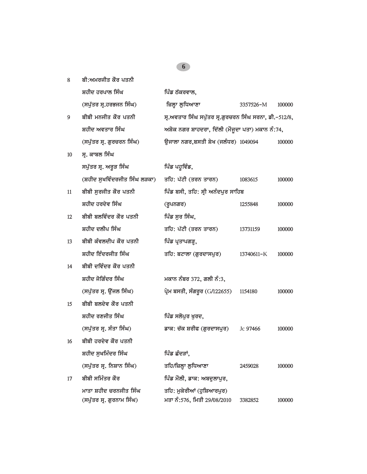| 8  | ਬੀ:ਅਮਰਜੀਤ ਕੌਰ ਪਤਨੀ                                  |                                                           |            |        |
|----|-----------------------------------------------------|-----------------------------------------------------------|------------|--------|
|    | ਸ਼ਹੀਦ ਹਰਪਾਲ ਸਿੰਘ                                    | ਪਿੰਡ ਠੱਕਰਵਾਲ,                                             |            |        |
|    | (ਸਪੁੱਤਰ ਸ੍ਰ.ਹਰਭਜਨ ਸਿੰਘ)                             | ਜ਼ਿਲ੍ਹਾ ਲੁਧਿਆਣਾ                                           | 3357526-M  | 100000 |
| 9  | ਬੀਬੀ ਮਨਜੀਤ ਕੌਰ ਪਤਨੀ                                 | ਸ੍ਰ.ਅਵਤਾਰ ਸਿੰਘ ਸਪੁੱਤਰ ਸ੍ਰ.ਗੁਰਚਰਨ ਸਿੰਘ ਸਰਨਾ, ਡੀ.-512/8,    |            |        |
|    | ਸ਼ਹੀਦ ਅਵਤਾਰ ਸਿੰਘ                                    | ਅਸ਼ੋਕ ਨਗਰ ਸ਼ਾਹਦਰਾ, ਦਿੱਲੀ (ਮੌਜੂਦਾ ਪਤਾ) ਮਕਾਨ ਨੰ:74,         |            |        |
|    | (ਸਪੁੱਤਰ ਸ੍ਰ. ਗੁਰਚਰਨ ਸਿੰਘ)                           | ਉਜਾਲਾ ਨਗਰ,ਬਸਤੀ ਸ਼ੇਖ (ਜਲੰਧਰ) 1049094                       |            | 100000 |
| 10 | ਸ. ਕਾਬਲ ਸਿੰਘ                                        |                                                           |            |        |
|    | ਸਪੁੱਤਰ ਸ੍ਰ. ਅਰੁੜ ਸਿੰਘ                               | ਪਿੰਡ ਪਹੁਵਿੰਡ,                                             |            |        |
|    | (ਸ਼ਹੀਦ ਸੁਖਵਿੰਦਰਜੀਤ ਸਿੰਘ ਲੜਕਾ)                       | ਤਹਿ: ਪੱਟੀ (ਤਰਨ ਤਾਰਨ)                                      | 1083615    | 100000 |
| 11 | ਬੀਬੀ ਸਰਜੀਤ ਕੌਰ ਪਤਨੀ                                 | ਪਿੰਡ ਬਸੀ, ਤਹਿ: ਸ੍ਰੀ ਅਨੰਦਪੁਰ ਸਾਹਿਬ                         |            |        |
|    | ਸ਼ਹੀਦ ਹਰਦੇਵ ਸਿੰਘ                                    | (ਰੁਪਨਗਰ)                                                  | 1255848    | 100000 |
| 12 | ਬੀਬੀ ਬਲਵਿੰਦਰ ਕੌਰ ਪਤਨੀ                               | ਪਿੰਡ ਸੂਰ ਸਿੰਘ,                                            |            |        |
|    | ਸ਼ਹੀਦ ਦਲੀਪ ਸਿੰਘ                                     | ਤਹਿ: ਪੱਟੀ (ਤਰਨ ਤਾਰਨ)                                      | 13731159   | 100000 |
| 13 | ਬੀਬੀ ਕੰਵਲਦੀਪ ਕੌਰ ਪਤਨੀ                               | ਪਿੰਡ ਪ੍ਰਤਾਪਗੜ੍ਹ,                                          |            |        |
|    | ਸ਼ਹੀਦ ਇੰਦਰਜੀਤ ਸਿੰਘ                                  | ਤਹਿ: ਬਟਾਲਾ (ਗੁਰਦਾਸਪੁਰ)                                    | 13740611-K | 100000 |
| 14 | ਬੀਬੀ ਦਵਿੰਦਰ ਕੌਰ ਪਤਨੀ                                |                                                           |            |        |
|    | ਸ਼ਹੀਦ ਜੋਗਿੰਦਰ ਸਿੰਘ                                  | ਮਕਾਨ ਨੰਬਰ 372, ਗਲੀ ਨੰ:3,                                  |            |        |
|    | (ਸਪੁੱਤਰ ਸ੍ਰ. ਉੱਜਲ ਸਿੰਘ)                             | ਪ੍ਰੇਮ ਬਸਤੀ, ਸੰਗਰੁਰ (G/122655)                             | 1154180    | 100000 |
| 15 | ਬੀਬੀ ਬਲਦੇਵ ਕੌਰ ਪਤਨੀ                                 |                                                           |            |        |
|    | ਸ਼ਹੀਦ ਰਣਜੀਤ ਸਿੰਘ                                    | ਪਿੰਡ ਸਲੋਪੁਰ ਖੁਰਦ,                                         |            |        |
|    | (ਸਪੁੱਤਰ ਸ੍ਰ. ਸੰਤਾ ਸਿੰਘ)                             | ਡਾਕ: ਚੱਕ ਸ਼ਰੀਫ (ਗੁਰਦਾਸਪੁਰ)                                | Jc 97466   | 100000 |
| 16 | ਬੀਬੀ ਹਰਦੇਵ ਕੌਰ ਪਤਨੀ                                 |                                                           |            |        |
|    | ਸ਼ਹੀਦ ਸਖਮਿੰਦਰ ਸਿੰਘ                                  | ਪਿੰਡ ਛੰਦੜਾਂ.                                              |            |        |
|    | (ਸਪੁੱਤਰ ਸ੍ਰ. ਨਿਸ਼ਾਨ ਸਿੰਘ)                           | ਤਹਿ/ਜ਼ਿਲ੍ਹਾ ਲੁਧਿਆਣਾ                                       | 2459028    | 100000 |
| 17 | ਬੀਬੀ ਸਮਿੰਤਰ ਕੌਰ                                     | ਪਿੰਡ ਮੌਲੀ, ਡਾਕ: ਅਬਦੁਲਾਪੁਰ,                                |            |        |
|    | ਮਾਤਾ ਸ਼ਹੀਦ ਚਰਨਜੀਤ ਸਿੰਘ<br>(ਸਪੁੱਤਰ ਸ੍ਰ. ਗੁਰਨਾਮ ਸਿੰਘ) | ਤਹਿ: ਮੁਕੇਰੀਆਂ (ਹੁਸ਼ਿਆਰਪੁਰ)<br>ਮਤਾ ਨੰ:576, ਮਿਤੀ 29/08/2010 | 3382852    | 100000 |
|    |                                                     |                                                           |            |        |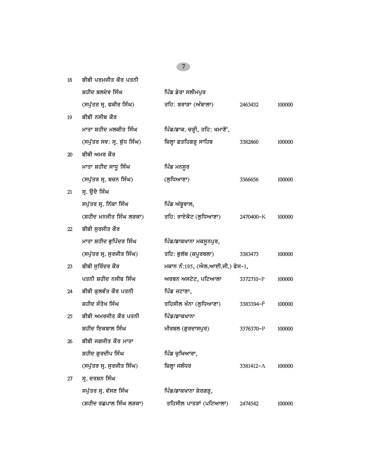| 18 | ਬੀਬੀ ਪਰਮਜੀਤ ਕੌਰ ਪਤਨੀ        |                                 |               |        |
|----|-----------------------------|---------------------------------|---------------|--------|
|    | ਸ਼ਹੀਦ ਬਲਦੇਵ ਸਿੰਘ            | ਪਿੰਡ ਡੇਰਾ ਸਲੀਮਪੁਰ               |               |        |
|    | (ਸਪੁੱਤਰ ਸ੍ਰ. ਫਕੀਰ ਸਿੰਘ)     | ਤਹਿ: ਬਰਾੜਾ (ਅੰਬਾਲਾ)             | 2463432       | 100000 |
| 19 | ਬੀਬੀ ਨਸੀਬ ਕੌਰ               |                                 |               |        |
|    | ਮਾਤਾ ਸ਼ਹੀਦ ਮਲਕੀਤ ਸਿੰਘ       | ਪਿੰਡ/ਡਾਕ. ਚੜ੍ਹੀ, ਤਹਿ: ਖਮਾਣੋਂ,   |               |        |
|    | (ਸਪੁੱਤਰ ਸਵ: ਸ੍ਰ. ਬੁੱਧ ਸਿੰਘ) | ਜ਼ਿਲ੍ਹਾ ਫ਼ਤਹਿਗੜ੍ਹ ਸਾਹਿਬ         | 3382860       | 100000 |
| 20 | ਬੀਬੀ ਅਮਰ ਕੌਰ                |                                 |               |        |
|    | ਮਾਤਾ ਸ਼ਹੀਦ ਸਾਧੂ ਸਿੰਘ        | ਪਿੰਡ ਮਨਸੂਰ                      |               |        |
|    | (ਸਪੁੱਤਰ ਸ੍ਰ. ਬਚਨ ਸਿੰਘ)      | (ਲਧਿਆਣਾ)                        | 3366656       | 100000 |
| 21 | ਸ੍ਰ. ਉਦੈ ਸਿੰਘ               |                                 |               |        |
|    | ਸਪੁੱਤਰ ਸ੍ਰ. ਨਿੱਕਾ ਸਿੰਘ      | ਪਿੰਡ ਅੱਬੂਵਾਲ,                   |               |        |
|    | (ਸ਼ਹੀਦ ਮਨਜੀਤ ਸਿੰਘ ਲੜਕਾ)     | ਤਹਿ: ਰਾਏਕੋਟ (ਲੁਧਿਆਣਾ)           | 2470400-K     | 100000 |
| 22 | ਬੀਬੀ ਸੁਰਜੀਤ ਕੌਰ             |                                 |               |        |
|    | ਮਾਤਾ ਸ਼ਹੀਦ ਭੁਪਿੰਦਰ ਸਿੰਘ     | ਪਿੰਡ/ਡਾਕਖਾਨਾ ਮਕਸੁਨਪੁਰ,          |               |        |
|    | (ਸਪੁੱਤਰ ਸ੍ਰ. ਸੁਰਜੀਤ ਸਿੰਘ)   | ਤਹਿ: ਭੁਲੱਥ (ਕਪੂਰਥਲਾ)            | 3383473       | 100000 |
| 23 | ਬੀਬੀ ਸੁਰਿੰਦਰ ਕੌਰ            | ਮਕਾਨ ਨੰ:195, (ਐਲ.ਆਈ.ਜੀ.) ਫੇਜ–1, |               |        |
|    | ਪਤਨੀ ਸ਼ਹੀਦ ਨਸੀਬ ਸਿੰਘ        | ਅਰਬਨ ਅਸਟੇਟ, ਪਟਿਆਲਾ              | 3372710-P     | 100000 |
| 24 | ਬੀਬੀ ਕੁਲਵੰਤ ਕੌਰ ਪਤਨੀ        | ਪਿੰਡ ਜਟਾਣਾ,                     |               |        |
|    | ਸ਼ਹੀਦ ਸੰਤੋਖ ਸਿੰਘ            | ਤਹਿਸੀਲ ਖੰਨਾ (ਲੁਧਿਆਣਾ)           | 3383394-F     | 100000 |
| 25 | ਬੀਬੀ ਅਮਰਜੀਤ ਕੌਰ ਪਤਨੀ        | ਪਿੰਡ/ਡਾਕਖਾਨਾ                    |               |        |
|    | ਸ਼ਹੀਦ ਇਕਬਾਲ ਸਿੰਘ            | ਮੀਰਬਲ (ਗੁਰਦਾਸਪੁਰ)               | 3376370-P     | 100000 |
| 26 | ਬੀਬੀ ਜਗਜੀਤ ਕੌਰ ਮਾਤਾ         |                                 |               |        |
|    | ਸ਼ਹੀਦ ਗੁਰਦੀਪ ਸਿੰਘ           | ਪਿੰਡ ਚੁਖਿਆਰਾ,                   |               |        |
|    | (ਸਪੁੱਤਰ ਸ੍ਰ. ਸੁਰਜੀਤ ਸਿੰਘ)   | ਜ਼ਿਲ੍ਹਾ ਜਲੰਧਰ                   | $3381412 - A$ | 100000 |
| 27 | ਸ੍ਰ. ਦਰਸ਼ਨ ਸਿੰਘ             |                                 |               |        |
|    | ਸਪੱਤਰ ਸੁ. ਵੱਸਣ ਸਿੰਘ         | ਪਿੰਡ/ਡਾਕਖਾਨਾ ਸ਼ੇਰਗੜ੍ਹ,          |               |        |
|    | (ਸ਼ਹੀਦ ਰਛਪਾਲ ਸਿੰਘ ਲੜਕਾ)     | ਤਹਿਸੀਲ ਪਾਤੜਾਂ (ਪਟਿਆਲਾ)          | 2474542       | 100000 |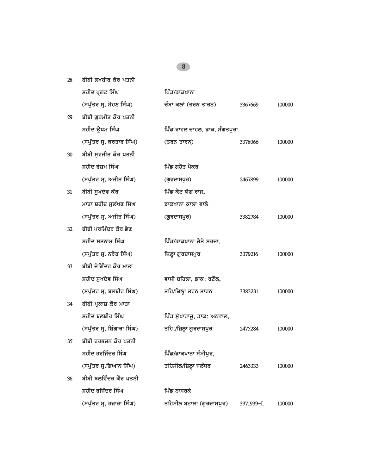| 28 | ਬੀਬੀ ਲਖਬੀਰ ਕੌਰ ਪਤਨੀ         |                               |           |        |
|----|-----------------------------|-------------------------------|-----------|--------|
|    | ਸ਼ਹੀਦ ਪ੍ਰਗਟ ਸਿੰਘ            | ਪਿੰਡ/ਡਾਕਖਾਨਾ                  |           |        |
|    | (ਸਪੁੱਤਰ ਸ੍ਰ. ਸੋਹਣ ਸਿੰਘ)     | ਚੰਬਾ ਕਲਾਂ (ਤਰਨ ਤਾਰਨ)          | 3367669   | 100000 |
| 29 | ਬੀਬੀ ਗਰਮੀਤ ਕੌਰ ਪਤਨੀ         |                               |           |        |
|    | ਸ਼ਹੀਦ ਉਧਮ ਸਿੰਘ              | ਪਿੰਡ ਰਾਹਲ ਚਾਹਲ, ਡਾਕ. ਸੰਗਤਪੁਰਾ |           |        |
|    | (ਸਪੁੱਤਰ ਸ੍ਰ. ਕਰਤਾਰ ਸਿੰਘ)    | (ਤਰਨ ਤਾਰਨ)                    | 3378066   | 100000 |
| 30 | ਬੀਬੀ ਸੁਰਜੀਤ ਕੌਰ ਪਤਨੀ        |                               |           |        |
|    | ਸ਼ਹੀਦ ਰੇਸ਼ਮ ਸਿੰਘ            | ਪਿੰਡ ਗਹੋਤ ਪੋਕਰ                |           |        |
|    | (ਸਪੁੱਤਰ ਸ੍ਰ. ਅਜੀਤ ਸਿੰਘ)     | (ਗੁਰਦਾਸਪੁਰ)                   | 2467899   | 100000 |
| 31 | ਬੀਬੀ ਸੁਖਦੇਵ ਕੌਰ             | ਪਿੰਡ ਕੋਟ ਯੋਗ ਰਾਜ,             |           |        |
|    | ਮਾਤਾ ਸ਼ਹੀਦ ਸੁਲੱਖਣ ਸਿੰਘ      | ਡਾਕਖਾਨਾ ਕਾਲਾ ਵਾਲੇ             |           |        |
|    | (ਸਪੁੱਤਰ ਸ੍ਰ. ਅਜੀਤ ਸਿੰਘ)     | (ਗੁਰਦਾਸਪੁਰ)                   | 3382784   | 100000 |
| 32 | ਬੀਬੀ ਪਰਮਿੰਦਰ ਕੌਰ ਭੈਣ        |                               |           |        |
|    | ਸ਼ਹੀਦ ਸਤਨਾਮ ਸਿੰਘ            | ਪਿੰਡ/ਡਾਕਖਾਨਾ ਜੈਤੋ ਸਰਜਾ,       |           |        |
|    | (ਸਪੁੱਤਰ ਸ੍ਰ. ਨਰੈਣ ਸਿੰਘ)     | ਜ਼ਿਲ੍ਹਾ ਗੁਰਦਾਸਪੁਰ             | 3379216   | 100000 |
| 33 | ਬੀਬੀ ਜੋਗਿੰਦਰ ਕੌਰ ਮਾਤਾ       |                               |           |        |
|    | ਸ਼ਹੀਦ ਸੁਖਦੇਵ ਸਿੰਘ           | ਵਾਸੀ ਬਹਿਲਾ, ਡਾਕ: ਰਟੌਲ,        |           |        |
|    | (ਸਪੁੱਤਰ ਸ੍ਰ. ਬਲਬੀਰ ਸਿੰਘ)    | ਤਹਿ/ਜ਼ਿਲ੍ਹਾ ਤਰਨ ਤਾਰਨ          | 3383231   | 100000 |
| 34 | ਬੀਬੀ ਪ੍ਰਕਾਸ਼ ਕੌਰ ਮਾਤਾ       |                               |           |        |
|    | ਸ਼ਹੀਦ ਬਲਬੀਰ ਸਿੰਘ            | ਪਿੰਡ ਸੁੱਖਾਰਾਜੁ, ਡਾਕ: ਅਠਵਾਲ,   |           |        |
|    | (ਸਪੁੱਤਰ ਸ੍ਰ. ਸ਼ਿੰਗਾਰਾ ਸਿੰਘ) | ਤਹਿ:/ਜ਼ਿਲ੍ਹਾ ਗੁਰਦਾਸਪੁਰ        | 2475284   | 100000 |
| 35 | ਬੀਬੀ ਹਰਭਜਨ ਕੌਰ ਪਤਨੀ         |                               |           |        |
|    | ਸ਼ਹੀਦ ਹਰਜਿੰਦਰ ਸਿੰਘ          | ਪਿੰਡ/ਡਾਕਖਾਨਾ ਸੰਮੀਪਰ,          |           |        |
|    | (ਸਪੁੱਤਰ ਸ੍ਰ.ਗਿਆਨ ਸਿੰਘ)      | ਤਹਿਸੀਲ/ਜ਼ਿਲ੍ਹਾ ਜਲੰਧਰ          | 2463333   | 100000 |
| 36 | ਬੀਬੀ ਬਲਵਿੰਦਰ ਕੌਰ ਪਤਨੀ       |                               |           |        |
|    | ਸ਼ਹੀਦ ਰਜਿੰਦਰ ਸਿੰਘ           | ਪਿੰਡ ਨਾਸਰਕੇ                   |           |        |
|    | (ਸਪੁੱਤਰ ਸ੍ਰ. ਹਜ਼ਾਰਾ ਸਿੰਘ)   | ਤਹਿਸੀਲ ਬਟਾਲਾ (ਗੁਰਦਾਸਪੁਰ)      | 3371939-L | 100000 |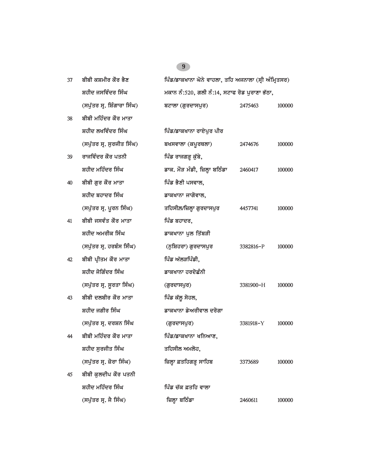| 37 | ਬੀਬੀ ਕਸ਼ਮੀਰ ਕੌਰ ਭੈਣ         | ਪਿੰਡ/ਡਾਕਖਾਨਾ ਘੋਨੇ ਵਾਹਲਾ, ਤਹਿ ਅਜਨਾਲਾ (ਸ੍ਰੀ ਅੰਮ੍ਰਿਤਸਰ) |           |        |
|----|-----------------------------|------------------------------------------------------|-----------|--------|
|    | ਸ਼ਹੀਦ ਜਸਵਿੰਦਰ ਸਿੰਘ          | ਮਕਾਨ ਨੰ:520, ਗਲੀ ਨੰ:14, ਸਟਾਫ ਰੋਡ ਪੁਰਾਣਾ ਭੱਠਾ,        |           |        |
|    | (ਸਪੁੱਤਰ ਸ੍ਰ. ਸ਼ਿੰਗਾਰਾ ਸਿੰਘ) | ਬਟਾਲਾ (ਗੁਰਦਾਸਪੁਰ)                                    | 2475463   | 100000 |
| 38 | ਬੀਬੀ ਮਹਿੰਦਰ ਕੌਰ ਮਾਤਾ        |                                                      |           |        |
|    | ਸ਼ਹੀਦ ਲਖਵਿੰਦਰ ਸਿੰਘ          | ਪਿੰਡ/ਡਾਕਖਾਨਾ ਰਾਏਪੁਰ ਪੀਰ                              |           |        |
|    | (ਸਪੁੱਤਰ ਸ੍ਰ. ਸੁਰਜੀਤ ਸਿੰਘ)   | ਬਖਸਵਾਲਾ (ਕਪੂਰਥਲਾ)                                    | 2474676   | 100000 |
| 39 | ਰਾਜਵਿੰਦਰ ਕੌਰ ਪਤਨੀ           | ਪਿੰਡ ਰਾਜਗੜ੍ਹ ਕੁੱਬੇ,                                  |           |        |
|    | ਸ਼ਹੀਦ ਮਹਿੰਦਰ ਸਿੰਘ           | ਡਾਕ. ਮੌੜ ਮੰਡੀ, ਜ਼ਿਲ੍ਹਾ ਬਠਿੰਡਾ                        | 2460417   | 100000 |
| 40 | ਬੀਬੀ ਗੁਰ ਕੌਰ ਮਾਤਾ           | ਪਿੰਡ ਭੈਣੀ ਪਸਵਾਲ,                                     |           |        |
|    | ਸ਼ਹੀਦ ਬਹਾਦਰ ਸਿੰਘ            | ਡਾਕਖਾਨਾ ਜਾਗੋਵਾਲ,                                     |           |        |
|    | (ਸਪੁੱਤਰ ਸ੍ਰ. ਪੂਰਨ ਸਿੰਘ)     | ਤਹਿਸੀਲ/ਜ਼ਿਲ੍ਹਾ ਗੁਰਦਾਸਪੁਰ                             | 4457741   | 100000 |
| 41 | ਬੀਬੀ ਜਸਵੰਤ ਕੌਰ ਮਾਤਾ         | ਪਿੰਡ ਬਹਾਦਰ,                                          |           |        |
|    | ਸ਼ਹੀਦ ਅਮਰੀਕ ਸਿੰਘ            | ਡਾਕਖਾਨਾ ਪੁਲ ਤਿੱਬੜੀ                                   |           |        |
|    | (ਸਪੁੱਤਰ ਸ੍ਰ. ਹਰਬੰਸ ਸਿੰਘ)    | (ਨੁਸ਼ਿਹਰਾ) ਗੁਰਦਾਸਪੁਰ                                 | 3382816-P | 100000 |
| 42 | ਬੀਬੀ ਪ੍ਰੀਤਮ ਕੌਰ ਮਾਤਾ        | ਪਿੰਡ ਅੱਲੜਪਿੰਡੀ,                                      |           |        |
|    | ਸ਼ਹੀਦ ਜੋਗਿੰਦਰ ਸਿੰਘ          | ਡਾਕਖਾਨਾ ਹਰਦੋਛੰਨੀ                                     |           |        |
|    | (ਸਪੁੱਤਰ ਸ੍ਰ. ਸੁਰਤਾ ਸਿੰਘ)    | (ਗੁਰਦਾਸਪੁਰ)                                          | 3381900-H | 100000 |
| 43 | ਬੀਬੀ ਦਲਬੀਰ ਕੌਰ ਮਾਤਾ         | ਪਿੰਡ ਕੱਲੂ ਸੋਹਲ,                                      |           |        |
|    | ਸ਼ਹੀਦ ਜਗੀਰ ਸਿੰਘ             | ਡਾਕਖਾਨਾ ਡੇਅਰੀਵਾਲ ਦਰੋਗਾ                               |           |        |
|    | (ਸਪੁੱਤਰ ਸ੍ਰ. ਦਰਸ਼ਨ ਸਿੰਘ     | (ਗੁਰਦਾਸਪੁਰ)                                          | 3381918-Y | 100000 |
| 44 | ਬੀਬੀ ਮਹਿੰਦਰ ਕੌਰ ਮਾਤਾ        | ਪਿੰਡ/ਡਾਕਖਾਨਾ ਖਨਿਆਣ,                                  |           |        |
|    | ਸ਼ਹੀਦ ਸਰਜੀਤ ਸਿੰਘ            | ਤਹਿਸੀਲ ਅਮਲੋਹ,                                        |           |        |
|    | (ਸਪੁੱਤਰ ਸ੍ਰ. ਜ਼ੋਰਾ ਸਿੰਘ)    | ਜ਼ਿਲ੍ਹਾ ਫ਼ਤਹਿਗੜ੍ਹ ਸਾਹਿਬ                              | 3373689   | 100000 |
| 45 | ਬੀਬੀ ਕਲਦੀਪ ਕੌਰ ਪਤਨੀ         |                                                      |           |        |
|    | ਸ਼ਹੀਦ ਮਹਿੰਦਰ ਸਿੰਘ           | ਪਿੰਡ ਚੱਕ ਫ਼ਤਹਿ ਵਾਲਾ                                  |           |        |
|    | (ਸਪੁੱਤਰ ਸ੍ਰ. ਜੈ ਸਿੰਘ)       | ਜ਼ਿਲ੍ਹਾ ਬਠਿੰਡਾ                                       | 2460611   | 100000 |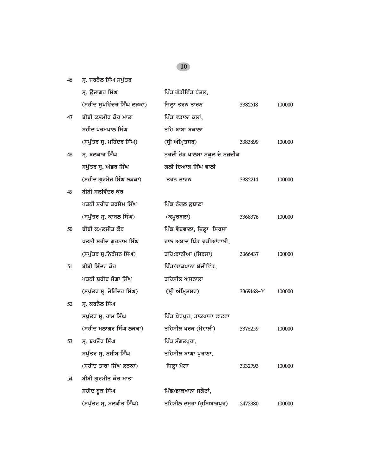*4*6 ਸ੍ਰ. ਜਰਨੈਲ ਸਿੰਘ ਸਪੁੱਤਰ

|    | ਸ੍ਰ. ਉਜਾਗਰ ਸਿੰਘ            | ਪਿੰਡ ਗੰਡੀਵਿੰਡ ਧੱਤਲ,            |           |        |
|----|----------------------------|--------------------------------|-----------|--------|
|    | (ਸ਼ਹੀਦ ਸੁਖਵਿੰਦਰ ਸਿੰਘ ਲੜਕਾ) | ਜ਼ਿਲ੍ਹਾ ਤਰਨ ਤਾਰਨ               | 3382518   | 100000 |
| 47 | ਬੀਬੀ ਕਸ਼ਮੀਰ ਕੌਰ ਮਾਤਾ       | ਪਿੰਡ ਵਡਾਲਾ ਕਲਾਂ,               |           |        |
|    | ਸ਼ਹੀਦ ਪਰਮਪਾਲ ਸਿੰਘ          | ਤਹਿ ਬਾਬਾ ਬਕਾਲਾ                 |           |        |
|    | (ਸਪੁੱਤਰ ਸ੍ਰ. ਮਹਿੰਦਰ ਸਿੰਘ)  | (ਸ੍ਰੀ ਅੰਮ੍ਰਿਤਸਰ)               | 3383899   | 100000 |
| 48 | ਸ੍ਰ. ਬਲਕਾਰ ਸਿੰਘ            | ਨੁਰਦੀ ਰੋਡ ਖਾਲਸਾ ਸਕੂਲ ਦੇ ਨਜ਼ਦੀਕ |           |        |
|    | ਸਪੁੱਤਰ ਸ੍ਰ. ਅੱਛਰ ਸਿੰਘ      | ਗਲੀ ਦਿਆਲ ਸਿੰਘ ਵਾਲੀ             |           |        |
|    | (ਸ਼ਹੀਦ ਗੁਰਮੇਜ ਸਿੰਘ ਲੜਕਾ)   | ਤਰਨ ਤਾਰਨ                       | 3382214   | 100000 |
| 49 | ਬੀਬੀ ਸਲਵਿੰਦਰ ਕੌਰ           |                                |           |        |
|    | ਪਤਨੀ ਸ਼ਹੀਦ ਤਰਸੇਮ ਸਿੰਘ      | ਪਿੰਡ ਨੰਗਲ ਲੁਬਾਣਾ               |           |        |
|    | (ਸਪੁੱਤਰ ਸ੍ਰ. ਕਾਬਲ ਸਿੰਘ)    | (ਕਪੂਰਥਲਾ)                      | 3368376   | 100000 |
| 50 | ਬੀਬੀ ਕਮਲਜੀਤ ਕੌਰ            | ਪਿੰਡ ਵੈਦਵਾਲਾ, ਜ਼ਿਲ੍ਹਾ ਸਿਰਸਾ    |           |        |
|    | ਪਤਨੀ ਸ਼ਹੀਦ ਗੁਰਨਾਮ ਸਿੰਘ     | ਹਾਲ ਅਬਾਦ ਪਿੰਡ ਢੁਡੀਆਂਵਾਲੀ,      |           |        |
|    | (ਸਪੁੱਤਰ ਸ੍ਰ.ਨਿਰੰਜਨ ਸਿੰਘ)   | ਤਹਿ:ਰਾਨੀਆ (ਸਿਰਸਾ)              | 3366437   | 100000 |
| 51 | ਬੀਬੀ ਸ਼ਿੰਦਰ ਕੌਰ            | ਪਿੰਡ/ਡਾਕਖਾਨਾ ਬੱਚੀਵਿੰਡ,         |           |        |
|    | ਪਤਨੀ ਸ਼ਹੀਦ ਜੋਗਾ ਸਿੰਘ       | ਤਹਿਸੀਲ ਅਜਨਾਲਾ                  |           |        |
|    | (ਸਪੁੱਤਰ ਸ੍ਰ. ਜੋਗਿੰਦਰ ਸਿੰਘ) | (ਸ੍ਰੀ ਅੰਮ੍ਰਿਤਸਰ)               | 3369168-Y | 100000 |
| 52 | ਸ੍ਰ. ਕਰਨੈਲ ਸਿੰਘ            |                                |           |        |
|    | ਸਪੁੱਤਰ ਸ੍ਰ. ਰਾਮ ਸਿੰਘ       | ਪਿੰਡ ਖੈਰਪੁਰ, ਡਾਕਖਾਨਾ ਫਾਟਵਾ     |           |        |
|    | (ਸ਼ਹੀਦ ਮਲਾਗਰ ਸਿੰਘ ਲੜਕਾ)    | ਤਹਿਸੀਲ ਖਰੜ (ਮੋਹਾਲੀ)            | 3378259   | 100000 |
| 53 | ਸ੍ਰ. ਬਖਤੌਰ ਸਿੰਘ            | ਪਿੰਡ ਸੰਗਤਪੁਰਾ,                 |           |        |
|    | ਸਪੁੱਤਰ ਸ੍ਰ. ਨਸੀਬ ਸਿੰਘ      | ਤਹਿਸੀਲ ਬਾਘਾ ਪੁਰਾਣਾ,            |           |        |
|    | (ਸ਼ਹੀਦ ਤਾਰਾ ਸਿੰਘ ਲੜਕਾ)     | ਜ਼ਿਲ੍ਹਾ ਮੋਗਾ                   | 3332793   | 100000 |
| 54 | ਬੀਬੀ ਗਰਮੀਤ ਕੌਰ ਮਾਤਾ        |                                |           |        |
|    | ਸ਼ਹੀਦ ਬੁੜ ਸਿੰਘ             | ਪਿੰਡ/ਡਾਕਖਾਨਾ ਜਲੋਟਾਂ,           |           |        |
|    | (ਸਪੁੱਤਰ ਸ੍ਰ. ਮਲਕੀਤ ਸਿੰਘ)   | ਤਹਿਸੀਲ ਦਸੁਹਾ (ਹੁਸ਼ਿਆਰਪੁਰ)      | 2472380   | 100000 |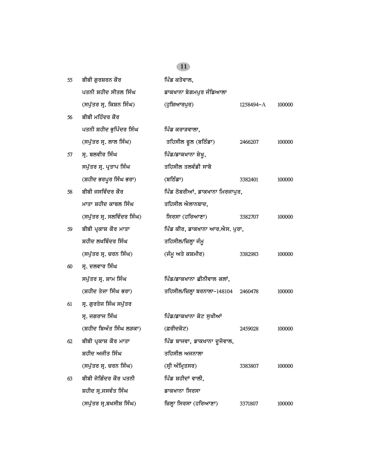| 55 | ਬੀਬੀ ਗੁਰਸ਼ਰਨ ਕੌਰ           | ਪਿੰਡ ਕਤੋਵਾਲ,                    |           |        |
|----|----------------------------|---------------------------------|-----------|--------|
|    | ਪਤਨੀ ਸ਼ਹੀਦ ਸੀਤਲ ਸਿੰਘ       | ਡਾਕਖਾਨਾ ਬੇਗਮਪੁਰ ਜੰਡਿਆਲਾ         |           |        |
|    | (ਸਪੁੱਤਰ ਸ੍ਰ. ਕਿਸ਼ਨ ਸਿੰਘ)   | (ਹੁਸ਼ਿਆਰਪੁਰ)                    | 1258494-A | 100000 |
| 56 | ਬੀਬੀ ਮਹਿੰਦਰ ਕੌਰ            |                                 |           |        |
|    | ਪਤਨੀ ਸ਼ਹੀਦ ਭੁਪਿੰਦਰ ਸਿੰਘ    | ਪਿੰਡ ਕਰਾੜਵਾਲਾ,                  |           |        |
|    | (ਸਪੁੱਤਰ ਸ੍ਰ. ਲਾਲ ਸਿੰਘ)     | ਤਹਿਸੀਲ ਫੂਲ (ਬਠਿੰਡਾ)             | 2466207   | 100000 |
| 57 | ਸ੍ਰ. ਬਲਵੀਰ ਸਿੰਘ            | ਪਿੰਡ/ਡਾਕਖਾਨਾ ਸ਼ੇਖੁ,             |           |        |
|    | ਸਪੁੱਤਰ ਸ੍ਰ. ਪ੍ਰਤਾਪ ਸਿੰਘ    | ਤਹਿਸੀਲ ਤਲਵੰਡੀ ਸਾਬੋ              |           |        |
|    | (ਸ਼ਹੀਦ ਭਰਪੂਰ ਸਿੰਘ ਭਰਾ)     | (ਬਠਿੰਡਾ)                        | 3382401   | 100000 |
| 58 | ਬੀਬੀ ਜਸਵਿੰਦਰ ਕੌਰ           | ਪਿੰਡ ਠੋਬਰੀਆਂ, ਡਾਕਖਾਨਾ ਮਿਰਜਾਪੁਰ, |           |        |
|    | ਮਾਤਾ ਸ਼ਹੀਦ ਕਾਬਲ ਸਿੰਘ       | ਤਹਿਸੀਲ ਐਲਾਨਬਾਦ,                 |           |        |
|    | (ਸਪੁੱਤਰ ਸ੍ਰ. ਸਲਵਿੰਦਰ ਸਿੰਘ) | ਸਿਰਸਾ (ਹਰਿਆਣਾ)                  | 3382707   | 100000 |
| 59 | ਬੀਬੀ ਪ੍ਰਕਾਸ਼ ਕੌਰ ਮਾਤਾ      | ਪਿੰਡ ਕੀਰ, ਡਾਕਖਾਨਾ ਆਰ.ਐਸ. ਪੁਰਾ,  |           |        |
|    | ਸ਼ਹੀਦ ਲਖਬਿੰਦਰ ਸਿੰਘ         | ਤਹਿਸੀਲ/ਜ਼ਿਲ੍ਹਾ ਜੰਮੂ             |           |        |
|    | (ਸਪੁੱਤਰ ਸ੍ਰ. ਚਰਨ ਸਿੰਘ)     | (ਜੰਮੂ ਅਤੇ ਕਸ਼ਮੀਰ)               | 3382983   | 100000 |
| 60 | ਸ੍ਰ. ਦਲਵਾਰ ਸਿੰਘ            |                                 |           |        |
|    | ਸਪੁੱਤਰ ਸ੍ਰ. ਸ਼ਾਮ ਸਿੰਘ      | ਪਿੰਡ/ਡਾਕਖਾਨਾ ਛੀਨੀਵਾਲ ਕਲਾਂ,      |           |        |
|    | (ਸ਼ਹੀਦ ਤੇਜਾ ਸਿੰਘ ਭਰਾ)      | ਤਹਿਸੀਲ/ਜ਼ਿਲ੍ਹਾ ਬਰਨਾਲਾ–148104    | 2460478   | 100000 |
| 61 | ਸ੍ਰ. ਗੁਰਤੇਜ ਸਿੰਘ ਸਪੁੱਤਰ    |                                 |           |        |
|    | ਸ੍ਰ. ਜਗਰਾਜ ਸਿੰਘ            | ਪਿੰਡ/ਡਾਕਖਾਨਾ ਕੋਟ ਸੁਖੀਆਂ         |           |        |
|    | (ਸ਼ਹੀਦ ਬਿਅੰਤ ਸਿੰਘ ਲੜਕਾ)    | (ਫ਼ਰੀਦਕੋਟ)                      | 2459028   | 100000 |
| 62 | ਬੀਬੀ ਪ੍ਰਕਾਸ਼ ਕੌਰ ਮਾਤਾ      | ਪਿੰਡ ਬਾਜਵਾ, ਡਾਕਖਾਨਾ ਦੂਜੋਵਾਲ,    |           |        |
|    | ਸ਼ਹੀਦ ਅਜੀਤ ਸਿੰਘ            | ਤਹਿਸੀਲ ਅਜਨਾਲਾ                   |           |        |
|    | (ਸਪੁੱਤਰ ਸ੍ਰ. ਚਰਨ ਸਿੰਘ)     | (ਸ੍ਰੀ ਅੰਮ੍ਰਿਤਸਰ)                | 3383807   | 100000 |
| 63 | ਬੀਬੀ ਜੋਗਿੰਦਰ ਕੌਰ ਪਤਨੀ      | ਪਿੰਡ ਸ਼ਹੀਦਾਂ ਵਾਲੀ,              |           |        |
|    | ਸ਼ਹੀਦ ਸ੍ਰ.ਜਸਵੰਤ ਸਿੰਘ       | ਡਾਕਖਾਨਾ ਸਿਰਸਾ                   |           |        |
|    | (ਸਪੁੱਤਰ ਸ੍ਰ.ਬਖਸੀਸ਼ ਸਿੰਘ)   | ਜ਼ਿਲ੍ਹਾ ਸਿਰਸਾ (ਹਰਿਆਣਾ)          | 3371807   | 100000 |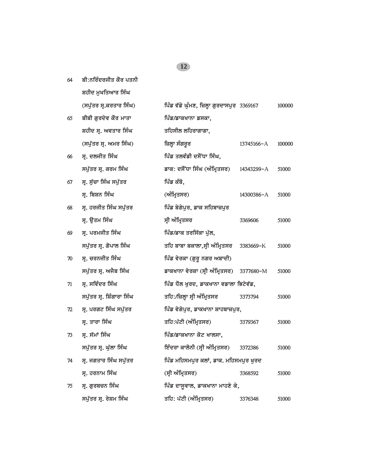| 64 | ਬੀ:ਨਰਿੰਦਰਜੀਤ ਕੌਰ ਪਤਨੀ     |                                            |            |        |
|----|---------------------------|--------------------------------------------|------------|--------|
|    | ਸ਼ਹੀਦ ਮੁਖਤਿਆਰ ਸਿੰਘ        |                                            |            |        |
|    | (ਸਪੁੱਤਰ ਸ੍ਰ.ਕਰਤਾਰ ਸਿੰਘ)   | ਪਿੰਡ ਵੱਡੇ ਘੁੰਮਣ, ਜ਼ਿਲ੍ਹਾ ਗੁਰਦਾਸਪੁਰ 3369167 |            | 100000 |
| 65 | ਬੀਬੀ ਗੁਰਦੇਵ ਕੌਰ ਮਾਤਾ      | ਪਿੰਡ/ਡਾਕਖਾਨਾ ਡਸਕਾ,                         |            |        |
|    | ਸ਼ਹੀਦ ਸ੍ਰ. ਅਵਤਾਰ ਸਿੰਘ     | ਤਹਿਸੀਲ ਲਹਿਰਾਗਾਗਾ,                          |            |        |
|    | (ਸਪੁੱਤਰ ਸ੍ਰ. ਅਮਰ ਸਿੰਘ)    | ਜ਼ਿਲ੍ਹਾ ਸੰਗਰੁਰ                             | 13745166-A | 100000 |
| 66 | ਸ੍ਰ. ਦਲਜੀਤ ਸਿੰਘ           | ਪਿੰਡ ਤਲਵੰਡੀ ਦਸੌਂਧਾ ਸਿੰਘ,                   |            |        |
|    | ਸਪੁੱਤਰ ਸ੍ਰ. ਕਰਮ ਸਿੰਘ      | ਡਾਕ: ਦਸੌਂਧਾ ਸਿੰਘ (ਅੰਮ੍ਰਿਤਸਰ)               | 14343299-A | 51000  |
| 67 | ਸ੍ਰ. ਸੁੱਚਾ ਸਿੰਘ ਸਪੁੱਤਰ    | ਪਿੰਡ ਕੰਬੋ,                                 |            |        |
|    | ਸ੍ਰ. ਬਿਸ਼ਨ ਸਿੰਘ           | (ਅੰਮ੍ਰਿਤਸਰ)                                | 14300386-A | 51000  |
| 68 | ਸ੍ਰ. ਹਰਜੀਤ ਸਿੰਘ ਸਪੁੱਤਰ    | ਪਿੰਡ ਬੇਗੇਪੁਰ, ਡਾਕ ਸਹਿਬਾਜ਼ਪੁਰ               |            |        |
|    | ਸ੍ਰ. ਉਤਮ ਸਿੰਘ             | ਸ੍ਰੀ ਅੰਮ੍ਰਿਤਸਰ                             | 3369606    | 51000  |
| 69 | ਸ੍ਰ. ਪਰਮਜੀਤ ਸਿੰਘ          | ਪਿੰਡ/ਡਾਕ ਤਰਸਿੱਕਾ ਪੱਲ,                      |            |        |
|    | ਸਪੁੱਤਰ ਸ੍ਰ. ਗੋਪਾਲ ਸਿੰਘ    | ਤਹਿ ਬਾਬਾ ਬਕਾਲਾ,ਸ੍ਰੀ ਅੰਮ੍ਰਿਤਸਰ 3383669-K    |            | 51000  |
| 70 | ਸ੍ਰ. ਚਰਨਜੀਤ ਸਿੰਘ          | ਪਿੰਡ ਵੇਰਕਾ (ਗੁਰੂ ਨਗਰ ਅਬਾਦੀ)                |            |        |
|    | ਸਪੁੱਤਰ ਸ੍ਰ. ਅਜੈਬ ਸਿੰਘ     | ਡਾਕਖਾਨਾ ਵੇਰਕਾ (ਸ੍ਰੀ ਅੰਮ੍ਰਿਤਸਰ) 3377680-M   |            | 51000  |
| 71 | ਸ੍ਰ. ਸਵਿੰਦਰ ਸਿੰਘ          | ਪਿੰਡ ਧੌਲ ਖੁਰਦ, ਡਾਕਖਾਨਾ ਵਡਾਲਾ ਭਿਟੇਵੱਡ,      |            |        |
|    | ਸਪੁੱਤਰ ਸ੍ਰ. ਸ਼ਿੰਗਾਰਾ ਸਿੰਘ | ਤਹਿ:/ਜ਼ਿਲ੍ਹਾ ਸ੍ਰੀ ਅੰਮ੍ਰਿਤਸਰ                | 3373794    | 51000  |
| 72 | ਸ੍ਰ. ਪਰਗਟ ਸਿੰਘ ਸਪੁੱਤਰ     | ਪਿੰਡ ਵੇਗੇਪੁਰ, ਡਾਕਖਾਨਾ ਸ਼ਾਹਬਾਜ਼ਪੁਰ,         |            |        |
|    | ਸ੍ਰ. ਤਾਰਾ ਸਿੰਘ            | ਤਹਿ:ਪੱਟੀ (ਅੰਮ੍ਰਿਤਸਰ)                       | 3379367    | 51000  |
| 73 | ਸ੍ਰ. ਸੱਮਾਂ ਸਿੰਘ           | ਪਿੰਡ/ਡਾਕਖਾਨਾ ਕੋਟ ਖਾਲਸਾ,                    |            |        |
|    | ਸਪੁੱਤਰ ਸ੍ਰ. ਘੁੱਲਾ ਸਿੰਘ    | ਇੰਦਰਾ ਕਾਲੋਨੀ (ਸ੍ਰੀ ਅੰਮ੍ਰਿਤਸਰ)              | 3372386    | 51000  |
| 74 | ਸ੍ਰ. ਜਗਤਾਰ ਸਿੰਘ ਸਪੁੱਤਰ    | ਪਿੰਡ ਮਹਿਸਮਪੁਰ ਕਲਾਂ, ਡਾਕ. ਮਹਿਸਮਪੁਰ ਖੁਰਦ     |            |        |
|    | ਸ੍ਰ. ਹਰਨਾਮ ਸਿੰਘ           | (ਸ੍ਰੀ ਅੰਮ੍ਰਿਤਸਰ)                           | 3368592    | 51000  |
| 75 | ਸ੍ਰ. ਗੁਰਬਚਨ ਸਿੰਘ          | ਪਿੰਡ ਦਾਸੁਵਾਲ, ਡਾਕਖਾਨਾ ਮਾਹਣੇ ਕੇ,            |            |        |
|    | ਸਪੁੱਤਰ ਸ੍ਰ. ਰੇਸ਼ਮ ਸਿੰਘ    | ਤਹਿ: ਪੱਟੀ (ਅੰਮ੍ਰਿਤਸਰ)                      | 3376348    | 51000  |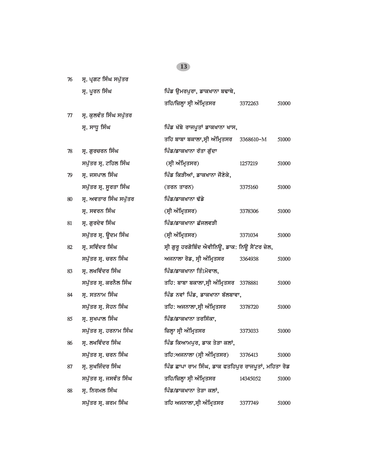|    | ਸ੍ਰ. ਪੂਰਨ ਸਿੰਘ          | ਪਿੰਡ ਉਮਰਪੁਰਾ, ਡਾਕਖਾਨਾ ਬਢਾਥੇ,                        |          |       |
|----|-------------------------|-----------------------------------------------------|----------|-------|
|    |                         | ਤਹਿ/ਜ਼ਿਲ੍ਹਾ ਸ੍ਰੀ ਅੰਮ੍ਰਿਤਸਰ                          | 3372263  | 51000 |
| 77 | ਸ੍ਰ. ਕੁਲਵੰਤ ਸਿੰਘ ਸਪੁੱਤਰ |                                                     |          |       |
|    | ਸ੍ਰ. ਸਾਧੂ ਸਿੰਘ          | ਪਿੰਡ ਖੱਬੇ ਰਾਜਪੁਤਾਂ ਡਾਕਖਾਨਾ ਖਾਸ,                     |          |       |
|    |                         | ਤਹਿ ਬਾਬਾ ਬਕਾਲਾ,ਸ੍ਰੀ ਅੰਮ੍ਰਿਤਸਰ 3368610-M             |          | 51000 |
| 78 | ਸ੍ਰ. ਗੁਰਚਰਨ ਸਿੰਘ        | ਪਿੰਡ/ਡਾਕਖਾਨਾ ਰੱਤਾ ਗੁੱਦਾ                             |          |       |
|    | ਸਪੁੱਤਰ ਸ੍ਰ. ਟਹਿਲ ਸਿੰਘ   | (ਸ੍ਰੀ ਅੰਮ੍ਰਿਤਸਰ)                                    | 1257219  | 51000 |
| 79 | ਸ੍ਰ. ਜਸਪਾਲ ਸਿੰਘ         | ਪਿੰਡ ਕਿੜੀਆਂ, ਡਾਕਖਾਨਾ ਜੌਣੇਕੇ,                        |          |       |
|    | ਸਪੁੱਤਰ ਸ੍ਰ. ਸੁਰਤਾ ਸਿੰਘ  | (ਤਰਨ ਤਾਰਨ)                                          | 3375160  | 51000 |
| 80 | ਸ੍ਰ. ਅਵਤਾਰ ਸਿੰਘ ਸਪੁੱਤਰ  | ਪਿੰਡ/ਡਾਕਖਾਨਾ ਢੱਡੇ                                   |          |       |
|    | ਸ੍ਰ. ਸਵਰਨ ਸਿੰਘ          | (ਸ੍ਰੀ ਅੰਮ੍ਰਿਤਸਰ)                                    | 3378306  | 51000 |
| 81 | ਸ੍ਰ. ਗੁਰਦੇਵ ਸਿੰਘ        | ਪਿੰਡ/ਡਾਕਖਾਨਾ ਛੱਜਲਵੜੀ                                |          |       |
|    | ਸਪੁੱਤਰ ਸ੍ਰ. ਉਦਮ ਸਿੰਘ    | (ਸ੍ਰੀ ਅੰਮ੍ਰਿਤਸਰ)                                    | 3371034  | 51000 |
| 82 | ਸ੍ਰ. ਸਵਿੰਦਰ ਸਿੰਘ        | ਸ੍ਰੀ ਗੁਰੂ ਹਰਗੋਬਿੰਦ ਐਵੀਨਿਊ, ਡਾਕ: ਨਿਊ ਸੈਂਟਰ ਜ਼ੇਲ,     |          |       |
|    | ਸਪੁੱਤਰ ਸ੍ਰ. ਚਰਨ ਸਿੰਘ    | ਅਜਨਾਲਾ ਰੋਡ, ਸ੍ਰੀ ਅੰਮ੍ਰਿਤਸਰ                          | 3364938  | 51000 |
| 83 | ਸ੍ਰ. ਲਖਵਿੰਦਰ ਸਿੰਘ       | ਪਿੰਡ/ਡਾਕਖਾਨਾ ਤਿੰ1ਮੋਵਾਲ,                             |          |       |
|    | ਸਪੁੱਤਰ ਸ੍ਰ. ਕਰਨੈਲ ਸਿੰਘ  | ਤਹਿ: ਬਾਬਾ ਬਕਾਲਾ,ਸ੍ਰੀ ਅੰਮ੍ਰਿਤਸਰ 3378881              |          | 51000 |
| 84 | ਸ੍ਰ. ਸਤਨਾਮ ਸਿੰਘ         | ਪਿੰਡ ਨਵਾਂ ਪਿੰਡ, ਡਾਕਖਾਨਾ ਬੱਲਬਾਵਾ,                    |          |       |
|    | ਸਪੁੱਤਰ ਸ੍ਰ. ਸੋਹਨ ਸਿੰਘ   | ਤਹਿ: ਅਜਨਾਲਾ,ਸ੍ਰੀ ਅੰਮ੍ਰਿਤਸਰ                          | 3378720  | 51000 |
| 85 | ਸ੍ਰ. ਸੁਖਪਾਲ ਸਿੰਘ        | ਪਿੰਡ/ਡਾਕਖਾਨਾ ਤਰਸਿੱਕਾ,                               |          |       |
|    | ਸਪੁੱਤਰ ਸ੍ਰ. ਹਰਨਾਮ ਸਿੰਘ  | ਜ਼ਿਲ੍ਹਾ ਸ੍ਰੀ ਅੰਮ੍ਰਿਤਸਰ                              | 3373033  | 51000 |
| 86 | ਸ੍ਰ. ਲਖਵਿੰਦਰ ਸਿੰਘ       | ਪਿੰਡ ਕਿਆਮਪੁਰ, ਡਾਕ ਤੇੜਾ ਕਲਾਂ,                        |          |       |
|    | ਸਪੁੱਤਰ ਸ੍ਰ. ਚਰਨ ਸਿੰਘ    | ਤਹਿ:ਅਜਨਾਲਾ (ਸ੍ਰੀ ਅੰਮ੍ਰਿਤਸਰ)                         | 3376413  | 51000 |
| 87 | ਸ੍ਰ. ਸੁਖਜਿੰਦਰ ਸਿੰਘ      | ਪਿੰਡ ਛਾਪਾ ਰਾਮ ਸਿੰਘ, ਡਾਕ ਫਤਹਿਪੁਰ ਰਾਜਪੁਤਾਂ, ਮਹਿਤਾ ਰੋਡ |          |       |
|    | ਸਪੁੱਤਰ ਸ੍ਰ. ਜਸਵੰਤ ਸਿੰਘ  | ਤਹਿ/ਜ਼ਿਲ੍ਹਾ ਸ੍ਰੀ ਅੰਮ੍ਰਿਤਸਰ                          | 14345052 | 51000 |
| 88 | ਸ੍ਰ. ਨਿਰਮਲ ਸਿੰਘ         | ਪਿੰਡ/ਡਾਕਖਾਨਾ ਤੇੜਾ ਕਲਾਂ,                             |          |       |
|    | ਸਪੁੱਤਰ ਸ੍ਰ. ਕਰਮ ਸਿੰਘ    | ਤਹਿ ਅਜਨਾਲਾ,ਸ੍ਰੀ ਅੰਮ੍ਰਿਤਸਰ                           | 3377749  | 51000 |

*7*6 ਸ੍ਰ. ਪ੍ਰਗਟ ਸਿੰਘ ਸਪੁੱਤਰ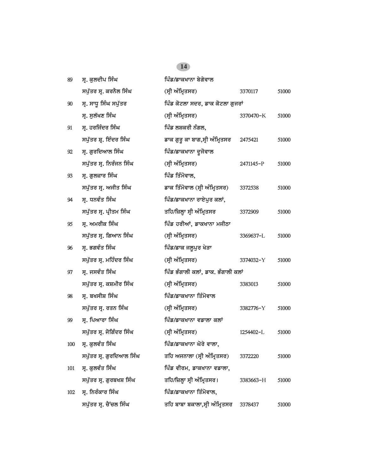| 89  | ਸ੍ਰ. ਕੁਲਦੀਪ ਸਿੰਘ         | ਪਿੰਡ/ਡਾਕਖਾਨਾ ਬੇਗੇਵਾਲ               |           |       |
|-----|--------------------------|------------------------------------|-----------|-------|
|     | ਸਪੁੱਤਰ ਸ੍ਰ. ਕਰਨੈਲ ਸਿੰਘ   | (ਸ੍ਰੀ ਅੰਮ੍ਰਿਤਸਰ)                   | 3370117   | 51000 |
| 90  | ਸ੍ਰ. ਸਾਧੂ ਸਿੰਘ ਸਪੁੱਤਰ    | ਪਿੰਡ ਕੋਟਲਾ ਸਦਰ, ਡਾਕ ਕੋਟਲਾ ਗੁਜਰਾਂ   |           |       |
|     | ਸ. ਸਲੱਖਣ ਸਿੰਘ            | (ਸ੍ਰੀ ਅੰਮ੍ਰਿਤਸਰ)                   | 3370470-K | 51000 |
| 91  | ਸ੍ਰ. ਹਰਜਿੰਦਰ ਸਿੰਘ        | ਪਿੰਡ ਲਸ਼ਕਰੀ ਨੰਗਲ,                  |           |       |
|     | ਸਪੁੱਤਰ ਸ਼੍ਰ. ਇੰਦਰ ਸਿੰਘ   | ਡਾਕ ਗੁਰੁ ਕਾ ਬਾਗ,ਸ੍ਰੀ ਅੰਮ੍ਰਿਤਸਰ     | 2475421   | 51000 |
| 92  | ਸ੍ਰ. ਗੁਰਦਿਆਲ ਸਿੰਘ        | ਪਿੰਡ/ਡਾਕਖਾਨਾ ਦੂਜੋਵਾਲ               |           |       |
|     | ਸਪੁੱਤਰ ਸ੍ਰ. ਨਿਰੰਜਨ ਸਿੰਘ  | (ਸ੍ਰੀ ਅੰਮ੍ਰਿਤਸਰ)                   | 2471145-P | 51000 |
| 93  | ਸ੍ਰ. ਗੁਲਜ਼ਾਰ ਸਿੰਘ        | ਪਿੰਡ ਤਿੰਮੋਵਾਲ,                     |           |       |
|     | ਸਪੁੱਤਰ ਸ੍ਰ. ਅਜੀਤ ਸਿੰਘ    | ਡਾਕ ਤਿੰਮੋਵਾਲ (ਸ੍ਰੀ ਅੰਮ੍ਰਿਤਸਰ)      | 3372538   | 51000 |
| 94  | ਸ੍ਰ. ਧਨਵੰਤ ਸਿੰਘ          | ਪਿੰਡ/ਡਾਕਖਾਨਾ ਰਾਏਪੁਰ ਕਲਾਂ,          |           |       |
|     | ਸਪੁੱਤਰ ਸ੍ਰ. ਪ੍ਰੀਤਮ ਸਿੰਘ  | ਤਹਿ/ਜ਼ਿਲ੍ਹਾ ਸ੍ਰੀ ਅੰਮ੍ਰਿਤਸਰ         | 3372909   | 51000 |
| 95  | ਸ੍ਰ. ਅਮਰੀਕ ਸਿੰਘ          | ਪਿੰਡ ਹਰੀਆਂ, ਡਾਕਖਾਨਾ ਮਜੀਠਾ          |           |       |
|     | ਸਪੁੱਤਰ ਸ੍ਰ. ਗਿਆਨ ਸਿੰਘ    | (ਸ੍ਰੀ ਅੰਮ੍ਰਿਤਸਰ)                   | 3369637-L | 51000 |
| 96  | ਸ. ਭਗਵੰਤ ਸਿੰਘ            | ਪਿੰਡ/ਡਾਕ ਜਲੁਪੁਰ ਖੇੜਾ               |           |       |
|     | ਸਪੁੱਤਰ ਸ੍ਰ. ਮਹਿੰਦਰ ਸਿੰਘ  | (ਸ੍ਰੀ ਅੰਮ੍ਰਿਤਸਰ)                   | 3374032-Y | 51000 |
| 97  | ਸ੍ਰ. ਜਸਵੰਤ ਸਿੰਘ          | ਪਿੰਡ ਭੰਗਾਲੀ ਕਲਾਂ, ਡਾਕ. ਭੰਗਾਲੀ ਕਲਾਂ |           |       |
|     | ਸਪੁੱਤਰ ਸ੍ਰ. ਕਸ਼ਮੀਰ ਸਿੰਘ  | (ਸ੍ਰੀ ਅੰਮ੍ਰਿਤਸਰ)                   | 3383013   | 51000 |
| 98  | ਸ੍ਰ. ਬਖਸੀਸ਼ ਸਿੰਘ         | ਪਿੰਡ/ਡਾਕਖਾਨਾ ਤਿੰਮੋਵਾਲ              |           |       |
|     | ਸਪੁੱਤਰ ਸ੍ਰ. ਰਤਨ ਸਿੰਘ     | (ਸ੍ਰੀ ਅੰਮ੍ਰਿਤਸਰ)                   | 3382776-Y | 51000 |
| 99  | ਸ੍ਰ. ਪਿਆਰਾ ਸਿੰਘ          | ਪਿੰਡ/ਡਾਕਖਾਨਾ ਵਡਾਲਾ ਕਲਾਂ            |           |       |
|     | ਸਪੁੱਤਰ ਸ੍ਰ. ਜੋਗਿੰਦਰ ਸਿੰਘ | (ਸ੍ਰੀ ਅੰਮ੍ਰਿਤਸਰ)                   | 1254402-L | 51000 |
|     | 100 ਸ੍ਰ. ਕੁਲਵੰਤ ਸਿੰਘ     | ਪਿੰਡ/ਡਾਕਖਾਨਾ ਘੋਰੇ ਵਾਲਾ,            |           |       |
|     | ਸਪੁੱਤਰ ਸ੍ਰ. ਗੁਰਦਿਆਲ ਸਿੰਘ | ਤਹਿ ਅਜਨਾਲਾ (ਸ੍ਰੀ ਅੰਮ੍ਰਿਤਸਰ)        | 3372220   | 51000 |
| 101 | ਸ੍ਰ. ਕੁਲਵੰਤ ਸਿੰਘ         | ਪਿੰਡ ਵੀਰਮ, ਡਾਕਖਾਨਾ ਵਡਾਲਾ,          |           |       |
|     | ਸਪੁੱਤਰ ਸ੍ਰ. ਗੁਰਬਖਸ਼ ਸਿੰਘ | ਤਹਿ/ਜ਼ਿਲ੍ਹਾ ਸ੍ਰੀ ਅੰਮ੍ਰਿਤਸਰ।        | 3383663-H | 51000 |
| 102 | ਸ੍ਰ. ਨਿਰੰਕਾਰ ਸਿੰਘ        | ਪਿੰਡ/ਡਾਕਖਾਨਾ ਤਿੰਮੋਵਾਲ,             |           |       |
|     | ਸਪੁੱਤਰ ਸ੍ਰ. ਚੈਂਚਲ ਸਿੰਘ   | ਤਹਿ ਬਾਬਾ ਬਕਾਲਾ,ਸ੍ਰੀ ਅੰਮ੍ਰਿਤਸਰ      | 3378437   | 51000 |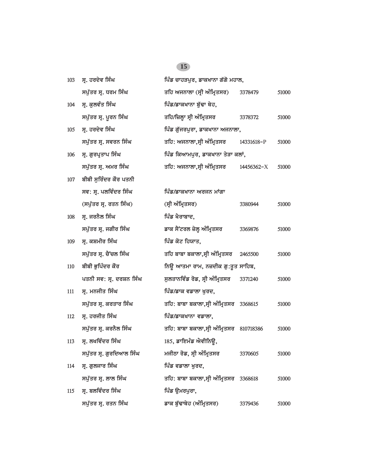| 103 | ਸ੍ਰ. ਹਰਦੇਵ ਸਿੰਘ          | ਪਿੰਡ ਚਾਹੜਪੁਰ, ਡਾਕਖਾਨਾ ਗੱਗੋ ਮਹਾਲ,         |            |       |
|-----|--------------------------|------------------------------------------|------------|-------|
|     | ਸਪੁੱਤਰ ਸ੍ਰ. ਧਰਮ ਸਿੰਘ     | ਤਹਿ ਅਜਨਾਲਾ (ਸ੍ਰੀ ਅੰਮ੍ਰਿਤਸਰ)              | 3378479    | 51000 |
| 104 | ਸ੍ਰ. ਕੁਲਵੰਤ ਸਿੰਘ         | ਪਿੰਡ/ਡਾਕਖਾਨਾ ਬੁੱਢਾ ਥੇਹ,                  |            |       |
|     | ਸਪੁੱਤਰ ਸ੍ਰ. ਪੂਰਨ ਸਿੰਘ    | ਤਹਿ/ਜ਼ਿਲ੍ਹਾ ਸ੍ਰੀ ਅੰਮ੍ਰਿਤਸਰ               | 3378372    | 51000 |
| 105 | ਸ੍ਰ. ਹਰਦੇਵ ਸਿੰਘ          | ਪਿੰਡ ਗੁੱਜਰਪੁਰਾ, ਡਾਕਖਾਨਾ ਅਜਨਾਲਾ,          |            |       |
|     | ਸਪੁੱਤਰ ਸ੍ਰ. ਸਵਰਨ ਸਿੰਘ    | ਤਹਿ: ਅਜਨਾਲਾ,ਸ੍ਰੀ ਅੰਮ੍ਰਿਤਸਰ               | 14331618-P | 51000 |
| 106 | ਸ੍ਰ. ਗੁਰਪ੍ਰਤਾਪ ਸਿੰਘ      | ਪਿੰਡ ਕਿਆਮਪੁਰ, ਡਾਕਖਾਨਾ ਤੇੜਾ ਕਲਾਂ,         |            |       |
|     | ਸਪੁੱਤਰ ਸ੍ਰ. ਅਮਰ ਸਿੰਘ     | ਤਹਿ: ਅਜਨਾਲਾ,ਸ੍ਰੀ ਅੰਮ੍ਰਿਤਸਰ               | 14456362-X | 51000 |
| 107 | ਬੀਬੀ ਸੁਰਿੰਦਰ ਕੌਰ ਪਤਨੀ    |                                          |            |       |
|     | ਸਵ: ਸ੍ਰ. ਪਲਵਿੰਦਰ ਸਿੰਘ    | ਪਿੰਡ/ਡਾਕਖਾਨਾ ਅਰਜਨ ਮਾਂਗਾ                  |            |       |
|     | (ਸਪੁੱਤਰ ਸ੍ਰ. ਰਤਨ ਸਿੰਘ)   | (ਸ੍ਰੀ ਅੰਮ੍ਰਿਤਸਰ)                         | 3380944    | 51000 |
| 108 | ਸ੍ਰ. ਜਰਨੈਲ ਸਿੰਘ          | ਪਿੰਡ ਖੈਰਾਬਾਦ,                            |            |       |
|     | ਸਪੁੱਤਰ ਸ੍ਰ. ਜਗੀਰ ਸਿੰਘ    | ਡਾਕ ਸੈਂਟਰਲ ਜ਼ੇਲ੍ਹ ਅੰਮ੍ਰਿਤਸਰ              | 3369876    | 51000 |
| 109 | ਸ੍ਰ. ਕਸ਼ਮੀਰ ਸਿੰਘ         | ਪਿੰਡ ਕੋਟ ਹਿਯਾਤ,                          |            |       |
|     | ਸਪੁੱਤਰ ਸ੍ਰ. ਚੈਂਚਲ ਸਿੰਘ   | ਤਹਿ ਬਾਬਾ ਬਕਾਲਾ,ਸ੍ਰੀ ਅੰਮ੍ਰਿਤਸਰ            | 2465500    | 51000 |
| 110 | ਬੀਬੀ ਭੁਪਿੰਦਰ ਕੌਰ         | ਨਿਊ ਆਤਮਾ ਰਾਮ, ਨਜ਼ਦੀਕ ਗੁ:ਤੁਤ ਸਾਹਿਬ,       |            |       |
|     | ਪਤਨੀ ਸਵ: ਸ੍ਰ. ਦਰਸ਼ਨ ਸਿੰਘ | ਸੁਲਤਾਨਵਿੰਡ ਰੋਡ, ਸ੍ਰੀ ਅੰਮ੍ਰਿਤਸਰ           | 3371240    | 51000 |
| 111 | ਸ੍ਰ. ਮਨਜੀਤ ਸਿੰਘ          | ਪਿੰਡ/ਡਾਕ ਵਡਾਲਾ ਖੁਰਦ,                     |            |       |
|     | ਸਪੁੱਤਰ ਸ੍ਰ. ਕਰਤਾਰ ਸਿੰਘ   | ਤਹਿ: ਬਾਬਾ ਬਕਾਲਾ,ਸ੍ਰੀ ਅੰਮ੍ਰਿਤਸਰ 3368615   |            | 51000 |
| 112 | ਸ੍ਰ. ਹਰਜੀਤ ਸਿੰਘ          | ਪਿੰਡ/ਡਾਕਖਾਨਾ ਵਡਾਲਾ,                      |            |       |
|     | ਸਪੁੱਤਰ ਸ੍ਰ. ਕਰਨੈਲ ਸਿੰਘ   | ਤਹਿ: ਬਾਬਾ ਬਕਾਲਾ,ਸ੍ਰੀ ਅੰਮ੍ਰਿਤਸਰ           | 810718386  | 51000 |
| 113 | ਸ੍ਰ. ਲਖਵਿੰਦਰ ਸਿੰਘ        | 185, ਡਾਇਮੰਡ ਐਵੀਨਿਊ,                      |            |       |
|     | ਸਪੁੱਤਰ ਸ੍ਰ. ਗੁਰਦਿਆਲ ਸਿੰਘ | ਮਜੀਠਾ ਰੋਡ, ਸ੍ਰੀ ਅੰਮ੍ਰਿਤਸਰ                | 3370605    | 51000 |
| 114 | ਸ੍ਰ. ਗੁਲਜਾਰ ਸਿੰਘ         | ਪਿੰਡ ਵਡਾਲਾ ਖੁਰਦ,                         |            |       |
|     | ਸਪੁੱਤਰ ਸ੍ਰ. ਲਾਲ ਸਿੰਘ     | ਤਹਿ: ਬਾਬਾ ਬਕਾਲਾ,ਸ੍ਰੀ ਅੰਮ੍ਰਿਤਸਰ   3368618 |            | 51000 |
| 115 | ਸ੍ਰ. ਬਲਵਿੰਦਰ ਸਿੰਘ        | ਪਿੰਡ ਉਮਰਪੁਰਾ,                            |            |       |
|     | ਸਪੁੱਤਰ ਸ੍ਰ. ਰਤਨ ਸਿੰਘ     | ਡਾਕ ਬੁੱਢਾਥੇਹ (ਅੰਮ੍ਰਿਤਸਰ)                 | 3379436    | 51000 |
|     |                          |                                          |            |       |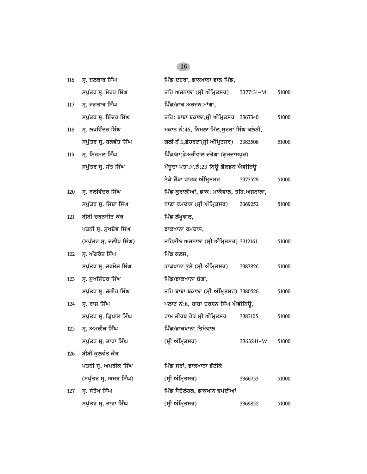| 116 | ਸ੍ਰ. ਬਲਕਾਰ ਸਿੰਘ          | ਪਿੰਡ ਦਦਰਾ, ਡਾਕਖਾਨਾ ਭਾਲ ਪਿੰਡ,             |           |       |
|-----|--------------------------|------------------------------------------|-----------|-------|
|     | ਸਪੁੱਤਰ ਸ੍ਰ. ਮੇਹਰ ਸਿੰਘ    | ਤਹਿ ਅਜਨਾਲਾ (ਸ੍ਰੀ ਅੰਮ੍ਰਿਤਸਰ)              | 3377131-M | 51000 |
| 117 | ਸ੍ਰ. ਜਗਤਾਰ ਸਿੰਘ          | ਪਿੰਡ/ਡਾਕ ਅਰਜਨ ਮਾਂਗਾ,                     |           |       |
|     | ਸਪੁੱਤਰ ਸ੍ਰ. ਇੰਦਰ ਸਿੰਘ    | ਤਹਿ: ਬਾਬਾ ਬਕਾਲਾ,ਸ੍ਰੀ ਅੰਮ੍ਰਿਤਸਰ 3367340   |           | 51000 |
| 118 | ਸ੍ਰ. ਲਖਵਿੰਦਰ ਸਿੰਘ        | ਮਕਾਨ ਨੰ:46, ਨਿਮਲਾ ਮਿੱਲ,ਸੁਰਤਾ ਸਿੰਘ ਕਲੋਨੀ, |           |       |
|     | ਸਪੁੱਤਰ ਸ੍ਰ. ਬਲਵੰਤ ਸਿੰਘ   | ਗਲੀ ਨੰ:1,ਛੇਹਰਟਾ(ਸ੍ਰੀ ਅੰਮ੍ਰਿਤਸਰ)          | 3383508   | 51000 |
| 119 | ਸ੍ਰ. ਨਿਰਮਲ ਸਿੰਘ          | ਪਿੰਡ/ਡਾ:ਡੇਅਰੀਵਾਲ ਦਰੋਗਾ (ਗੁਰਦਾਸਪੁਰ)       |           |       |
|     | ਸਪੁੱਤਰ ਸ੍ਰ. ਸੰਤ ਸਿੰਘ     | ਮੌਜੂਦਾ ਪਤਾ:ਮ.ਨੰ:23 ਨਿਊ ਗੋਲਡਨ ਐਵੀਨਿਊ      |           |       |
|     |                          | ਨੇੜੇ ਜੋੜਾ ਫਾਟਕ ਅੰਮ੍ਰਿਤਸਰ                 | 3373529   | 51000 |
| 120 | ਸ੍ਰ. ਬਲਵਿੰਦਰ ਸਿੰਘ        | ਪਿੰਡ ਕੁਰਾਲੀਆਂ, ਡਾਕ: ਮਾਕੋਵਾਲ, ਤਹਿ:ਅਜਨਾਲਾ, |           |       |
|     | ਸਪੁੱਤਰ ਸ੍ਰ. ਜਿੰਦਾ ਸਿੰਘ   | ਥਾਣਾ ਰਮਦਾਸ (ਸ੍ਰੀ ਅੰਮ੍ਰਿਤਸਰ)              | 3369252   | 51000 |
| 121 | ਬੀਬੀ ਚਰਨਜੀਤ ਕੌਰ          | ਪਿੰਡ ਲੱਖੁਵਾਲ,                            |           |       |
|     | ਪਤਨੀ ਸ੍ਰ. ਸੁਖਦੇਵ ਸਿੰਘ    | ਡਾਕਖਾਨਾ ਰਮਦਾਸ,                           |           |       |
|     | (ਸਪੁੱਤਰ ਸ੍ਰ. ਦਲੀਪ ਸਿੰਘ)  | ਤਹਿਸੀਲ ਅਜਨਾਲਾ (ਸ੍ਰੀ ਅੰਮ੍ਰਿਤਸਰ) 3312161   |           | 51000 |
| 122 | ਸ੍ਰ. ਅੰਗਰੇਜ਼ ਸਿੰਘ        | ਪਿੰਡ ਕਲਸ,                                |           |       |
|     | ਸਪੁੱਤਰ ਸ੍ਰ. ਜਰਮੇਜ ਸਿੰਘ   | ਡਾਕਖਾਨਾ ਭੂਸੇ (ਸ੍ਰੀ ਅੰਮ੍ਰਿਤਸਰ)            | 3383826   | 51000 |
| 123 | ਸ੍ਰ. ਸੁਖਜਿੰਦਰ ਸਿੰਘ       | ਪਿੰਡ/ਡਾਕਖਾਨਾ ਬੱਗਾ,                       |           |       |
|     | ਸਪੁੱਤਰ ਸ੍ਰ. ਜਗੀਰ ਸਿੰਘ    | ਤਹਿ ਬਾਬਾ ਬਕਾਲਾ (ਸ੍ਰੀ ਅੰਮ੍ਰਿਤਸਰ) 3380526  |           | 51000 |
| 124 | ਸ੍ਰ. ਰਾਜ ਸਿੰਘ            | ਪਲਾਟ ਨੰ:8, ਬਾਬਾ ਦਰਸ਼ਨ ਸਿੰਘ ਐਵੀਨਿਊ,       |           |       |
|     | ਸਪੁੱਤਰ ਸ੍ਰ. ਕ੍ਰਿਪਾਲ ਸਿੰਘ | ਰਾਮ ਤੀਰਥ ਰੋਡ ਸ੍ਰੀ ਅੰਮ੍ਰਿਤਸਰ              | 3383105   | 51000 |
| 125 | ਸ੍ਰ. ਅਮਰੀਕ ਸਿੰਘ          | ਪਿੰਡ/ਡਾਕਖਾਨਾ ਤਿਮੋਵਾਲ                     |           |       |
|     | ਸਪੁੱਤਰ ਸ੍ਰ. ਤਾਰਾ ਸਿੰਘ    | (ਸ੍ਰੀ ਅੰਮ੍ਰਿਤਸਰ)                         | 3363241-W | 51000 |
| 126 | ਬੀਬੀ ਕੁਲਵੰਤ ਕੌਰ          |                                          |           |       |
|     | ਪਤਨੀ ਸ੍ਰ. ਅਮਰੀਕ ਸਿੰਘ     | ਪਿੰਡ ਸਰਾਂ, ਡਾਕਖਾਨਾ ਭੱਟੀਕੇ                |           |       |
|     | (ਸਪੁੱਤਰ ਸ੍ਰ. ਅਮਰ ਸਿੰਘ)   | (ਸ੍ਰੀ ਅੰਮ੍ਰਿਤਸਰ)                         | 3366753   | 51000 |
| 127 | ਸ੍ਰ. ਸੰਤੋਖ ਸਿੰਘ          | ਪਿੰਡ ਸੈਦੋਲੇਹਲ, ਡਾਕਖਾਨ ਢਪੱਈਆਂ             |           |       |
|     | ਸਪੁੱਤਰ ਸ੍ਰ. ਤਾਰਾ ਸਿੰਘ    | (ਸ੍ਰੀ ਅੰਮ੍ਰਿਤਸਰ)                         | 3369852   | 51000 |
|     |                          |                                          |           |       |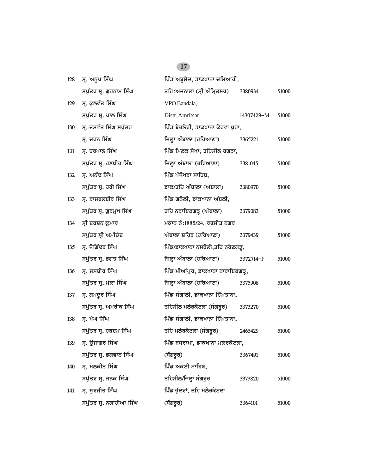| 128 | ਸ੍ਰ. ਅਨੁਪ ਸਿੰਘ          | ਪਿੰਡ ਅਬੁਸੈਦ, ਡਾਕਖਾਨਾ ਚਮਿਆਰੀ,      |            |       |
|-----|-------------------------|-----------------------------------|------------|-------|
|     | ਸਪੁੱਤਰ ਸ੍ਰ. ਗੁਰਨਾਮ ਸਿੰਘ | ਤਹਿ:ਅਜਨਾਲਾ (ਸ੍ਰੀ ਅੰਮ੍ਰਿਤਸਰ)       | 3380934    | 51000 |
| 129 | ਸ੍ਰ. ਕੁਲਵੰਤ ਸਿੰਘ        | VPO Bandala,                      |            |       |
|     | ਸਪੁੱਤਰ ਸ੍ਰ. ਪਾਲ ਸਿੰਘ    | Distt. Amritsar                   | 14307429-M | 51000 |
| 130 | ਸ੍ਰ. ਜਸਵੰਤ ਸਿੰਘ ਸਪੁੱਤਰ  | ਪਿੰਡ ਬੇਹਲੋਹੀ, ਡਾਕਖਾਨਾ ਕੋਰਵਾ ਖੁਰਾ, |            |       |
|     | ਸ੍ਰ. ਚਰਨ ਸਿੰਘ           | ਜ਼ਿਲ੍ਹਾ ਅੰਬਾਲਾ (ਹਰਿਆਣਾ)           | 3365221    | 51000 |
| 131 | ਸ੍ਰ. ਹਰਪਾਲ ਸਿੰਘ         | ਪਿੰਡ ਮਿਲਕ ਸੇਖਾ, ਤਹਿਸੀਲ ਬਗੜਾ,      |            |       |
|     | ਸਪੁੱਤਰ ਸ੍ਰ. ਰਣਧੀਰ ਸਿੰਘ  | ਜ਼ਿਲ੍ਹਾ ਅੰਬਾਲਾ (ਹਰਿਆਣਾ)           | 3381045    | 51000 |
| 132 | ਸ੍ਰ. ਅਨੰਦ ਸਿੰਘ          | ਪਿੰਡ ਪੰਜੋਖਰਾ ਸਾਹਿਬ,               |            |       |
|     | ਸਪੁੱਤਰ ਸ੍ਰ. ਹਰੀ ਸਿੰਘ    | ਡਾਕ/ਤਹਿ ਅੰਬਾਲਾ (ਅੰਬਾਲਾ)           | 3380970    | 51000 |
| 133 | ਸ੍ਰ. ਰਾਜਬਲਬੀਰ ਸਿੰਘ      | ਪਿੰਡ ਗਨੋਲੀ, ਡਾਕਖਾਨਾ ਅੰਬਲੀ,        |            |       |
|     | ਸਪੁੱਤਰ ਸ੍ਰ. ਗੁਰਮੁਖ ਸਿੰਘ | ਤਹਿ ਨਰਾਇਣਗੜ੍ਹ (ਅੰਬਾਲਾ)            | 3379083    | 51000 |
| 134 | ਸ੍ਰੀ ਦਰਸ਼ਨ ਕੁਮਾਰ        | ਮਕਾਨ ਨੰ:1885/24, ਰਣਜੀਤ ਨਗਰ        |            |       |
|     | ਸਪੁੱਤਰ ਸ੍ਰੀ ਅਮੀਚੰਦ      | ਅੰਬਾਲਾ ਸ਼ਹਿਰ (ਹਰਿਆਣਾ)             | 3379439    | 51000 |
| 135 | ਸ੍ਰ. ਜੋਗਿੰਦਰ ਸਿੰਘ       | ਪਿੰਡ/ਡਾਕਖਾਨਾ ਨਸਰੌਲੀ,ਤਹਿ ਨਰੈਣਗੜ੍ਹ, |            |       |
|     | ਸਪੁੱਤਰ ਸ੍ਰ. ਭਗਤ ਸਿੰਘ    | ਜ਼ਿਲ੍ਹਾ ਅੰਬਾਲਾ (ਹਰਿਆਣਾ)           | 3372714-P  | 51000 |
| 136 | ਸ੍ਰ. ਜਸਬੀਰ ਸਿੰਘ         | ਪਿੰਡ ਮੀਆਂਪੁਰ, ਡਾਕਖਾਨਾ ਨਾਰਾਇਣਗੜ੍ਹ, |            |       |
|     | ਸਪੁੱਤਰ ਸ੍ਰ. ਮੇਲਾ ਸਿੰਘ   | ਜ਼ਿਲ੍ਹਾ ਅੰਬਾਲਾ (ਹਰਿਆਣਾ)           | 3375908    | 51000 |
| 137 | ਸ੍ਰ. ਗਮਦੁਰ ਸਿੰਘ         | ਪਿੰਡ ਸੰਗਾਲੀ, ਡਾਕਖਾਨਾ ਹਿੰਮਤਾਨਾ,    |            |       |
|     | ਸਪੁੱਤਰ ਸ੍ਰ. ਅਮਰੀਕ ਸਿੰਘ  | ਤਹਿਸੀਲ ਮਲੇਰਕੋਟਲਾ (ਸੰਗਰੂਰ)         | 3373270    | 51000 |
| 138 | ਸ੍ਰ. ਮੇਘ ਸਿੰਘ           | ਪਿੰਡ ਸੰਗਾਲੀ, ਡਾਕਖਾਨਾ ਹਿੰਮਤਾਨਾ,    |            |       |
|     | ਸਪੁੱਤਰ ਸ੍ਰ. ਹਰਦਮ ਸਿੰਘ   | ਤਹਿ ਮਲੇਰਕੋਟਲਾ (ਸੰਗਰੂਰ)            | 2465429    | 51000 |
| 139 | ਸ੍ਰ. ਉਜਾਗਰ ਸਿੰਘ         | ਪਿੰਡ ਬਧਰਾਮਾ, ਡਾਕਖਾਨਾ ਮਲੇਰਕੋਟਲਾ,   |            |       |
|     | ਸਪੁੱਤਰ ਸ੍ਰ. ਭਗਵਾਨ ਸਿੰਘ  | (ਸੰਗਰੂਰ)                          | 3367491    | 51000 |
| 140 | ਸ੍ਰ. ਮਲਕੀਤ ਸਿੰਘ         | ਪਿੰਡ ਅਕੋਈ ਸਾਹਿਬ,                  |            |       |
|     | ਸਪੁੱਤਰ ਸ੍ਰ. ਜਨਕ ਸਿੰਘ    | ਤਹਿਸੀਲ/ਜ਼ਿਲ੍ਹਾ ਸੰਗਰੂਰ             | 3373820    | 51000 |
| 141 | ਸ੍ਰ. ਸੁਰਜੀਤ ਸਿੰਘ        | ਪਿੰਡ ਭੁੱਲਰਾਂ, ਤਹਿ ਮਲੇਰਕੋਟਲਾ       |            |       |
|     | ਸਪੁੱਤਰ ਸ੍ਰ. ਨਗਾਹੀਆ ਸਿੰਘ | (ਸੰਗਰੂਰ)                          | 3364101    | 51000 |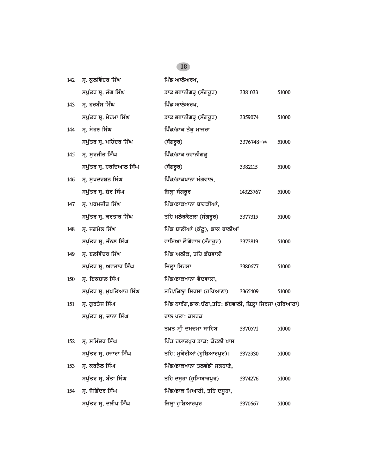### 142 **ਸ੍ਰ. ਕੁਲਵਿੰਦਰ ਸਿੰਘ ਪਿੰਡ ਆਲੋਅਰਖ,** *spu`qr sR. jMg isMG fwk BvwnIgVH (sMgrUr) 3381033 51000* 143 ਸ੍ਰ. ਹਰਬੰਸ ਸਿੰਘ **independent is a filter and filter** *is* and filter *is* and filter *is* and filter *is* a filter *is* and filter *is* a filter *is* a filter *is* a filter *is* a filter *is* a filter *is* a filter  $\$ *spu`qr sR. myhmw isMG fwk BvwnIgVH (sMgrUr) 3359074 51000* 144 ਸ੍ਰ. ਸੋਹਣ ਸਿੰਘ **144 ਸ**ਾਜਰਾ *spu`qr sR. mihMdr isMG (sMgrUr) 3376748-*W *51000* 145 ਸ੍ਰ. ਸੁਰਜੀਤ ਸਿੰਘ **145 ਸਿੰਡ/ਡਾਕ ਭਵਾਨੀਗੜ੍ਹ** *spu`qr sR. hridAwl isMG (sMgrUr) 3382115 51000* 146 **ਸ੍ਰ. ਸੁਖਦਰਸ਼ਨ ਸਿੰਘ ਪਿੰਡ/ਡਾਕਖਾਨਾ ਮੰਗਵਾਲ,** *spu`qr sR. Syr isMG izlHw sMgrUr 14323767 51000* 147 ਸ੍ਰ. ਪਰਮਜੀਤ ਸਿੰਘ **147 ਸਿੰਡ/ਡਾਕਖਾਨਾ ਬਾਗੜੀਆਂ**, *spu`qr sR. krqwr isMG qih mlyrkotlw (sMgrUr) 3377315 51000* 148 ਸ੍ਰ. ਜਗਮੇਲ ਸਿੰਘ **ਮਾਲ ਸੰਗਲ ਸਾਲੀਆਂ (ਕੱਟੂ), ਡਾਕ ਬਾਲੀਆਂ** *spu`qr sR. cMnx isMG vwieAw lONgovwl (sMgrUr) 3373819 51000* 149 ਸੁ. ਬਲਵਿੰਦਰ ਸਿੰਘ **ਨਿਸ਼ਾਲ ਸਿੰਡ ਅਲੀਕ, ਤਹਿ ਡੱਬਵਾਲੀ** *spu`qr sR. Avqwr isMG izlHw isrsw 3380677 51000* 150 ਸ੍ਰ. ਇਕਬਾਲ ਸਿੰਘ **150 ਸ੍ਰ.** *i***ekbaw**n view *is* flisted in the fact of the *is* flisted in the *is* flisted in the *is* flisted in the *is* flisted in the *is* flisted in the *is* flisted in the *is* flisted in the *is spu`qr sR. muKiqAwr isMG qih/izlHw isrsw (hirAwxw) 3365409 51000* 151 ਸ੍ਰ. ਗੁਰਤੇਜ ਸਿੰਘ **inter is and it is an**chief faith from it is a faith for the form in the form is the form i *ਸਪੁੱਤਰ ਸ੍ਰ. ਦਾਨਾ ਸਿੰਘ ਸਪੁੱਤਰ ਸ੍ਰ. ਦਾਨਾ ਸਿੰਘ q^q sRI dmdmw swihb 3370571 51000* <u>152 ਸ, ਸਮਿੰਦਰ ਸਿੰਘ ਪਿੰਡ ਹਯਾਤਪੁਰ ਡਾਕ: ਕੋਟਲੀ ਖਾਸ</u> *spu`qr sR. hzwrw isMG qih: mukyrIAW (huiSAwrpur)[ 3372930 51000* 153 **ਸ. ਕਰਨੈਲ ਸਿੰਘ ਪਿੰਡ/ਡਾਕਖਾਨਾ ਤਲਵੰਡੀ ਸਲਹਾਣੇ,** *spu`qr sR. bMqw isMG qih dsUhw (huiSAwrpur) 3374276 51000* 154 ਸ੍ਰ. ਜੋਗਿੰਦਰ ਸਿੰਘ **interpreties in the function of the interpreties in the image of the image i**n the interpreties in the interpreties in the interpreties in the interpreties in the interpreties in the interpreties in *spu`qr sR. dlIp isMG izlHw huiSAwrpur 3370667 51000*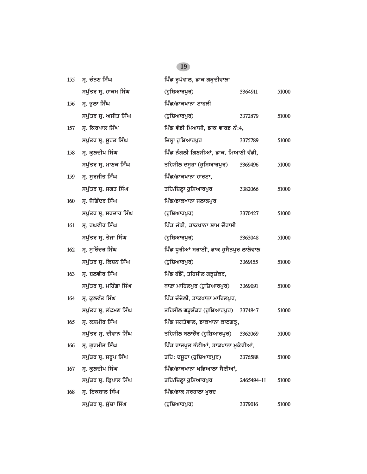| 155 | ਸ੍ਰ. ਚੰਨਣ ਸਿੰਘ           | ਪਿੰਡ ਰੂਪੋਵਾਲ, ਡਾਕ ਗੜ੍ਹਦੀਵਾਲਾ            |           |       |
|-----|--------------------------|-----------------------------------------|-----------|-------|
|     | ਸਪੁੱਤਰ ਸ੍ਰ. ਹਾਕਮ ਸਿੰਘ    | (ਹੁਸ਼ਿਆਰਪੁਰ)                            | 3364911   | 51000 |
| 156 | ਸ੍ਰ. ਭੁਲਾ ਸਿੰਘ           | ਪਿੰਡ/ਡਾਕਖਾਨਾ ਟਾਹਲੀ                      |           |       |
|     | ਸਪੁੱਤਰ ਸ੍ਰ. ਅਜੀਤ ਸਿੰਘ    | (ਹੁਸ਼ਿਆਰਪੁਰ)                            | 3372879   | 51000 |
| 157 | ਸ੍ਰ. ਕਿਰਪਾਲ ਸਿੰਘ         | ਪਿੰਡ ਵੱਡੀ ਮਿਆਜੀ, ਡਾਕ ਵਾਰਡ ਨੰ:4,         |           |       |
|     | ਸਪੁੱਤਰ ਸ੍ਰ. ਸੁਰਤ ਸਿੰਘ    | ਜ਼ਿਲ੍ਹਾ ਹੁਸ਼ਿਆਰਪੁਰ                      | 3375789   | 51000 |
| 158 | ਸ੍ਰ. ਕੁਲਦੀਪ ਸਿੰਘ         | ਪਿੰਡ ਨੰਗਲੀ ਗਿਣਸੀਆਂ, ਡਾਕ. ਮਿਆਣੀ ਵੱਡੀ,    |           |       |
|     | ਸਪੁੱਤਰ ਸ੍ਰ. ਮਾਣਕ ਸਿੰਘ    | ਤਹਿਸੀਲ ਦਸੂਹਾ (ਹੁਸ਼ਿਆਰਪੁਰ)               | 3369496   | 51000 |
| 159 | ਸ੍ਰ. ਸੁਰਜੀਤ ਸਿੰਘ         | ਪਿੰਡ/ਡਾਕਖਾਨਾ ਹਾਰਟਾ,                     |           |       |
|     | ਸਪੁੱਤਰ ਸ੍ਰ. ਜਗਤ ਸਿੰਘ     | ਤਹਿ/ਜ਼ਿਲ੍ਹਾ ਹੁਸ਼ਿਆਰਪੁਰ                  | 3382066   | 51000 |
| 160 | ਸ੍ਰ. ਜੋਗਿੰਦਰ ਸਿੰਘ        | ਪਿੰਡ/ਡਾਕਖਾਨਾ ਜਲਾਲਪੁਰ                    |           |       |
|     | ਸਪੁੱਤਰ ਸ੍ਰ. ਸਰਦਾਰ ਸਿੰਘ   | (ਹੁਸ਼ਿਆਰਪੁਰ)                            | 3370427   | 51000 |
| 161 | ਸ੍ਰ. ਰਘਵੀਰ ਸਿੰਘ          | ਪਿੰਡ ਜੰਡੀ, ਡਾਕਖਾਨਾ ਸ਼ਾਮ ਚੌਰਾਸੀ          |           |       |
|     | ਸਪੁੱਤਰ ਸ੍ਰ. ਤੇਜਾ ਸਿੰਘ    | (ਹੁਸ਼ਿਆਰਪੁਰ)                            | 3363048   | 51000 |
| 162 | ਸ੍ਰ. ਸੁਰਿੰਦਰ ਸਿੰਘ        | ਪਿੰਡ ਧੁਰੀਆਂ ਸਰਾਈਂ, ਡਾਕ ਹੁਸੈਨਪੁਰ ਲਾਲੋਵਾਲ |           |       |
|     | ਸਪੁੱਤਰ ਸ੍ਰ. ਕਿਸ਼ਨ ਸਿੰਘ   | (ਹੁਸ਼ਿਆਰਪੁਰ)                            | 3369155   | 51000 |
| 163 | ਸ੍ਰ. ਬਲਵੀਰ ਸਿੰਘ          | ਪਿੰਡ ਬੱਡੋਂ, ਤਹਿਸੀਲ ਗੜ੍ਹਸ਼ੰਕਰ,           |           |       |
|     | ਸਪੁੱਤਰ ਸ੍ਰ. ਮਹਿੰਗਾ ਸਿੰਘ  | ਥਾਣਾ ਮਾਹਿਲਪੁਰ (ਹੁਸ਼ਿਆਰਪੁਰ)              | 3369091   | 51000 |
| 164 | ਸ੍ਰ. ਕੁਲਵੰਤ ਸਿੰਘ         | ਪਿੰਡ ਚੰਦੇਲੀ, ਡਾਕਖਾਨਾ ਮਾਹਿਲਪੁਰ,          |           |       |
|     | ਸਪੁੱਤਰ ਸ੍ਰ. ਲੱਛਮਣ ਸਿੰਘ   | ਤਹਿਸੀਲ ਗੜ੍ਹਸ਼ੰਕਰ (ਹੁਸ਼ਿਆਰਪੁਰ) 3374847   |           | 51000 |
| 165 | ਸ੍ਰ. ਕਸ਼ਮੀਰ ਸਿੰਘ         | ਪਿੰਡ ਜਗਤੇਵਾਲ, ਡਾਕਖਾਨਾ ਕਾਠਗੜ੍ਹ,          |           |       |
|     | ਸਪੁੱਤਰ ਸ੍ਰ. ਦੀਵਾਨ ਸਿੰਘ   | ਤਹਿਸੀਲ ਬਲਾਚੌਰ (ਹੁਸ਼ਿਆਰਪੁਰ)              | 3362069   | 51000 |
|     | 166 ਸ੍ਰ. ਗੁਰਮੀਤ ਸਿੰਘ     | ਪਿੰਡ ਰਾਜਪੂਤ ਭੱਟੀਆਂ, ਡਾਕਖਾਨਾ ਮੁਕੇਰੀਆਂ,   |           |       |
|     | ਸਪੁੱਤਰ ਸ੍ਰ. ਸਰੂਪ ਸਿੰਘ    | ਤਹਿ: ਦਸੂਹਾ (ਹੁਸ਼ਿਆਰਪੁਰ)                 | 3376588   | 51000 |
| 167 | ਸ੍ਰ. ਕੁਲਦੀਪ ਸਿੰਘ         | ਪਿੰਡ/ਡਾਕਖਾਨਾ ਖਡਿਆਲਾ ਸੈਣੀਆਂ,             |           |       |
|     | ਸਪੁੱਤਰ ਸ੍ਰ. ਕ੍ਰਿਪਾਲ ਸਿੰਘ | ਤਹਿ/ਜ਼ਿਲ੍ਹਾ ਹੁਸ਼ਿਆਰਪੁਰ                  | 2465494-H | 51000 |
| 168 | ਸ੍ਰ. ਇਕਬਾਲ ਸਿੰਘ          | ਪਿੰਡ/ਡਾਕ ਸਰਹਾਲਾ ਖੁਰਦ                    |           |       |
|     | ਸਪੁੱਤਰ ਸ੍ਰ. ਸੁੱਚਾ ਸਿੰਘ   | (ਹੁਸ਼ਿਆਰਪੁਰ)                            | 3379016   | 51000 |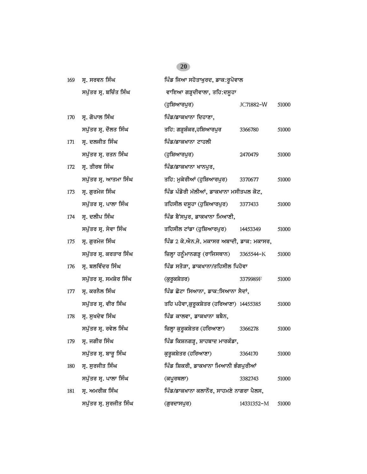| 169 | ਸ੍ਰ. ਸਰਵਨ ਸਿੰਘ          | ਪਿੰਡ ਜਿਆ ਸਹੋਤਾਖੁਰਦ, ਡਾਕ:ਰੂਪੋਵਾਲ           |            |       |
|-----|-------------------------|-------------------------------------------|------------|-------|
|     | ਸਪੁੱਤਰ ਸ੍ਰ. ਬਚਿੰਤ ਸਿੰਘ  | ਵਾਇਆ ਗੜ੍ਹਦੀਵਾਲਾ, ਤਹਿ:ਦਸੁਹਾ                |            |       |
|     |                         | (ਹੁਸ਼ਿਆਰਪੁਰ)                              | JC71882-W  | 51000 |
| 170 | ਸ੍ਰ. ਗੋਪਾਲ ਸਿੰਘ         | ਪਿੰਡ/ਡਾਕਖਾਨਾ ਦਿਹਾਣਾ,                      |            |       |
|     | ਸਪੁੱਤਰ ਸ੍ਰ. ਦੋਲਤ ਸਿੰਘ   | ਤਹਿ: ਗੜ੍ਹਸ਼ੰਕਰ,ਹਸ਼ਿਆਰਪੁਰ                  | 3366780    | 51000 |
| 171 | ਸ੍ਰ. ਦਲਜੀਤ ਸਿੰਘ         | ਪਿੰਡ/ਡਾਕਖਾਨਾ ਟਾਹਲੀ                        |            |       |
|     | ਸਪੁੱਤਰ ਸ੍ਰ. ਰਤਨ ਸਿੰਘ    | (ਹੁਸ਼ਿਆਰਪੁਰ)                              | 2470479    | 51000 |
| 172 | ਸ੍ਰ. ਤੀਰਥ ਸਿੰਘ          | ਪਿੰਡ/ਡਾਕਖਾਨਾ ਖਾਨਪੁਰ,                      |            |       |
|     | ਸਪੁੱਤਰ ਸ੍ਰ. ਆਤਮਾ ਸਿੰਘ   | ਤਹਿ: ਮੁਕੇਰੀਆਂ (ਹੁਸ਼ਿਆਰਪੁਰ)                | 3370677    | 51000 |
| 173 | ਸ੍ਰ. ਗੁਰਮੇਜ ਸਿੰਘ        | ਪਿੰਡ ਪੰਡੋਰੀ ਮੱਲੀਆਂ, ਡਾਕਖਾਨਾ ਮਸੀਤਪਲ ਕੋਟ,   |            |       |
|     | ਸਪੁੱਤਰ ਸ੍ਰ. ਪਾਲਾ ਸਿੰਘ   | ਤਹਿਸੀਲ ਦਸੁਹਾ (ਹੁਸ਼ਿਆਰਪੁਰ)                 | 3377433    | 51000 |
| 174 | ਸ੍ਰ. ਦਲੀਪ ਸਿੰਘ          | ਪਿੰਡ ਬੈਂਸਪੁਰ, ਡਾਕਖਾਨਾ ਮਿਆਣੀ,              |            |       |
|     | ਸਪੁੱਤਰ ਸ੍ਰ. ਸੇਵਾ ਸਿੰਘ   | ਤਹਿਸੀਲ ਟਾਂਡਾ (ਹੁਸ਼ਿਆਰਪੁਰ)                 | 14453349   | 51000 |
| 175 | ਸ੍ਰ. ਗੁਰਮੇਜ ਸਿੰਘ        | ਪਿੰਡ 2 ਕੇ.ਐਨ.ਜੇ. ਮਕਾਸਰ ਅਬਾਦੀ, ਡਾਕ: ਮਕਾਸਰ, |            |       |
|     | ਸਪੁੱਤਰ ਸ੍ਰ. ਕਰਤਾਰ ਸਿੰਘ  | ਜ਼ਿਲ੍ਹਾ ਹਨੂੰਮਾਨਗੜ੍ਹ (ਰਾਜਿਸਥਾਨ)            | 3365544-K  | 51000 |
| 176 | ਸ੍ਰ. ਬਲਵਿੰਦਰ ਸਿੰਘ       | ਪਿੰਡ ਸਤੋੜਾ, ਡਾਕਖਾਨਾ/ਤਹਿਸੀਲ ਪਿਹੋਵਾ         |            |       |
|     | ਸਪੁੱਤਰ ਸ੍ਰ. ਸਮਸ਼ੇਰ ਸਿੰਘ | (ਕੁਰੁਕਸ਼ੇਤਰ)                              | 3379989F   | 51000 |
| 177 | ਸ੍ਰ. ਕਰਨੈਲ ਸਿੰਘ         | ਪਿੰਡ ਛੋਟਾ ਸਿਆਨਾ, ਡਾਕ:ਸਿਆਨਾ ਸੈਦਾਂ,         |            |       |
|     | ਸਪੁੱਤਰ ਸ੍ਰ. ਵੀਰ ਸਿੰਘ    | ਤਹਿ ਪਹੇਵਾ,ਕੁਰੁਕਸ਼ੇਤਰ (ਹਰਿਆਣਾ) 14455385    |            | 51000 |
| 178 | ਸ੍ਰ. ਸੁਖਦੇਵ ਸਿੰਘ        | ਪਿੰਡ ਕਾਲਵਾ, ਡਾਕਖਾਨਾ ਬਬੈਨ,                 |            |       |
|     | ਸਪੁੱਤਰ ਸ੍ਰ. ਰਵੇਲ ਸਿੰਘ   | ਜ਼ਿਲ੍ਹਾ ਕੁਰੁਕਸ਼ੇਤਰ (ਹਰਿਆਣਾ)               | 3366278    | 51000 |
| 179 | ਸ੍ਰ. ਜਗੀਰ ਸਿੰਘ          | ਪਿੰਡ ਕਿਸ਼ਨਗੜ੍ਹ, ਸ਼ਾਹਬਾਦ ਮਾਰਕੰਡਾ,          |            |       |
|     | ਸਪੁੱਤਰ ਸ੍ਰ. ਬਾਰੂ ਸਿੰਘ   | ਕੁਰੁਕਸ਼ੇਤਰ (ਹਰਿਆਣਾ)                       | 3364170    | 51000 |
| 180 | ਸ੍ਰ. ਸੁਰਜੀਤ ਸਿੰਘ        | ਪਿੰਡ ਸ਼ਿਕਰੀ, ਡਾਕਖਾਨਾ ਮਿਆਨੀ ਭੰਗਪੁਰੀਆਂ      |            |       |
|     | ਸਪੁੱਤਰ ਸ੍ਰ. ਪਾਲਾ ਸਿੰਘ   | (ਕਪੂਰਥਲਾ)                                 | 3382743    | 51000 |
| 181 | ਸ੍ਰ. ਅਮਰੀਕ ਸਿੰਘ         | ਪਿੰਡ/ਡਾਕਖਾਨਾ ਕਲਾਨੌਰ, ਸਾਹਮਣੇ ਨਾਗਰਾ ਪੈਲਸ,   |            |       |
|     | ਸਪੁੱਤਰ ਸ੍ਰ. ਸੁਰਜੀਤ ਸਿੰਘ | (ਗੁਰਦਾਸਪੁਰ)                               | 14331352-M | 51000 |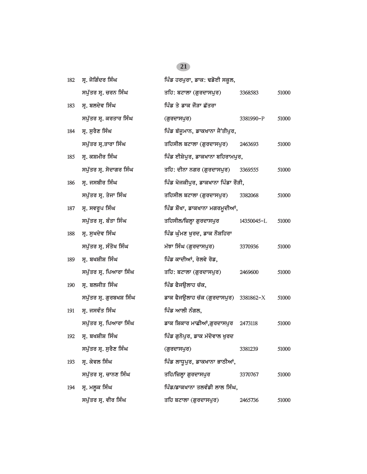| 182 | ਸ੍ਰ. ਜੋਗਿੰਦਰ ਸਿੰਘ        | ਪਿੰਡ ਹਰਪੁਰਾ, ਡਾਕ: ਢਡੋਈ ਸਕੂਲ,             |            |       |
|-----|--------------------------|------------------------------------------|------------|-------|
|     | ਸਪੁੱਤਰ ਸ੍ਰ. ਚਰਨ ਸਿੰਘ     | ਤਹਿ: ਬਟਾਲਾ (ਗੁਰਦਾਸਪੁਰ)                   | 3368583    | 51000 |
| 183 | ਸ੍ਰ. ਬਲਦੇਵ ਸਿੰਘ          | ਪਿੰਡ ਤੇ ਡਾਕ ਜੋੜਾ ਛੱਤਰਾ                   |            |       |
|     | ਸਪੁੱਤਰ ਸ੍ਰ. ਕਰਤਾਰ ਸਿੰਘ   | (ਗੁਰਦਾਸਪੁਰ)                              | 3381990-P  | 51000 |
| 184 | ਸ੍ਰ. ਸੁਰੈਣ ਸਿੰਘ          | ਪਿੰਡ ਬੱਜੁਮਾਨ, ਡਾਕਖਾਨਾ ਜੈਂਤੀਪੁਰ,          |            |       |
|     | ਸਪੁੱਤਰ ਸ੍ਰ.ਤਾਰਾ ਸਿੰਘ     | ਤਹਿਸੀਲ ਬਟਾਲਾ (ਗੁਰਦਾਸਪੁਰ) 2463693         |            | 51000 |
| 185 | ਸ੍ਰ. ਕਸ਼ਮੀਰ ਸਿੰਘ         | ਪਿੰਡ ਈਸ਼ੇਪੁਰ, ਡਾਕਖਾਨਾ ਬਹਿਰਾਮਪੁਰ,         |            |       |
|     | ਸਪੁੱਤਰ ਸ੍ਰ. ਸੋਦਾਗਰ ਸਿੰਘ  | ਤਹਿ: ਦੀਨਾ ਨਗਰ (ਗੁਰਦਾਸਪੁਰ) 3369555        |            | 51000 |
| 186 | ਸ੍ਰ. ਜਸਬੀਰ ਸਿੰਘ          | ਪਿੰਡ ਖੋਜਕੀਪੁਰ, ਡਾਕਖਾਨਾ ਪਿੰਡਾ ਰੌੜੀ,       |            |       |
|     | ਸਪੁੱਤਰ ਸ੍ਰ. ਤੇਜਾ ਸਿੰਘ    | ਤਹਿਸੀਲ ਬਟਾਲਾ (ਗੁਰਦਾਸਪੁਰ)                 | 3382068    | 51000 |
| 187 | ਸ੍ਰ. ਸਵਰੁਪ ਸਿੰਘ          | ਪਿੰਡ ਸ਼ੌਖਾ, ਡਾਕਖਾਨਾ ਮਗਰਮੁਦੀਆਂ,           |            |       |
|     | ਸਪੁੱਤਰ ਸ੍ਰ. ਬੰਤਾ ਸਿੰਘ    | ਤਹਿਸੀਲ/ਜ਼ਿਲ੍ਹਾ ਗੁਰਦਾਸਪੁਰ                 | 14350045-L | 51000 |
| 188 | ਸ੍ਰ. ਸੁਖਦੇਵ ਸਿੰਘ         | ਪਿੰਡ ਘੁੰਮਣ ਖੁਰਦ, ਡਾਕ ਨੌਸ਼ਹਿਰਾ            |            |       |
|     | ਸਪੁੱਤਰ ਸ੍ਰ. ਸੰਤੋਖ ਸਿੰਘ   | ਮੱਝਾ ਸਿੰਘ (ਗੁਰਦਾਸਪੁਰ)                    | 3370936    | 51000 |
| 189 | ਸ੍ਰ. ਬਖਸ਼ੀਸ਼ ਸਿੰਘ        | ਪਿੰਡ ਕਾਦੀਆਂ, ਰੇਲਵੇ ਰੋਡ,                  |            |       |
|     | ਸਪੁੱਤਰ ਸ੍ਰ. ਪਿਆਰਾ ਸਿੰਘ   | ਤਹਿ: ਬਟਾਲਾ (ਗੁਰਦਾਸਪੁਰ)                   | 2469600    | 51000 |
| 190 | ਸ੍ਰ. ਬਲਜੀਤ ਸਿੰਘ          | ਪਿੰਡ ਫੈਜਉਲਾਹ ਚੱਕ,                        |            |       |
|     | ਸਪੁੱਤਰ ਸ੍ਰ. ਗੁਰਬਖਸ਼ ਸਿੰਘ | ਡਾਕ ਫੈਜਉਲਾਹ ਚੱਕ (ਗੁਰਦਾਸਪੁਰ) 3381862- $X$ |            | 51000 |
| 191 | ਸ੍ਰ. ਜਸਵੰਤ ਸਿੰਘ          | ਪਿੰਡ ਆਲੀ ਨੰਗਲ,                           |            |       |
|     | ਸਪੁੱਤਰ ਸ੍ਰ. ਪਿਆਰਾ ਸਿੰਘ   | ਡਾਕ ਸ਼ਿਕਾਰ ਮਾਛੀਆਂ,ਗੁਰਦਾਸਪੁਰ 2473118      |            | 51000 |
| 192 | ਸ੍ਰ. ਬਖਸ਼ੀਸ਼ ਸਿੰਘ        | ਪਿੰਡ ਗੁਨੋਪੁਰ, ਡਾਕ ਮੱਦੋਵਾਲ ਖੁਰਦ           |            |       |
|     | ਸਪੁੱਤਰ ਸ੍ਰ. ਸੁਰੈਣ ਸਿੰਘ   | (ਗੁਰਦਾਸਪੁਰ)                              | 3381239    | 51000 |
| 193 | ਸ੍ਰ. ਕੇਵਲ ਸਿੰਘ           | ਪਿੰਡ ਲਾਧੁਪੁਰ, ਡਾਕਖਾਨਾ ਭਾਠੀਆਂ,            |            |       |
|     | ਸਪੁੱਤਰ ਸ੍ਰ. ਚਾਨਣ ਸਿੰਘ    | ਤਹਿ/ਜ਼ਿਲ੍ਹਾ ਗੁਰਦਾਸਪੁਰ                    | 3370767    | 51000 |
| 194 | ਸ੍ਰ. ਮਲੂਕ ਸਿੰਘ           | ਪਿੰਡ/ਡਾਕਖਾਨਾ ਤਲਵੰਡੀ ਲਾਲ ਸਿੰਘ,            |            |       |
|     | ਸਪੁੱਤਰ ਸ੍ਰ. ਵੀਰ ਸਿੰਘ     | ਤਹਿ ਬਟਾਲਾ (ਗੁਰਦਾਸਪੁਰ)                    | 2465736    | 51000 |
|     |                          |                                          |            |       |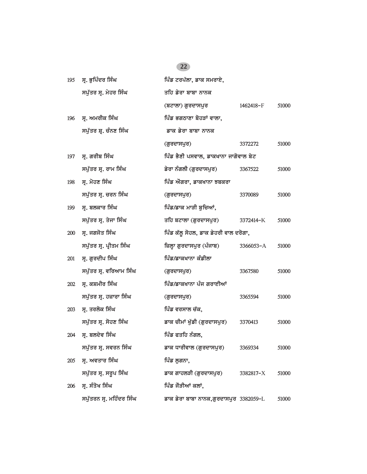### 195 **ਸ੍ਰ.** ਭੁਪਿੰਦਰ ਸਿੰਘ ਪਿੰਡ ਟਰਪੱਲਾ, ਡਾਕ ਸਮਰਾਏ, *spu`qr sR. myhr isMG qih fyrw bwbw nwnk (btwlw) gurdwspur 1462418-*F *51000* 196 **ਸ੍ਰ. ਅਮਰੀਕ ਸਿੰਘ ਭਿੰਡ ਭਗਠਾਣਾ ਬੋਹੜਾਂ ਵਾਲਾ,** ਸਪੁੱਤਰ ਸ਼੍ਰ. ਚੰਨਣ ਸਿੰਘ ਕਾਲ ਵਾਕ ਡੇਰਾ ਬਾਬਾ ਨਾਨਕ *(gurdwspur) 3372272 51000* 197 ਸ੍ਰ. ਗਰੀਬ ਸਿੰਘ **interal isam by fluite by function** and interact and interact by **a** *spu`qr sR. rwm isMG fyrw nMglI (gurdwspur) 3367522 51000* 198 ਸ. ਮੋਹਣ ਸਿੰਘ **ipmate is found as absolute** fu<sup>2</sup> ਅਗਰਾ, ਡਾਕਖਾਨਾ ਝਬਕਰਾ *spu`qr sR. crn isMG (gurdwspur) 3370089 51000* 199 ਸ੍ਰ. ਬਲਕਾਰ ਸਿੰਘ **ਮਾਲ ਸਿੰਡ/ਡਾਕ ਮਾੜੀ ਬੁਚਿਆਂ,** *spu`qr sR. qyjw isMG qih btwlw (gurdwspur) 3372414-*K *51000* 200 ਸ੍ਰ. ਜਗਜੋਤ ਸਿੰਘ **interact is faited in the fullus of a** fibre *is* and faith, *i*pMagaze is a fibre of  $\frac{1}{2}$ *spu`qr sR. pRIqm isMG izlHw gurdwspur (pMjwb) 3366053-*A *51000* 201 **ਸ੍ਰ. ਗੁਰਦੀਪ ਸਿੰਘ ਭਿੱਖ ਵਿੱਚ/ਡਾਕਖਾ**ਨਾ ਕੰਡੀਲਾ *spu`qr sR. virAwm isMG (gurdwspur) 3367580 51000* <u>202 ਸੁ. ਕਸ਼ਮੀਰ ਸਿੰਘ ਪਿੰਡ/ਡਾਕਖਾਨਾ ਪੰਜ ਗਰਾਈਆਂ</u> *spu`qr sR. hzwrw isMG (gurdwspur) 3365594 51000*  $203$  ਸ੍ਰ. ਤਰਲੋਕ ਸਿੰਘ **ipmatic is foutable in the function** function  $\vec{A}$ *spu`qr sR. sohx isMG fwk cImW K`ufI (gurdwspur) 3370413 51000* <u>204 ਸ੍ਰ. ਬਲਦੇਵ ਸਿੰਘ ਭਿੱਲਿ ਵਿੱਚ ਸਿੰਡ ਫਤਹਿ ਨੰਗਲ,</u> *spu`qr sR. svrn isMG fwk DwrIvwl (gurdwspur) 3369334 51000*  $205$  ਸ੍ਰ. ਅਵਤਾਰ ਸਿੰਘ **inf** is a full in this ਲੁਗਨਾ, *spu`qr sR. srUp isMG fwk gwhlVI (gurdwspur) 3382817-*X *51000* 206 **ਸ. ਸੰਤੋਖ ਸਿੰਘ ਪਿੰਡ** ਜੋੜੀਆਂ ਕਲਾਂ, *spu`qrn sR. mihMdr isMG fwk fyrw bwbw nwnk,gurdwspur 3382059-*L *51000*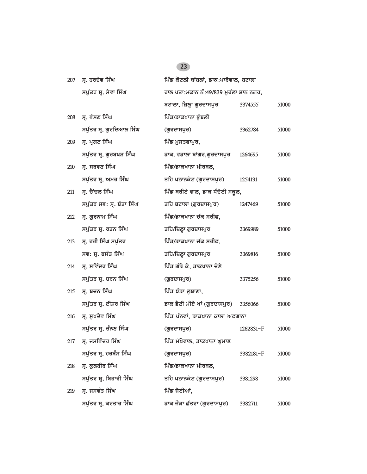### 207 ਸ. ਹਰਦੇਵ ਸਿੰਘ ਕਰੋਟ ਸਿੰਘ ਕਰੋਟਲੀ ਥਾਂਬਲਾਂ, ਡਾਕ:ਪਾਰੋਵਾਲ, ਬਟਾਲਾ *spu`qr sR. syvw isMG hwl pqw:mkwn nM:49/839 muh`lw Swn ngr, btwlw, izlHw gurdwspur 3374555 51000* 208 ਸ੍ਰ. ਵੱਸਣ ਸਿੰਘ **ਨਿਲ ਸਿੰਡ/ਡਾਕਖਾਨਾ ਭੁੰਬ**ਲੀ *spu`qr sR. guridAwl isMG (gurdwspur) 3362784 51000* 209 ਸ੍ਰ. ਪ੍ਰਗਟ ਸਿੰਘ **1986 ਵਿੱਚ ਸ਼ਿੰਡ ਮੁਸਤਫਾਪੁਰ**, *spu`qr sR. gurbKS isMG fwk. vfwlw bWgr,gurdwspur 1264695 51000*  $210$  ਸ੍ਰ. ਸਰਵਣ ਸਿੰਘ **17 index** is the function of function  $\frac{1}{2}$ *spu`qr sR. Amr isMG qih pTwnkot (gurdwspur) 1254131 51000* 211 **ਸ੍ਰ. ਰੈਂਚਲ ਸਿੰਘ ਪਿੰਡ ਥਰੀਏ ਵਾਲ, ਡਾਕ ਧੰਦੋਈ ਸਕੂਲ,** *spu`qr sv: sR. bMqw isMG qih btwlw (gurdwspur) 1247469 51000* 212 **ਸ੍ਰ. ਗੁਰਨਾਮ ਸਿੰਘ ਭਿੱਖ ਤਿੰ**ਡ/ਡਾਕਖਾਨਾ ਚੱਕ ਸਰੀਫ, *spu`qr sR. rqn isMG qih/izlHw gurdwspur 3369989 51000* 213 ਸ੍ਰ. ਹਰੀ ਸਿੰਘ ਸਪੁੱਤਰ **18 ਸਿੰਡ/ਡਾਕਖਾਨਾ ਚੱਕ ਸਰੀਫ**, *sv: sR. bsMq isMG qih/izlHw gurdwspur 3369816 51000* 214 **ਸ੍ਰ. ਸਵਿੰਦਰ ਸਿੰਘ ਭਿੱਖ ਵਿੱਚ ਸ਼ਹਿਰ ਕੀਤੇ ਕੇ, ਡਾਕਖਾਨਾ ਚੋਣੇ** *spu`qr sR. crn isMG (gurdwspur) 3375256 51000* 215 **ਸ੍ਰ. ਬਚਨ ਸਿੰਘ ਭਿੰਡ ਸੰਗ**ਲਬਾਣਾ, *spu`qr sR. eISr isMG fwk BYxI mIey KW (gurdwspur) 3356066 51000* 216 ਸ੍ਰ. ਸੁਖਦੇਵ ਸਿੰਘ ਕਰਕਾਰ ਸਾਲਾ ਅਫਗਾਨਾ ਕਾਲਾ ਅਫਗਾਨਾ *spu`qr sR. cMnx isMG (gurdwspur) 1262831-*F *51000* 217 ਸ. ਜਸਵਿੰਦਰ ਸਿੰਘ ਕਰਨਾਲ ਸਿੰਡ ਮੱਖੋਵਾਲ, ਡਾਕਖਾਨਾ ਘਮਾਣ *spu`qr sR. hrbMs isMG (gurdwspur) 3382181-*F *51000* 218 **ਸ. ਕੁਲਬੀਰ ਸਿੰਘ ਪਿੰਡ/ਡਾਕਖਾਨਾ ਮੀਰਥਲ,** *spu`qr SR. ibhwrI isMG qih pTwnkot (gurdwspur) 3381298 51000*  $219$  ਸ੍ਰ. ਜਸਵੰਤ ਸਿੰਘ **indeptity is a set of the fi**gs in the figs in the figs in the figs in the figs in the figs in the figs in the figs in the figs in the figs in the figs in the figs in the figs in the figs in the fig *spu`qr sR. krqwr isMG fwk jOVw C`qrw (gurdwspur) 3382711 51000*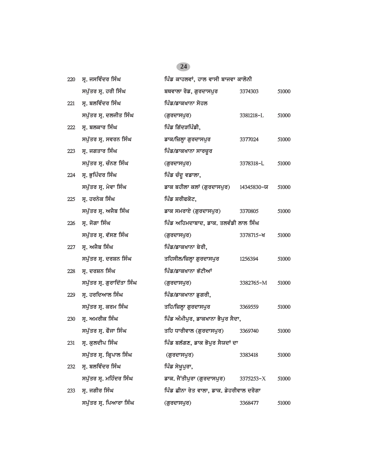| 220 | ਸ੍ਰ. ਜਸਵਿੰਦਰ ਸਿੰਘ          | ਪਿੰਡ ਕਾਹਲਵਾਂ, ਹਾਲ ਵਾਸੀ ਬਾਜਵਾ ਕਾਲੋਨੀ     |               |       |
|-----|----------------------------|-----------------------------------------|---------------|-------|
|     | ਸਪੁੱਤਰ ਸ੍ਰ. ਹਰੀ ਸਿੰਘ       | ਬਥਵਾਲਾ ਰੋਡ, ਗੁਰਦਾਸਪੁਰ                   | 3374303       | 51000 |
| 221 | ਸ੍ਰ. ਬਲਵਿੰਦਰ ਸਿੰਘ          | ਪਿੰਡ/ਡਾਕਖਾਨਾ ਸੋਹਲ                       |               |       |
|     | ਸਪੁੱਤਰ ਸ੍ਰ. ਦਲਜੀਤ ਸਿੰਘ     | (ਗੁਰਦਾਸਪੁਰ)                             | 3381218-L     | 51000 |
| 222 | ਸ੍ਰ. ਬਲਕਾਰ ਸਿੰਘ            | ਪਿੰਡ ਗਿੱਦੜਪਿੰਡੀ,                        |               |       |
|     | ਸਪੁੱਤਰ ਸ੍ਰ. ਸਵਰਨ ਸਿੰਘ      | ਡਾਕ/ਜ਼ਿਲ੍ਹਾ ਗੁਰਦਾਸਪੁਰ                   | 3377024       | 51000 |
| 223 | ਸ੍ਰ. ਜਗਤਾਰ ਸਿੰਘ            | ਪਿੰਡ/ਡਾਕਖਾਨਾ ਸਾਰਚੁਰ                     |               |       |
|     | ਸਪੁੱਤਰ ਸ੍ਰ. ਚੰਨਣ ਸਿੰਘ      | (ਗੁਰਦਾਸਪੁਰ)                             | 3378318-L     | 51000 |
| 224 | ਸ੍ਰ. ਭੁਪਿੰਦਰ ਸਿੰਘ          | ਪਿੰਡ ਚੰਦੂ ਵਡਾਲਾ,                        |               |       |
|     | ਸਪੁੱਤਰ ਸ੍ਰ. ਮੇਵਾ ਸਿੰਘ      | ਡਾਕ ਬਹੀਲਾ ਕਲਾਂ (ਗੁਰਦਾਸਪੁਰ)              | 14345830-ਯ    | 51000 |
| 225 | ਸ੍ਰ. ਹਰਨੇਕ ਸਿੰਘ            | ਪਿੰਡ ਸ਼ਰੀਫਕੋਟ,                          |               |       |
|     | ਸਪੁੱਤਰ ਸ੍ਰ. ਅਜੈਬ ਸਿੰਘ      | ਡਾਕ ਸਮਰਾਏ (ਗੁਰਦਾਸਪੁਰ)                   | 3370805       | 51000 |
| 226 | ਸ੍ਰ. ਜੋਗਾ ਸਿੰਘ             | ਪਿੰਡ ਅਹਿਮਦਾਬਾਦ, ਡਾਕ. ਤਲਵੰਡੀ ਲਾਲ ਸਿੰਘ    |               |       |
|     | ਸਪੁੱਤਰ ਸ੍ਰ. ਵੱਸਣ ਸਿੰਘ      | (ਗੁਰਦਾਸਪੁਰ)                             | 3378715-ਖ     | 51000 |
| 227 | ਸ੍ਰ. ਅਜੈਬ ਸਿੰਘ             | ਪਿੰਡ/ਡਾਕਖਾਨਾ ਬੇਰੀ,                      |               |       |
|     | ਸਪੁੱਤਰ ਸ੍ਰ. ਦਰਸ਼ਨ ਸਿੰਘ     | ਤਹਿਸੀਲ/ਜ਼ਿਲ੍ਹਾ ਗੁਰਦਾਸਪੁਰ                | 1256394       | 51000 |
| 228 | ਸ੍ਰ. ਦਰਸ਼ਨ ਸਿੰਘ            | ਪਿੰਡ/ਡਾਕਖਾਨਾ ਭੱਟੀਆਂ                     |               |       |
|     | ਸਪੁੱਤਰ ਸ੍ਰ. ਗੁਰਾਦਿੱਤਾ ਸਿੰਘ | (ਗੁਰਦਾਸਪੁਰ)                             | 3382765-M     | 51000 |
| 229 | ਸ੍ਰ. ਹਰਦਿਆਲ ਸਿੰਘ           | ਪਿੰਡ/ਡਾਕਖਾਨਾ ਡੁਗਰੀ,                     |               |       |
|     | ਸਪੁੱਤਰ ਸ੍ਰ. ਕਰਮ ਸਿੰਘ       | ਤਹਿ/ਜ਼ਿਲ੍ਹਾ ਗੁਰਦਾਸਪੁਰ                   | 3369559       | 51000 |
| 230 | ਸ੍ਰ. ਅਮਰੀਕ ਸਿੰਘ            | ਪਿੰਡ ਅੰਮੀਪੁਰ, ਡਾਕਖਾਨਾ ਭੈਪੁਰ ਸੈਦਾ,       |               |       |
|     | ਸਪੁੱਤਰ ਸ੍ਰ. ਫੌਜਾ ਸਿੰਘ      | ਤਹਿ ਧਾਰੀਵਾਲ (ਗੁਰਦਾਸਪੁਰ)                 | 3369740       | 51000 |
| 231 | ਸ੍ਰ. ਕੁਲਦੀਪ ਸਿੰਘ           | ਪਿੰਡ ਬਲੱਗਣ, ਡਾਕ ਭੋਪੁਰ ਸੈਯਦਾਂ ਦਾ         |               |       |
|     | ਸਪੁੱਤਰ ਸ੍ਰ. ਕ੍ਰਿਪਾਲ ਸਿੰਘ   | (ਗੁਰਦਾਸਪੁਰ)                             | 3383418       | 51000 |
| 232 | ਸ੍ਰ. ਬਲਵਿੰਦਰ ਸਿੰਘ          | ਪਿੰਡ ਸੇਖੁਪੁਰਾ,                          |               |       |
|     | ਸਪੁੱਤਰ ਸ੍ਰ. ਮਹਿੰਦਰ ਸਿੰਘ    | ਡਾਕ. ਜੈਂਤੀਪੁਰਾ (ਗੁਰਦਾਸਪੁਰ)              | $3375253 - X$ | 51000 |
| 233 | ਸ੍ਰ. ਜਗੀਰ ਸਿੰਘ             | ਪਿੰਡ ਛੀਨਾ ਰੇਤ ਵਾਲਾ, ਡਾਕ. ਡੇਹਰੀਵਾਲ ਦਰੋਗਾ |               |       |
|     | ਸਪੁੱਤਰ ਸ੍ਰ. ਪਿਆਰਾ ਸਿੰਘ     | (ਗੁਰਦਾਸਪੁਰ)                             | 3368477       | 51000 |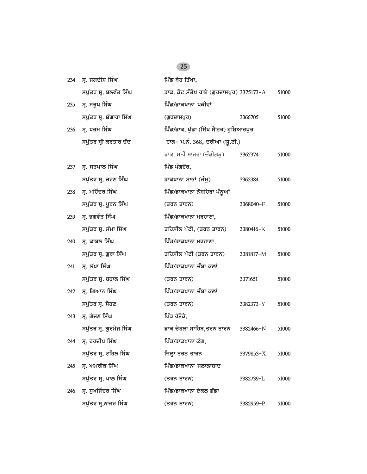| 234 | ਸ੍ਰ. ਜਗਦੀਸ਼ ਸਿੰਘ         | ਪਿੰਡ ਥੇਹ ਤਿੱਖਾ,                          |           |       |
|-----|--------------------------|------------------------------------------|-----------|-------|
|     | ਸਪੁੱਤਰ ਸ੍ਰ. ਬਲਵੰਤ ਸਿੰਘ   | ਡਾਕ. ਕੋਟ ਸੰਤੋਖ ਰਾਏ (ਗੁਰਦਾਸਪੁਰ) 3375173-A |           | 51000 |
|     |                          |                                          |           |       |
| 235 | ਸ੍ਰ. ਸਰੂਪ ਸਿੰਘ           | ਪਿੰਡ/ਡਾਕਖਾਨਾ ਪਕੀਵਾਂ                      |           |       |
|     | ਸਪੁੱਤਰ ਸ੍ਰ. ਸ਼ੰਗਾਰਾ ਸਿੰਘ | (ਗੁਰਦਾਸਪੁਰ)                              | 3366705   | 51000 |
| 236 | ਸ੍ਰ. ਧਰਮ ਸਿੰਘ            | ਪਿੰਡ/ਡਾਕ. ਖੁੱਡਾ (ਸਿੱਖ ਸੈਂਟਰ) ਹੁਸ਼ਿਆਰਪੁਰ  |           |       |
|     | ਸਪੁੱਤਰ ਸ੍ਰੀ ਕਰਤਾਰ ਚੰਦ    | ਹਾਲ– ਮ.ਨੰ. 368, ਦਰੀਆ (ਯੂ.ਟੀ.)            |           |       |
|     |                          | ਡਾਕ. ਮਨੀ ਮਾਜਰਾ (ਚੰਡੀਗੜ੍ਹ)                | 3365374   | 51000 |
| 237 | ਸ੍ਰ. ਸਤਪਾਲ ਸਿੰਘ          | ਪਿੰਡ ਪੰਗਦੌਰ,                             |           |       |
|     | ਸਪੁੱਤਰ ਸ੍ਰ. ਚਰਣ ਸਿੰਘ     | ਡਾਕਖਾਨਾ ਸਾਭਾਂ (ਜੰਮੂ)                     | 3362384   | 51000 |
| 238 | ਸ੍ਰ. ਮਹਿੰਦਰ ਸਿੰਘ         | ਪਿੰਡ/ਡਾਕਖਾਨਾ ਨੌਸ਼ਹਿਰਾ ਪੰਨੂਆਂ             |           |       |
|     | ਸਪੁੱਤਰ ਸ੍ਰ. ਪੂਰਨ ਸਿੰਘ    | (ਤਰਨ ਤਾਰਨ)                               | 3368040-F | 51000 |
| 239 | ਸ੍ਰ. ਭਗਵੰਤ ਸਿੰਘ          | ਪਿੰਡ/ਡਾਕਖਾਨਾ ਮਰਹਾਣਾ,                     |           |       |
|     | ਸਪੁੱਤਰ ਸ੍ਰ. ਸੰਮਾ ਸਿੰਘ    | ਤਹਿਸੀਲ ਪੱਟੀ, (ਤਰਨ ਤਾਰਨ)                  | 3380416-K | 51000 |
| 240 | ਸ੍ਰ. ਕਾਬਲ ਸਿੰਘ           | ਪਿੰਡ/ਡਾਕਖਾਨਾ ਮਰਹਾਣਾ,                     |           |       |
|     | ਸਪੁੱਤਰ ਸ੍ਰ. ਗੁਰਾ ਸਿੰਘ    | ਤਹਿਸੀਲ ਪੱਟੀ (ਤਰਨ ਤਾਰਨ)                   | 3381817-M | 51000 |
| 241 | ਸ੍ਰ. ਲੱਖਾ ਸਿੰਘ           | ਪਿੰਡ/ਡਾਕਖਾਨਾ ਚੰਬਾ ਕਲਾਂ                   |           |       |
|     | ਸਪੁੱਤਰ ਸ੍ਰ. ਬਹਾਲ ਸਿੰਘ    | (ਤਰਨ ਤਾਰਨ)                               | 3371651   | 51000 |
| 242 | ਸ੍ਰ. ਗਿਆਨ ਸਿੰਘ           | ਪਿੰਡ/ਡਾਕਖਾਨਾ ਚੰਬਾ ਕਲਾਂ                   |           |       |
|     | ਸਪੁੱਤਰ ਸ੍ਰ. ਸੋਹਣ         | (ਤਰਨ ਤਾਰਨ)                               | 3382373-Y | 51000 |
| 243 | ਸ੍ਰ. ਗੱਜਣ ਸਿੰਘ           | ਪਿੰਡ ਰੱਤੋਕੇ,                             |           |       |
|     | ਸਪੁੱਤਰ ਸ੍ਰ. ਗੁਰਮੇਜ ਸਿੰਘ  | ਡਾਕ ਚੋਹਲਾ ਸਾਹਿਬ,ਤਰਨ ਤਾਰਨ                 | 3382466-N | 51000 |
|     | 244 ਸ੍ਰ. ਹਰਦੀਪ ਸਿੰਘ      | ਪਿੰਡ/ਡਾਕਖਾਨਾ ਕੰਗ,                        |           |       |
|     | ਸਪੁੱਤਰ ਸ੍ਰ. ਟਹਿਲ ਸਿੰਘ    | ਜ਼ਿਲ੍ਹਾ ਤਰਨ ਤਾਰਨ                         | 3379853-X | 51000 |
| 245 | ਸ੍ਰ. ਅਮਰੀਕ ਸਿੰਘ          | ਪਿੰਡ/ਡਾਕਖਾਨਾ ਜਲਾਲਾਬਾਦ                    |           |       |
|     | ਸਪੁੱਤਰ ਸ੍ਰ. ਪਾਲ ਸਿੰਘ     | (ਤਰਨ ਤਾਰਨ)                               | 3382739-L | 51000 |
| 246 | ਸ੍ਰ. ਸੁਖਜਿੰਦਰ ਸਿੰਘ       | ਪਿੰਡ/ਡਾਕਖਾਨਾ ਏਕਲ ਗੱਡਾ                    |           |       |
|     | ਸਪੁੱਤਰ ਸ੍ਰ.ਨਾਜ਼ਰ ਸਿੰਘ    | (ਤਰਨ ਤਾਰਨ)                               | 3382959-P | 51000 |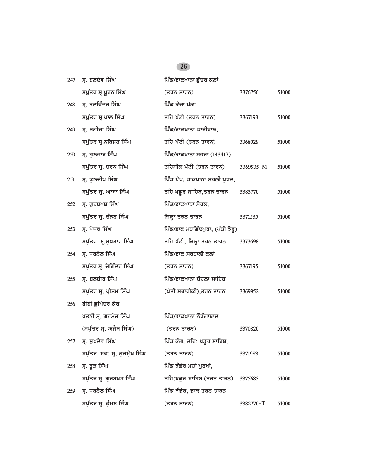| 247 | ਸ੍ਰ. ਬਲਦੇਵ ਸਿੰਘ              | ਪਿੰਡ/ਡਾਕਖਾਨਾ ਭੁੱਚਰ ਕਲਾਂ           |           |       |
|-----|------------------------------|-----------------------------------|-----------|-------|
|     | ਸਪੁੱਤਰ ਸ੍ਰ.ਪੁਰਨ ਸਿੰਘ         | (ਤਰਨ ਤਾਰਨ)                        | 3376756   | 51000 |
| 248 | ਸ੍ਰ. ਬਲਵਿੰਦਰ ਸਿੰਘ            | ਪਿੰਡ ਕੱਚਾ ਪੱਕਾ                    |           |       |
|     | ਸਪੁੱਤਰ ਸ੍ਰ.ਪਾਲ ਸਿੰਘ          | ਤਹਿ ਪੱਟੀ (ਤਰਨ ਤਾਰਨ)               | 3367193   | 51000 |
| 249 | ਸ੍ਰ. ਬਗੀਚਾ ਸਿੰਘ              | ਪਿੰਡ/ਡਾਕਖਾਨਾ ਧਾਰੀਵਾਲ,             |           |       |
|     | ਸਪੁੱਤਰ ਸ੍ਰ.ਨਰਿਜਣ ਸਿੰਘ        | ਤਹਿ ਪੱਟੀ (ਤਰਨ ਤਾਰਨ)               | 3368029   | 51000 |
| 250 | ਸ੍ਰ. ਗੁਲਜਾਰ ਸਿੰਘ             | ਪਿੰਡ/ਡਾਕਖਾਨਾ ਸਭਰਾ (143417)        |           |       |
|     | ਸਪੁੱਤਰ ਸ੍ਰ. ਚਰਨ ਸਿੰਘ         | ਤਹਿਸੀਲ ਪੱਟੀ (ਤਰਨ ਤਾਰਨ)            | 3369935-M | 51000 |
| 251 | ਸ੍ਰ. ਕੁਲਦੀਪ ਸਿੰਘ             | ਪਿੰਡ ਖੱਖ, ਡਾਕਖਾਨਾ ਸਰਲੀ ਖੁਰਦ,      |           |       |
|     | ਸਪੁੱਤਰ ਸ੍ਰ. ਆਸਾ ਸਿੰਘ         | ਤਹਿ ਖਡੁਰ ਸਾਹਿਬ,ਤਰਨ ਤਾਰਨ           | 3383770   | 51000 |
| 252 | ਸ੍ਰ. ਗੁਰਬਖਸ਼ ਸਿੰਘ            | ਪਿੰਡ/ਡਾਕਖਾਨਾ ਸੋਹਲ,                |           |       |
|     | ਸਪੁੱਤਰ ਸੁ. ਚੰਨਣ ਸਿੰਘ         | ਜ਼ਿਲ੍ਹਾ ਤਰਨ ਤਾਰਨ                  | 3371535   | 51000 |
| 253 | ਸ੍ਰ. ਮੇਜਰ ਸਿੰਘ               | ਪਿੰਡ/ਡਾਕ ਮਹਗਿੰਦਪੁਰਾ, (ਪੱਤੀ ਝੋਰੂ)  |           |       |
|     | ਸਪੁੱਤਰ ਸ੍ਰ.ਮੁਖਤਾਰ ਸਿੰਘ       | ਤਹਿ ਪੱਟੀ, ਜ਼ਿਲ੍ਹਾ ਤਰਨ ਤਾਰਨ        | 3373698   | 51000 |
| 254 | ਸ੍ਰ. ਜਰਨੈਲ ਸਿੰਘ              | ਪਿੰਡ/ਡਾਕ ਸਰਹਾਲੀ ਕਲਾਂ              |           |       |
|     | ਸਪੁੱਤਰ ਸ੍ਰ. ਜੋਗਿੰਦਰ ਸਿੰਘ     | (ਤਰਨ ਤਾਰਨ)                        | 3367195   | 51000 |
| 255 | ਸ੍ਰ. ਬਲਬੀਰ ਸਿੰਘ              | ਪਿੰਡ/ਡਾਕਖਾਨਾ ਚੋਹਲਾ ਸਾਹਿਬ          |           |       |
|     | ਸਪੁੱਤਰ ਸ੍ਰ. ਪ੍ਰੀਤਮ ਸਿੰਘ      | (ਪੱਤੀ ਸਹਾਰੀਕੀ),ਤਰਨ ਤਾਰਨ           | 3369952   | 51000 |
| 256 | ਬੀਬੀ ਭੁਪਿੰਦਰ ਕੌਰ             |                                   |           |       |
|     | ਪਤਨੀ ਸ੍ਰ. ਗੁਰਮੇਜ ਸਿੰਘ        | ਪਿੰਡ/ਡਾਕਖਾਨਾ ਨੌਰੰਗਾਬਾਦ            |           |       |
|     | (ਸਪੁੱਤਰ ਸ੍ਰ. ਅਜੈਬ ਸਿੰਘ)      | (ਤਰਨ ਤਾਰਨ)                        | 3370820   | 51000 |
| 257 | ਸ੍ਰ. ਸੁਖਦੇਵ ਸਿੰਘ             | ਪਿੰਡ ਕੰਗ, ਤਹਿ: ਖਡੁਰ ਸਾਹਿਬ,        |           |       |
|     | ਸਪੁੱਤਰ ਸਵ: ਸ੍ਰ. ਗੁਰਮੁੱਖ ਸਿੰਘ | (ਤਰਨ ਤਾਰਨ)                        | 3371983   | 51000 |
| 258 | ਸ੍ਰ. ਰੁੜ ਸਿੰਘ                | ਪਿੰਡ ਝੰਡੇਰ ਮਹਾਂ ਪੁਰਖਾਂ,           |           |       |
|     | ਸਪੁੱਤਰ ਸ੍ਰ. ਗੁਰਬਖਸ਼ ਸਿੰਘ     | ਤਹਿ:ਖਡੁਰ ਸਾਹਿਬ (ਤਰਨ ਤਾਰਨ) 3375683 |           | 51000 |
| 259 | ਸ੍ਰ. ਜਰਨੈਲ ਸਿੰਘ              | ਪਿੰਡ ਝੰਡੇਰ, ਡਾਕ ਤਰਨ ਤਾਰਨ          |           |       |
|     | ਸਪੁੱਤਰ ਸ੍ਰ. ਫੁੰਮਣ ਸਿੰਘ       | (ਤਰਨ ਤਾਰਨ)                        | 3382770-T | 51000 |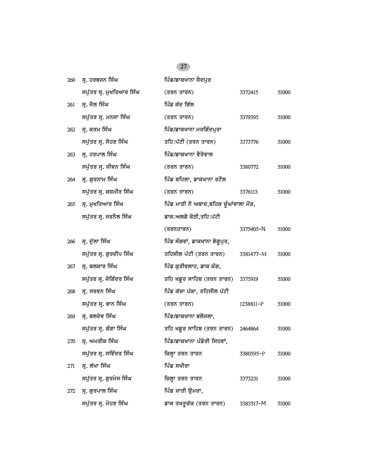### 260 **ਸੁ. ਹਰਭਜਨ ਸਿੰਘ ਪਿੰਡ/ਡਾਕਖਾਨਾ ਸੈਦਪੁਰ** *spu`qr sR. muKiqAwr isMG (qrn qwrn) 3372415 51000*  $261$  *ਸ੍ਰ.* ਜੈਲ ਸਿੰਘ **ight** is a ightarrow function  $\frac{1}{2}$ *spu`qr sR. mnsw isMG (qrn qwrn) 3379395 51000* 262 ਸ੍ਰ. ਕਰਮ ਸਿੰਘ ਕਰ ਕਰਨਾ ਸਰਗਿੰਦਪੁਰਾ *spu`qr sR. sohx isMG qih:p`tI (qrn qwrn) 3373776 51000* 263 ਸ੍ਰ. ਹਰਪਾਲ ਸਿੰਘ **ਮਾਰਲ ਅਮਰੀਕ ਸ਼ਿੰਡ/ਡਾਕਖਾਨਾ ਵੈਰੋਵਾਲ** *spu`qr sR. jIvn isMG (qrn qwrn) 3380772 51000* <u>264 ਸ੍ਰ. ਗੁਰਨਾਮ ਸਿੰਘ ਪਿੰਡ ਬਹਿਲਾ, ਡਾਕਖਾਨਾ ਰਟੌਲ</u> *spu`qr sR. kSmIr isMG (qrn qwrn) 3376113 51000* 265 ਸ੍ਰ. ਮੁਖਤਿਆਰ ਸਿੰਘ **indigar is a** *if is ਮਾੜੀ ਨੌਂ ਅਬਾਦ,ਬਹਿਕ ਚੁੰਘਾਂਵਾਲਾ* **ਮੌੜ,** ਸਪੁੱਤਰ ਸ੍ਰ. ਜਰਨੈਲ ਸਿੰਘ *ਡਾਕ:ਅ*ਲਗੋ ਕੋਠੀ,ਤਹਿ:ਪੱਟੀ *(qrnqwrn) 3375405-*N *51000* <u>266 ਸ੍ਰ. ਦੁੱਲਾ ਸਿੰਘ ਭਿੱਖ ਵਿੱਚ ਸਿੰਗ ਨਿਆ</u>ਂ ਸਿੰਗਵਾਂ, ਡਾਕਖਾਨਾ ਭੋਗੁਪੁਰ, *spu`qr sR. gurdIp isMG qihsIl p`tI (qrn qwrn) 3381477-*M *51000* <u>267 ਸੁ. ਬਲਕਾਰ ਸਿੰਘ ਪਿੰਡ ਕੁੜੀਵਲਾਹ, ਡਾਕ ਕੰਗ,</u> *spu`qr sR. joigMdr isMG qih KfUr swihb (qrn qwrn) 3375919 51000* 268 **ਸ੍ਰ. ਸਰਵਨ ਸਿੰਘ ਪਿੰਡ ਕੱਚਾ ਪੱਕਾ, ਤਹਿਸੀਲ ਪੱਟੀ** *spu`qr sR. Bwn isMG (qrn qwrn) 1238811-*P *51000* 269 ਸ੍ਰ. ਬਲਦੇਵ ਸਿੰਘ **independent is a full planet black with a** *spu`qr sR. gMgw isMG qih KfUr swihb (qrn qwrn) 2464864 51000* <u>270 ਸੁ. ਅਮਰੀਕ ਸਿੰਘ ਪਿੰਡ/ਡਾਕਖਾਨਾ ਪੰਡੋਰੀ ਸਿਧਵਾਂ,</u> *spu`qr sR. sivMdr isMG izlHw qrn qwrn 3380595-*P *51000* 271 **ਸ. ਲੱਖਾ ਸਿੰਘ ਭਿਲਾ ਸ਼ਹਿਰ ਸ਼ਖ਼ੀਰਾ** *spu`qr sR. gurmyj isMG izlHw qrn qwrn 3373231 51000* **272 ਸ੍ਰ. ਗੁਰਪਾਲ ਸਿੰਘ ਪਿੰਡ ਜਾਤੀ ਉਮਰਾ,**

*spu`qr sR. mohx isMG fwk qKqUc`k (qrn qwrn) 3383317-*M *51000*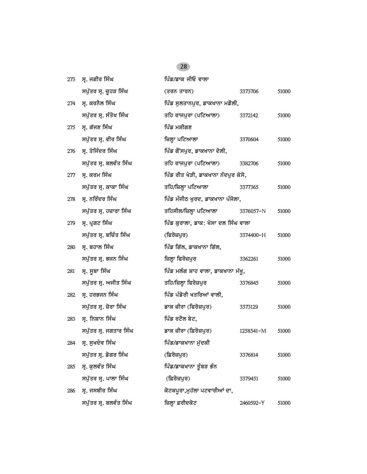| 273 | ਸ੍ਰ. ਜਗੀਰ ਸਿੰਘ          | ਪਿੰਡ/ਡਾਕ ਜੀਓ ਵਾਲਾ                   |           |       |
|-----|-------------------------|-------------------------------------|-----------|-------|
|     | ਸਪੁੱਤਰ ਸ੍ਰ. ਚੁਹੜ ਸਿੰਘ   | (ਤਰਨ ਤਾਰਨ)                          | 3373706   | 51000 |
| 274 | ਸ੍ਰ. ਕਰਨੈਲ ਸਿੰਘ         | ਪਿੰਡ ਸੁਲਤਾਨਪੁਰ, ਡਾਕਖਾਨਾ ਮਡੋਲੀ,      |           |       |
|     | ਸਪੁੱਤਰ ਸ੍ਰ. ਸੰਤੋਖ ਸਿੰਘ  | ਤਹਿ ਰਾਜਪੁਰਾ (ਪਟਿਆਲਾ)                | 3372142   | 51000 |
| 275 | ਸ੍ਰ. ਗੱਜਣ ਸਿੰਘ          | ਪਿੰਡ ਮਸ਼ੀਗਣ                         |           |       |
|     | ਸਪੁੱਤਰ ਸ੍ਰ. ਵੀਰ ਸਿੰਘ    | ਜ਼ਿਲ੍ਹਾ ਪਟਿਆਲਾ                      | 3370604   | 51000 |
| 276 | ਸ੍ਰ. ਤੇਜਿੰਦਰ ਸਿੰਘ       | ਪਿੰਡ ਗੋਂਸਪੁਰ, ਡਾਕਖਾਨਾ ਦੋਲੀ,         |           |       |
|     | ਸਪੁੱਤਰ ਸ੍ਰ. ਬਲਵੰਤ ਸਿੰਘ  | ਤਹਿ ਰਾਜਪੁਰਾ (ਪਟਿਆਲਾ)                | 3382706   | 51000 |
| 277 | ਸ੍ਰ. ਕਰਮ ਸਿੰਘ           | ਪਿੰਡ ਰੀਤ ਖੇੜੀ, ਡਾਕਖਾਨਾ ਨੰਦਪੁਰ ਕੇਸੋ, |           |       |
|     | ਸਪੁੱਤਰ ਸ੍ਰ. ਕਾਕਾ ਸਿੰਘ   | ਤਹਿ/ਜ਼ਿਲ੍ਹਾ ਪਟਿਆਲਾ                  | 3377365   | 51000 |
| 278 | ਸ੍ਰ. ਨਰਿੰਦਰ ਸਿੰਘ        | ਪਿੰਡ ਮੰਜੀਠ ਖੁਰਦ, ਡਾਕਖਾਨਾ ਪੰਜੋਲਾ,    |           |       |
|     | ਸਪੁੱਤਰ ਸ੍ਰ. ਹਜ਼ਾਰਾ ਸਿੰਘ | ਤਹਿਸੀਲ/ਜ਼ਿਲ੍ਹਾ ਪਟਿਆਲਾ               | 3376057-N | 51000 |
| 279 | ਸ੍ਰ. ਪ੍ਰਗਟ ਸਿੰਘ         | ਪਿੰਡ ਕਰਾਲਾ, ਡਾਕ: ਖੋਸਾ ਦਲ ਸਿੰਘ ਵਾਲਾ  |           |       |
|     | ਸਪੁੱਤਰ ਸ੍ਰ. ਬਚਿੰਤ ਸਿੰਘ  | (ਫਿਰੋਜ਼ਪੁਰ)                         | 3374400-H | 51000 |
| 280 | ਸ੍ਰ. ਬਹਾਲ ਸਿੰਘ          | ਪਿੰਡ ਗਿੱਲ, ਡਾਕਖਾਨਾ ਗਿੱਲ,            |           |       |
|     | ਸਪੁੱਤਰ ਸ੍ਰ. ਭਜਨ ਸਿੰਘ    | ਜ਼ਿਲ੍ਹਾ ਫਿਰੋਜ਼ਪੁਰ                   | 3362261   | 51000 |
| 281 | ਸ੍ਰ. ਸੂਬਾ ਸਿੰਘ          | ਪਿੰਡ ਮਲੰਗ ਸ਼ਾਹ ਵਾਲਾ, ਡਾਕਖਾਨਾ ਮੱਖੂ,  |           |       |
|     | ਸਪੁੱਤਰ ਸ੍ਰ. ਅਜੀਤ ਸਿੰਘ   | ਤਹਿ/ਜ਼ਿਲ੍ਹਾ ਫਿਰੋਜ਼ਪੁਰ               | 3376845   | 51000 |
| 282 | ਸ੍ਰ. ਹਰਭਜਨ ਸਿੰਘ         | ਪਿੰਡ ਪੰਡੋਰੀ ਖਤਰਿਆਂ ਵਾਲੀ,            |           |       |
|     | ਸਪੁੱਤਰ ਸ੍ਰ. ਜ਼ੋਰਾ ਸਿੰਘ  | ਡਾਕ ਜ਼ੀਰਾ (ਫਿਰੋਜ਼ਪੁਰ)               | 3373129   | 51000 |
| 283 | ਸ੍ਰ. ਨਿਸ਼ਾਨ ਸਿੰਘ        | ਪਿੰਡ ਰਟੌਲ ਬੇਟ,                      |           |       |
|     | ਸਪੁੱਤਰ ਸ੍ਰ. ਜਗਤਾਰ ਸਿੰਘ  | ਡਾਕ ਜ਼ੀਰਾ (ਫ਼ਿਰੋਜ਼ਪੁਰ)              | 1258541-M | 51000 |
| 284 | ਸ੍ਰ. ਸੁਖਦੇਵ ਸਿੰਘ        | ਪਿੰਡ/ਡਾਕਖਾਨਾ ਮੱਦਕੀ                  |           |       |
|     | ਸਪੁੱਤਰ ਸ੍ਰ. ਡੋਗਰ ਸਿੰਘ   | (ਫ਼ਿਰੋਜ਼ਪੁਰ)                        | 3376814   | 51000 |
| 285 | ਸ੍ਰ. ਕੁਲਵੰਤ ਸਿੰਘ        | ਪਿੰਡ/ਡਾਕਖਾਨਾ ਤੁੰਬੜ ਭੰਨ              |           |       |
|     | ਸਪੁੱਤਰ ਸ੍ਰ. ਪਾਲਾ ਸਿੰਘ   | (ਫ਼ਿਰੋਜ਼ਪੁਰ)                        | 3379451   | 51000 |
| 286 | ਸ੍ਰ. ਜਸਬੀਰ ਸਿੰਘ         | ਕੋਟਕਪੁਰਾ,ਮੁਹੱਲਾ ਪਟਵਾਰੀਆਂ ਦਾ,        |           |       |
|     | ਸਪੁੱਤਰ ਸ੍ਰ. ਬਲਵੰਤ ਸਿੰਘ  | ਜ਼ਿਲ੍ਹਾ ਫ਼ਰੀਦਕੋਟ                    | 2460592-Y | 51000 |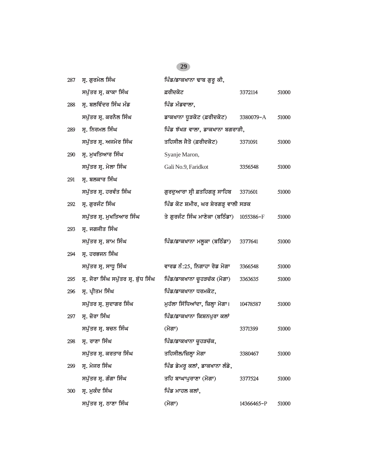### 287 **ਸ੍ਰ. ਗੁਰਮੇਲ ਸਿੰਘ ਭਿਲਮ ਵਿੱਡ/ਡਾਕਖਾਨਾ ਢਾਬ ਗੁਰੁ ਕੀ,** *spu`qr sR. kwkw isMG &rIdkot 3372114 51000*  $288$  ਸ੍ਰ. ਬਲਵਿੰਦਰ ਸਿੰਘ ਮੰਡ **ਅਮਰਫ** ਅਪੀਡ ਮੰਡਵਾਲਾ, *spu`qr sR. krnYl isMG fwkKwnw DUVkot (&rIdkot) 3380079-*A *51000* 289 **ਸ੍ਰ. ਨਿਰਮਲ ਸਿੰਘ ਪਿੰਡ** ਝੱਖੜ ਵਾਲਾ, ਡਾਕਖਾਨਾ ਬਗਰਾੜੀ, *spu`qr sR. Ajmyr isMG qihsIl jYqo (&rIdkot) 3371091 51000* 290 **ਮ੍ਰ. ਮੁਖਤਿਆਰ ਸਿੰਘ** Syanje Maron, *spu`qr sR. mylw isMG* Gali No.9, Faridkot *3356548 51000* **291 ਸ੍ਰ. ਬਲਕਾਰ ਸਿੰਘ** *spu`qr sR. hrvMq isMG gurduAwrw sRI &qihgVH swihb 3371601 51000* 292 ਸ੍ਰ. ਗੁਰਜੰਟ ਸਿੰਘ **interagea is fouted from the Syrgim state** and a set of the Syrgim state Syrgim state and *spu`qr sR. muKiqAwr isMG qy gurjMt isMG mwxykw (biTMfw) 1055386-*F *51000* 293 *ਸ.* ਜਗਜੀਤ ਸਿੰਘ *spu`qr sR. Swm isMG ipMf/fwkKwnw mlUkw (biTMfw) 3377641 51000* **294 ਸ. ਹਰਭਜਨ ਸਿੰਘ** *spu`qr sR. swDU isMG vwrf nM:25, ingwhw rof mogw 3366548 51000 295 sR. jorw isMG spu`qr sR. b`uD isMG ipMf/fwkKwnw cUhVc`k (mogw) 3363635 51000* 296 **ਸ੍ਰ. ਪ੍ਰੀਤਮ ਸਿੰਘ ਵਿੱਖ ਵਿੱਚ ਸ਼ਿੰਡ/ਡਾਕਖਾ**ਨਾ ਧਰਮਕੋਟ, *spu`qr sR. sudwgr isMG muh`lw is`iDAWdw, izlHw mogw[ 10478587 51000* 297 ਸ੍ਰ. ਜ਼ੋਰਾ ਸਿੰਘ **information ਵਿੱਚ ਸਿੰਡ/ਡਾਕਖਾਨਾ ਕਿਸ਼ਨਪੁਰਾ** ਕਲਾਂ *spu`qr sR. bcn isMG (mogw) 3371399 51000 298 sR. rwxw isMG ipMf/fwkKwnw cUhVc`k, spu`qr sR. krqwr isMG qihsIl/izlHw mogw 3380467 51000* <u>299 ਸ੍ਰ. ਮੇਜਰ ਸਿੰਘ ਪਿੰਡ ਡੇਮਰੁ ਕਲਾਂ, ਡਾਕਖਾਨਾ ਲੰਡੇ,</u> *spu`qr sR. gMgw isMG qih bwGwpurwxw (mogw) 3377524 51000* 300 ਸ੍ਰ. ਮੁਕੰਦ ਸਿੰਘ **ismay is a set in the function of** *a* **set is a set in the function of**  $\frac{1}{2}$ *spu`qr sR. Twxw isMG (mogw) 14366465-*P *51000*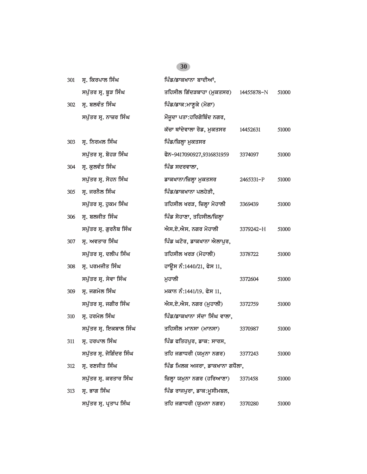| 301 | ਸ੍ਰ. ਕਿਰਪਾਲ ਸਿੰਘ         | ਪਿੰਡ/ਡਾਕਖਾਨਾ ਬਾਦੀਆਂ,           |            |       |
|-----|--------------------------|--------------------------------|------------|-------|
|     | ਸਪੁੱਤਰ ਸ੍ਰ. ਬੁੜ ਸਿੰਘ     | ਤਹਿਸੀਲ ਗਿੱਦੜਬਾਹਾ (ਮੁਕਤਸਰ)      | 14455878-N | 51000 |
| 302 | ਸ੍ਰ. ਬਲਵੰਤ ਸਿੰਘ          | ਪਿੰਡ/ਡਾਕ:ਮਾਣੁਕੇ (ਮੋਗਾ)         |            |       |
|     | ਸਪੁੱਤਰ ਸ੍ਰ. ਨਾਜ਼ਰ ਸਿੰਘ   | ਮੌਜੂਦਾ ਪਤਾ:ਹਰਿਗੋਬਿੰਦ ਨਗਰ,      |            |       |
|     |                          | ਕੱਚਾ ਥਾਂਦੇਵਾਲਾ ਰੋਡ, ਮੁਕਤਸਰ     | 14452631   | 51000 |
| 303 | ਸ੍ਰ. ਨਿਰਮਲ ਸਿੰਘ          | ਪਿੰਡ/ਜ਼ਿਲ੍ਹਾ ਮੁਕਤਸਰ            |            |       |
|     | ਸਪੁੱਤਰ ਸ੍ਰ. ਬੋਹੜ ਸਿੰਘ    | ਫੋਨ-9417090927,9316831959      | 3374097    | 51000 |
| 304 | ਸ੍ਰ. ਕੁਲਵੰਤ ਸਿੰਘ         | ਪਿੰਡ ਸਦਰਵਾਲਾ,                  |            |       |
|     | ਸਪੁੱਤਰ ਸ੍ਰ. ਸੋਹਨ ਸਿੰਘ    | ਡਾਕਖਾਨਾ/ਜ਼ਿਲ੍ਹਾ ਮੁਕਤਸਰ         | 2465331-P  | 51000 |
| 305 | ਸ੍ਰ. ਜਰਨੈਲ ਸਿੰਘ          | ਪਿੰਡ/ਡਾਕਖਾਨਾ ਪਲਹੇੜੀ,           |            |       |
|     | ਸਪੁੱਤਰ ਸ੍ਰ. ਹੁਕਮ ਸਿੰਘ    | ਤਹਿਸੀਲ ਖਰੜ, ਜ਼ਿਲ੍ਹਾ ਮੋਹਾਲੀ     | 3369439    | 51000 |
| 306 | ਸ੍ਰ. ਬਲਜੀਤ ਸਿੰਘ          | ਪਿੰਡ ਸੋਹਾਣਾ, ਤਹਿਸੀਲ/ਜ਼ਿਲ੍ਹਾ    |            |       |
|     | ਸਪੁੱਤਰ ਸ੍ਰ. ਗੁਰਨੈਬ ਸਿੰਘ  | ਐਸ.ਏ.ਐਸ. ਨਗਰ ਮੋਹਾਲੀ            | 3379242-H  | 51000 |
| 307 | ਸ੍ਰ. ਅਵਤਾਰ ਸਿੰਘ          | ਪਿੰਡ ਘਟੋਰ, ਡਾਕਖਾਨਾ ਐਲਾਪੁਰ,     |            |       |
|     | ਸਪੁੱਤਰ ਸ੍ਰ. ਦਲੀਪ ਸਿੰਘ    | ਤਹਿਸੀਲ ਖਰੜ (ਮੋਹਾਲੀ)            | 3378722    | 51000 |
| 308 | ਸ੍ਰ. ਪਰਮਜੀਤ ਸਿੰਘ         | ਹਾਊਸ ਨੰ:1440/21, ਫੇਸ 11,       |            |       |
|     | ਸਪੁੱਤਰ ਸ੍ਰ. ਸੇਵਾ ਸਿੰਘ    | ਮਹਾਲੀ                          | 3372604    | 51000 |
| 309 | ਸ੍ਰ. ਜਗਮੇਲ ਸਿੰਘ          | ਮਕਾਨ ਨੰ:1441/19. ਫੇਸ 11,       |            |       |
|     | ਸਪੁੱਤਰ ਸ੍ਰ. ਜਗੀਰ ਸਿੰਘ    | ਐਸ.ਏ.ਐਸ. ਨਗਰ (ਮੁਹਾਲੀ)          | 3372759    | 51000 |
| 310 | ਸ੍ਰ. ਹਰਮੇਲ ਸਿੰਘ          | ਪਿੰਡ/ਡਾਕਖਾਨਾ ਸੱਦਾ ਸਿੰਘ ਵਾਲਾ,   |            |       |
|     | ਸਪੁੱਤਰ ਸ੍ਰ. ਇਕਬਾਲ ਸਿੰਘ   | ਤਹਿਸੀਲ ਮਾਨਸਾ (ਮਾਨਸਾ)           | 3370987    | 51000 |
| 311 | ਸ੍ਰ. ਹਰਪਾਲ ਸਿੰਘ          | ਪਿੰਡ ਫਤਿਹਪੁਰ, ਡਾਕ: ਸਾਰਸ,       |            |       |
|     | ਸਪੁੱਤਰ ਸ੍ਰ. ਜੋਗਿੰਦਰ ਸਿੰਘ | ਤਹਿ ਜਗਾਧਰੀ (ਯਮੁਨਾ ਨਗਰ)         | 3377243    | 51000 |
| 312 | ਸ੍ਰ. ਰਣਜੀਤ ਸਿੰਘ          | ਪਿੰਡ ਮਿਲਕ ਅਜਰਾ, ਡਾਕਖਾਨਾ ਗਧੌਲਾ, |            |       |
|     | ਸਪੁੱਤਰ ਸ੍ਰ. ਕਰਤਾਰ ਸਿੰਘ   | ਜ਼ਿਲ੍ਹਾ ਯਮੁਨਾ ਨਗਰ (ਹਰਿਆਣਾ)     | 3371458    | 51000 |
| 313 | ਸ੍ਰ. ਭਾਗ ਸਿੰਘ            | ਪਿੰਡ ਰਾਜਪੁਰਾ, ਡਾਕ:ਮੁਸੀਮਬਲ,     |            |       |
|     | ਸਪੁੱਤਰ ਸ੍ਰ. ਪ੍ਰਤਾਪ ਸਿੰਘ  | ਤਹਿ ਜਗਾਧਰੀ (ਯੂਮਨਾ ਨਗਰ)         | 3370280    | 51000 |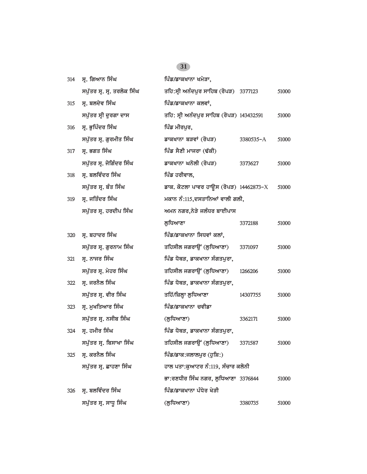| 314 | ਸ੍ਰ. ਗਿਆਨ ਸਿੰਘ              | ਪਿੰਡ/ਡਾਕਖਾਨਾ ਖਮੇੜਾ.                           |           |       |
|-----|-----------------------------|-----------------------------------------------|-----------|-------|
|     | ਸਪੁੱਤਰ ਸ੍ਰ. ਸ੍ਰ. ਤਰਲੋਕ ਸਿੰਘ | ਤਹਿ:ਸ੍ਰੀ ਅਨੰਦਪੁਰ ਸਾਹਿਬ (ਰੋਪੜ) 3377123         |           | 51000 |
| 315 | ਸ੍ਰ. ਬਲਦੇਵ ਸਿੰਘ             | ਪਿੰਡ/ਡਾਕਖਾਨਾ ਕਲਵਾਂ,                           |           |       |
|     | ਸਪੁੱਤਰ ਸ੍ਰੀ ਦੁਰਗਾ ਦਾਸ       | ਤਹਿ: ਸ੍ਰੀ ਅਨੰਦਪੁਰ ਸਾਹਿਬ (ਰੋਪੜ) 143432591      |           | 51000 |
| 316 | ਸ੍ਰ. ਭੁਪਿੰਦਰ ਸਿੰਘ           | ਪਿੰਡ ਮੀਰਪੁਰ,                                  |           |       |
|     | ਸਪੁੱਤਰ ਸ੍ਰ. ਗੁਰਮੀਤ ਸਿੰਘ     | ਡਾਕਖਾਨਾ ਬੜਵਾਂ (ਰੋਪੜ)                          | 3380535-A | 51000 |
| 317 | ਸ੍ਰ. ਭਗਤ ਸਿੰਘ               | ਪਿੰਡ ਸੈਣੀ ਮਾਜਰਾ (ਢੱਕੀ)                        |           |       |
|     | ਸਪੁੱਤਰ ਸ੍ਰ. ਜੋਗਿੰਦਰ ਸਿੰਘ    | ਡਾਕਖਾਨਾ ਘਨੋਲੀ (ਰੋਪੜ)                          | 3373627   | 51000 |
| 318 | ਸ੍ਰ. ਬਲਵਿੰਦਰ ਸਿੰਘ           | ਪਿੰਡ ਹਰੀਵਾਲ,                                  |           |       |
|     | ਸਪੁੱਤਰ ਸ੍ਰ. ਬੰਤ ਸਿੰਘ        | ਡਾਕ. ਕੋਟਲਾ ਪਾਵਰ ਹਾਊਸ (ਰੋਪੜ) 14462873- $\rm X$ |           | 51000 |
| 319 | ਸ੍ਰ. ਜਤਿੰਦਰ ਸਿੰਘ            | ਮਕਾਨ ਨੰ:115,ਦਸਤਾਨਿਆਂ ਵਾਲੀ ਗਲੀ,                |           |       |
|     | ਸਪੁੱਤਰ ਸ੍ਰ. ਹਰਦੀਪ ਸਿੰਘ      | ਅਮਨ ਨਗਰ,ਨੇੜੇ ਜਲੰਧਰ ਬਾਈਪਾਸ                     |           |       |
|     |                             | ਲੁਧਿਆਣਾ                                       | 3372188   | 51000 |
| 320 | ਸ੍ਰ. ਬਹਾਦਰ ਸਿੰਘ             | ਪਿੰਡ/ਡਾਕਖਾਨਾ ਸਿਧਵਾਂ ਕਲਾਂ,                     |           |       |
|     | ਸਪੁੱਤਰ ਸ੍ਰ. ਗੁਰਨਾਮ ਸਿੰਘ     | ਤਹਿਸੀਲ ਜਗਰਾਉਂ (ਲੁਧਿਆਣਾ)                       | 3371097   | 51000 |
| 321 | ਸ੍ਰ. ਨਾਜਰ ਸਿੰਘ              | ਪਿੰਡ ਧੋਥੜ, ਡਾਕਖਾਨਾ ਸੰਗਤਪੁਰਾ,                  |           |       |
|     | ਸਪੁੱਤਰ ਸ੍ਰ. ਮੇਹਰ ਸਿੰਘ       | ਤਹਿਸੀਲ ਜਗਰਾਉਂ (ਲੁਧਿਆਣਾ)                       | 1266206   | 51000 |
| 322 | ਸ੍ਰ. ਜਰਨੈਲ ਸਿੰਘ             | ਪਿੰਡ ਧੋਥੜ, ਡਾਕਖਾਨਾ ਸੰਗਤਪੁਰਾ,                  |           |       |
|     | ਸਪੁੱਤਰ ਸ੍ਰ. ਵੀਰ ਸਿੰਘ        | ਤਹਿੱ/ਜ਼ਿਲ੍ਹਾ ਲੁਧਿਆਣਾ                          | 14307755  | 51000 |
| 323 | ਸ੍ਰ. ਮੁਖਤਿਆਰ ਸਿੰਘ           | ਪਿੰਡ/ਡਾਕਖਾਨਾ ਚਵੀਡਾ                            |           |       |
|     | ਸਪੁੱਤਰ ਸ੍ਰ. ਨਸੀਬ ਸਿੰਘ       | (ਲੁਧਿਆਣਾ)                                     | 3362171   | 51000 |
| 324 | ਸ੍ਰ. ਹਮੀਰ ਸਿੰਘ              | ਪਿੰਡ ਧੋਥੜ, ਡਾਕਖਾਨਾ ਸੰਗਤਪੁਰਾ,                  |           |       |
|     | ਸਪੁੱਤਰ ਸ੍ਰ. ਬਿਸਾਖਾ ਸਿੰਘ     | ਤਹਿਸੀਲ ਜਗਰਾਉਂ (ਲੁਧਿਆਣਾ) 3371587               |           | 51000 |
| 325 | ਸ੍ਰ. ਕਰਨੈਲ ਸਿੰਘ             | ਪਿੰਡ/ਡਾਕ:ਜਲਾਲਪੁਰ (ਹੁਸ਼ਿ:)                     |           |       |
|     | ਸਪੁੱਤਰ ਸ੍ਰ. ਛਾਹਣਾ ਸਿੰਘ      | ਹਾਲ ਪਤਾ:ਕੁਆਟਰ ਨੰ:119, ਸੰਚਾਰ ਕਲੋਨੀ             |           |       |
|     |                             | ਭਾ:ਰਣਧੀਰ ਸਿੰਘ ਨਗਰ, ਲੁਧਿਆਣਾ 3376844            |           | 51000 |
| 326 | ਸ੍ਰ. ਬਲਵਿੰਦਰ ਸਿੰਘ           | ਪਿੰਡ/ਡਾਕਖਾਨਾ ਪੰਧੇਰ ਖੇੜੀ                       |           |       |
|     | ਸਪੁੱਤਰ ਸ੍ਰ. ਸਾਧੂ ਸਿੰਘ       | (ਲੁਧਿਆਣਾ)                                     | 3380735   | 51000 |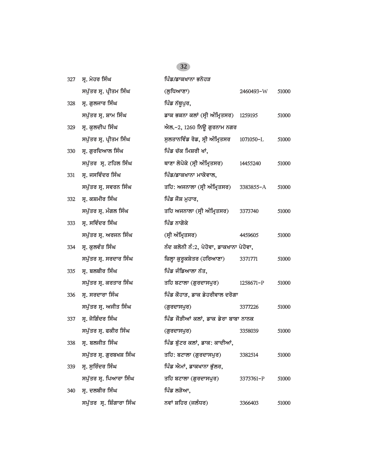| 327 | ਸ੍ਰ. ਮੇਹਰ ਸਿੰਘ            | ਪਿੰਡ/ਡਾਕਖਾਨਾ ਭਨੋਹੜ                      |           |       |
|-----|---------------------------|-----------------------------------------|-----------|-------|
|     | ਸਪੁੱਤਰ ਸ੍ਰ. ਪ੍ਰੀਤਮ ਸਿੰਘ   | (ਲੁਧਿਆਣਾ)                               | 2460493-W | 51000 |
| 328 | ਸ੍ਰ. ਗੁਲਜਾਰ ਸਿੰਘ          | ਪਿੰਡ ਨੱਥੁਪੁਰ,                           |           |       |
|     | ਸਪੁੱਤਰ ਸ੍ਰ. ਸ਼ਾਮ ਸਿੰਘ     | ਡਾਕ ਭਕਨਾ ਕਲਾਂ (ਸ੍ਰੀ ਅੰਮ੍ਰਿਤਸਰ) 1259195  |           | 51000 |
| 329 | ਸ੍ਰ. ਕੁਲਦੀਪ ਸਿੰਘ          | ਐਲ.–2, 1260 ਨਿਊ ਗੁਰਨਾਮ ਨਗਰ              |           |       |
|     | ਸਪੁੱਤਰ ਸ੍ਰ. ਪ੍ਰੀਤਮ ਸਿੰਘ   | ਸੁਲਤਾਨਵਿੰਡ ਰੋਡ, ਸ੍ਰੀ ਅੰਮ੍ਰਿਤਸਰ          | 1071050-L | 51000 |
| 330 | ਸ੍ਰ. ਗੁਰਦਿਆਲ ਸਿੰਘ         | ਪਿੰਡ ਚੱਕ ਮਿਸ਼ਰੀ ਖਾਂ,                    |           |       |
|     | ਸਪੁੱਤਰ ਸ੍ਰ. ਟਹਿਲ ਸਿੰਘ     | ਥਾਣਾ ਲੋਪੋਕੇ (ਸ੍ਰੀ ਅੰਮ੍ਰਿਤਸਰ)            | 14455240  | 51000 |
| 331 | ਸ੍ਰ. ਜਸਵਿੰਦਰ ਸਿੰਘ         | ਪਿੰਡ/ਡਾਕਖਾਨਾ ਮਾਕੋਵਾਲ,                   |           |       |
|     | ਸਪੁੱਤਰ ਸ੍ਰ. ਸਵਰਨ ਸਿੰਘ     | ਤਹਿ: ਅਜਨਾਲਾ (ਸ੍ਰੀ ਅੰਮ੍ਰਿਤਸਰ) 3383855-A  |           | 51000 |
| 332 | ਸ੍ਰ. ਕਸ਼ਮੀਰ ਸਿੰਘ          | ਪਿੰਡ ਜੌਸ਼ ਮੁਹਾਰ,                        |           |       |
|     | ਸਪੁੱਤਰ ਸ੍ਰ. ਮੰਗਲ ਸਿੰਘ     | ਤਹਿ ਅਜਨਾਲਾ (ਸ੍ਰੀ ਅੰਮ੍ਰਿਤਸਰ)             | 3373740   | 51000 |
| 333 | ਸ੍ਰ. ਸਵਿੰਦਰ ਸਿੰਘ          | ਪਿੰਡ ਨਾਗੋਕੇ                             |           |       |
|     | ਸਪੁੱਤਰ ਸ੍ਰ. ਅਰਜਨ ਸਿੰਘ     | (ਸ੍ਰੀ ਅੰਮ੍ਰਿਤਸਰ)                        | 4459605   | 51000 |
| 334 | ਸ੍ਰ. ਕੁਲਵੰਤ ਸਿੰਘ          | ਨੰਦ ਕਲੋਨੀ ਨੰ:2, ਪੇਹੋਵਾ, ਡਾਕਖਾਨਾ ਪੇਹੋਵਾ, |           |       |
|     | ਸਪੁੱਤਰ ਸ੍ਰ. ਸਰਦਾਰ ਸਿੰਘ    | ਜ਼ਿਲ੍ਹਾ ਕੁਰੂਕਸ਼ੇਤਰ (ਹਰਿਆਣਾ)             | 3371771   | 51000 |
| 335 | ਸ੍ਰ. ਬਲਬੀਰ ਸਿੰਘ           | ਪਿੰਡ ਜੰਡਿਆਲਾ ਨੱਤ,                       |           |       |
|     | ਸਪੁੱਤਰ ਸ੍ਰ. ਕਰਤਾਰ ਸਿੰਘ    | ਤਹਿ ਬਟਾਲਾ (ਗੁਰਦਾਸਪੁਰ)                   | 1258671-P | 51000 |
| 336 | ਸ੍ਰ. ਸਰਦਾਰਾ ਸਿੰਘ          | ਪਿੰਡ ਕੋਹਾੜ, ਡਾਕ ਡੇਹਰੀਵਾਲ ਦਰੋਗਾ          |           |       |
|     | ਸਪੁੱਤਰ ਸ੍ਰ. ਅਜੀਤ ਸਿੰਘ     | (ਗੁਰਦਾਸਪੁਰ)                             | 3377226   | 51000 |
| 337 | ਸ੍ਰ. ਜੋਗਿੰਦਰ ਸਿੰਘ         | ਪਿੰਡ ਜੌੜੀਆਂ ਕਲਾਂ, ਡਾਕ ਡੇਰਾ ਬਾਬਾ ਨਾਨਕ    |           |       |
|     | ਸਪੁੱਤਰ ਸ੍ਰ. ਫਕੀਰ ਸਿੰਘ     | (ਗੁਰਦਾਸਪੁਰ)                             | 3358039   | 51000 |
| 338 | ਸ੍ਰ. ਬਲਜੀਤ ਸਿੰਘ           | ਪਿੰਡ ਬੁੱਟਰ ਕਲਾਂ, ਡਾਕ: ਕਾਦੀਆਂ,           |           |       |
|     | ਸਪੁੱਤਰ ਸ੍ਰ. ਗੁਰਬਖਸ਼ ਸਿੰਘ  | ਤਹਿ: ਬਟਾਲਾ (ਗੁਰਦਾਸਪੁਰ)                  | 3382514   | 51000 |
| 339 | ਸ੍ਰ. ਸੁਰਿੰਦਰ ਸਿੰਘ         | ਪਿੰਡ ਐਮਾਂ, ਡਾਕਖਾਨਾ ਭੁੱਲਰ,               |           |       |
|     | ਸਪੁੱਤਰ ਸ੍ਰ. ਪਿਆਰਾ ਸਿੰਘ    | ਤਹਿ ਬਟਾਲਾ (ਗੁਰਦਾਸਪੁਰ)                   | 3373761-P | 51000 |
| 340 | ਸ੍ਰ. ਦਲਬੀਰ ਸਿੰਘ           | ਪਿੰਡ ਲੜੋਆ,                              |           |       |
|     | ਸਪੁੱਤਰ ਸ੍ਰ. ਸ਼ਿੰਗਾਰਾ ਸਿੰਘ | ਨਵਾਂ ਸ਼ਹਿਰ (ਜਲੰਧਰ)                      | 3366403   | 51000 |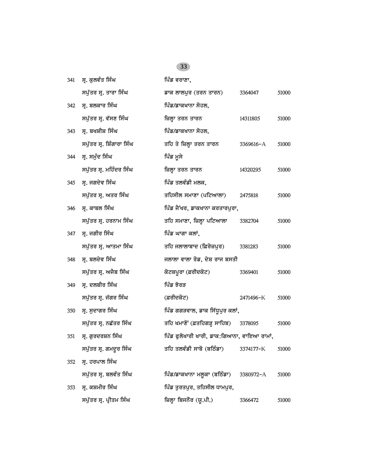| 341 | ਸ੍ਰ. ਕੁਲਵੰਤ ਸਿੰਘ          | ਪਿੰਡ ਵਰਾਣਾ,                                |           |       |
|-----|---------------------------|--------------------------------------------|-----------|-------|
|     | ਸਪੁੱਤਰ ਸ੍ਰ. ਤਾਰਾ ਸਿੰਘ     | ਡਾਕ ਲਾਲਪੁਰ (ਤਰਨ ਤਾਰਨ)                      | 3364047   | 51000 |
| 342 | ਸ੍ਰ. ਬਲਕਾਰ ਸਿੰਘ           | ਪਿੰਡ/ਡਾਕਖਾਨਾ ਸੋਹਲ,                         |           |       |
|     | ਸਪੁੱਤਰ ਸ੍ਰ. ਵੱਸਣ ਸਿੰਘ     | ਜ਼ਿਲ੍ਹਾ ਤਰਨ ਤਾਰਨ                           | 14311805  | 51000 |
| 343 | ਸ੍ਰ. ਬਖਸ਼ੀਸ਼ ਸਿੰਘ         | ਪਿੰਡ/ਡਾਕਖਾਨਾ ਸੋਹਲ,                         |           |       |
|     | ਸਪੁੱਤਰ ਸ੍ਰ. ਸ਼ਿੰਗਾਰਾ ਸਿੰਘ | ਤਹਿ ਤੇ ਜ਼ਿਲ੍ਹਾ ਤਰਨ ਤਾਰਨ                    | 3369616-A | 51000 |
| 344 | ਸ੍ਰ. ਸਮੁੰਦ ਸਿੰਘ           | ਪਿੰਡ ਮੁਸੇ                                  |           |       |
|     | ਸਪੁੱਤਰ ਸ੍ਰ. ਮਹਿੰਦਰ ਸਿੰਘ   | ਜ਼ਿਲ੍ਹਾ ਤਰਨ ਤਾਰਨ                           | 14320295  | 51000 |
| 345 | ਸ੍ਰ. ਜਗਦੇਵ ਸਿੰਘ           | ਪਿੰਡ ਤਲਵੰਡੀ ਮਲਕ,                           |           |       |
|     | ਸਪੁੱਤਰ ਸ੍ਰ. ਅਤਰ ਸਿੰਘ      | ਤਹਿਸੀਲ ਸਮਾਣਾ (ਪਟਿਆਲਾ)                      | 2475818   | 51000 |
| 346 | ਸ੍ਰ. ਕਾਬਲ ਸਿੰਘ            | ਪਿੰਡ ਜੈਂਖਰ, ਡਾਕਖਾਨਾ ਕਰਤਾਰਪੁਰਾ,             |           |       |
|     | ਸਪੁੱਤਰ ਸ੍ਰ. ਹਰਨਾਮ ਸਿੰਘ    | ਤਹਿ ਸਮਾਣਾ, ਜ਼ਿਲ੍ਹਾ ਪਟਿਆਲਾ                  | 3382704   | 51000 |
| 347 | ਸ੍ਰ. ਜਗੀਰ ਸਿੰਘ            | ਪਿੰਡ ਘਾਗਾ ਕਲਾਂ,                            |           |       |
|     | ਸਪੁੱਤਰ ਸ੍ਰ. ਆਤਮਾ ਸਿੰਘ     | ਤਹਿ ਜਲਾਲਾਬਾਦ (ਫ਼ਿਰੋਜ਼ਪੁਰ)                  | 3381283   | 51000 |
| 348 | ਸ੍ਰ. ਬਲਦੇਵ ਸਿੰਘ           | ਜਲਾਲਾ ਵਾਲਾ ਰੋਡ, ਦੇਸ਼ ਰਾਜ ਬਸਤੀ              |           |       |
|     | ਸਪੁੱਤਰ ਸ੍ਰ. ਅਜੈਬ ਸਿੰਘ     | ਕੋਟਕਪੂਰਾ (ਫ਼ਰੀਦਕੋਟ)                        | 3369401   | 51000 |
| 349 | ਸ੍ਰ. ਦਲਬੀਰ ਸਿੰਘ           | ਪਿੰਡ ਝੋਰੜ                                  |           |       |
|     | ਸਪੁੱਤਰ ਸ੍ਰ. ਜੱਗਰ ਸਿੰਘ     | (ਫ਼ਰੀਦਕੋਟ)                                 | 2471496-K | 51000 |
| 350 | ਸ੍ਰ. ਸੁਦਾਗਰ ਸਿੰਘ          | ਪਿੰਡ ਗਗੜਵਾਲ, ਡਾਕ ਸਿੱਧੁਪੁਰ ਕਲਾਂ,            |           |       |
|     | ਸਪੁੱਤਰ ਸ੍ਰ. ਨਛੱਤਰ ਸਿੰਘ    | ਤਹਿ ਖਮਾਣੋਂ (ਫ਼ਤਹਿਗੜ੍ਹ ਸਾਹਿਬ) 3378095       |           | 51000 |
| 351 | ਸ੍ਰ. ਗੁਰਦਰਸ਼ਨ ਸਿੰਘ        | ਪਿੰਡ ਫੁਲੋਖਾਰੀ ਖਾਰੀ, ਡਾਕ:ਗਿਆਨਾ, ਵਾਇਆ ਰਾਮਾਂ, |           |       |
|     | ਸਪੁੱਤਰ ਸ੍ਰ. ਗਮਦੁਰ ਸਿੰਘ    | ਤਹਿ ਤਲਵੰਡੀ ਸਾਬੋ (ਬਠਿੰਡਾ)                   | 3374177-K | 51000 |
| 352 | ਸ੍ਰ. ਹਰਪਾਲ ਸਿੰਘ           |                                            |           |       |
|     | ਸਪੁੱਤਰ ਸ੍ਰ. ਬਲਵੰਤ ਸਿੰਘ    | ਪਿੰਡ/ਡਾਕਖਾਨਾ ਮਲੁਕਾ (ਬਠਿੰਡਾ)                | 3380972-A | 51000 |
| 353 | ਸ੍ਰ. ਕਸ਼ਮੀਰ ਸਿੰਘ          | ਪਿੰਡ ਤੁਰਤਪੁਰ, ਤਹਿਸੀਲ ਧਾਮਪੁਰ,               |           |       |
|     | ਸਪੁੱਤਰ ਸ੍ਰ. ਪ੍ਰੀਤਮ ਸਿੰਘ   | ਜ਼ਿਲ੍ਹਾ ਬਿਜਨੌਰ (ਯੂ.ਪੀ.)                    | 3366472   | 51000 |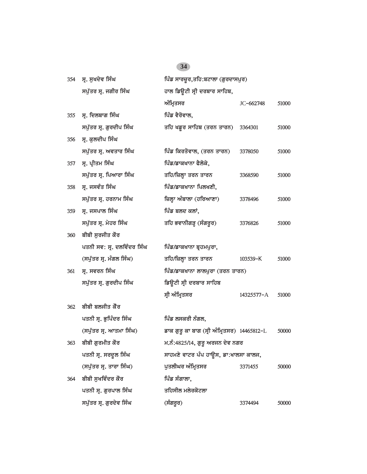| 354 | ਸ੍ਰ. ਸੁਖਦੇਵ ਸਿੰਘ           | ਪਿੰਡ ਸਾਰਚੂਰ,ਤਹਿ:ਬਟਾਲਾ (ਗੁਰਦਾਸਪੁਰ)           |            |       |
|-----|----------------------------|---------------------------------------------|------------|-------|
|     | ਸਪੁੱਤਰ ਸ੍ਰ. ਜਗੀਰ ਸਿੰਘ      | ਹਾਲ ਡਿਊਟੀ ਸ੍ਰੀ ਦਰਬਾਰ ਸਾਹਿਬ,                 |            |       |
|     |                            | ਅੰਮ੍ਰਿਤਸਰ                                   | JC-662748  | 51000 |
| 355 | ਸ੍ਰ. ਦਿਲਬਾਗ ਸਿੰਘ           | ਪਿੰਡ ਵੈਰੋਵਾਲ,                               |            |       |
|     | ਸਪੁੱਤਰ ਸ੍ਰ. ਗੁਰਦੀਪ ਸਿੰਘ    | ਤਹਿ ਖਡੁਰ ਸਾਹਿਬ (ਤਰਨ ਤਾਰਨ)                   | 3364301    | 51000 |
| 356 | ਸ੍ਰ. ਕੁਲਦੀਪ ਸਿੰਘ           |                                             |            |       |
|     | ਸਪੁੱਤਰ ਸ੍ਰ. ਅਵਤਾਰ ਸਿੰਘ     | ਪਿੰਡ ਕਿਰਤੋਵਾਲ, (ਤਰਨ ਤਾਰਨ)                   | 3378050    | 51000 |
| 357 | ਸ੍ਰ. ਪ੍ਰੀਤਮ ਸਿੰਘ           | ਪਿੰਡ/ਡਾਕਖਾਨਾ ਫੈਲੋਕੇ,                        |            |       |
|     | ਸਪੁੱਤਰ ਸ੍ਰ. ਪਿਆਰਾ ਸਿੰਘ     | ਤਹਿ/ਜ਼ਿਲ੍ਹਾ ਤਰਨ ਤਾਰਨ                        | 3368590    | 51000 |
| 358 | ਸ੍ਰ. ਜਸਵੰਤ ਸਿੰਘ            | ਪਿੰਡ/ਡਾਕਖਾਨਾ ਪਿਲਖਣੀ,                        |            |       |
|     | ਸਪੁੱਤਰ ਸ੍ਰ. ਹਰਨਾਮ ਸਿੰਘ     | ਜ਼ਿਲ੍ਹਾ ਅੰਬਾਲਾ (ਹਰਿਆਣਾ)                     | 3378496    | 51000 |
| 359 | ਸ੍ਰ. ਜਸਪਾਲ ਸਿੰਘ            | ਪਿੰਡ ਬਲਦ ਕਲਾਂ,                              |            |       |
|     | ਸਪੁੱਤਰ ਸ੍ਰ. ਮੇਹਰ ਸਿੰਘ      | ਤਹਿ ਭਵਾਨੀਗੜ੍ਹ (ਸੰਗਰੂਰ)                      | 3376826    | 51000 |
| 360 | ਬੀਬੀ ਸੁਰਜੀਤ ਕੌਰ            |                                             |            |       |
|     | ਪਤਨੀ ਸਵ: ਸ੍ਰ. ਦਲਵਿੰਦਰ ਸਿੰਘ | ਪਿੰਡ/ਡਾਕਖਾਨਾ ਬ੍ਰਹਮਪੁਰਾ,                     |            |       |
|     | (ਸਪੁੱਤਰ ਸ੍ਰ. ਮੰਗਲ ਸਿੰਘ)    | ਤਹਿ/ਜ਼ਿਲ੍ਹਾ ਤਰਨ ਤਾਰਨ                        | 103539-K   | 51000 |
| 361 | ਸ੍ਰ. ਸਵਰਨ ਸਿੰਘ             | ਪਿੰਡ/ਡਾਕਖਾਨਾ ਲਾਲਪੁਰਾ (ਤਰਨ ਤਾਰਨ)             |            |       |
|     | ਸਪੁੱਤਰ ਸ੍ਰ. ਗੁਰਦੀਪ ਸਿੰਘ    | ਡਿਊਟੀ ਸ੍ਰੀ ਦਰਬਾਰ ਸਾਹਿਬ                      |            |       |
|     |                            | ਸ੍ਰੀ ਅੰਮ੍ਰਿਤਸਰ                              | 14325577-A | 51000 |
| 362 | ਬੀਬੀ ਬਲਜੀਤ ਕੌਰ             |                                             |            |       |
|     | ਪਤਨੀ ਸ੍ਰ. ਭੁਪਿੰਦਰ ਸਿੰਘ     | ਪਿੰਡ ਲਸਕਰੀ ਨੰਗਲ,                            |            |       |
|     | (ਸਪੁੱਤਰ ਸ੍ਰ. ਆਤਮਾ ਸਿੰਘ)    | ਡਾਕ ਗੁਰੂ ਕਾ ਬਾਗ (ਸ੍ਰੀ ਅੰਮ੍ਰਿਤਸਰ) 14465812-L |            | 50000 |
| 363 | ਬੀਬੀ ਗੁਰਮੀਤ ਕੌਰ            | ਮ.ਨੰ:4825/14, ਗੁਰੂ ਅਰਜਨ ਦੇਵ ਨਗਰ             |            |       |
|     | ਪਤਨੀ ਸ੍ਰ. ਸਰਦੁਲ ਸਿੰਘ       | ਸਾਹਮਣੇ ਵਾਟਰ ਪੰਪ ਹਾਊਸ, ਡਾ:ਖਾਲਸਾ ਕਾਲਜ,        |            |       |
|     | (ਸਪੁੱਤਰ ਸ੍ਰ. ਤਾਰਾ ਸਿੰਘ)    | ਪੁਤਲੀਘਰ ਅੰਮ੍ਰਿਤਸਰ                           | 3371455    | 50000 |
| 364 | ਬੀਬੀ ਸਖਵਿੰਦਰ ਕੌਰ           | ਪਿੰਡ ਸੰਗਾਲਾ,                                |            |       |
|     | ਪਤਨੀ ਸ੍ਰ. ਗੁਰਪਾਲ ਸਿੰਘ      | ਤਹਿਸੀਲ ਮਲੇਰਕੋਟਲਾ                            |            |       |
|     | ਸਪੁੱਤਰ ਸ੍ਰ. ਗੁਰਦੇਵ ਸਿੰਘ    | (ਸੰਗਰੂਰ)                                    | 3374494    | 50000 |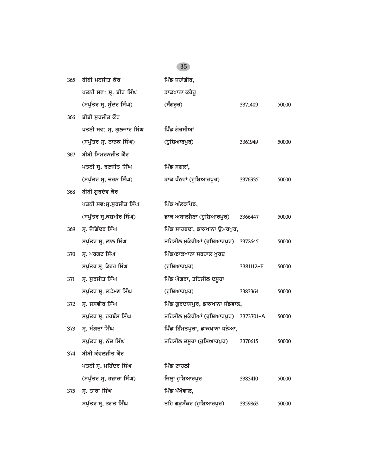| 365 | ਬੀਬੀ ਮਨਜੀਤ ਕੌਰ            | ਪਿੰਡ ਜਹਾਂਗੀਰ,                          |           |       |
|-----|---------------------------|----------------------------------------|-----------|-------|
|     | ਪਤਨੀ ਸਵ: ਸ੍ਰ. ਬੀਰ ਸਿੰਘ    | ਡਾਕਖਾਨਾ ਕਹੇਰੁ                          |           |       |
|     | (ਸਪੁੱਤਰ ਸ੍ਰ. ਸੁੰਦਰ ਸਿੰਘ)  | (ਸੰਗਰੂਰ)                               | 3371409   | 50000 |
| 366 | ਬੀਬੀ ਸਰਜੀਤ ਕੌਰ            |                                        |           |       |
|     | ਪਤਨੀ ਸਵ: ਸ੍ਰ. ਗੁਲਜਾਰ ਸਿੰਘ | ਪਿੰਡ ਗੋਰਸੀਆਂ                           |           |       |
|     | (ਸਪੁੱਤਰ ਸ੍ਰ. ਨਾਨਕ ਸਿੰਘ)   | (ਹੁਸ਼ਿਆਰਪੁਰ)                           | 3361949   | 50000 |
| 367 | ਬੀਬੀ ਸਿਮਰਨਜੀਤ ਕੌਰ         |                                        |           |       |
|     | ਪਤਨੀ ਸ੍ਰ. ਰਣਜੀਤ ਸਿੰਘ      | ਪਿੰਡ ਸਗਲਾਂ,                            |           |       |
|     | (ਸਪੁੱਤਰ ਸ੍ਰ. ਚਰਨ ਸਿੰਘ)    | ਡਾਕ ਪੰਠਵਾਂ (ਹੁਸ਼ਿਆਰਪੁਰ)                | 3376935   | 50000 |
| 368 | ਬੀਬੀ ਗੁਰਦੇਵ ਕੌਰ           |                                        |           |       |
|     | ਪਤਨੀ ਸਵ:ਸ੍ਰ.ਸੁਰਜੀਤ ਸਿੰਘ   | ਪਿੰਡ ਅੱਲੜਪਿੰਡ,                         |           |       |
|     | (ਸਪੁੱਤਰ ਸ੍ਰ.ਕਸ਼ਮੀਰ ਸਿੰਘ)  | ਡਾਕ ਅਬਾਲਜੈਣਾ (ਹੁਸ਼ਿਆਰਪੁਰ)              | 3366447   | 50000 |
| 369 | ਸ੍ਰ. ਜੋਗਿੰਦਰ ਸਿੰਘ         | ਪਿੰਡ ਸਾਹਬਦਾ, ਡਾਕਖਾਨਾ ਉਮਰਪੁਰ,           |           |       |
|     | ਸਪੁੱਤਰ ਸ੍ਰ. ਲਾਲ ਸਿੰਘ      | ਤਹਿਸੀਲ ਮੁਕੇਰੀਆਂ (ਹੁਸ਼ਿਆਰਪੁਰ) 3372645   |           | 50000 |
| 370 | ਸ੍ਰ. ਪਰਗਟ ਸਿੰਘ            | ਪਿੰਡ/ਡਾਕਖਾਨਾ ਸਰਹਾਲ ਖੁਰਦ                |           |       |
|     | ਸਪੁੱਤਰ ਸ੍ਰ. ਕੇਹਰ ਸਿੰਘ     | (ਹੁਸ਼ਿਆਰਪੁਰ)                           | 3381112-F | 50000 |
| 371 | ਸ੍ਰ. ਸੁਰਜੀਤ ਸਿੰਘ          | ਪਿੰਡ ਘੋਗਰਾ, ਤਹਿਸੀਲ ਦਸੂਹਾ               |           |       |
|     | ਸਪੁੱਤਰ ਸ੍ਰ. ਲਛੱਮਣ ਸਿੰਘ    | (ਹੁਸ਼ਿਆਰਪੁਰ)                           | 3383364   | 50000 |
| 372 | ਸ੍ਰ. ਜਸਵੀਰ ਸਿੰਘ           | ਪਿੰਡ ਗੁਰਦਾਸਪੁਰ, ਡਾਕਖਾਨਾ ਜੰਡਵਾਲ,        |           |       |
|     | ਸਪੁੱਤਰ ਸ੍ਰ. ਹਰਬੰਸ ਸਿੰਘ    | ਤਹਿਸੀਲ ਮੁਕੇਰੀਆਂ (ਹੁਸ਼ਿਆਰਪੁਰ) 3373701–A |           | 50000 |
| 373 | ਸ੍ਰ. ਮੰਗਤਾ ਸਿੰਘ           | ਪਿੰਡ ਹਿੰਮਤਪੁਰਾ, ਡਾਕਖਾਨਾ ਧਨੋਆ,          |           |       |
|     | ਸਪੁੱਤਰ ਸ੍ਰ. ਨੰਦ ਸਿੰਘ      | ਤਹਿਸੀਲ ਦਸੂਹਾ (ਹੁਸ਼ਿਆਰਪੁਰ) 3370615      |           | 50000 |
| 374 | ਬੀਬੀ ਕੰਵਲਜੀਤ ਕੌਰ          |                                        |           |       |
|     | ਪਤਨੀ ਸ੍ਰ. ਮਹਿੰਦਰ ਸਿੰਘ     | ਪਿੰਡ ਟਾਹਲੀ                             |           |       |
|     | (ਸਪੁੱਤਰ ਸ੍ਰ. ਹਜ਼ਾਰਾ ਸਿੰਘ) | ਜ਼ਿਲ੍ਹਾ ਹੁਸ਼ਿਆਰਪੁਰ                     | 3383410   | 50000 |
| 375 | ਸ੍ਰ. ਤਾਰਾ ਸਿੰਘ            | ਪਿੰਡ ਪੱਖੋਵਾਲ,                          |           |       |
|     | ਸਪੁੱਤਰ ਸ੍ਰ. ਭਗਤ ਸਿੰਘ      | ਤਹਿ ਗੜ੍ਹਸ਼ੰਕਰ (ਹੁਸ਼ਿਆਰਪੁਰ)             | 3359863   | 50000 |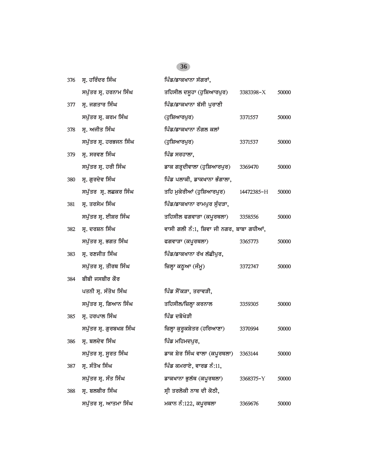| 376 | ਸ੍ਰ. ਹਰਿੰਦਰ ਸਿੰਘ         | ਪਿੰਡ/ਡਾਕਖਾਨਾ ਸੱਗਰਾਂ,                     |            |       |
|-----|--------------------------|------------------------------------------|------------|-------|
|     | ਸਪੁੱਤਰ ਸ੍ਰ. ਹਰਨਾਮ ਸਿੰਘ   | ਤਹਿਸੀਲ ਦਸੁਹਾ (ਹੁਸ਼ਿਆਰਪੁਰ)                | 3383398-X  | 50000 |
| 377 | ਸ੍ਰ. ਜਗਤਾਰ ਸਿੰਘ          | ਪਿੰਡ/ਡਾਕਖਾਨਾ ਬੱਸੀ ਪੁਰਾਣੀ                 |            |       |
|     | ਸਪੁੱਤਰ ਸ੍ਰ. ਕਰਮ ਸਿੰਘ     | (ਹੁਸ਼ਿਆਰਪੁਰ)                             | 3371557    | 50000 |
| 378 | ਸ੍ਰ. ਅਜੀਤ ਸਿੰਘ           | ਪਿੰਡ/ਡਾਕਖਾਨਾ ਨੰਗਲ ਕਲਾਂ                   |            |       |
|     | ਸਪੁੱਤਰ ਸ੍ਰ. ਹਰਭਜਨ ਸਿੰਘ   | (ਹੁਸ਼ਿਆਰਪੁਰ)                             | 3371537    | 50000 |
| 379 | ਸ੍ਰ. ਸਰਵਣ ਸਿੰਘ           | ਪਿੰਡ ਸਰਹਾਲਾ,                             |            |       |
|     | ਸਪੁੱਤਰ ਸ੍ਰ. ਹਰੀ ਸਿੰਘ     | ਡਾਕ ਗੜ੍ਹਦੀਵਾਲਾ (ਹੁਸ਼ਿਆਰਪੁਰ)              | 3369470    | 50000 |
| 380 | ਸ੍ਰ. ਗੁਰਦੇਵ ਸਿੰਘ         | ਪਿੰਡ ਪਲਾਕੀ, ਡਾਕਖਾਨਾ ਭੰਗਾਲਾ,              |            |       |
|     | ਸਪੁੱਤਰ ਸ੍ਰ. ਲਛਕਰ ਸਿੰਘ    | ਤਹਿ ਮੁਕੇਰੀਆਂ (ਹੁਸ਼ਿਆਰਪੁਰ)                | 14472385-H | 50000 |
| 381 | ਸ੍ਰ. ਤਰਸੇਮ ਸਿੰਘ          | ਪਿੰਡ/ਡਾਕਖਾਨਾ ਰਾਮਪੁਰ ਸੁੰਦੜਾ,              |            |       |
|     | ਸਪੁੱਤਰ ਸ੍ਰ. ਈਸ਼ਰ ਸਿੰਘ    | ਤਹਿਸੀਲ ਫਗਵਾੜਾ (ਕਪੂਰਥਲਾ)                  | 3358556    | 50000 |
| 382 | ਸ੍ਰ. ਦਰਸ਼ਨ ਸਿੰਘ          | ਵਾਸੀ ਗਲੀ ਨੰ:1, ਸ਼ਿਵਾ ਜੀ ਨਗਰ, ਬਾਬਾ ਗਧੀਆਂ, |            |       |
|     | ਸਪੁੱਤਰ ਸ੍ਰ. ਭਗਤ ਸਿੰਘ     | ਫਗਵਾੜਾ (ਕਪੂਰਥਲਾ)                         | 3365773    | 50000 |
| 383 | ਸ੍ਰ. ਰਣਜੀਤ ਸਿੰਘ          | ਪਿੰਡ/ਡਾਕਖਾਨਾ ਰੱਖ ਲੱਛੀਪੁਰ,                |            |       |
|     | ਸਪੁੱਤਰ ਸ੍ਰ. ਤੀਰਥ ਸਿੰਘ    | ਜ਼ਿਲ੍ਹਾ ਕਠੁਆ (ਜੰਮੂ)                      | 3372747    | 50000 |
| 384 | ਬੀਬੀ ਜਸਬੀਰ ਕੌਰ           |                                          |            |       |
|     | ਪਤਨੀ ਸ੍ਰ. ਸੰਤੋਖ ਸਿੰਘ     | ਪਿੰਡ ਸੌਂਕੜਾ, ਤਰਾਵੜੀ,                     |            |       |
|     | ਸਪੁੱਤਰ ਸ੍ਰ. ਗਿਆਨ ਸਿੰਘ    | ਤਹਿਸੀਲ/ਜ਼ਿਲ੍ਹਾ ਕਰਨਾਲ                     | 3359305    | 50000 |
| 385 | ਸ੍ਰ. ਹਰਪਾਲ ਸਿੰਘ          | ਪਿੰਡ ਦਬੋਖੇੜੀ                             |            |       |
|     | ਸਪੁੱਤਰ ਸ੍ਰ. ਗੁਰਬਖਸ਼ ਸਿੰਘ | ਜ਼ਿਲ੍ਹਾ ਕੁਰੁਕਸ਼ੇਤਰ (ਹਰਿਆਣਾ)              | 3370994    | 50000 |
| 386 | ਸ੍ਰ. ਬਲਦੇਵ ਸਿੰਘ          | ਪਿੰਡ ਮਹਿਮਦਪੁਰ,                           |            |       |
|     | ਸਪੁੱਤਰ ਸ੍ਰ. ਸੁਰਤ ਸਿੰਘ    | ਡਾਕ ਸ਼ੇਰ ਸਿੰਘ ਵਾਲਾ (ਕਪੂਰਥਲਾ) 3363144     |            | 50000 |
| 387 | ਸ੍ਰ. ਸੰਤੋਖ ਸਿੰਘ          | ਪਿੰਡ ਕਮਰਾਏ, ਵਾਰਡ ਨੰ:11,                  |            |       |
|     | ਸਪੁੱਤਰ ਸ੍ਰ. ਸੰਤ ਸਿੰਘ     | ਡਾਕਖਾਨਾ ਭੁਲੱਥ (ਕਪੂਰਥਲਾ)                  | 3368375-Y  | 50000 |
| 388 | ਸ੍ਰ. ਬਲਬੀਰ ਸਿੰਘ          | ਸ੍ਰੀ ਤਰਲੋਕੀ ਨਾਥ ਦੀ ਕੋਠੀ,                 |            |       |
|     | ਸਪੁੱਤਰ ਸ੍ਰ. ਆਤਮਾ ਸਿੰਘ    | ਮਕਾਨ ਨੰ:122, ਕਪੂਰਥਲਾ                     | 3369676    | 50000 |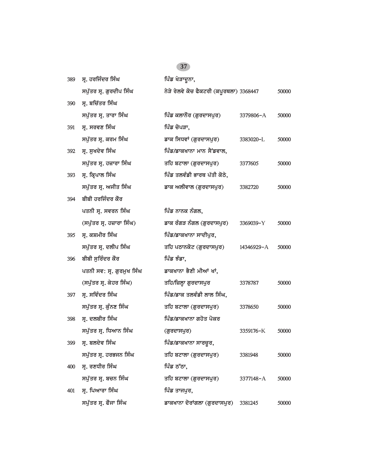| 389 | ਸ੍ਰ. ਹਰਜਿੰਦਰ ਸਿੰਘ         | ਪਿੰਡ ਖੇੜਾਦੂਨਾ,                          |            |       |
|-----|---------------------------|-----------------------------------------|------------|-------|
|     | ਸਪੁੱਤਰ ਸ੍ਰ. ਗੁਰਦੀਪ ਸਿੰਘ   | ਨੇੜੇ ਰੇਲਵੇ ਕੋਚ ਫੈਕਟਰੀ (ਕਪੂਰਥਲਾ) 3368447 |            | 50000 |
| 390 | ਸ੍ਰ. ਬਚਿੱਤਰ ਸਿੰਘ          |                                         |            |       |
|     | ਸਪੁੱਤਰ ਸ੍ਰ. ਤਾਰਾ ਸਿੰਘ     | ਪਿੰਡ ਕਲਾਨੌਰ (ਗੁਰਦਾਸਪੁਰ)                 | 3379806-A  | 50000 |
| 391 | ਸ੍ਰ. ਸਰਵਣ ਸਿੰਘ            | ਪਿੰਡ ਚੋਪੜਾ,                             |            |       |
|     | ਸਪੁੱਤਰ ਸ੍ਰ. ਕਰਮ ਸਿੰਘ      | ਡਾਕ ਸਿਧਵਾਂ (ਗੁਰਦਾਸਪੁਰ)                  | 3383020-L  | 50000 |
| 392 | ਸ੍ਰ. ਸੁਖਦੇਵ ਸਿੰਘ          | ਪਿੰਡ/ਡਾਕਖਾਨਾ ਮਾਨ ਸੈਂਡਵਾਲ,               |            |       |
|     | ਸਪੁੱਤਰ ਸ੍ਰ. ਹਜ਼ਾਰਾ ਸਿੰਘ   | ਤਹਿ ਬਟਾਲਾ (ਗੁਰਦਾਸਪੁਰ)                   | 3377605    | 50000 |
| 393 | ਸ੍ਰ. ਕ੍ਰਿਪਾਲ ਸਿੰਘ         | ਪਿੰਡ ਤਲਵੰਡੀ ਭਾਰਥ ਪੱਤੀ ਕੋਠੇ,             |            |       |
|     | ਸਪੁੱਤਰ ਸ੍ਰ. ਅਜੀਤ ਸਿੰਘ     | ਡਾਕ ਅਲੀਵਾਲ (ਗੁਰਦਾਸਪੁਰ)                  | 3382720    | 50000 |
| 394 | ਬੀਬੀ ਹਰਜਿੰਦਰ ਕੌਰ          |                                         |            |       |
|     | ਪਤਨੀ ਸ੍ਰ. ਸਵਰਨ ਸਿੰਘ       | ਪਿੰਡ ਨਾਨਕ ਨੰਗਲ,                         |            |       |
|     | (ਸਪੁੱਤਰ ਸ੍ਰ. ਹਜ਼ਾਰਾ ਸਿੰਘ) | ਡਾਕ ਰੰਗੜ ਨੰਗਲ (ਗੁਰਦਾਸਪੁਰ)               | 3369039-Y  | 50000 |
| 395 | ਸ੍ਰ. ਕਸ਼ਮੀਰ ਸਿੰਘ          | ਪਿੰਡ/ਡਾਕਖਾਨਾ ਸਾਦੀਪੁਰ,                   |            |       |
|     | ਸਪੁੱਤਰ ਸ੍ਰ. ਦਲੀਪ ਸਿੰਘ     | ਤਹਿ ਪਠਾਨਕੋਟ (ਗੁਰਦਾਸਪੁਰ)                 | 14346929-A | 50000 |
| 396 | ਬੀਬੀ ਸੁਰਿੰਦਰ ਕੌਰ          | ਪਿੰਡ ਝੰਡਾ,                              |            |       |
|     | ਪਤਨੀ ਸਵ: ਸ੍ਰ. ਗੁਰਮੁਖ ਸਿੰਘ | ਡਾਕਖਾਨਾ ਭੈਣੀ ਮੀਆਂ ਖਾਂ,                  |            |       |
|     | (ਸਪੁੱਤਰ ਸ੍ਰ. ਕੇਹਰ ਸਿੰਘ)   | ਤਹਿ/ਜ਼ਿਲ੍ਹਾ ਗੁਰਦਾਸਪੁਰ                   | 3378787    | 50000 |
| 397 | ਸ੍ਰ. ਸਵਿੰਦਰ ਸਿੰਘ          | ਪਿੰਡ/ਡਾਕ ਤਲਵੰਡੀ ਲਾਲ ਸਿੰਘ,               |            |       |
|     | ਸਪੁੱਤਰ ਸ੍ਰ. ਕੁੰਨਣ ਸਿੰਘ    | ਤਹਿ ਬਟਾਲਾ (ਗੁਰਦਾਸਪੁਰ)                   | 3378650    | 50000 |
| 398 | ਸ੍ਰ. ਦਲਬੀਰ ਸਿੰਘ           | ਪਿੰਡ/ਡਾਕਖਾਨਾ ਗਹੋਤ ਪੋਕਰ                  |            |       |
|     | ਸਪੁੱਤਰ ਸ੍ਰ. ਧਿਆਨ ਸਿੰਘ     | (ਗੁਰਦਾਸਪੁਰ)                             | 3359176-K  | 50000 |
|     | 399 ਸ੍ਰ. ਬਲਦੇਵ ਸਿੰਘ       | ਪਿੰਡ/ਡਾਕਖਾਨਾ ਸਾਰਚੂਰ,                    |            |       |
|     | ਸਪੁੱਤਰ ਸ੍ਰ. ਹਰਭਜਨ ਸਿੰਘ    | ਤਹਿ ਬਟਾਲਾ (ਗੁਰਦਾਸਪੁਰ)                   | 3381948    | 50000 |
| 400 | ਸ੍ਰ. ਰਣਧੀਰ ਸਿੰਘ           | ਪਿੰਡ ਠੱਠਾ,                              |            |       |
|     | ਸਪੁੱਤਰ ਸ੍ਰ. ਬਚਨ ਸਿੰਘ      | ਤਹਿ ਬਟਾਲਾ (ਗੁਰਦਾਸਪੁਰ)                   | 3377148-A  | 50000 |
| 401 | ਸ੍ਰ. ਪਿਆਰਾ ਸਿੰਘ           | ਪਿੰਡ ਤਾਜਪਰ,                             |            |       |
|     | ਸਪੁੱਤਰ ਸ੍ਰ. ਫੌਜਾ ਸਿੰਘ     | ਡਾਕਖਾਨਾ ਦੋਰਾਂਗਲਾ (ਗੁਰਦਾਸਪੁਰ)            | 3381245    | 50000 |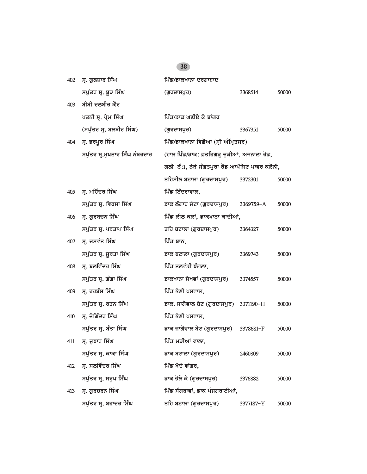| 402 | ਸ੍ਰ. ਗੁਲਜ਼ਾਰ ਸਿੰਘ              | ਪਿੰਡ/ਡਾਕਖਾਨਾ ਦਰਗਾਬਾਦ                            |           |       |
|-----|--------------------------------|-------------------------------------------------|-----------|-------|
|     | ਸਪੁੱਤਰ ਸ੍ਰ. ਬੁੜ ਸਿੰਘ           | (ਗੁਰਦਾਸਪੁਰ)                                     | 3368514   | 50000 |
| 403 | ਬੀਬੀ ਦਲਬੀਰ ਕੌਰ                 |                                                 |           |       |
|     | ਪਤਨੀ ਸ੍ਰ. ਪ੍ਰੇਮ ਸਿੰਘ           | ਪਿੰਡ/ਡਾਕ ਘਣੀਏ ਕੇ ਬਾਂਗਰ                          |           |       |
|     | (ਸਪੁੱਤਰ ਸ੍ਰ. ਬਲਬੀਰ ਸਿੰਘ)       | (ਗੁਰਦਾਸਪੁਰ)                                     | 3367351   | 50000 |
| 404 | ਸ੍ਰ. ਭਰਪੂਰ ਸਿੰਘ                | ਪਿੰਡ/ਡਾਕਖਾਨਾ ਵਿਛੋਆ (ਸ੍ਰੀ ਅੰਮ੍ਰਿਤਸਰ)             |           |       |
|     | ਸਪੁੱਤਰ ਸ੍ਰ.ਮੁਖਤਾਰ ਸਿੰਘ ਨੰਬਰਦਾਰ | (ਹਾਲ ਪਿੰਡ/ਡਾਕ: ਫ਼ਤਹਿਗੜ੍ਹ ਚੁੜੀਆਂ, ਅਜਨਾਲਾ ਰੋਡ,    |           |       |
|     |                                | ਗਲੀ  ਨੰ:1, ਨੇੜੇ ਸੰਗਤਪੁਰਾ ਰੋਡ ਆਪੌਜਿਟ ਪਾਵਰ ਕਲੋਨੀ, |           |       |
|     |                                | ਤਹਿਸੀਲ ਬਟਾਲਾ (ਗੁਰਦਾਸਪੁਰ)                        | 3372301   | 50000 |
| 405 | ਸ੍ਰ. ਮਹਿੰਦਰ ਸਿੰਘ               | ਪਿੰਡ ਇੰਦਰਾਵਾਲ,                                  |           |       |
|     | ਸਪੁੱਤਰ ਸ੍ਰ. ਵਿਰਸਾ ਸਿੰਘ         | ਡਾਕ ਲੰਗਾਹ ਜੱਟਾ (ਗੁਰਦਾਸਪੁਰ)                      | 3369759-A | 50000 |
| 406 | ਸ੍ਰ. ਗੁਰਬਚਨ ਸਿੰਘ               | ਪਿੰਡ ਲੀਲ ਕਲਾਂ, ਡਾਕਖਾਨਾ ਕਾਦੀਆਂ,                  |           |       |
|     | ਸਪੁੱਤਰ ਸ੍ਰ. ਪਰਤਾਪ ਸਿੰਘ         | ਤਹਿ ਬਟਾਲਾ (ਗੁਰਦਾਸਪੁਰ)                           | 3364327   | 50000 |
| 407 | ਸ੍ਰ. ਜਸਵੰਤ ਸਿੰਘ                | ਪਿੰਡ ਬਾਠ,                                       |           |       |
|     | ਸਪੁੱਤਰ ਸ੍ਰ. ਸੂਰਤਾ ਸਿੰਘ         | ਡਾਕ ਬਟਾਲਾ (ਗੁਰਦਾਸਪੁਰ)                           | 3369743   | 50000 |
| 408 | ਸ੍ਰ. ਬਲਵਿੰਦਰ ਸਿੰਘ              | ਪਿੰਡ ਤਲਵੰਡੀ ਝੰਗਲਾ,                              |           |       |
|     | ਸਪੁੱਤਰ ਸ੍ਰ. ਗੰਗਾ ਸਿੰਘ          | ਡਾਕਖਾਨਾ ਸੇਖਵਾਂ (ਗੁਰਦਾਸਪੁਰ)                      | 3374557   | 50000 |
| 409 | ਸ੍ਰ. ਹਰਬੰਸ ਸਿੰਘ                | ਪਿੰਡ ਭੈਣੀ ਪਸਵਾਲ,                                |           |       |
|     | ਸਪੁੱਤਰ ਸ੍ਰ. ਰਤਨ ਸਿੰਘ           | ਡਾਕ. ਜਾਗੋਵਾਲ ਬੇਟ (ਗੁਰਦਾਸਪੁਰ)                    | 3371190-H | 50000 |
| 410 | ਸ੍ਰ. ਜੋਗਿੰਦਰ ਸਿੰਘ              | ਪਿੰਡ ਭੈਣੀ ਪਸਵਾਲ,                                |           |       |
|     | ਸਪੁੱਤਰ ਸ੍ਰ. ਬੰਤਾ ਸਿੰਘ          | ਡਾਕ ਜਾਗੋਵਾਲ ਬੇਟ (ਗੁਰਦਾਸਪੁਰ)                     | 3378681-F | 50000 |
| 411 | ਸ੍ਰ. ਜੁਝਾਰ ਸਿੰਘ                | ਪਿੰਡ ਮੜੀਆਂ ਵਾਲਾ.                                |           |       |
|     | ਸਪੁੱਤਰ ਸ੍ਰ. ਕਾਕਾ ਸਿੰਘ          | ਡਾਕ ਬਟਾਲਾ (ਗੁਰਦਾਸਪੁਰ)                           | 2460809   | 50000 |
| 412 | ਸ੍ਰ. ਸਲਵਿੰਦਰ ਸਿੰਘ              | ਪਿੰਡ ਖੋਦੇ ਵਾਂਗਰ,                                |           |       |
|     | ਸਪੁੱਤਰ ਸ੍ਰ. ਸਰੂਪ ਸਿੰਘ          | ਡਾਕ ਭੋਲੇ ਕੇ (ਗੁਰਦਾਸਪੁਰ)                         | 3376882   | 50000 |
| 413 | ਸ੍ਰ. ਗੁਰਚਰਨ ਸਿੰਘ               | ਪਿੰਡ ਸੰਗਰਾਵਾਂ, ਡਾਕ ਪੰਜਗਰਾਈਆਂ,                   |           |       |
|     | ਸਪੁੱਤਰ ਸ੍ਰ. ਬਹਾਦਰ ਸਿੰਘ         | ਤਹਿ ਬਟਾਲਾ (ਗੁਰਦਾਸਪੁਰ)                           | 3377187-Y | 50000 |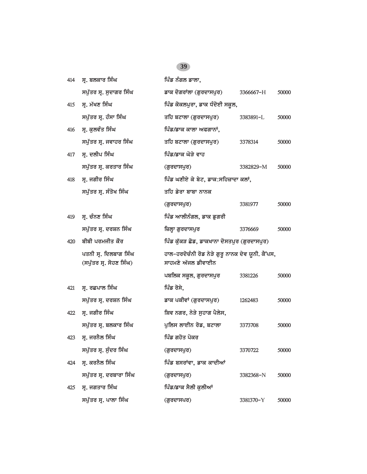| 414 | ਸ੍ਰ. ਬਲਕਾਰ ਸਿੰਘ                                  | ਪਿੰਡ ਨੰਗਲ ਡਾਲਾ,                                                        |           |       |
|-----|--------------------------------------------------|------------------------------------------------------------------------|-----------|-------|
|     | ਸਪੁੱਤਰ ਸ੍ਰ. ਸੁਦਾਗਰ ਸਿੰਘ                          | ਡਾਕ ਦੋਗਰਾਂਲਾ (ਗੁਰਦਾਸਪੁਰ)                                               | 3366667-H | 50000 |
| 415 | ਸ੍ਰ. ਮੱਖਣ ਸਿੰਘ                                   | ਪਿੰਡ ਕੋਕਲਪੁਰਾ, ਡਾਕ ਧੰਦੋਈ ਸਕੂਲ,                                         |           |       |
|     | ਸਪੁੱਤਰ ਸ੍ਰ. ਹੰਸਾ ਸਿੰਘ                            | ਤਹਿ ਬਟਾਲਾ (ਗੁਰਦਾਸਪੁਰ)                                                  | 3383891-L | 50000 |
| 416 | ਸ੍ਰ. ਕੁਲਵੰਤ ਸਿੰਘ                                 | ਪਿੰਡ/ਡਾਕ ਕਾਲਾ ਅਫਗਾਨਾਂ,                                                 |           |       |
|     | ਸਪੁੱਤਰ ਸ੍ਰ. ਜਵਾਹਰ ਸਿੰਘ                           | ਤਹਿ ਬਟਾਲਾ (ਗੁਰਦਾਸਪੁਰ)                                                  | 3378314   | 50000 |
| 417 | ਸ੍ਰ. ਦਲੀਪ ਸਿੰਘ                                   | ਪਿੰਡ/ਡਾਕ ਘੋੜੇ ਵਾਹ                                                      |           |       |
|     | ਸਪੁੱਤਰ ਸ੍ਰ. ਕਰਤਾਰ ਸਿੰਘ                           | (ਗੁਰਦਾਸਪੁਰ)                                                            | 3382829-M | 50000 |
| 418 | ਸ੍ਰ. ਜਗੀਰ ਸਿੰਘ                                   | ਪਿੰਡ ਘਣੀਏ ਕੇ ਬੇਟ, ਡਾਕ:ਸਹਿਜ਼ਾਦਾ ਕਲਾਂ,                                   |           |       |
|     | ਸਪੁੱਤਰ ਸ੍ਰ. ਸੰਤੋਖ ਸਿੰਘ                           | ਤਹਿ ਡੇਰਾ ਬਾਬਾ ਨਾਨਕ                                                     |           |       |
|     |                                                  | (ਗੁਰਦਾਸਪੁਰ)                                                            | 3381977   | 50000 |
| 419 | ਸ੍ਰ. ਚੰਨਣ ਸਿੰਘ                                   | ਪਿੰਡ ਆਲੀਨੰਗਲ, ਡਾਕ ਡੁਗਰੀ                                                |           |       |
|     | ਸਪੁੱਤਰ ਸ੍ਰ. ਦਰਸ਼ਨ ਸਿੰਘ                           | ਜ਼ਿਲ੍ਹਾ ਗੁਰਦਾਸਪੁਰ                                                      | 3376669   | 50000 |
| 420 | ਬੀਬੀ ਪਰਮਜੀਤ ਕੌਰ                                  | ਪਿੰਡ ਕੁੱਕੜ ਛੋਡ, ਡਾਕਖਾਨਾ ਦੋਸਤਪੁਰ (ਗੁਰਦਾਸਪੁਰ)                            |           |       |
|     | ਪਤਨੀ ਸ੍ਰ. ਦਿਲਬਾਗ ਸਿੰਘ<br>(ਸਪੁੱਤਰ ਸ੍ਰ. ਸੋਹਣ ਸਿੰਘ) | ਹਾਲ-ਹਰਦੋਚੰਨੀ ਰੋਡ ਨੇੜੇ ਗੁਰੂ ਨਾਨਕ ਦੇਵ ਯੂਨੀ. ਕੈਂਪਸ,<br>ਸਾਹਮਣੇ ਅੱਜਲ ਡੀਵਾਈਨ |           |       |
|     |                                                  | ਪਬਲਿਕ ਸਕੂਲ, ਗੁਰਦਾਸਪੁਰ                                                  | 3381226   | 50000 |
| 421 | ਸ੍ਰ. ਰਛਪਾਲ ਸਿੰਘ                                  | ਪਿੰਡ ਰੋਸੇ,                                                             |           |       |
|     | ਸਪੁੱਤਰ ਸ੍ਰ. ਦਰਸ਼ਨ ਸਿੰਘ                           | ਡਾਕ ਪਕੀਵਾਂ (ਗੁਰਦਾਸਪੁਰ)                                                 | 1262483   | 50000 |
| 422 | ਸ੍ਰ. ਜਗੀਰ ਸਿੰਘ                                   | ਸ਼ਿਵ ਨਗਰ, ਨੇੜੇ ਸੁਹਾਗ ਪੈਲੇਸ,                                            |           |       |
|     | ਸਪੁੱਤਰ ਸ੍ਰ. ਬਲਕਾਰ ਸਿੰਘ                           | ਪੁਲਿਸ ਲਾਈਨ ਰੋਡ, ਬਟਾਲਾ                                                  | 3373708   | 50000 |
| 423 | ਸ੍ਰ. ਜਰਨੈਲ ਸਿੰਘ                                  | ਪਿੰਡ ਗਹੋਤ ਪੋਕਰ                                                         |           |       |
|     | ਸਪੁੱਤਰ ਸ੍ਰ. ਸੁੰਦਰ ਸਿੰਘ                           | (ਗੁਰਦਾਸਪੁਰ)                                                            | 3370722   | 50000 |
| 424 | ਸ੍ਰ. ਕਰਨੈਲ ਸਿੰਘ                                  | ਪਿੰਡ ਬਸਰਾਂਵਾ, ਡਾਕ ਕਾਦੀਆਂ                                               |           |       |
|     | ਸਪੁੱਤਰ ਸ੍ਰ. ਦਰਬਾਰਾ ਸਿੰਘ                          | (ਗੁਰਦਾਸਪੁਰ)                                                            | 3382368-N | 50000 |
| 425 | ਸ੍ਰ. ਜਗਤਾਰ ਸਿੰਘ                                  | ਪਿੰਡ/ਡਾਕ ਸੈਲੀ ਕਲੀਆਂ                                                    |           |       |
|     | ਸਪੁੱਤਰ ਸ੍ਰ. ਪਾਲਾ ਸਿੰਘ                            | (ਗਰਦਾਸਪਰ)                                                              | 3381370-Y | 50000 |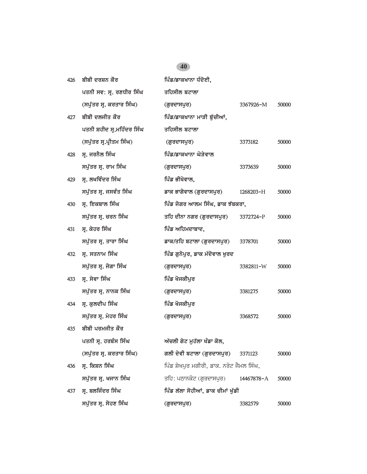| 426 | ਬੀਬੀ ਦਰਸ਼ਨ ਕੌਰ             | ਪਿੰਡ/ਡਾਕਖਾਨਾ ਧੰਦੋਈ,                      |            |       |
|-----|----------------------------|------------------------------------------|------------|-------|
|     | ਪਤਨੀ ਸਵ: ਸ੍ਰ. ਰਣਧੀਰ ਸਿੰਘ   | ਤਹਿਸੀਲ ਬਟਾਲਾ                             |            |       |
|     | (ਸਪੁੱਤਰ ਸ੍ਰ. ਕਰਤਾਰ ਸਿੰਘ)   | (ਗੁਰਦਾਸਪੁਰ)                              | 3367926-M  | 50000 |
| 427 | ਬੀਬੀ ਦਲਜੀਤ ਕੌਰ             | ਪਿੰਡ/ਡਾਕਖਾਨਾ ਮਾੜੀ ਬੁੱਚੀਆਂ,               |            |       |
|     | ਪਤਨੀ ਸ਼ਹੀਦ ਸ੍ਰ.ਮਹਿੰਦਰ ਸਿੰਘ | ਤਹਿਸੀਲ ਬਟਾਲਾ                             |            |       |
|     | (ਸਪੁੱਤਰ ਸ੍ਰ.ਪ੍ਰੀਤਮ ਸਿੰਘ)   | (ਗੁਰਦਾਸਪੁਰ)                              | 3373182    | 50000 |
| 428 | ਸ੍ਰ. ਜਰਨੈਲ ਸਿੰਘ            | ਪਿੰਡ/ਡਾਕਖਾਨਾ ਘੋੜੇਵਾਲ                     |            |       |
|     | ਸਪੁੱਤਰ ਸ੍ਰ. ਰਾਮ ਸਿੰਘ       | (ਗੁਰਦਾਸਪੁਰ)                              | 3373639    | 50000 |
| 429 | ਸ੍ਰ. ਲਖਵਿੰਦਰ ਸਿੰਘ          | ਪਿੰਡ ਭੀਖੋਵਾਲ,                            |            |       |
|     | ਸਪੁੱਤਰ ਸ੍ਰ. ਜਸਵੰਤ ਸਿੰਘ     | ਡਾਕ ਭਾਗੋਵਾਲ (ਗੁਰਦਾਸਪੁਰ)                  | 1268203-H  | 50000 |
| 430 | ਸ੍ਰ. ਇਕਬਾਲ ਸਿੰਘ            | ਪਿੰਡ ਜੋਗਰ ਆਲਮ ਸਿੰਘ, ਡਾਕ ਝੱਬਕਰਾ,          |            |       |
|     | ਸਪੁੱਤਰ ਸ੍ਰ. ਚਰਨ ਸਿੰਘ       | ਤਹਿ ਦੀਨਾ ਨਗਰ (ਗੁਰਦਾਸਪੁਰ)                 | 3372724-P  | 50000 |
| 431 | ਸ੍ਰ. ਕੇਹਰ ਸਿੰਘ             | ਪਿੰਡ ਅਹਿਮਦਾਬਾਦ,                          |            |       |
|     | ਸਪੁੱਤਰ ਸ੍ਰ. ਤਾਰਾ ਸਿੰਘ      | ਡਾਕ/ਤਹਿ ਬਟਾਲਾ (ਗੁਰਦਾਸਪੁਰ)                | 3378701    | 50000 |
| 432 | ਸ੍ਰ. ਸਤਨਾਮ ਸਿੰਘ            | ਪਿੰਡ ਗੁਨੋਪੁਰ, ਡਾਕ ਮੱਦੋਵਾਲ ਖੁਰਦ           |            |       |
|     | ਸਪੁੱਤਰ ਸ੍ਰ. ਜੋਗਾ ਸਿੰਘ      | (ਗੁਰਦਾਸਪੁਰ)                              | 3382811-W  | 50000 |
| 433 | ਸ੍ਰ. ਸੇਵਾ ਸਿੰਘ             | ਪਿੰਡ ਖੋਜਕੀਪੁਰ                            |            |       |
|     | ਸਪੁੱਤਰ ਸ੍ਰ. ਨਾਨਕ ਸਿੰਘ      | (ਗੁਰਦਾਸਪੁਰ)                              | 3381275    | 50000 |
| 434 | ਸ੍ਰ. ਕੁਲਦੀਪ ਸਿੰਘ           | ਪਿੰਡ ਖੋਜਕੀਪੁਰ                            |            |       |
|     | ਸਪੁੱਤਰ ਸ੍ਰ. ਮੇਹਰ ਸਿੰਘ      | (ਗੁਰਦਾਸਪੁਰ)                              | 3368572    | 50000 |
| 435 | ਬੀਬੀ ਪਰਮਜੀਤ ਕੌਰ            |                                          |            |       |
|     | ਪਤਨੀ ਸ੍ਰ. ਹਰਬੰਸ ਸਿੰਘ       | ਅੱਚਲੀ ਗੇਟ ਮੁਹੱਲਾ ਖੰਡਾ ਕੋਲ,               |            |       |
|     | (ਸਪੁੱਤਰ ਸ੍ਰ. ਕਰਤਾਰ ਸਿੰਘ)   | ਗਲੀ ਦੇਵੀ ਬਟਾਲਾ (ਗੁਰਦਾਸਪੁਰ)               | 3371123    | 50000 |
| 436 | ਸ੍ਰ. ਕਿਸ਼ਨ ਸਿੰਘ            | ਪਿੰਡ ਸ਼ੇਖਪੁਰ ਮਗੀਰੀ, ਡਾਕ. ਨਰੋਟ ਜੈਮਲ ਸਿੰਘ, |            |       |
|     | ਸਪੁੱਤਰ ਸ੍ਰ. ਖਜਾਨ ਸਿੰਘ      | ਤਹਿ: ਪਠਾਨਕੋਟ (ਗੁਰਦਾਸਪੁਰ)                 | 14467878-A | 50000 |
| 437 | ਸ੍ਰ. ਬਲਜਿੰਦਰ ਸਿੰਘ          | ਪਿੰਡ ਲੱਲਾ ਸੋਹੀਆਂ, ਡਾਕ ਚੀਮਾਂ ਖੱਡੀ         |            |       |
|     | ਸਪੁੱਤਰ ਸ੍ਰ. ਸੋਹਣ ਸਿੰਘ      | (ਗੁਰਦਾਸਪੁਰ)                              | 3382579    | 50000 |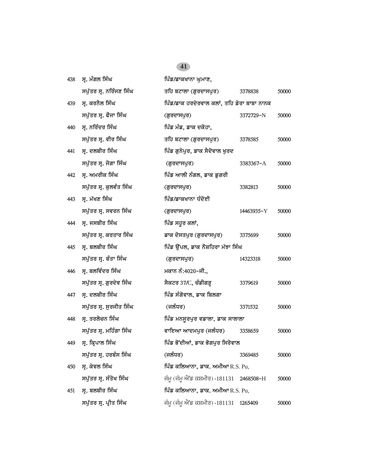| 438 | ਸ੍ਰ. ਮੰਗਲ ਸਿੰਘ          | ਪਿੰਡ/ਡਾਕਖਾਨਾ ਘੁਮਾਣ,                        |            |       |
|-----|-------------------------|--------------------------------------------|------------|-------|
|     | ਸਪੁੱਤਰ ਸ੍ਰ. ਨਰਿੰਜਣ ਸਿੰਘ | ਤਹਿ ਬਟਾਲਾ (ਗੁਰਦਾਸਪੁਰ)                      | 3378838    | 50000 |
| 439 | ਸ੍ਰ. ਕਰਨੈਲ ਸਿੰਘ         | ਪਿੰਡ/ਡਾਕ ਹਰਦੇਰਵਾਲ ਕਲਾਂ, ਤਹਿ ਡੇਰਾ ਬਾਬਾ ਨਾਨਕ |            |       |
|     | ਸਪੁੱਤਰ ਸ੍ਰ. ਫੌਜਾ ਸਿੰਘ   | (ਗੁਰਦਾਸਪੁਰ)                                | 3372729-N  | 50000 |
| 440 | ਸ੍ਰ. ਨਰਿੰਦਰ ਸਿੰਘ        | ਪਿੰਡ ਮੰਡ, ਡਾਕ ਦਕੋਹਾ,                       |            |       |
|     | ਸਪੁੱਤਰ ਸ੍ਰ. ਵੀਰ ਸਿੰਘ    | ਤਹਿ ਬਟਾਲਾ (ਗੁਰਦਾਸਪੁਰ)                      | 3378585    | 50000 |
| 441 | ਸ੍ਰ. ਦਲਬੀਰ ਸਿੰਘ         | ਪਿੰਡ ਗੁਨੋਪੁਰ, ਡਾਕ ਸੈਦੋਵਾਲ ਖੁਰਦ             |            |       |
|     | ਸਪੁੱਤਰ ਸ੍ਰ. ਜੋਗਾ ਸਿੰਘ   | (ਗੁਰਦਾਸਪੁਰ)                                | 3383367-A  | 50000 |
| 442 | ਸ੍ਰ. ਅਮਰੀਕ ਸਿੰਘ         | ਪਿੰਡ ਆਲੀ ਨੰਗਲ, ਡਾਕ ਡੁਗਰੀ                   |            |       |
|     | ਸਪੁੱਤਰ ਸ੍ਰ. ਕੁਲਵੰਤ ਸਿੰਘ | (ਗੁਰਦਾਸਪੁਰ)                                | 3382813    | 50000 |
| 443 | ਸ੍ਰ. ਮੱਖਣ ਸਿੰਘ          | ਪਿੰਡ/ਡਾਕਖਾਨਾ ਧੰਦੋਈ                         |            |       |
|     | ਸਪੁੱਤਰ ਸ੍ਰ. ਸਵਰਨ ਸਿੰਘ   | (ਗੁਰਦਾਸਪੁਰ)                                | 14463935-Y | 50000 |
| 444 | ਸ੍ਰ. ਜਸਬੀਰ ਸਿੰਘ         | ਪਿੰਡ ਸਹੁਰ ਕਲਾਂ,                            |            |       |
|     | ਸਪੁੱਤਰ ਸ੍ਰ. ਕਰਤਾਰ ਸਿੰਘ  | ਡਾਕ ਦੋਸਤਪੁਰ (ਗੁਰਦਾਸਪੁਰ)                    | 3375699    | 50000 |
| 445 | ਸ੍ਰ. ਬਲਬੀਰ ਸਿੰਘ         | ਪਿੰਡ ਉੱਪਲ, ਡਾਕ ਨੌਸ਼ਹਿਰਾ ਮੱਝਾ ਸਿੰਘ          |            |       |
|     | ਸਪੁੱਤਰ ਸ੍ਰ. ਬੰਤਾ ਸਿੰਘ   | (ਗੁਰਦਾਸਪੁਰ)                                | 14323318   | 50000 |
| 446 | ਸ੍ਰ. ਬਲਵਿੰਦਰ ਸਿੰਘ       | ਮਕਾਨ ਨੰ:4020-ਜੀ.,                          |            |       |
|     | ਸਪੁੱਤਰ ਸ੍ਰ. ਗੁਰਦੇਵ ਸਿੰਘ | ਸੈਕਟਰ 37/C, ਚੰਡੀਗੜ੍ਹ                       | 3379619    | 50000 |
| 447 | ਸ੍ਰ. ਦਲਬੀਰ ਸਿੰਘ         | ਪਿੰਡ ਸੰਗੋਵਾਲ, ਡਾਕ ਬਿਲਗਾ                    |            |       |
|     | ਸਪੁੱਤਰ ਸ੍ਰ. ਸੁਰਜੀਤ ਸਿੰਘ | (ਜਲੰਧਰ)                                    | 3371532    | 50000 |
| 448 | ਸ੍ਰ. ਤਰਲੋਚਨ ਸਿੰਘ        | ਪਿੰਡ ਮਨਸੂਰਪੁਰ ਵਡਾਲਾ, ਡਾਕ ਸਾਲਾਲਾ            |            |       |
|     | ਸਪੁੱਤਰ ਸ੍ਰ. ਮਹਿੰਗਾ ਸਿੰਘ | ਵਾਇਆ ਆਦਮਪੁਰ (ਜਲੰਧਰ)                        | 3358659    | 50000 |
| 449 | ਸ੍ਰ. ਕ੍ਰਿਪਾਲ ਸਿੰਘ       | ਪਿੰਡ ਭੋਂਦੀਆਂ, ਡਾਕ ਭੋਗਪੁਰ ਸਿਰੋਵਾਲ           |            |       |
|     | ਸਪੁੱਤਰ ਸ੍ਰ. ਹਰਬੰਸ ਸਿੰਘ  | (ਜਲੰਧਰ)                                    | 3369485    | 50000 |
| 450 | ਸ੍ਰ. ਕੇਵਲ ਸਿੰਘ          | ਪਿੰਡ ਕਲਿਆਨਾ, ਡਾਕ. ਅਮੀਆ R.S. Pu,            |            |       |
|     | ਸਪੁੱਤਰ ਸ੍ਰ. ਸੰਤੋਖ ਸਿੰਘ  | ਜੰਮੂ (ਜੰਮੂ ਐਂਡ ਕਸ਼ਮੀਰ) -181131 2468508-H   |            | 50000 |
| 451 | ਸ੍ਰ. ਬਲਬੀਰ ਸਿੰਘ         | ਪਿੰਡ ਕਲਿਆਨਾ, ਡਾਕ. ਅਮੀਆ R.S. Pu,            |            |       |
|     | ਸਪੁੱਤਰ ਸ੍ਰ. ਪ੍ਰੀਤ ਸਿੰਘ  | ਜੰਮੂ (ਜੰਮੂ ਐਂਡ ਕਸ਼ਮੀਰ) -181131             | 1265409    | 50000 |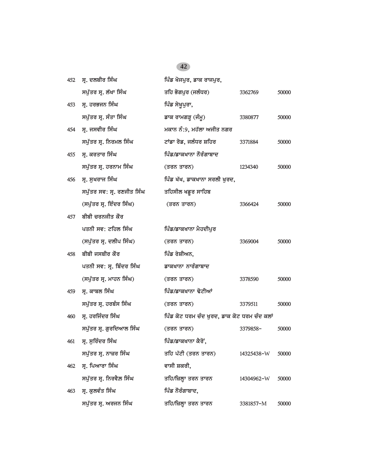| 452 | ਸ੍ਰ. ਦਲਬੀਰ ਸਿੰਘ            | ਪਿੰਡ ਖੋਜਪੁਰ, ਡਾਕ ਰਾਜਪੁਰ,                    |            |       |
|-----|----------------------------|---------------------------------------------|------------|-------|
|     | ਸਪੁੱਤਰ ਸ੍ਰ. ਲੱਖਾ ਸਿੰਘ      | ਤਹਿ ਭੋਗਪੁਰ (ਜਲੰਧਰ)                          | 3362769    | 50000 |
| 453 | ਸ੍ਰ. ਹਰਭਜਨ ਸਿੰਘ            | ਪਿੰਡ ਸੇਖੁਪੁਰਾ,                              |            |       |
|     | ਸਪੁੱਤਰ ਸ੍ਰ. ਸੰਤਾ ਸਿੰਘ      | ਡਾਕ ਰਾਮਗੜ੍ਹ (ਜੰਮੂ)                          | 3380877    | 50000 |
| 454 | ਸ੍ਰ. ਜਸਵੀਰ ਸਿੰਘ            | ਮਕਾਨ ਨੰ:9, ਮਹੱਲਾ ਅਜੀਤ ਨਗਰ                   |            |       |
|     | ਸਪੁੱਤਰ ਸ੍ਰ. ਨਿਰਮਲ ਸਿੰਘ     | ਟਾਂਡਾ ਰੋਡ, ਜਲੰਧਰ ਸ਼ਹਿਰ                      | 3371884    | 50000 |
| 455 | ਸ. ਕਰਤਾਰ ਸਿੰਘ              | ਪਿੰਡ/ਡਾਕਖਾਨਾ ਨੌਰੰਗਾਬਾਦ                      |            |       |
|     | ਸਪੁੱਤਰ ਸ੍ਰ. ਹਰਨਾਮ ਸਿੰਘ     | (ਤਰਨ ਤਾਰਨ)                                  | 1234340    | 50000 |
| 456 | ਸ੍ਰ. ਸੁਖਰਾਜ ਸਿੰਘ           | ਪਿੰਡ ਖੱਖ, ਡਾਕਖਾਨਾ ਸਰਲੀ ਖੁਰਦ,                |            |       |
|     | ਸਪੁੱਤਰ ਸਵ: ਸ੍ਰ. ਰਣਜੀਤ ਸਿੰਘ | ਤਹਿਸੀਲ ਖਡੁਰ ਸਾਹਿਬ                           |            |       |
|     | (ਸਪੁੱਤਰ ਸ੍ਰ. ਇੰਦਰ ਸਿੰਘ)    | (ਤਰਨ ਤਾਰਨ)                                  | 3366424    | 50000 |
| 457 | ਬੀਬੀ ਚਰਨਜੀਤ ਕੌਰ            |                                             |            |       |
|     | ਪਤਨੀ ਸਵ: ਟਹਿਲ ਸਿੰਘ         | ਪਿੰਡ/ਡਾਕਖਾਨਾ ਮੈਹਦੀਪੁਰ                       |            |       |
|     | (ਸਪੁੱਤਰ ਸ੍ਰ. ਦਲੀਪ ਸਿੰਘ)    | (ਤਰਨ ਤਾਰਨ)                                  | 3369004    | 50000 |
| 458 | ਬੀਬੀ ਜਸਬੀਰ ਕੌਰ             | ਪਿੰਡ ਰੇਸ਼ੀਅਨ,                               |            |       |
|     | ਪਤਨੀ ਸਵ: ਸ੍ਰ. ਬਿੰਦਰ ਸਿੰਘ   | ਡਾਕਖਾਨਾ ਨਾਰੰਗਾਬਾਦ                           |            |       |
|     | (ਸਪੁੱਤਰ ਸ੍ਰ. ਮਾਹਨ ਸਿੰਘ)    | (ਤਰਨ ਤਾਰਨ)                                  | 3378590    | 50000 |
| 459 | ਸ੍ਰ. ਕਾਬਲ ਸਿੰਘ             | ਪਿੰਡ/ਡਾਕਖਾਨਾ ਢੋਟੀਆਂ                         |            |       |
|     | ਸਪੁੱਤਰ ਸ੍ਰ. ਹਰਬੰਸ ਸਿੰਘ     | (ਤਰਨ ਤਾਰਨ)                                  | 3379511    | 50000 |
| 460 | ਸ੍ਰ. ਹਰਜਿੰਦਰ ਸਿੰਘ          | ਪਿੰਡ ਕੋਟ ਧਰਮ ਚੰਦ ਖੁਰਦ, ਡਾਕ ਕੋਟ ਧਰਮ ਚੰਦ ਕਲਾਂ |            |       |
|     | ਸਪੁੱਤਰ ਸ੍ਰ. ਗੁਰਦਿਆਲ ਸਿੰਘ   | (ਤਰਨ ਤਾਰਨ)                                  | 3379858-   | 50000 |
|     | 461 ਸ੍ਰ. ਸੁਰਿੰਦਰ ਸਿੰਘ      | ਪਿੰਡ/ਡਾਕਖਾਨਾ ਕੈਰੋਂ,                         |            |       |
|     | ਸਪੁੱਤਰ ਸ੍ਰ. ਨਾਜ਼ਰ ਸਿੰਘ     | ਤਹਿ ਪੱਟੀ (ਤਰਨ ਤਾਰਨ)                         | 14325438-W | 50000 |
| 462 | ਸ੍ਰ. ਪਿਆਰਾ ਸਿੰਘ            | ਵਾਸੀ ਸ਼ਕਰੀ,                                 |            |       |
|     | ਸਪੁੱਤਰ ਸ੍ਰ. ਨਿਰਵੈਲ ਸਿੰਘ    | ਤਹਿ/ਜ਼ਿਲ੍ਹਾ ਤਰਨ ਤਾਰਨ                        | 14304962-W | 50000 |
| 463 | ਸ੍ਰ. ਕੁਲਵੰਤ ਸਿੰਘ           | ਪਿੰਡ ਨੌਰੰਗਾਬਾਦ,                             |            |       |
|     | ਸਪੁੱਤਰ ਸ੍ਰ. ਅਰਜਨ ਸਿੰਘ      | ਤਹਿ/ਜ਼ਿਲ੍ਹਾ ਤਰਨ ਤਾਰਨ                        | 3381857-M  | 50000 |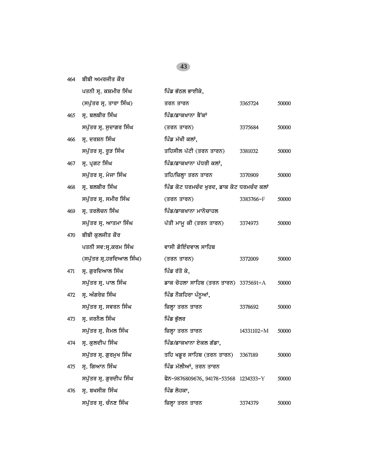*464 bIbI AmrjIq kOr*

|     | ਪਤਨੀ ਸ੍ਰ. ਕਸ਼ਮੀਰ ਸਿੰਘ    | ਪਿੰਡ ਭੱਠਲ ਭਾਈਕੇ,                          |            |       |
|-----|--------------------------|-------------------------------------------|------------|-------|
|     | (ਸਪੁੱਤਰ ਸ੍ਰ. ਤਾਰਾ ਸਿੰਘ)  | ਤਰਨ ਤਾਰਨ                                  | 3365724    | 50000 |
| 465 | ਸ੍ਰ. ਬਲਬੀਰ ਸਿੰਘ          | ਪਿੰਡ/ਡਾਕਖਾਨਾ ਬੈਂਕਾਂ                       |            |       |
|     | ਸਪੁੱਤਰ ਸ੍ਰ. ਸੁਦਾਗਰ ਸਿੰਘ  | (ਤਰਨ ਤਾਰਨ)                                | 3375684    | 50000 |
| 466 | ਸ੍ਰ. ਦਰਸ਼ਨ ਸਿੰਘ          | ਪਿੰਡ ਮੱਖੀ ਕਲਾਂ,                           |            |       |
|     | ਸਪੁੱਤਰ ਸ੍ਰ. ਰੁੜ ਸਿੰਘ     | ਤਹਿਸੀਲ ਪੱਟੀ (ਤਰਨ ਤਾਰਨ)                    | 3381032    | 50000 |
| 467 | ਸ੍ਰ. ਪ੍ਰਗਟ ਸਿੰਘ          | ਪਿੰਡ/ਡਾਕਖਾਨਾ ਪੱਧਰੀ ਕਲਾਂ,                  |            |       |
|     | ਸਪੁੱਤਰ ਸ੍ਰ. ਮੇਜਾ ਸਿੰਘ    | ਤਹਿ/ਜ਼ਿਲ੍ਹਾ ਤਰਨ ਤਾਰਨ                      | 3370909    | 50000 |
| 468 | ਸ੍ਰ. ਬਲਬੀਰ ਸਿੰਘ          | ਪਿੰਡ ਕੋਟ ਧਰਮਚੰਦ ਖੁਰਦ, ਡਾਕ ਕੋਟ ਧਰਮਚੰਦ ਕਲਾਂ |            |       |
|     | ਸਪੁੱਤਰ ਸ੍ਰ. ਸਮੀਰ ਸਿੰਘ    | (ਤਰਨ ਤਾਰਨ)                                | 3383766-F  | 50000 |
| 469 | ਸ੍ਰ. ਤਰਲੋਚਨ ਸਿੰਘ         | ਪਿੰਡ/ਡਾਕਖਾਨਾ ਮਾਨੋਚਾਹਲ                     |            |       |
|     | ਸਪੁੱਤਰ ਸ੍ਰ. ਆਤਮਾ ਸਿੰਘ    | ਪੱਤੀ ਮਾਮੂ ਕੀ (ਤਰਨ ਤਾਰਨ)                   | 3374973    | 50000 |
| 470 | ਬੀਬੀ ਕਲਜੀਤ ਕੌਰ           |                                           |            |       |
|     | ਪਤਨੀ ਸਵ:ਸ੍ਰ.ਕਰਮ ਸਿੰਘ     | ਵਾਸੀ ਗੋਇੰਦਵਾਲ ਸਾਹਿਬ                       |            |       |
|     | (ਸਪੁੱਤਰ ਸ੍ਰ.ਹਰਦਿਆਲ ਸਿੰਘ) | (ਤਰਨ ਤਾਰਨ)                                | 3372009    | 50000 |
| 471 | ਸ੍ਰ. ਗੁਰਦਿਆਲ ਸਿੰਘ        | ਪਿੰਡ ਰੱਤੋ ਕੇ,                             |            |       |
|     | ਸਪੁੱਤਰ ਸ੍ਰ. ਪਾਲ ਸਿੰਘ     | ਡਾਕ ਚੋਹਲਾ ਸਾਹਿਬ (ਤਰਨ ਤਾਰਨ) 3375691-A      |            | 50000 |
| 472 | ਸ੍ਰ. ਅੰਗਰੇਜ਼ ਸਿੰਘ        | ਪਿੰਡ ਨੌਸ਼ਹਿਰਾ ਪੰਨੁਆਂ,                     |            |       |
|     | ਸਪੁੱਤਰ ਸ੍ਰ. ਸਵਰਨ ਸਿੰਘ    | ਜ਼ਿਲ੍ਹਾ ਤਰਨ ਤਾਰਨ                          | 3378692    | 50000 |
| 473 | ਸ੍ਰ. ਜਰਨੈਲ ਸਿੰਘ          | ਪਿੰਡ ਭੁੱਲਰ                                |            |       |
|     | ਸਪੁੱਤਰ ਸ੍ਰ. ਜੈਮਲ ਸਿੰਘ    | ਜ਼ਿਲ੍ਹਾ ਤਰਨ ਤਾਰਨ                          | 14331102-M | 50000 |
| 474 | ਸ੍ਰ. ਕੁਲਦੀਪ ਸਿੰਘ         | ਪਿੰਡ/ਡਾਕਖਾਨਾ ਏਕਲ ਗੱਡਾ,                    |            |       |
|     | ਸਪੁੱਤਰ ਸ੍ਰ. ਗੁਰਮੁਖ ਸਿੰਘ  | ਤਹਿ ਖਡੁਰ ਸਾਹਿਬ (ਤਰਨ ਤਾਰਨ)                 | 3367189    | 50000 |
| 475 | ਸ੍ਰ. ਗਿਆਨ ਸਿੰਘ           | ਪਿੰਡ ਮੱਲੀਆਂ, ਤਰਨ ਤਾਰਨ                     |            |       |
|     | ਸਪੁੱਤਰ ਸ੍ਰ. ਗੁਰਦੀਪ ਸਿੰਘ  | ਫੋਨ-9876809676, 94178-53568 1234333-Y     |            | 50000 |
| 476 | ਸ੍ਰ. ਬਖਸੀਸ਼ ਸਿੰਘ         | ਪਿੰਡ ਲੋਹਕਾ,                               |            |       |
|     | ਸਪੁੱਤਰ ਸ੍ਰ. ਚੰਨਣ ਸਿੰਘ    | ਜ਼ਿਲ੍ਹਾ ਤਰਨ ਤਾਰਨ                          | 3374379    | 50000 |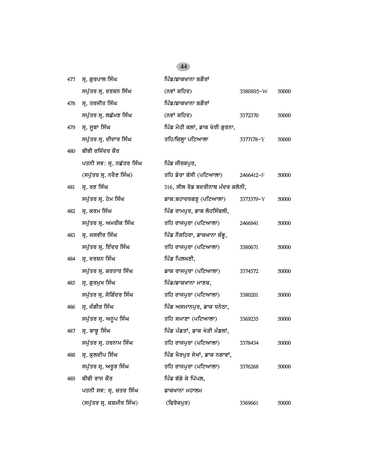| 477 | ਸ੍ਰ. ਗੁਰਪਾਲ ਸਿੰਘ          | ਪਿੰਡ/ਡਾਕਖਾਨਾ ਬਗੌਰਾਂ              |           |       |
|-----|---------------------------|----------------------------------|-----------|-------|
|     | ਸਪੁੱਤਰ ਸ੍ਰ. ਦਰਸ਼ਨ ਸਿੰਘ    | (ਨਵਾਂ ਸ਼ਹਿਰ)                     | 3380895-W | 50000 |
| 478 | ਸ੍ਰ. ਤਰਜੀਤ ਸਿੰਘ           | ਪਿੰਡ/ਡਾਕਖਾਨਾ ਬਗੌਰਾਂ              |           |       |
|     | ਸਪੁੱਤਰ ਸ੍ਰ. ਲਛੱਮਣ ਸਿੰਘ    | (ਨਵਾਂ ਸ਼ਹਿਰ)                     | 3372370   | 50000 |
| 479 | ਸ੍ਰ. ਸੂਬਾ ਸਿੰਘ            | ਪਿੰਡ ਮੋਹੀ ਕਲਾਂ, ਡਾਕ ਖੇਰੀ ਗੁਰਨਾ,  |           |       |
|     | ਸਪੁੱਤਰ ਸ੍ਰ. ਦੀਦਾਰ ਸਿੰਘ    | ਤਹਿ/ਜ਼ਿਲ੍ਹਾ ਪਟਿਆਲਾ               | 3377178-Y | 50000 |
| 480 | ਬੀਬੀ ਰਜਿੰਦਰ ਕੌਰ           |                                  |           |       |
|     | ਪਤਨੀ ਸਵ: ਸ੍ਰ. ਨਛੱਤਰ ਸਿੰਘ  | ਪਿੰਡ ਜੀਰਕਪੁਰ,                    |           |       |
|     | (ਸਪੁੱਤਰ ਸ੍ਰ. ਨਰੈਣ ਸਿੰਘ)   | ਤਹਿ ਡੇਰਾ ਬੱਸੀ (ਪਟਿਆਲਾ)           | 2466412-F | 50000 |
| 481 | ਸ੍ਰ. ਰਣ ਸਿੰਘ              | 316, ਸੀਲ ਰੋਡ ਬਦਰੀਨਾਥ ਮੰਦਰ ਕਲੋਨੀ, |           |       |
|     | ਸਪੁੱਤਰ ਸ੍ਰ. ਹੇਮ ਸਿੰਘ      | ਡਾਕ:ਬਹਾਦਰਗੜ੍ਹ (ਪਟਿਆਲਾ)           | 3373379-Y | 50000 |
| 482 | ਸ੍ਰ. ਕਰਮ ਸਿੰਘ             | ਪਿੰਡ ਰਾਮਪੁਰ, ਡਾਕ ਲੋਹਸਿੰਬਲੀ,      |           |       |
|     | ਸਪੁੱਤਰ ਸ੍ਰ. ਅਮਰੀਕ ਸਿੰਘ    | ਤਹਿ ਰਾਜਪੁਰਾ (ਪਟਿਆਲਾ)             | 2466841   | 50000 |
| 483 | ਸ੍ਰ. ਜਸਵੀਰ ਸਿੰਘ           | ਪਿੰਡ ਨੌਸ਼ਹਿਰਾ, ਡਾਕਖਾਨਾ ਸ਼ੰਭੂ,    |           |       |
|     | ਸਪੁੱਤਰ ਸ੍ਰ. ਇੰਦਰ ਸਿੰਘ     | ਤਹਿ ਰਾਜਪੁਰਾ (ਪਟਿਆਲਾ)             | 3380671   | 50000 |
| 484 | ਸ੍ਰ. ਦਰਸ਼ਨ ਸਿੰਘ           | ਪਿੰਡ ਪਿਲਖਣੀ,                     |           |       |
|     | ਸਪੁੱਤਰ ਸ੍ਰ. ਕਰਤਾਰ ਸਿੰਘ    | ਡਾਕ ਰਾਜਪੁਰਾ (ਪਟਿਆਲਾ)             | 3374572   | 50000 |
| 485 | ਸ੍ਰ. ਗੁਰਮੁਖ ਸਿੰਘ          | ਪਿੰਡ/ਡਾਕਖਾਨਾ ਮਾਣਕ,               |           |       |
|     | ਸਪੁੱਤਰ ਸ੍ਰ. ਜੋਗਿੰਦਰ ਸਿੰਘ  | ਤਹਿ ਰਾਜਪੁਰਾ (ਪਟਿਆਲਾ)             | 3380201   | 50000 |
| 486 | ਸ੍ਰ. ਜੰਗੀਰ ਸਿੰਘ           | ਪਿੰਡ ਅਸਮਾਨਪੁਰ, ਡਾਕ ਧਨੇਠਾ,        |           |       |
|     | ਸਪੁੱਤਰ ਸ੍ਰ. ਅਨੁਪ ਸਿੰਘ     | ਤਹਿ ਸਮਾਣਾ (ਪਟਿਆਲਾ)               | 3369235   | 50000 |
| 487 | ਸ੍ਰ. ਬਾਬੂ ਸਿੰਘ            | ਪਿੰਡ ਪੰਡਤਾਂ, ਡਾਕ ਖੇੜੀ ਮੰਡਲਾਂ,    |           |       |
|     | ਸਪੁੱਤਰ ਸ੍ਰ. ਹਰਨਾਮ ਸਿੰਘ    | ਤਹਿ ਰਾਜਪੁਰਾ (ਪਟਿਆਲਾ)             | 3378434   | 50000 |
| 488 | ਸ੍ਰ. ਕੁਲਦੀਪ ਸਿੰਘ          | ਪਿੰਡ ਖੈਰਪੁਰ ਸੇਖਾਂ, ਡਾਕ ਨਗਾਵਾਂ,   |           |       |
|     | ਸਪੁੱਤਰ ਸ੍ਰ. ਅਰੁੜ ਸਿੰਘ     | ਤਹਿ ਰਾਜਪੁਰਾ (ਪਟਿਆਲਾ)             | 3376268   | 50000 |
| 489 | ਬੀਬੀ ਰਾਜ ਕੌਰ              | ਪਿੰਡ ਬੱਗੇ ਕੇ ਪਿੱਪਲ,              |           |       |
|     | ਪਤਨੀ ਸਵ: ਸ੍ਰ. ਚਤਰ ਸਿੰਘ    | ਡਾਕਖਾਨਾ ਮਹਾਲਮ                    |           |       |
|     | (ਸਪੁੱਤਰ ਸ੍ਰ. ਕਸ਼ਮੀਰ ਸਿੰਘ) | (ਫਿਰੋਜ਼ਪੁਰ)                      | 3369661   | 50000 |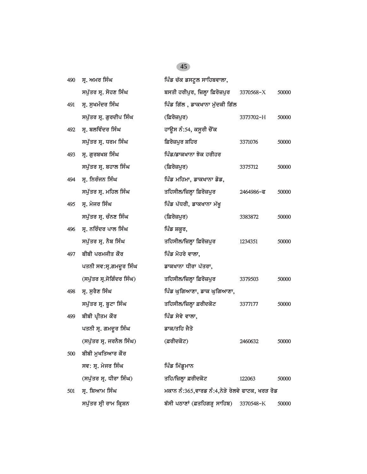| 490 | ਸ੍ਰ. ਅਮਰ ਸਿੰਘ             | ਪਿੰਡ ਚੱਕ ਡਸਟੁਲ ਸਾਹਿਬਵਾਲਾ,                      |                          |       |
|-----|---------------------------|------------------------------------------------|--------------------------|-------|
|     | ਸਪੁੱਤਰ ਸ੍ਰ. ਸੋਹਣ ਸਿੰਘ     | ਬਸਤੀ ਹਰੀਪੁਰ, ਜ਼ਿਲ੍ਹਾ ਫ਼ਿਰੋਜ਼ਪੁਰ                | 3370568-X                | 50000 |
| 491 | ਸ੍ਰ. ਸੁਖਮੰਦਰ ਸਿੰਘ         | ਪਿੰਡ ਗਿੱਲ , ਡਾਕਖਾਨਾ ਮੁੱਦਕੀ ਗਿੱਲ                |                          |       |
|     | ਸਪੁੱਤਰ ਸ੍ਰ. ਗੁਰਦੀਪ ਸਿੰਘ   | (ਫ਼ਿਰੋਜ਼ਪੁਰ)                                   | 3373702-H                | 50000 |
| 492 | ਸ੍ਰ. ਬਲਵਿੰਦਰ ਸਿੰਘ         | ਹਾਉਸ ਨੰ:54, ਕਸੂਰੀ ਚੌਂਕ                         |                          |       |
|     | ਸਪੁੱਤਰ ਸ੍ਰ. ਧਰਮ ਸਿੰਘ      | ਫ਼ਿਰੋਜ਼ਪੁਰ ਸ਼ਹਿਰ                               | 3371076                  | 50000 |
| 493 | ਸ੍ਰ. ਗੁਰਬਖਸ਼ ਸਿੰਘ         | ਪਿੰਡ/ਡਾਕਖਾਨਾ ਝੋਕ ਹਰੀਹਰ                         |                          |       |
|     | ਸਪੁੱਤਰ ਸ੍ਰ. ਬਹਾਲ ਸਿੰਘ     | (ਫ਼ਿਰੋਜ਼ਪੁਰ)                                   | 3375712                  | 50000 |
| 494 | ਸ੍ਰ. ਨਿਰੰਜਨ ਸਿੰਘ          | ਪਿੰਡ ਮਹਿਮਾ, ਡਾਕਖਾਨਾ ਡੋਡ,                       |                          |       |
|     | ਸਪੁੱਤਰ ਸ੍ਰ. ਮਹਿਲ ਸਿੰਘ     | ਤਹਿਸੀਲ/ਜ਼ਿਲ੍ਹਾ ਫ਼ਿਰੋਜ਼ਪੁਰ                      | $2464986 - \overline{6}$ | 50000 |
| 495 | ਸ੍ਰ. ਮੇਜਰ ਸਿੰਘ            | ਪਿੰਡ ਪੱਧਰੀ, ਡਾਕਖਾਨਾ ਮੱਖੂ                       |                          |       |
|     | ਸਪੁੱਤਰ ਸ੍ਰ. ਚੰਨਣ ਸਿੰਘ     | (ਫ਼ਿਰੋਜ਼ਪੁਰ)                                   | 3383872                  | 50000 |
| 496 | ਸ. ਨਰਿੰਦਰ ਪਾਲ ਸਿੰਘ        | ਪਿੰਡ ਸ਼ਕੂਰ,                                    |                          |       |
|     | ਸਪੁੱਤਰ ਸ੍ਰ. ਨੈਬ ਸਿੰਘ      | ਤਹਿਸੀਲ/ਜ਼ਿਲ੍ਹਾ ਫ਼ਿਰੋਜ਼ਪੁਰ                      | 1234351                  | 50000 |
| 497 | ਬੀਬੀ ਪਰਮਜੀਤ ਕੌਰ           | ਪਿੰਡ ਮੋਹਰੇ ਵਾਲਾ,                               |                          |       |
|     | ਪਤਨੀ ਸਵ:ਸ੍ਰ.ਗਮਦੁਰ ਸਿੰਘ    | ਡਾਕਖਾਨਾ ਧੀਰਾ ਪੱਤਰਾ,                            |                          |       |
|     | (ਸਪੁੱਤਰ ਸ੍ਰ.ਜੋਗਿੰਦਰ ਸਿੰਘ) | ਤਹਿਸੀਲ/ਜ਼ਿਲ੍ਹਾ ਫ਼ਿਰੋਜ਼ਪੁਰ                      | 3379503                  | 50000 |
| 498 | ਸ੍ਰ. ਸੁਰੈਣ ਸਿੰਘ           | ਪਿੰਡ ਘੁਗਿਆਣਾ, ਡਾਕ ਘੁਗਿਆਣਾ,                     |                          |       |
|     | ਸਪੁੱਤਰ ਸ੍ਰ. ਬੂਟਾ ਸਿੰਘ     | ਤਹਿਸੀਲ/ਜ਼ਿਲ੍ਹਾ ਫ਼ਰੀਦਕੋਟ                        | 3377177                  | 50000 |
| 499 | ਬੀਬੀ ਪ੍ਰੀਤਮ ਕੌਰ           | ਪਿੰਡ ਸੇਵੇ ਵਾਲਾ,                                |                          |       |
|     | ਪਤਨੀ ਸ੍ਰ. ਗਮਦੁਰ ਸਿੰਘ      | ਡਾਕ/ਤਹਿ ਜੈਤੋ                                   |                          |       |
|     | (ਸਪੁੱਤਰ ਸ੍ਰ. ਜਰਨੈਲ ਸਿੰਘ)  | (ਫ਼ਰੀਦਕੋਟ)                                     | 2460632                  | 50000 |
| 500 | ਬੀਬੀ ਮੁਖਤਿਆਰ ਕੌਰ          |                                                |                          |       |
|     | ਸਵ: ਸ੍ਰ. ਮੇਜਰ ਸਿੰਘ        | ਪਿੰਡ ਮਿੱਡੁਮਾਨ                                  |                          |       |
|     | (ਸਪੁੱਤਰ ਸ੍ਰ. ਧੀਰਾ ਸਿੰਘ)   | ਤਹਿ/ਜ਼ਿਲ੍ਹਾ ਫ਼ਰੀਦਕੋਟ                           | 122063                   | 50000 |
| 501 | ਸੁ. ਸ਼ਿਆਮ ਸਿੰਘ            | ਮਕਾਨ ਨੰ:365,ਵਾਰਡ ਨੰ:4,ਨੇੜੇ ਰੇਲਵੇ ਫਾਟਕ, ਖਰੜ ਰੋਡ |                          |       |
|     | ਸਪੁੱਤਰ ਸ੍ਰੀ ਰਾਮ ਕ੍ਰਿਸ਼ਨ   | ਬੱਸੀ ਪਠਾਣਾਂ (ਫ਼ਤਹਿਗੜ੍ਹ ਸਾਹਿਬ)                  | 3370548-K                | 50000 |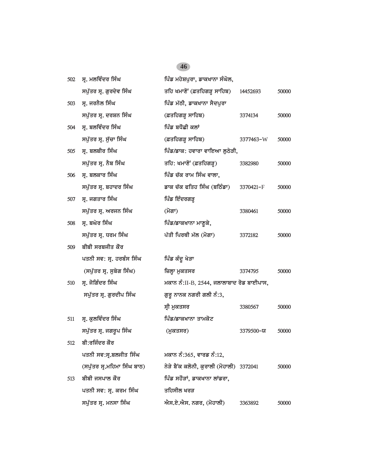| 502 | ਸ੍ਰ. ਮਲਵਿੰਦਰ ਸਿੰਘ           | ਪਿੰਡ ਮਹੇਸ਼ਪੁਰਾ, ਡਾਕਖਾਨਾ ਸੰਘੋਲ,           |           |       |
|-----|-----------------------------|------------------------------------------|-----------|-------|
|     | ਸਪੁੱਤਰ ਸ੍ਰ. ਗੁਰਦੇਵ ਸਿੰਘ     | ਤਹਿ ਖਮਾਣੋਂ (ਫ਼ਤਹਿਗੜ੍ਹ ਸਾਹਿਬ)             | 14452693  | 50000 |
| 503 | ਸ੍ਰ. ਜਰਨੈਲ ਸਿੰਘ             | ਪਿੰਡ ਮੱਠੀ, ਡਾਕਖਾਨਾ ਸੈਦਪੁਰਾ               |           |       |
|     | ਸਪੁੱਤਰ ਸ੍ਰ. ਦਰਸ਼ਨ ਸਿੰਘ      | (ਫ਼ਤਹਿਗੜ੍ਹ ਸਾਹਿਬ)                        | 3374134   | 50000 |
| 504 | ਸ੍ਰ. ਬਲਵਿੰਦਰ ਸਿੰਘ           | ਪਿੰਡ ਬਧੌਛੀ ਕਲਾਂ                          |           |       |
|     | ਸਪੁੱਤਰ ਸ੍ਰ. ਸੁੱਚਾ ਸਿੰਘ      | (ਫ਼ਤਹਿਗੜ੍ਹ ਸਾਹਿਬ)                        | 3377463-W | 50000 |
| 505 | ਸ੍ਰ. ਬਲਬੀਰ ਸਿੰਘ             | ਪਿੰਡ/ਡਾਕ: ਹਵਾਰਾ ਵਾਇਆ ਲੁਠੇੜੀ,             |           |       |
|     | ਸਪੁੱਤਰ ਸ੍ਰ. ਨੈਬ ਸਿੰਘ        | ਤਹਿ: ਖਮਾਣੋਂ (ਫ਼ਤਹਿਗੜ੍ਹ)                  | 3382980   | 50000 |
| 506 | ਸ੍ਰ. ਬਲਕਾਰ ਸਿੰਘ             | ਪਿੰਡ ਚੱਕ ਰਾਮ ਸਿੰਘ ਵਾਲਾ,                  |           |       |
|     | ਸਪੁੱਤਰ ਸ੍ਰ. ਬਹਾਦਰ ਸਿੰਘ      | ਡਾਕ ਚੱਕ ਫਤਿਹ ਸਿੰਘ (ਬਠਿੰਡਾ)               | 3370421-F | 50000 |
| 507 | ਸ੍ਰ. ਜਗਤਾਰ ਸਿੰਘ             | ਪਿੰਡ ਇੰਦਰਗੜ੍ਹ                            |           |       |
|     | ਸਪੁੱਤਰ ਸ੍ਰ. ਅਰਜਨ ਸਿੰਘ       | (ਮੋਗਾ)                                   | 3380461   | 50000 |
| 508 | ਸ੍ਰ. ਬਘੇਰ ਸਿੰਘ              | ਪਿੰਡ/ਡਾਕਖਾਨਾ ਮਾਣੁਕੇ,                     |           |       |
|     | ਸਪੁੱਤਰ ਸ੍ਰ. ਧਰਮ ਸਿੰਘ        | ਪੱਤੀ ਪਿਰਥੀ ਮੱਲ (ਮੋਗਾ)                    | 3372182   | 50000 |
| 509 | ਬੀਬੀ ਸਰਬਜੀਤ ਕੌਰ             |                                          |           |       |
|     | ਪਤਨੀ ਸਵ: ਸ੍ਰ. ਹਰਬੰਸ ਸਿੰਘ    | ਪਿੰਡ ਕੰਦੂ ਖੇੜਾ                           |           |       |
|     |                             |                                          |           |       |
|     | (ਸਪੁੱਤਰ ਸ੍ਰ. ਸੁਬੇਗ ਸਿੰਘ)    | ਜ਼ਿਲ੍ਹਾ ਮੁਕਤਸਰ                           | 3374795   | 50000 |
| 510 | ਸ੍ਰ. ਜੋਗਿੰਦਰ ਸਿੰਘ           | ਮਕਾਨ ਨੰ:II-B, 2544, ਜਲਾਲਾਬਾਦ ਰੋਡ ਬਾਈਪਾਸ, |           |       |
|     | ਸਪੁੱਤਰ ਸ੍ਰ. ਗੁਰਦੀਪ ਸਿੰਘ     | ਗੁਰੂ ਨਾਨਕ ਨਗਰੀ ਗਲੀ ਨੰ:3,                 |           |       |
|     |                             | ਸ੍ਰੀ ਮੁਕਤਸਰ                              | 3380567   | 50000 |
| 511 | ਸ੍ਰ. ਕੁਲਵਿੰਦਰ ਸਿੰਘ          | ਪਿੰਡ/ਡਾਕਖਾਨਾ ਤਾਮਕੋਟ                      |           |       |
|     | ਸਪੁੱਤਰ ਸ੍ਰ. ਜਗਰੁਪ ਸਿੰਘ      | (ਮੁਕਤਸਰ)                                 | 3379500-ਯ | 50000 |
| 512 | ਬੀ:ਰਜਿੰਦਰ ਕੌਰ               |                                          |           |       |
|     | ਪਤਨੀ ਸਵ:ਸ੍ਰ.ਬਲਜੀਤ ਸਿੰਘ      | ਮਕਾਨ ਨੰ:365, ਵਾਰਡ ਨੰ:12,                 |           |       |
|     | (ਸਪੁੱਤਰ ਸ੍ਰ.ਮਹਿਮਾ ਸਿੰਘ ਬਾਠ) | ਨੇੜੇ ਬੈਂਕ ਕਲੋਨੀ, ਕੁਰਾਲੀ (ਮੋਹਾਲੀ) 3372041 |           | 50000 |
| 513 | ਬੀਬੀ ਜਸਪਾਲ ਕੌਰ              | ਪਿੰਡ ਸਹੌੜਾਂ, ਡਾਕਖਾਨਾ ਲਾਂਡਰਾ,             |           |       |
|     | ਪਤਨੀ ਸਵ: ਸ੍ਰ. ਕਰਮ ਸਿੰਘ      | ਤਹਿਸੀਲ ਖਰੜ                               |           |       |
|     | ਸਪੁੱਤਰ ਸ੍ਰ. ਮਨਸਾ ਸਿੰਘ       | ਐਸ.ਏ.ਐਸ. ਨਗਰ, (ਮੋਹਾਲੀ)                   | 3363892   | 50000 |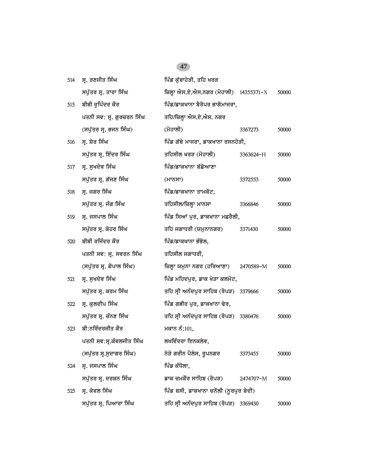| 514 | ਸ੍ਰ. ਰਣਜੀਤ ਸਿੰਘ           | ਪਿੰਡ ਕੁੱਬਾਹੇੜੀ, ਤਹਿ ਖਰੜ                 |           |       |
|-----|---------------------------|-----------------------------------------|-----------|-------|
|     | ਸਪੁੱਤਰ ਸ੍ਰ. ਤਾਰਾ ਸਿੰਘ     | ਜ਼ਿਲ੍ਹਾ ਐਸ.ਏ.ਐਸ.ਨਗਰ (ਮੋਹਾਲੀ) 14355371-X |           | 50000 |
| 515 | ਬੀਬੀ ਰੁਪਿੰਦਰ ਕੌਰ          | ਪਿੰਡ/ਡਾਕਖਾਨਾ ਬੈਰੋਪਰ ਭਾਗੋਮਾਜਰਾ,          |           |       |
|     | ਪਤਨੀ ਸਵ: ਸ੍ਰ. ਗੁਰਚਰਨ ਸਿੰਘ | ਤਹਿ/ਜ਼ਿਲ੍ਹਾ ਐਸ.ਏ.ਐਸ. ਨਗਰ                |           |       |
|     | (ਸਪੁੱਤਰ ਸ੍ਰ. ਭਜਨ ਸਿੰਘ)    | (ਮੋਹਾਲੀ)                                | 3367273   | 50000 |
| 516 | ਸ੍ਰ. ਸ਼ੇਰ ਸਿੰਘ            | ਪਿੰਡ ਗੱਬੇ ਮਾਜਰਾ, ਡਾਕਖਾਨਾ ਰਸਨਹੇੜੀ,       |           |       |
|     | ਸਪੁੱਤਰ ਸ੍ਰ. ਇੰਦਰ ਸਿੰਘ     | ਤਹਿਸੀਲ ਖਰੜ (ਮੋਹਾਲੀ)                     | 3363624-H | 50000 |
| 517 | ਸ੍ਰ. ਸੁਖਦੇਵ ਸਿੰਘ          | ਪਿੰਡ/ਡਾਕਖਾਨਾ ਬੱਛੋਆਣਾ                    |           |       |
|     | ਸਪੁੱਤਰ ਸ੍ਰ. ਗੱਜਣ ਸਿੰਘ     | (HT <sub>0</sub> HT)                    | 3372553   | 50000 |
| 518 | ਸ੍ਰ. ਜਗਰ ਸਿੰਘ             | ਪਿੰਡ/ਡਾਕਖਾਨਾ ਤਾਮਕੋਟ,                    |           |       |
|     | ਸਪੁੱਤਰ ਸ੍ਰ. ਜੰਗ ਸਿੰਘ      | ਤਹਿਸੀਲ/ਜ਼ਿਲ੍ਹਾ ਮਾਨਸਾ                    | 3366846   | 50000 |
| 519 | ਸ੍ਰ. ਜਸਪਾਲ ਸਿੰਘ           | ਪਿੰਡ ਸਿਆਂ ਪੁਰ, ਡਾਕਖਾਨਾ ਮਛਰੈਲੀ,          |           |       |
|     | ਸਪੁੱਤਰ ਸ੍ਰ. ਕੇਹਰ ਸਿੰਘ     | ਤਹਿ ਜਗਾਧਰੀ (ਯਮੁਨਾਨਗਰ)                   | 3371430   | 50000 |
| 520 | ਬੀਬੀ ਰਜਿੰਦਰ ਕੌਰ           | ਪਿੰਡ/ਡਾਕਖਾਨਾ ਭੰਭੋਲ,                     |           |       |
|     | ਪਤਨੀ ਸਵ: ਸ੍ਰ. ਸਵਰਨ ਸਿੰਘ   | ਤਹਿਸੀਲ ਜਗਾਧਰੀ,                          |           |       |
|     | (ਸਪੁੱਤਰ ਸ੍ਰ. ਗੋਪਾਲ ਸਿੰਘ)  | ਜ਼ਿਲ੍ਹਾ ਯਮੁਨਾ ਨਗਰ (ਹਰਿਆਣਾ)              | 2470589-M | 50000 |
| 521 | ਸ੍ਰ. ਸੁਖਦੇਵ ਸਿੰਘ          | ਪਿੰਡ ਮਹਿਦਪੁਰ, ਡਾਕ ਖੇੜਾ ਕਲਮੋਟ,           |           |       |
|     | ਸਪੁੱਤਰ ਸ੍ਰ. ਕਰਮ ਸਿੰਘ      | ਤਹਿ ਸ੍ਰੀ ਅਨੰਦਪੁਰ ਸਾਹਿਬ (ਰੋਪੜ) 3379666   |           | 50000 |
| 522 | ਸ੍ਰ. ਕੁਲਦੀਪ ਸਿੰਘ          | ਪਿੰਡ ਗਭੀਰ ਪੂਰ, ਡਾਕਖਾਨਾ ਢੇਰ,             |           |       |
|     | ਸਪੁੱਤਰ ਸ੍ਰ. ਚੰਨਣ ਸਿੰਘ     | ਤਹਿ ਸ੍ਰੀ ਅਨੰਦਪੁਰ ਸਾਹਿਬ (ਰੋਪੜ) 3380476   |           | 50000 |
| 523 | ਬੀ:ਨਰਿੰਦਰਜੀਤ ਕੌਰ          | ਮਕਾਨ ਨੰ:101,                            |           |       |
|     | ਪਤਨੀ ਸਵ:ਸ੍ਰ.ਕੰਵਲਜੀਤ ਸਿੰਘ  | ਲਖਵਿੰਦਰਾ ਇਨਕਲੇਵ,                        |           |       |
|     | (ਸਪੁੱਤਰ ਸ੍ਰ.ਸੁਦਾਗਰ ਸਿੰਘ)  | ਨੇੜੇ ਗਰੀਨ ਪੈਲੇਸ, ਰੁਪਨਗਰ                 | 3373455   | 50000 |
| 524 | ਸੁ. ਜਸਪਾਲ ਸਿੰਘ            | ਪਿੰਡ ਕੰਧੋਲਾ,                            |           |       |
|     | ਸਪੁੱਤਰ ਸ੍ਰ. ਦਰਸ਼ਨ ਸਿੰਘ    | ਡਾਕ ਚਮਕੌਰ ਸਾਹਿਬ (ਰੋਪੜ)                  | 2474707-M | 50000 |
| 525 | ਸ੍ਰ. ਕੇਵਲ ਸਿੰਘ            | ਪਿੰਡ ਬਸੀ, ਡਾਕਖਾਨਾ ਚਨੌਲੀ (ਨੁਰਪੁਰ ਬੇਦੀ)   |           |       |
|     | ਸਪੁੱਤਰ ਸ੍ਰ. ਪਿਆਰਾ ਸਿੰਘ    | ਤਹਿ ਸ੍ਰੀ ਅਨੰਦਪੁਰ ਸਾਹਿਬ (ਰੋਪੜ) 3369430   |           | 50000 |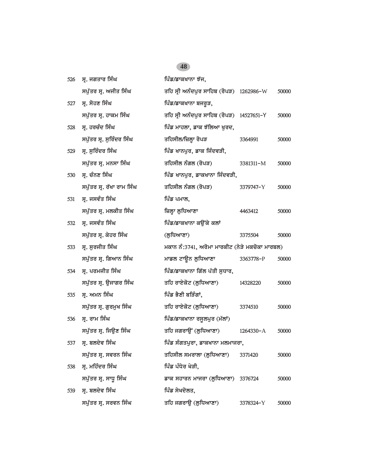| 526 | ਸ੍ਰ. ਜਗਤਾਰ ਸਿੰਘ           | ਪਿੰਡ/ਡਾਕਖਾਨਾ ਝੱਜ.                              |           |       |  |
|-----|---------------------------|------------------------------------------------|-----------|-------|--|
|     | ਸਪੁੱਤਰ ਸ੍ਰ. ਅਜੀਤ ਸਿੰਘ     | ਤਹਿ ਸ੍ਰੀ ਅਨੰਦਪੁਰ ਸਾਹਿਬ (ਰੋਪੜ) 1262986-W        |           | 50000 |  |
| 527 | ਸ੍ਰ. ਸੋਹਣ ਸਿੰਘ            | ਪਿੰਡ/ਡਾਕਖਾਨਾ ਬਜਰੁੜ,                            |           |       |  |
|     | ਸਪੁੱਤਰ ਸ੍ਰ. ਹਾਕਮ ਸਿੰਘ     | ਤਹਿ ਸ੍ਰੀ ਅਨੰਦਪੁਰ ਸਾਹਿਬ (ਰੋਪੜ) 14527651-Y       |           | 50000 |  |
| 528 | ਸ੍ਰ. ਹਰਚੰਦ ਸਿੰਘ           | ਪਿੰਡ ਮਾਹਲਾ, ਡਾਕ ਝੱਲਿਆ ਖੁਰਦ,                    |           |       |  |
|     | ਸਪੁੱਤਰ ਸ੍ਰ. ਸੁਰਿੰਦਰ ਸਿੰਘ  | ਤਹਿਸੀਲ/ਜ਼ਿਲ੍ਹਾ ਰੋਪੜ                            | 3364991   | 50000 |  |
| 529 | ਸ੍ਰ. ਸੁਰਿੰਦਰ ਸਿੰਘ         | ਪਿੰਡ ਖਾਨਪੁਰ, ਡਾਕ ਜਿੰਦਵੜੀ,                      |           |       |  |
|     | ਸਪੁੱਤਰ ਸ੍ਰ. ਮਨਸਾ ਸਿੰਘ     | ਤਹਿਸੀਲ ਨੰਗਲ (ਰੋਪੜ)                             | 3381311-M | 50000 |  |
| 530 | ਸ੍ਰ. ਚੰਨਣ ਸਿੰਘ            | ਪਿੰਡ ਖਾਨਪੁਰ, ਡਾਕਖਾਨਾ ਜਿੰਦਵੜੀ,                  |           |       |  |
|     | ਸਪੁੱਤਰ ਸ੍ਰ. ਰੱਖਾ ਰਾਮ ਸਿੰਘ | ਤਹਿਸੀਲ ਨੰਗਲ (ਰੋਪੜ)                             | 3379747-Y | 50000 |  |
| 531 | ਸ੍ਰ. ਜਸਵੰਤ ਸਿੰਘ           | ਪਿੰਡ ਪਮਾਲ,                                     |           |       |  |
|     | ਸਪੁੱਤਰ ਸ੍ਰ. ਮਲਕੀਤ ਸਿੰਘ    | ਜ਼ਿਲ੍ਹਾ ਲੁਧਿਆਣਾ                                | 4463412   | 50000 |  |
| 532 | ਸ੍ਰ. ਜਸਵੰਤ ਸਿੰਘ           | ਪਿੰਡ/ਡਾਕਖਾਨਾ ਕਉਂਕੇ ਕਲਾਂ                        |           |       |  |
|     | ਸਪੁੱਤਰ ਸ੍ਰ. ਕੇਹਰ ਸਿੰਘ     | (ਲਧਿਆਣਾ)                                       | 3375504   | 50000 |  |
| 533 | ਸ੍ਰ. ਸੁਰਜੀਤ ਸਿੰਘ          | ਮਕਾਨ ਨੰ:3741, ਅਰੋਮਾ ਮਾਰਕੀਟ (ਨੇੜੇ ਮਕਚੋਕਾ ਮਾਰਬਲ) |           |       |  |
|     | ਸਪੁੱਤਰ ਸ੍ਰ. ਗਿਆਨ ਸਿੰਘ     | ਮਾਡਲ ਟਾਊਨ ਲੁਧਿਆਣਾ                              | 3363778-P | 50000 |  |
| 534 | ਸ੍ਰ. ਪਰਮਜੀਤ ਸਿੰਘ          | ਪਿੰਡ/ਡਾਕਖਾਨਾ ਗਿੱਲ ਪੱਤੀ ਸੁਧਾਰ,                  |           |       |  |
|     | ਸਪੁੱਤਰ ਸ੍ਰ. ਉਜਾਗਰ ਸਿੰਘ    | ਤਹਿ ਰਾਏਕੋਟ (ਲੁਧਿਆਣਾ)                           | 14328220  | 50000 |  |
| 535 | ਸ੍ਰ. ਅਮਨ ਸਿੰਘ             | ਪਿੰਡ ਭੈਣੀ ਬੜਿੰਗਾਂ,                             |           |       |  |
|     | ਸਪੁੱਤਰ ਸ੍ਰ. ਗੁਰਮੁਖ ਸਿੰਘ   | ਤਹਿ ਰਾਏਕੋਟ (ਲੁਧਿਆਣਾ)                           | 3374510   | 50000 |  |
| 536 | ਸ੍ਰ. ਰਾਮ ਸਿੰਘ             | ਪਿੰਡ/ਡਾਕਖਾਨਾ ਰਸੁਲਪੁਰ (ਮੱਲਾਂ)                   |           |       |  |
|     | ਸਪੁੱਤਰ ਸ੍ਰ. ਜਿਉਣ ਸਿੰਘ     | ਤਹਿ ਜਗਰਾਉਂ (ਲੁਧਿਆਣਾ)                           | 1264330-A | 50000 |  |
|     | 537 ਸ੍ਰ. ਬਲਦੇਵ ਸਿੰਘ       | ਪਿੰਡ ਸੰਗਤਪੁਰਾ, ਡਾਕਖਾਨਾ ਮਲਮਾਜਰਾ,                |           |       |  |
|     | ਸਪੁੱਤਰ ਸ੍ਰ. ਸਵਰਨ ਸਿੰਘ     | ਤਹਿਸੀਲ ਸਮਰਾਲਾ (ਲੁਧਿਆਣਾ)                        | 3371420   | 50000 |  |
| 538 | ਸ੍ਰ. ਮਹਿੰਦਰ ਸਿੰਘ          | ਪਿੰਡ ਪੰਧੇਰ ਖੇੜੀ,                               |           |       |  |
|     | ਸਪੁੱਤਰ ਸ੍ਰ. ਸਾਧੂ ਸਿੰਘ     | ਡਾਕ ਸਹਾਰਨ ਮਾਜਰਾ (ਲੁਧਿਆਣਾ) 3376724              |           | 50000 |  |
| 539 | ਸ੍ਰ. ਬਲਦੇਵ ਸਿੰਘ           | ਪਿੰਡ ਸੇਖਦੋਲਤ,                                  |           |       |  |
|     | ਸਪੁੱਤਰ ਸ੍ਰ. ਸਰਵਨ ਸਿੰਘ     | ਤਹਿ ਜਗਰਾਉ (ਲੁਧਿਆਣਾ)                            | 3378324-Y | 50000 |  |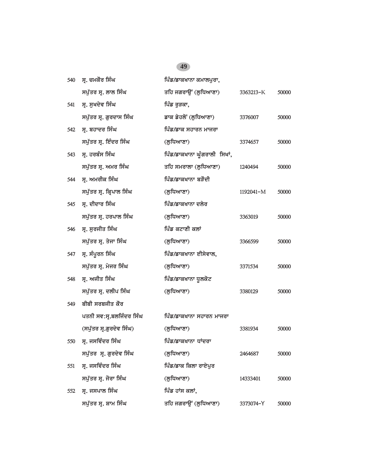| 540 | ਸ੍ਰ. ਚਮਕੌਰ ਸਿੰਘ          | ਪਿੰਡ/ਡਾਕਖਾਨਾ ਕਮਾਲਪੁਰਾ,       |           |       |
|-----|--------------------------|------------------------------|-----------|-------|
|     | ਸਪੁੱਤਰ ਸ੍ਰ. ਲਾਲ ਸਿੰਘ     | ਤਹਿ ਜਗਰਾਉਂ (ਲੁਧਿਆਣਾ)         | 3363213-K | 50000 |
| 541 | ਸ੍ਰ. ਸੁਖਦੇਵ ਸਿੰਘ         | ਪਿੰਡ ਰੁੜਕਾ,                  |           |       |
|     | ਸਪੁੱਤਰ ਸ੍ਰ. ਗੁਰਦਾਸ ਸਿੰਘ  | ਡਾਕ ਡੇਹਲੋਂ (ਲੁਧਿਆਣਾ)         | 3376007   | 50000 |
| 542 | ਸ੍ਰ. ਬਹਾਦਰ ਸਿੰਘ          | ਪਿੰਡ/ਡਾਕ ਸਹਾਰਨ ਮਾਜਰਾ         |           |       |
|     | ਸਪੁੱਤਰ ਸ੍ਰ. ਇੰਦਰ ਸਿੰਘ    | (ਲੁਧਿਆਣਾ)                    | 3374657   | 50000 |
| 543 | ਸ੍ਰ. ਹਰਬੰਸ ਸਿੰਘ          | ਪਿੰਡ/ਡਾਕਖਾਨਾ ਘੁੰਗਰਾਲੀ ਸਿਖਾਂ, |           |       |
|     | ਸਪੁੱਤਰ ਸ੍ਰ. ਅਮਰ ਸਿੰਘ     | ਤਹਿ ਸਮਰਾਲਾ (ਲੁਧਿਆਣਾ)         | 1240494   | 50000 |
| 544 | ਸ੍ਰ. ਅਮਰੀਕ ਸਿੰਘ          | ਪਿੰਡ/ਡਾਕਖਾਨਾ ਬੜੌਦੀ           |           |       |
|     | ਸਪੁੱਤਰ ਸ੍ਰ. ਕ੍ਰਿਪਾਲ ਸਿੰਘ | (ਲੁਧਿਆਣਾ)                    | 1192041-M | 50000 |
| 545 | ਸ੍ਰ. ਦੀਦਾਰ ਸਿੰਘ          | ਪਿੰਡ/ਡਾਕਖਾਨਾ ਦਲੇਰ            |           |       |
|     | ਸਪੁੱਤਰ ਸ੍ਰ. ਹਰਪਾਲ ਸਿੰਘ   | (ਲੁਧਿਆਣਾ)                    | 3363019   | 50000 |
| 546 | ਸ੍ਰ. ਸੁਰਜੀਤ ਸਿੰਘ         | ਪਿੰਡ ਕਟਾਣੀ ਕਲਾਂ              |           |       |
|     | ਸਪੁੱਤਰ ਸ੍ਰ. ਤੇਜਾ ਸਿੰਘ    | (ਲੁਧਿਆਣਾ)                    | 3366599   | 50000 |
| 547 | ਸ੍ਰ. ਸੰਪੂਰਨ ਸਿੰਘ         | ਪਿੰਡ/ਡਾਕਖਾਨਾ ਈਸੇਵਾਲ,         |           |       |
|     | ਸਪੁੱਤਰ ਸ੍ਰ. ਮੇਜਰ ਸਿੰਘ    | (ਲੁਧਿਆਣਾ)                    | 3371534   | 50000 |
| 548 | ਸ੍ਰ. ਅਜੀਤ ਸਿੰਘ           | ਪਿੰਡ/ਡਾਕਖਾਨਾ ਧੁਲਕੋਟ          |           |       |
|     | ਸਪੁੱਤਰ ਸ੍ਰ. ਦਲੀਪ ਸਿੰਘ    | (ਲੁਧਿਆਣਾ)                    | 3380129   | 50000 |
| 549 | ਬੀਬੀ ਸਰਬਜੀਤ ਕੌਰ          |                              |           |       |
|     | ਪਤਨੀ ਸਵ:ਸ੍ਰ.ਬਲਜਿੰਦਰ ਸਿੰਘ | ਪਿੰਡ/ਡਾਕਖਾਨਾ ਸਹਾਰਨ ਮਾਜਰਾ     |           |       |
|     | (ਸਪੁੱਤਰ ਸ੍ਰ.ਗੁਰਦੇਵ ਸਿੰਘ) | (ਲੁਧਿਆਣਾ)                    | 3381934   | 50000 |
| 550 | ਸ੍ਰ. ਜਸਵਿੰਦਰ ਸਿੰਘ        | ਪਿੰਡ/ਡਾਕਖਾਨਾ ਧਾਂਦਰਾ          |           |       |
|     | ਸਪੁੱਤਰ ਸ੍ਰ. ਗੁਰਦੇਵ ਸਿੰਘ  | (ਲੁਧਿਆਣਾ)                    | 2464687   | 50000 |
| 551 | ਸ੍ਰ. ਜਸਵਿੰਦਰ ਸਿੰਘ        | ਪਿੰਡ/ਡਾਕ ਕਿਲਾ ਰਾਏਪੁਰ         |           |       |
|     | ਸਪੁੱਤਰ ਸ੍ਰ. ਜੋਰਾ ਸਿੰਘ    | (ਲੁਧਿਆਣਾ)                    | 14333401  | 50000 |
| 552 | ਸੁ. ਜਸਪਾਲ ਸਿੰਘ           | ਪਿੰਡ ਹਾਂਸ ਕਲਾਂ,              |           |       |
|     | ਸਪੁੱਤਰ ਸ੍ਰ. ਸ਼ਾਮ ਸਿੰਘ    | ਤਹਿ ਜਗਰਾਉਂ (ਲੁਧਿਆਣਾ)         | 3373074-Y | 50000 |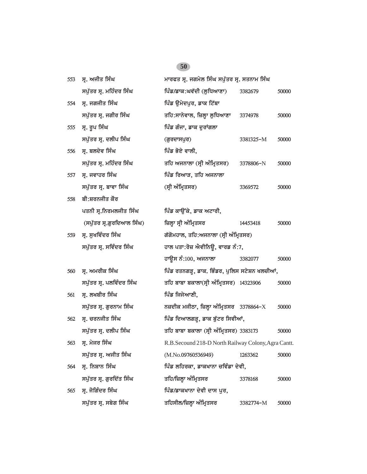| 553 | ਸ੍ਰ. ਅਜੀਤ ਸਿੰਘ            | ਮਾਰਫਤ ਸ੍ਰ. ਜਗਮੇਲ ਸਿੰਘ ਸਪੁੱਤਰ ਸ੍ਰ. ਸਤਨਾਮ ਸਿੰਘ        |           |       |
|-----|---------------------------|-----------------------------------------------------|-----------|-------|
|     | ਸਪੁੱਤਰ ਸ੍ਰ. ਮਹਿੰਦਰ ਸਿੰਘ   | ਪਿੰਡ/ਡਾਕ:ਘਵੱਦੀ (ਲੁਧਿਆਣਾ)                            | 3382679   | 50000 |
| 554 | ਸ੍ਰ. ਜਗਜੀਤ ਸਿੰਘ           | ਪਿੰਡ ਉਮੇਦਪੁਰ, ਡਾਕ ਟਿੱਬਾ                             |           |       |
|     | ਸਪੁੱਤਰ ਸ੍ਰ. ਜਗੀਰ ਸਿੰਘ     | ਤਹਿ:ਸਾਨੇਵਾਲ, ਜ਼ਿਲ੍ਹਾ ਲੁਧਿਆਣਾ                        | 3374978   | 50000 |
| 555 | ਸ੍ਰ. ਰੂਪ ਸਿੰਘ             | ਪਿੰਡ ਗੰਜਾ, ਡਾਕ ਦੁਰਾਂਗਲਾ                             |           |       |
|     | ਸਪੁੱਤਰ ਸ੍ਰ. ਦਲੀਪ ਸਿੰਘ     | (ਗੁਰਦਾਸਪੁਰ)                                         | 3381325-M | 50000 |
| 556 | ਸ੍ਰ. ਬਲਦੇਵ ਸਿੰਘ           | ਪਿੰਡ ਭੋਏ ਵਾਲੀ,                                      |           |       |
|     | ਸਪੁੱਤਰ ਸ੍ਰ. ਮਹਿੰਦਰ ਸਿੰਘ   | ਤਹਿ ਅਜਨਾਲਾ (ਸ੍ਰੀ ਅੰਮ੍ਰਿਤਸਰ)                         | 3378806-N | 50000 |
| 557 | ਸ੍ਰ. ਜਵਾਹਰ ਸਿੰਘ           | ਪਿੰਡ ਰਿਆੜ, ਤਹਿ ਅਜਨਾਲਾ                               |           |       |
|     | ਸਪੁੱਤਰ ਸ੍ਰ. ਬਾਵਾ ਸਿੰਘ     | (ਸ੍ਰੀ ਅੰਮ੍ਰਿਤਸਰ)                                    | 3369572   | 50000 |
| 558 | ਬੀ:ਸ਼ਰਨਜੀਤ ਕੌਰ            |                                                     |           |       |
|     | ਪਤਨੀ ਸ੍ਰ.ਨਿਰਮਲਜੀਤ ਸਿੰਘ    | ਪਿੰਡ ਕਾਉਂਕੇ, ਡਾਕ ਅਟਾਰੀ,                             |           |       |
|     | (ਸਪੁੱਤਰ ਸ੍ਰ.ਗੁਰਦਿਆਲ ਸਿੰਘ) | ਜ਼ਿਲ੍ਹਾ ਸ੍ਰੀ ਅੰਮ੍ਰਿਤਸਰ                              | 14453418  | 50000 |
| 559 | ਸ੍ਰ. ਸੁਖਵਿੰਦਰ ਸਿੰਘ        | ਗੱਗੋਮਹਾਲ, ਤਹਿ:ਅਜਨਾਲਾ (ਸ੍ਰੀ ਅੰਮ੍ਰਿਤਸਰ)               |           |       |
|     | ਸਪੁੱਤਰ ਸ੍ਰ. ਸਵਿੰਦਰ ਸਿੰਘ   | ਹਾਲ ਪਤਾ:ਰੋਜ਼ ਐਵੀਨਿਊ, ਵਾਰਡ ਨੰ:7,                     |           |       |
|     |                           | ਹਾਊਸ ਨੰ:100, ਅਜਨਾਲਾ                                 | 3382077   | 50000 |
| 560 | ਸ੍ਰ. ਅਮਰੀਕ ਸਿੰਘ           | ਪਿੰਡ ਰਤਨਗੜ੍ਹ, ਡਾਕ. ਭਿੰਡਰ, ਪੁਲਿਸ ਸਟੇਸ਼ਨ ਖਲਚੀਆਂ,      |           |       |
|     | ਸਪੁੱਤਰ ਸ੍ਰ. ਪਲਵਿੰਦਰ ਸਿੰਘ  | ਤਹਿ ਬਾਬਾ ਬਕਾਲਾ(ਸ੍ਰੀ ਅੰਮ੍ਰਿਤਸਰ) 14323906             |           | 50000 |
| 561 | ਸ੍ਰ. ਲਖਬੀਰ ਸਿੰਘ           | ਪਿੰਡ ਜਿਜੇਆਣੀ,                                       |           |       |
|     | ਸਪੁੱਤਰ ਸ੍ਰ. ਗੁਰਨਾਮ ਸਿੰਘ   | ਨਜ਼ਦੀਕ ਮਜੀਠਾ, ਜ਼ਿਲ੍ਹਾ ਅੰਮ੍ਰਿਤਸਰ 3378864- $X$        |           | 50000 |
| 562 | ਸ੍ਰ. ਚਰਨਜੀਤ ਸਿੰਘ          | ਪਿੰਡ ਦਿਆਲਗੜ੍ਹ, ਡਾਕ ਬੁੱਟਰ ਸਿਵੀਆਂ,                    |           |       |
|     | ਸਪੁੱਤਰ ਸ੍ਰ. ਦਲੀਪ ਸਿੰਘ     | ਤਹਿ ਬਾਬਾ ਬਕਾਲਾ (ਸ੍ਰੀ ਅੰਮ੍ਰਿਤਸਰ) 3383173             |           | 50000 |
| 563 | ਸ੍ਰ. ਮੇਜਰ ਸਿੰਘ            | R.B.Secound 218-D North Railway Colony, Agra Cantt. |           |       |
|     | ਸਪੁੱਤਰ ਸ੍ਰ. ਅਜੀਤ ਸਿੰਘ     | (M.No.09760536949)                                  | 1263362   | 50000 |
| 564 | ਸ੍ਰ. ਨਿਸ਼ਾਨ ਸਿੰਘ          | ਪਿੰਡ ਲਹਿਰਕਾ, ਡਾਕਖਾਨਾ ਚਵਿੰਡਾ ਦੇਵੀ,                   |           |       |
|     | ਸਪੁੱਤਰ ਸ੍ਰ. ਗੁਰਦਿੱਤ ਸਿੰਘ  | ਤਹਿ/ਜ਼ਿਲ੍ਹਾ ਅੰਮ੍ਰਿਤਸਰ                               | 3378168   | 50000 |
| 565 | ਸ੍ਰ. ਜੋਗਿੰਦਰ ਸਿੰਘ         | ਪਿੰਡ/ਡਾਕਖਾਨਾ ਦੇਵੀ ਦਾਸ ਪੁਰ,                          |           |       |
|     | ਸਪੁੱਤਰ ਸ੍ਰ. ਸਬੇਗ ਸਿੰਘ     | ਤਹਿਸੀਲ/ਜ਼ਿਲ੍ਹਾ ਅੰਮ੍ਰਿਤਸਰ                            | 3382774-M | 50000 |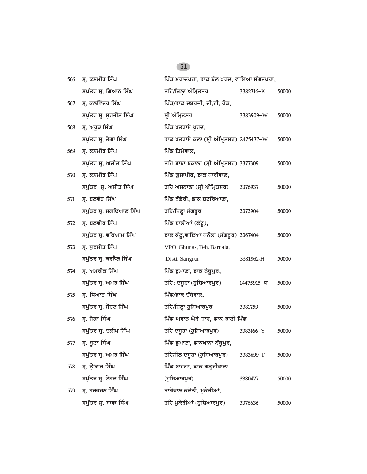| 566 | ਸ੍ਰ. ਕਸ਼ਮੀਰ ਸਿੰਘ        | ਪਿੰਡ ਮੁਰਾਦਪੁਰਾ, ਡਾਕ ਬੱਲ ਖੁਰਦ, ਵਾਇਆ ਸੰਗਤਪੁਰਾ, |            |       |
|-----|-------------------------|----------------------------------------------|------------|-------|
|     | ਸਪੁੱਤਰ ਸ੍ਰ. ਗਿਆਨ ਸਿੰਘ   | ਤਹਿ/ਜ਼ਿਲ੍ਹਾ ਅੰਮ੍ਰਿਤਸਰ                        | 3382716-K  | 50000 |
| 567 | ਸ੍ਰ. ਕੁਲਵਿੰਦਰ ਸਿੰਘ      | ਪਿੰਡ/ਡਾਕ ਦਬੁਰਜੀ, ਜੀ.ਟੀ. ਰੋਡ,                 |            |       |
|     | ਸਪੁੱਤਰ ਸ੍ਰ. ਸੁਰਜੀਤ ਸਿੰਘ | ਸ੍ਰੀ ਅੰਮ੍ਰਿਤਸਰ                               | 3383909-W  | 50000 |
| 568 | ਸ੍ਰ. ਅਰੁੜ ਸਿੰਘ          | ਪਿੰਡ ਖਤਰਾਏ ਖੁਰਦ,                             |            |       |
|     | ਸਪੁੱਤਰ ਸ੍ਰ. ਤੇਗਾ ਸਿੰਘ   | ਡਾਕ ਖਤਰਾਏ ਕਲਾਂ (ਸ੍ਰੀ ਅੰਮ੍ਰਿਤਸਰ) 2475477-W    |            | 50000 |
| 569 | ਸ੍ਰ. ਕਸ਼ਮੀਰ ਸਿੰਘ        | ਪਿੰਡ ਤਿਮੋਵਾਲ,                                |            |       |
|     | ਸਪੁੱਤਰ ਸ੍ਰ. ਅਜੀਤ ਸਿੰਘ   | ਤਹਿ ਬਾਬਾ ਬਕਾਲਾ (ਸ੍ਰੀ ਅੰਮ੍ਰਿਤਸਰ) 3377309      |            | 50000 |
| 570 | ਸ੍ਰ. ਕਸ਼ਮੀਰ ਸਿੰਘ        | ਪਿੰਡ ਗੁਜਾਪੀਰ, ਡਾਕ ਧਾਰੀਵਾਲ,                   |            |       |
|     | ਸਪੁੱਤਰ ਸ੍ਰ. ਅਜੀਤ ਸਿੰਘ   | ਤਹਿ ਅਜਨਾਲਾ (ਸ੍ਰੀ ਅੰਮ੍ਰਿਤਸਰ)                  | 3376937    | 50000 |
| 571 | ਸ੍ਰ. ਬਲਵੰਤ ਸਿੰਘ         | ਪਿੰਡ ਝੰਡੇਰੀ, ਡਾਕ ਬਟਰਿਆਣਾ,                    |            |       |
|     | ਸਪੁੱਤਰ ਸ੍ਰ. ਜਗਦਿਆਲ ਸਿੰਘ | ਤਹਿ/ਜ਼ਿਲ੍ਹਾ ਸੰਗਰੂਰ                           | 3373904    | 50000 |
| 572 | ਸ੍ਰ. ਬਲਵੀਰ ਸਿੰਘ         | ਪਿੰਡ ਬਾਲੀਆਂ (ਕੱਟੂ),                          |            |       |
|     | ਸਪੁੱਤਰ ਸ੍ਰ. ਵਰਿਆਮ ਸਿੰਘ  | ਡਾਕ ਕੱਟੂ,ਵਾਇਆ ਧਨੌਲਾ (ਸੰਗਰੂਰ) 3367404         |            | 50000 |
| 573 | ਸ੍ਰ. ਸੁਰਜੀਤ ਸਿੰਘ        | VPO. Ghunas, Teh. Barnala,                   |            |       |
|     | ਸਪੁੱਤਰ ਸ੍ਰ. ਕਰਨੈਲ ਸਿੰਘ  | Distt. Sangrur                               | 3381962-H  | 50000 |
| 574 | ਸ੍ਰ. ਅਮਰੀਕ ਸਿੰਘ         | ਪਿੰਡ ਡੁਮਾਣਾ, ਡਾਕ ਨੱਥੁਪੁਰ,                    |            |       |
|     | ਸਪੁੱਤਰ ਸ੍ਰ. ਅਮਰ ਸਿੰਘ    | ਤਹਿ: ਦਸੂਹਾ (ਹੁਸ਼ਿਆਰਪੁਰ)                      | 14475915-ਯ | 50000 |
| 575 | ਸ੍ਰ. ਧਿਆਨ ਸਿੰਘ          | ਪਿੰਡ/ਡਾਕ ਚੱਬੇਵਾਲ,                            |            |       |
|     | ਸਪੁੱਤਰ ਸ੍ਰ. ਸੋਹਣ ਸਿੰਘ   | ਤਹਿ/ਜ਼ਿਲ੍ਹਾ ਹੁਸ਼ਿਆਰਪੁਰ                       | 3381759    | 50000 |
| 576 | ਸ੍ਰ. ਜੋਗਾ ਸਿੰਘ          | ਪਿੰਡ ਅਵਾਨ ਘੋੜੇ ਸ਼ਾਹ, ਡਾਕ ਰਾਣੀ ਪਿੰਡ           |            |       |
|     | ਸਪੁੱਤਰ ਸ੍ਰ. ਦਲੀਪ ਸਿੰਘ   | ਤਹਿ ਦਸੁਹਾ (ਹੁਸ਼ਿਆਰਪੁਰ)                       | 3383166-Y  | 50000 |
| 577 | ਸ੍ਰ. ਬੂਟਾ ਸਿੰਘ          | ਪਿੰਡ ਡੁਮਾਣਾ, ਡਾਕਖਾਨਾ ਨੱਥੂਪੁਰ,                |            |       |
|     | ਸਪੁੱਤਰ ਸ੍ਰ. ਅਮਰ ਸਿੰਘ    | ਤਹਿਸੀਲ ਦਸੂਹਾ (ਹੁਸ਼ਿਆਰਪੁਰ)                    | 3383699-F  | 50000 |
| 578 | ਸ੍ਰ. ਉਂਕਾਰ ਸਿੰਘ         | ਪਿੰਡ ਬਾਹਗਾ, ਡਾਕ ਗੜ੍ਹਦੀਵਾਲਾ                   |            |       |
|     | ਸਪੁੱਤਰ ਸ੍ਰ. ਟੇਹਲ ਸਿੰਘ   | (ਹੁਸ਼ਿਆਰਪੁਰ)                                 | 3380477    | 50000 |
| 579 | ਸ੍ਰ. ਹਰਭਜਨ ਸਿੰਘ         | ਬਾਗੋਵਾਲ ਕਲੋਨੀ, ਮੁਕੇਰੀਆਂ,                     |            |       |
|     | ਸਪੁੱਤਰ ਸ੍ਰ. ਬਾਵਾ ਸਿੰਘ   | ਤਹਿ ਮੁਕੇਰੀਆਂ (ਹੁਸ਼ਿਆਰਪੁਰ)                    | 3376636    | 50000 |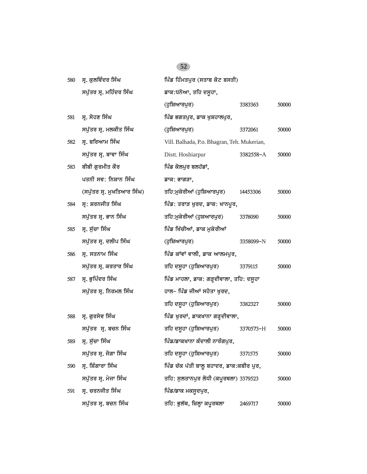| ਸ੍ਰ. ਕੁਲਵਿੰਦਰ ਸਿੰਘ<br>ਪਿੰਡ ਹਿੰਮਤਪੁਰ (ਸਤਾਬ ਕੋਟ ਬਸਤੀ)<br>580 |                            |                                             |           |       |
|------------------------------------------------------------|----------------------------|---------------------------------------------|-----------|-------|
|                                                            | ਸਪੁੱਤਰ ਸ੍ਰ. ਮਹਿੰਦਰ ਸਿੰਘ    | ਡਾਕ:ਧਨੋਆ, ਤਹਿ ਦਸੁਹਾ,                        |           |       |
|                                                            |                            | (ਹੁਸ਼ਿਆਰਪੁਰ)                                | 3383363   | 50000 |
| 581                                                        | ਸ੍ਰ. ਸੋਹਣ ਸਿੰਘ             | ਪਿੰਡ ਭਗਤਪੁਰ, ਡਾਕ ਖੁਸ਼ਹਾਲਪੁਰ,                |           |       |
|                                                            | ਸਪੁੱਤਰ ਸ੍ਰ. ਮਲਕੀਤ ਸਿੰਘ     | (ਹੁਸ਼ਿਆਰਪੁਰ)                                | 3372061   | 50000 |
| 582                                                        | ਸ੍ਰ. ਬਰਿਆਮ ਸਿੰਘ            | Vill. Balhada, P.o. Bhagran, Teh. Mukerian, |           |       |
|                                                            | ਸਪੁੱਤਰ ਸ੍ਰ. ਬਾਵਾ ਸਿੰਘ      | Distt. Hoshiarpur                           | 3382558-A | 50000 |
| 583                                                        | ਬੀਬੀ ਗੁਰਮੀਤ ਕੌਰ            | ਪਿੰਡ ਕੋਲਪੁਰ ਬਲਹੱਡਾਂ,                        |           |       |
|                                                            | ਪਤਨੀ ਸਵ: ਨਿਸ਼ਾਨ ਸਿੰਘ       | ਡਾਕ: ਭਾਗੜਾ,                                 |           |       |
|                                                            | (ਸਪੁੱਤਰ ਸ੍ਰ. ਮੁਖਤਿਆਰ ਸਿੰਘ) | ਤਹਿ:ਮੁਕੇਰੀਆਂ (ਹੁਸ਼ਿਆਰਪੁਰ)                   | 14453306  | 50000 |
| 584                                                        | ਸ੍ਰ: ਸ਼ਰਨਜੀਤ ਸਿੰਘ          | ਪਿੰਡ: ਤਰਾੜ ਖੁਰਦ, ਡਾਕ: ਖਾਨਪੁਰ,               |           |       |
|                                                            | ਸਪੁੱਤਰ ਸ੍ਰ. ਭਾਨ ਸਿੰਘ       | ਤਹਿ:ਮੁਕੇਰੀਆਂ (ਹੁਸ਼ਆਰਪੁਰ)                    | 3378090   | 50000 |
| 585                                                        | ਸ੍ਰ. ਸੁੱਚਾ ਸਿੰਘ            | ਪਿੰਡ ਖਿੱਚੀਆਂ, ਡਾਕ ਮੁਕੇਰੀਆਂ                  |           |       |
|                                                            | ਸਪੁੱਤਰ ਸ੍ਰ. ਦਲੀਪ ਸਿੰਘ      | (ਹੁਸ਼ਿਆਰਪੁਰ)                                | 3358099-N | 50000 |
| 586                                                        | ਸ੍ਰ. ਸਤਨਾਮ ਸਿੰਘ            | ਪਿੰਡ ਕਾਂਵਾਂ ਵਾਲੀ, ਡਾਕ ਆਲਮਪੁਰ,               |           |       |
|                                                            | ਸਪੁੱਤਰ ਸ੍ਰ. ਕਰਤਾਰ ਸਿੰਘ     | ਤਹਿ ਦਸੂਹਾ (ਹੁਸ਼ਿਆਰਪੁਰ)                      | 3379115   | 50000 |
| 587                                                        | ਸ੍ਰ. ਭੁਪਿੰਦਰ ਸਿੰਘ          | ਪਿੰਡ ਮਾਹਲਾ, ਡਾਕ: ਗੜ੍ਹਦੀਵਾਲਾ, ਤਹਿ: ਦਸੁਹਾ     |           |       |
|                                                            | ਸਪੁੱਤਰ ਸ੍ਰ. ਨਿਰਮਲ ਸਿੰਘ     | ਹਾਲ- ਪਿੰਡ ਜੀਆਂ ਸਹੋਤਾ ਖੁਰਦ,                  |           |       |
|                                                            |                            | ਤਹਿ ਦਸੂਹਾ (ਹੁਸ਼ਿਆਰਪੁਰ)                      | 3382327   | 50000 |
| 588                                                        | ਸ੍ਰ. ਗੁਰਸੇਵ ਸਿੰਘ           | ਪਿੰਡ ਖੁਰਦਾਂ, ਡਾਕਖਾਨਾ ਗੜ੍ਹਦੀਵਾਲਾ,            |           |       |
|                                                            | ਸਪੁੱਤਰ ਸ੍ਰ. ਬਚਨ ਸਿੰਘ       | ਤਹਿ ਦਸੂਹਾ (ਹੁਸ਼ਿਆਰਪੁਰ)                      | 3370573-H | 50000 |
| 589                                                        | ਸ੍ਰ. ਸੁੱਚਾ ਸਿੰਘ            | ਪਿੰਡ/ਡਾਕਖਾਨਾ ਕੰਦਾਲੀ ਨਾਰੰਗਪਰ,                |           |       |
|                                                            | ਸਪੁੱਤਰ ਸ੍ਰ. ਜੋਗਾ ਸਿੰਘ      | ਤਹਿ ਦਸੁਹਾ (ਹੁਸ਼ਿਆਰਪੁਰ)                      | 3371575   | 50000 |
| 590                                                        | ਸ੍ਰ. ਸ਼ਿੰਗਾਰਾ ਸਿੰਘ         | ਪਿੰਡ ਚੱਕ ਪੱਤੀ ਬਾਲੂ ਬਹਾਦਰ, ਡਾਕ:ਕਬੀਰ ਪੂਰ,     |           |       |
|                                                            | ਸਪੁੱਤਰ ਸ੍ਰ. ਮੇਜਾ ਸਿੰਘ      | ਤਹਿ: ਸੁਲਤਾਨਪੁਰ ਲੋਧੀ (ਕਪੁਰਥਲਾ) 3379523       |           | 50000 |
| 591                                                        | ਸ੍ਰ. ਚਰਨਜੀਤ ਸਿੰਘ           | ਪਿੰਡ/ਡਾਕ ਮਕਸੁਦਪੁਰ,                          |           |       |
|                                                            | ਸਪੁੱਤਰ ਸ੍ਰ. ਬਚਨ ਸਿੰਘ       | ਤਹਿ: ਭੁਲੱਥ, ਜ਼ਿਲ੍ਹਾ ਕਪੂਰਥਲਾ                 | 2469717   | 50000 |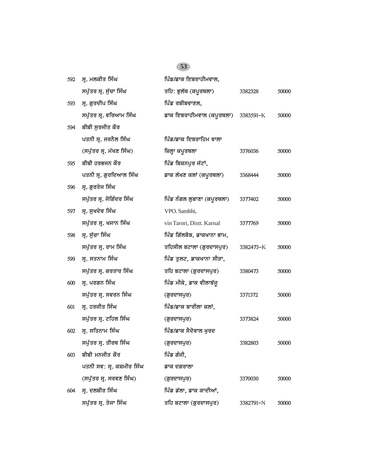| 592 | ਸ੍ਰ. ਮਲਕੀਤ ਸਿੰਘ           | ਪਿੰਡ/ਡਾਕ ਇਬਰਾਹੀਮਵਾਲ,       |           |       |
|-----|---------------------------|----------------------------|-----------|-------|
|     | ਸਪੁੱਤਰ ਸ੍ਰ. ਸੁੱਚਾ ਸਿੰਘ    | ਤਹਿ: ਭੁਲੱਥ (ਕਪੂਰਥਲਾ)       | 3382328   | 50000 |
| 593 | ਸ੍ਰ. ਗੁਰਦੀਪ ਸਿੰਘ          | ਪਿੰਡ ਰਬੀਬਵਾਣਲ,             |           |       |
|     | ਸਪੁੱਤਰ ਸ੍ਰ. ਵਰਿਆਮ ਸਿੰਘ    | ਡਾਕ ਇਬਰਾਹੀਮਵਾਲ (ਕਪੂਰਥਲਾ)   | 3383591-K | 50000 |
| 594 | ਬੀਬੀ ਸੁਰਜੀਤ ਕੌਰ           |                            |           |       |
|     | ਪਤਨੀ ਸ੍ਰ. ਜਰਨੈਲ ਸਿੰਘ      | ਪਿੰਡ/ਡਾਕ ਇਬਰਾਹਿਮ ਵਾਲਾ      |           |       |
|     | (ਸਪੁੱਤਰ ਸ੍ਰ. ਮੱਖਣ ਸਿੰਘ)   | ਜ਼ਿਲ੍ਹਾ ਕਪੂਰਥਲਾ            | 3376036   | 50000 |
| 595 | ਬੀਬੀ ਹਰਭਜਨ ਕੌਰ            | ਪਿੰਡ ਬਿਸ਼ਨਪੁਰ ਜੱਟਾਂ,       |           |       |
|     | ਪਤਨੀ ਸ੍ਰ. ਗੁਰਦਿਆਲ ਸਿੰਘ    | ਡਾਕ ਲੱਖਣ ਕਲਾਂ (ਕਪੂਰਥਲਾ)    | 3368444   | 50000 |
| 596 | ਸ੍ਰ. ਗੁਰਤੇਜ ਸਿੰਘ          |                            |           |       |
|     | ਸਪੁੱਤਰ ਸ੍ਰ. ਜੋਗਿੰਦਰ ਸਿੰਘ  | ਪਿੰਡ ਨੰਗਲ ਲੁਬਾਣਾ (ਕਪੂਰਥਲਾ) | 3377402   | 50000 |
| 597 | ਸ੍ਰ. ਸੁਖਦੇਵ ਸਿੰਘ          | VPO. Sambhi,               |           |       |
|     | ਸਪੁੱਤਰ ਸ੍ਰ. ਖਜਾਨ ਸਿੰਘ     | vin Tarori, Distt. Karnal  | 3377769   | 50000 |
| 598 | ਸ੍ਰ. ਸੁੱਚਾ ਸਿੰਘ           | ਪਿੰਡ ਗਿੱਲਬੋਬ, ਡਾਕਖਾਨਾ ਭਾਮ, |           |       |
|     | ਸਪੁੱਤਰ ਸ੍ਰ. ਰਾਮ ਸਿੰਘ      | ਤਹਿਸੀਲ ਬਟਾਲਾ (ਗੁਰਦਾਸਪੁਰ)   | 3382473-K | 50000 |
| 599 | ਸ੍ਰ. ਸਤਨਾਮ ਸਿੰਘ           | ਪਿੰਡ ਤੁਲਟ, ਡਾਕਖਾਨਾ ਸੀੜਾ,   |           |       |
|     | ਸਪੁੱਤਰ ਸ੍ਰ. ਕਰਤਾਰ ਸਿੰਘ    | ਤਹਿ ਬਟਾਲਾ (ਗੁਰਦਾਸਪੁਰ)      | 3380473   | 50000 |
| 600 | ਸ੍ਰ. ਪਰਗਨ ਸਿੰਘ            | ਪਿੰਡ ਮੀਕੇ, ਡਾਕ ਵੀਲਾਬੱਜੂ    |           |       |
|     | ਸਪੁੱਤਰ ਸ੍ਰ. ਸਵਰਨ ਸਿੰਘ     | (ਗੁਰਦਾਸਪੁਰ)                | 3371372   | 50000 |
| 601 | ਸ੍ਰ. ਹਰਜੀਤ ਸਿੰਘ           | ਪਿੰਡ/ਡਾਕ ਬਾਰੀਲਾ ਕਲਾਂ,      |           |       |
|     | ਸਪੁੱਤਰ ਸ੍ਰ. ਟਹਿਲ ਸਿੰਘ     | (ਗੁਰਦਾਸਪੁਰ)                | 3373824   | 50000 |
| 602 | ਸ੍ਰ. ਸਤਿਨਾਮ ਸਿੰਘ          | ਪਿੰਡ/ਡਾਕ ਸੈਦੋਵਾਲ ਖੁਰਦ      |           |       |
|     | ਸਪੁੱਤਰ ਸ੍ਰ. ਤੀਰਥ ਸਿੰਘ     | (ਗੁਰਦਾਸਪੁਰ)                | 3382803   | 50000 |
| 603 | ਬੀਬੀ ਮਨਜੀਤ ਕੌਰ            | ਪਿੰਡ ਗੰਜੀ,                 |           |       |
|     | ਪਤਨੀ ਸਵ: ਸ੍ਰ. ਕਸ਼ਮੀਰ ਸਿੰਘ | ਡਾਕ ਦਗਰਾਲਾ                 |           |       |
|     | (ਸਪੁੱਤਰ ਸ੍ਰ. ਸਰਵਣ ਸਿੰਘ)   | (ਗੁਰਦਾਸਪੁਰ)                | 3370030   | 50000 |
| 604 | ਸ੍ਰ. ਦਲਬੀਰ ਸਿੰਘ           | ਪਿੰਡ ਡੱਲਾ, ਡਾਕ ਕਾਦੀਆਂ,     |           |       |
|     | ਸਪੁੱਤਰ ਸ੍ਰ. ਤੇਜਾ ਸਿੰਘ     | ਤਹਿ ਬਟਾਲਾ (ਗੁਰਦਾਸਪੁਰ)      | 3382791-N | 50000 |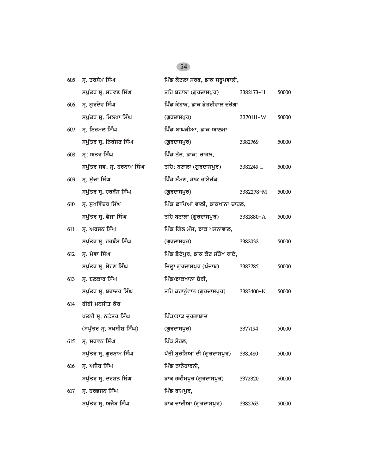| 605 | ਸ੍ਰ. ਤਰਸੇਮ ਸਿੰਘ            | ਪਿੰਡ ਕੋਟਲਾ ਸਰਫ, ਡਾਕ ਸਰੁਪਵਾਲੀ,    |           |       |
|-----|----------------------------|----------------------------------|-----------|-------|
|     | ਸਪੁੱਤਰ ਸ੍ਰ. ਸਰਵਣ ਸਿੰਘ      | ਤਹਿ ਬਟਾਲਾ (ਗੁਰਦਾਸਪੁਰ)            | 3382173-H | 50000 |
| 606 | ਸ੍ਰ. ਗੁਰਦੇਵ ਸਿੰਘ           | ਪਿੰਡ ਕੋਹਾੜ, ਡਾਕ ਡੇਹਰੀਵਾਲ ਦਰੋਗਾ   |           |       |
|     | ਸਪੁੱਤਰ ਸ੍ਰ. ਮਿਲਖਾ ਸਿੰਘ     | (ਗੁਰਦਾਸਪੁਰ)                      | 3370111-W | 50000 |
| 607 | ਸ੍ਰ. ਨਿਰਮਲ ਸਿੰਘ            | ਪਿੰਡ ਬਾਘੜੀਆ, ਡਾਕ ਆਲਮਾ            |           |       |
|     | ਸਪੁੱਤਰ ਸ੍ਰ. ਨਿਰੰਜਣ ਸਿੰਘ    | (ਗੁਰਦਾਸਪੁਰ)                      | 3382769   | 50000 |
| 608 | ਸ੍ਰ: ਅਤਰ ਸਿੰਘ              | ਪਿੰਡ ਨੱਤ, ਡਾਕ: ਚਾਹਲ,             |           |       |
|     | ਸਪੁੱਤਰ ਸਵ: ਸ੍ਰ. ਹਰਨਾਮ ਸਿੰਘ | ਤਹਿ: ਬਟਾਲਾ (ਗੁਰਦਾਸਪੁਰ)           | 3381249 L | 50000 |
| 609 | ਸ੍ਰ. ਸੁੱਚਾ ਸਿੰਘ            | ਪਿੰਡ ਮੰਮਣ, ਡਾਕ ਰਾਏਚੱਕ            |           |       |
|     | ਸਪੁੱਤਰ ਸ੍ਰ. ਹਰਬੰਸ ਸਿੰਘ     | (ਗੁਰਦਾਸਪੁਰ)                      | 3382278-M | 50000 |
| 610 | ਸ੍ਰ. ਸੁਖਵਿੰਦਰ ਸਿੰਘ         | ਪਿੰਡ ਛਾਪਿਆਂ ਵਾਲੀ, ਡਾਕਖਾਨਾ ਚਾਹਲ,  |           |       |
|     | ਸਪੁੱਤਰ ਸ੍ਰ. ਫੌਜਾ ਸਿੰਘ      | ਤਹਿ ਬਟਾਲਾ (ਗੁਰਦਾਸਪੁਰ)            | 3381880-A | 50000 |
| 611 | ਸ੍ਰ. ਅਰਜਨ ਸਿੰਘ             | ਪਿੰਡ ਗਿੱਲ ਮੰਜ, ਡਾਕ ਪਸਨਾਵਾਲ,      |           |       |
|     | ਸਪੁੱਤਰ ਸ੍ਰ. ਹਰਬੰਸ ਸਿੰਘ     | (ਗੁਰਦਾਸਪੁਰ)                      | 3382032   | 50000 |
| 612 | ਸ੍ਰ. ਮੇਵਾ ਸਿੰਘ             | ਪਿੰਡ ਛੋਟੇਪੁਰ, ਡਾਕ ਕੋਟ ਸੰਤੋਖ ਰਾਏ, |           |       |
|     | ਸਪੁੱਤਰ ਸ੍ਰ. ਸੋਹਣ ਸਿੰਘ      | ਜ਼ਿਲ੍ਹਾ ਗੁਰਦਾਸਪੁਰ (ਪੰਜਾਬ)        | 3383785   | 50000 |
| 613 | ਸ੍ਰ. ਬਲਕਾਰ ਸਿੰਘ            | ਪਿੰਡ/ਡਾਕਖਾਨਾ ਬੇਰੀ,               |           |       |
|     | ਸਪੁੱਤਰ ਸ੍ਰ. ਬਹਾਦਰ ਸਿੰਘ     | ਤਹਿ ਕਹਾਨੂੰਵਾਨ (ਗੁਰਦਾਸਪੁਰ)        | 3383400-K | 50000 |
| 614 | ਬੀਬੀ ਮਨਜੀਤ ਕੌਰ             |                                  |           |       |
|     | ਪਤਨੀ ਸ੍ਰ. ਨਛੱਤਰ ਸਿੰਘ       | ਪਿੰਡ/ਡਾਕ ਦੁਰਗਾਬਾਦ                |           |       |
|     | (ਸਪੁੱਤਰ ਸ੍ਰ. ਬਖਸ਼ੀਸ਼ ਸਿੰਘ) | (ਗੁਰਦਾਸਪੁਰ)                      | 3377194   | 50000 |
| 615 | ਸ੍ਰ. ਸਰਵਨ ਸਿੰਘ             | ਪਿੰਡ ਸੋਹਲ,                       |           |       |
|     | ਸਪੁੱਤਰ ਸ੍ਰ. ਗੁਰਨਾਮ ਸਿੰਘ    | ਪੱਤੀ ਬੁਰਸ਼ਿਆਂ ਦੀ (ਗੁਰਦਾਸਪੁਰ)     | 3381480   | 50000 |
| 616 | ਸ੍ਰ. ਅਜੈਬ ਸਿੰਘ             | ਪਿੰਡ ਨਾਨੋਹਾਰਨੀ,                  |           |       |
|     | ਸਪੁੱਤਰ ਸ੍ਰ. ਦਰਸ਼ਨ ਸਿੰਘ     | ਡਾਕ ਹਕੀਮਪੁਰ (ਗੁਰਦਾਸਪੁਰ)          | 3372320   | 50000 |
| 617 | ਸ੍ਰ. ਹਰਭਜਨ ਸਿੰਘ            | ਪਿੰਡ ਰਾਮਪਰ,                      |           |       |
|     | ਸਪੁੱਤਰ ਸ੍ਰ. ਅਜੈਬ ਸਿੰਘ      | ਡਾਕ ਦਾਦੀਆ (ਗੁਰਦਾਸਪੁਰ)            | 3382763   | 50000 |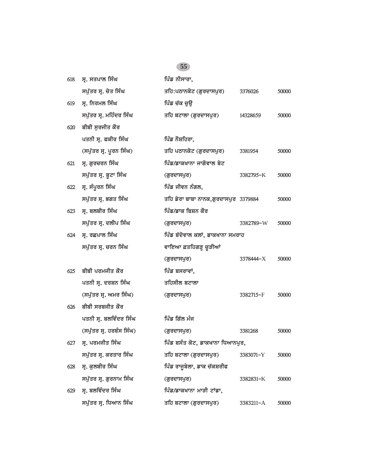| 618 | ਸ੍ਰ. ਸਤਪਾਲ ਸਿੰਘ          | ਪਿੰਡ ਨੀਸਾਰਾ,                         |           |       |
|-----|--------------------------|--------------------------------------|-----------|-------|
|     | ਸਪੁੱਤਰ ਸ੍ਰ. ਚੇਤ ਸਿੰਘ     | ਤਹਿ:ਪਠਾਨਕੋਟ (ਗੁਰਦਾਸਪੁਰ)              | 3376026   | 50000 |
| 619 | ਸ੍ਰ. ਨਿਰਮਲ ਸਿੰਘ          | ਪਿੰਡ ਚੱਕ ਚੁਊ                         |           |       |
|     | ਸਪੁੱਤਰ ਸ੍ਰ. ਮਹਿੰਦਰ ਸਿੰਘ  | ਤਹਿ ਬਟਾਲਾ (ਗੁਰਦਾਸਪੁਰ)                | 14328659  | 50000 |
| 620 | ਬੀਬੀ ਸੁਰਜੀਤ ਕੌਰ          |                                      |           |       |
|     | ਪਤਨੀ ਸ੍ਰ. ਫਕੀਰ ਸਿੰਘ      | ਪਿੰਡ ਨੌਸ਼ਹਿਰਾ,                       |           |       |
|     | (ਸਪੁੱਤਰ ਸ੍ਰ. ਪੂਰਨ ਸਿੰਘ)  | ਤਹਿ ਪਠਾਨਕੋਟ (ਗੁਰਦਾਸਪੁਰ)              | 3381954   | 50000 |
| 621 | ਸ੍ਰ. ਗੁਰਚਰਨ ਸਿੰਘ         | ਪਿੰਡ/ਡਾਕਖਾਨਾ ਜਾਗੋਵਾਲ ਬੇਟ             |           |       |
|     | ਸਪੁੱਤਰ ਸ੍ਰ. ਬੁਟਾ ਸਿੰਘ    | (ਗੁਰਦਾਸਪੁਰ)                          | 3382795-K | 50000 |
| 622 | ਸ੍ਰ. ਸੰਪੂਰਨ ਸਿੰਘ         | ਪਿੰਡ ਜੀਵਨ ਨੰਗਲ,                      |           |       |
|     | ਸਪੁੱਤਰ ਸ੍ਰ. ਭਗਤ ਸਿੰਘ     | ਤਹਿ ਡੇਰਾ ਬਾਬਾ ਨਾਨਕ,ਗੁਰਦਾਸਪੁਰ 3379884 |           | 50000 |
| 623 | ਸ੍ਰ. ਬਲਬੀਰ ਸਿੰਘ          | ਪਿੰਡ/ਡਾਕ ਬਿਸ਼ਨ ਕੌਰ                   |           |       |
|     | ਸਪੁੱਤਰ ਸ੍ਰ. ਦਲੀਪ ਸਿੰਘ    | (ਗੁਰਦਾਸਪੁਰ)                          | 3382789-W | 50000 |
| 624 | ਸ੍ਰ. ਰਛਪਾਲ ਸਿੰਘ          | ਪਿੰਡ ਬੱਦੋਵਾਲ ਕਲਾਂ, ਡਾਕਖਾਨਾ ਸਮਰਾਹ     |           |       |
|     | ਸਪੁੱਤਰ ਸ੍ਰ. ਚਰਨ ਸਿੰਘ     | ਵਾਇਆ ਫ਼ਤਹਿਗੜ੍ਹ ਚੁੜੀਆਂ                |           |       |
|     |                          | (ਗੁਰਦਾਸਪੁਰ)                          | 3378444-X | 50000 |
| 625 | ਬੀਬੀ ਪਰਮਜੀਤ ਕੌਰ          | ਪਿੰਡ ਬਸਰਾਵਾਂ,                        |           |       |
|     | ਪਤਨੀ ਸ੍ਰ. ਦਰਸ਼ਨ ਸਿੰਘ     | ਤਹਿਸੀਲ ਬਟਾਲਾ                         |           |       |
|     | (ਸਪੁੱਤਰ ਸ੍ਰ. ਅਮਰ ਸਿੰਘ)   | (ਗੁਰਦਾਸਪੁਰ)                          | 3382715-F | 50000 |
| 626 | ਬੀਬੀ ਸਰਬਜੀਤ ਕੌਰ          |                                      |           |       |
|     | ਪਤਨੀ ਸ੍ਰ. ਬਲਵਿੰਦਰ ਸਿੰਘ   | ਪਿੰਡ ਗਿੱਲ ਮੰਜ                        |           |       |
|     | (ਸਪੁੱਤਰ ਸ੍ਰ. ਹਰਬੰਸ ਸਿੰਘ) | (ਗੁਰਦਾਸਪੁਰ)                          | 3381268   | 50000 |
| 627 | ਸ੍ਰ. ਪਰਮਜੀਤ ਸਿੰਘ         | ਪਿੰਡ ਬਸੰਤ ਕੋਟ, ਡਾਕਖਾਨਾ ਧਿਆਨਪੁਰ,      |           |       |
|     | ਸਪੁੱਤਰ ਸ੍ਰ. ਕਰਤਾਰ ਸਿੰਘ   | ਤਹਿ ਬਟਾਲਾ (ਗੁਰਦਾਸਪੁਰ)                | 3383071-Y | 50000 |
| 628 | ਸ੍ਰ. ਕੁਲਬੀਰ ਸਿੰਘ         | ਪਿੰਡ ਰਾਜੂਬੇਲਾ, ਡਾਕ ਚੱਕਸ਼ਰੀਫ          |           |       |
|     | ਸਪੁੱਤਰ ਸ੍ਰ. ਗੁਰਨਾਮ ਸਿੰਘ  | (ਗੁਰਦਾਸਪੁਰ)                          | 3382831-K | 50000 |
| 629 | ਸ੍ਰ. ਬਲਵਿੰਦਰ ਸਿੰਘ        | ਪਿੰਡ/ਡਾਕਖਾਨਾ ਮਾੜੀ ਟਾਂਡਾ,             |           |       |
|     | ਸਪੁੱਤਰ ਸ੍ਰ. ਧਿਆਨ ਸਿੰਘ    | ਤਹਿ ਬਟਾਲਾ (ਗੁਰਦਾਸਪੁਰ)                | 3383211-A | 50000 |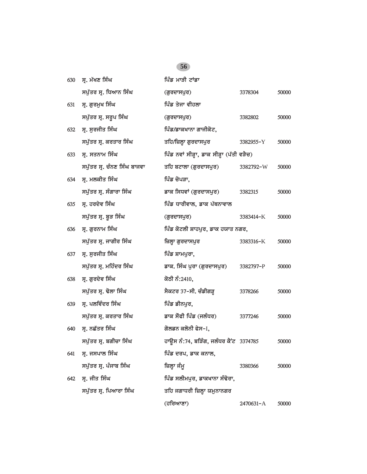| 630 | ਸ੍ਰ. ਮੱਖਣ ਸਿੰਘ              | ਪਿੰਡ ਮਾੜੀ ਟਾਂਡਾ                          |           |       |
|-----|-----------------------------|------------------------------------------|-----------|-------|
|     | ਸਪੁੱਤਰ ਸ੍ਰ. ਧਿਆਨ ਸਿੰਘ       | (ਗੁਰਦਾਸਪੁਰ)                              | 3378304   | 50000 |
| 631 | ਸ੍ਰ. ਗੁਰਮੁਖ ਸਿੰਘ            | ਪਿੰਡ ਤੇਜਾ ਵੀਹਲਾ                          |           |       |
|     | ਸਪੁੱਤਰ ਸ੍ਰ. ਸਰੂਪ ਸਿੰਘ       | (ਗੁਰਦਾਸਪੁਰ)                              | 3382802   | 50000 |
| 632 | ਸ੍ਰ. ਸੁਰਜੀਤ ਸਿੰਘ            | ਪਿੰਡ/ਡਾਕਖਾਨਾ ਗਾਜੀਕੋਟ,                    |           |       |
|     | ਸਪੁੱਤਰ ਸ੍ਰ. ਕਰਤਾਰ ਸਿੰਘ      | ਤਹਿ/ਜ਼ਿਲ੍ਹਾ ਗੁਰਦਾਸਪੁਰ                    | 3382955-Y | 50000 |
| 633 | ਸੁ. ਸਤਨਾਮ ਸਿੰਘ              | ਪਿੰਡ ਨਵਾਂ ਸੀੜ੍ਹਾ, ਡਾਕ ਸੀੜ੍ਹਾ (ਪੱਤੀ ਵੜੈਚ) |           |       |
|     | ਸਪੁੱਤਰ ਸ੍ਰ. ਚੰਨਣ ਸਿੰਘ ਬਾਜਵਾ | ਤਹਿ ਬਟਾਲਾ (ਗੁਰਦਾਸਪੁਰ)                    | 3382792-W | 50000 |
| 634 | ਸ੍ਰ. ਮਲਕੀਤ ਸਿੰਘ             | ਪਿੰਡ ਚੋਪੜਾ,                              |           |       |
|     | ਸਪੁੱਤਰ ਸ੍ਰ. ਸੰਗਾਰਾ ਸਿੰਘ     | ਡਾਕ ਸਿਧਵਾਂ (ਗੁਰਦਾਸਪੁਰ)                   | 3382315   | 50000 |
| 635 | ਸ੍ਰ. ਹਰਦੇਵ ਸਿੰਘ             | ਪਿੰਡ ਧਾਰੀਵਾਲ, ਡਾਕ ਪੱਥਨਾਵਾਲ               |           |       |
|     | ਸਪੁੱਤਰ ਸ੍ਰ. ਬੁੜ ਸਿੰਘ        | (ਗੁਰਦਾਸਪੁਰ)                              | 3383414-K | 50000 |
| 636 | ਸ੍ਰ. ਗੁਰਨਾਮ ਸਿੰਘ            | ਪਿੰਡ ਕੋਟਲੀ ਸ਼ਾਹਪੁਰ, ਡਾਕ ਹਯਾਤ ਨਗਰ,        |           |       |
|     | ਸਪੁੱਤਰ ਸ੍ਰ. ਜਾਗੀਰ ਸਿੰਘ      | ਜ਼ਿਲ੍ਹਾ ਗੁਰਦਾਸਪੁਰ                        | 3383316-K | 50000 |
| 637 | ਸ੍ਰ. ਸੁਰਜੀਤ ਸਿੰਘ            | ਪਿੰਡ ਸ਼ਾਮਪੁਰਾ,                           |           |       |
|     | ਸਪੁੱਤਰ ਸ੍ਰ. ਮਹਿੰਦਰ ਸਿੰਘ     | ਡਾਕ. ਸਿੰਘ ਪੂਰਾ (ਗੁਰਦਾਸਪੁਰ)               | 3382797-P | 50000 |
| 638 | ਸ੍ਰ. ਗੁਰਦੇਵ ਸਿੰਘ            | ਕੋਠੀ ਨੰ:2410,                            |           |       |
|     | ਸਪੁੱਤਰ ਸ੍ਰ. ਢੋਲਾ ਸਿੰਘ       | ਸੈਕਟਰ 37-ਸੀ. ਚੰਡੀਗੜ੍ਹ                    | 3378266   | 50000 |
| 639 | ਸ੍ਰ. ਪਲਵਿੰਦਰ ਸਿੰਘ           | ਪਿੰਡ ਡੀਨਪੁਰ,                             |           |       |
|     | ਸਪੁੱਤਰ ਸ੍ਰ. ਕਰਤਾਰ ਸਿੰਘ      | ਡਾਕ ਸੌਫੀ ਪਿੰਡ (ਜਲੰਧਰ)                    | 3377246   | 50000 |
| 640 | ਸ੍ਰ. ਨਛੱਤਰ ਸਿੰਘ             | ਗੋਲਡਨ ਕਲੋਨੀ ਫੇਸ-I,                       |           |       |
|     | ਸਪੁੱਤਰ ਸ੍ਰ. ਬਗੀਚਾ ਸਿੰਘ      | ਹਾਊਸ ਨੰ:74, ਬੜਿੰਗ, ਜਲੰਧਰ ਕੈਂਟ 3374785    |           | 50000 |
| 641 | ਸ੍ਰ. ਜਸਪਾਲ ਸਿੰਘ             | ਪਿੰਡ ਦਰਪ, ਡਾਕ ਕਨਾਲ,                      |           |       |
|     | ਸਪੁੱਤਰ ਸ੍ਰ. ਪੰਜਾਬ ਸਿੰਘ      | ਜ਼ਿਲ੍ਹਾ ਜੰਮੂ                             | 3380366   | 50000 |
| 642 | ਸ੍ਰ. ਜੀਤ ਸਿੰਘ               | ਪਿੰਡ ਸਲੀਮਪੁਰ, ਡਾਕਖਾਨਾ ਸੰਢੋਰਾ,            |           |       |
|     | ਸਪੁੱਤਰ ਸ੍ਰ. ਪਿਆਰਾ ਸਿੰਘ      | ਤਹਿ ਜਗਾਧਰੀ ਜ਼ਿਲ੍ਹਾ ਯਮੁਨਾਨਗਰ              |           |       |
|     |                             | $($ ਹਰਿਆਣਾ $)$                           | 2470631-A | 50000 |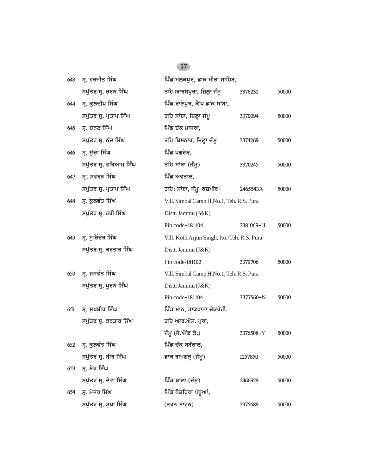| 643 | ਸ੍ਰ. ਹਰਜੀਤ ਸਿੰਘ         | ਪਿੰਡ ਮਲਕਪੁਰ, ਡਾਕ ਮੀਰਾ ਸਾਹਿਬ,                 |           |       |
|-----|-------------------------|----------------------------------------------|-----------|-------|
|     | ਸਪੁੱਤਰ ਸ੍ਰ. ਚਰਨ ਸਿੰਘ    | ਤਹਿ ਆਰਸਪੁਰਾ, ਜ਼ਿਲ੍ਹਾ ਜੰਮੁ                    | 3376232   | 50000 |
| 644 | ਸ੍ਰ. ਕੁਲਦੀਪ ਸਿੰਘ        | ਪਿੰਡ ਰਾਏਪੁਰ, ਕੈਂਪ ਡਾਕ ਸਾਂਬਾ,                 |           |       |
|     | ਸਪੁੱਤਰ ਸ੍ਰ. ਪ੍ਰਤਾਪ ਸਿੰਘ | ਤਹਿ ਸਾਂਬਾ, ਜ਼ਿਲ੍ਹਾ ਜੰਮੂ                      | 3370094   | 50000 |
| 645 | ਸ੍ਰ. ਚੰਨਣ ਸਿੰਘ          | ਪਿੰਡ ਚੱਕ ਮਾਜਰਾ,                              |           |       |
|     | ਸਪੁੱਤਰ ਸ੍ਰ. ਨੰਦ ਸਿੰਘ    | ਤਹਿ ਬਿਸਨਾਹ, ਜ਼ਿਲ੍ਹਾ ਜੰਮੂ                     | 3374269   | 50000 |
| 646 | ਸੁ. ਸੁੱਚਾ ਸਿੰਘ          | ਪਿੰਡ ਪਗਦੋੜ,                                  |           |       |
|     | ਸਪੁੱਤਰ ਸ੍ਰ. ਵਰਿਆਮ ਸਿੰਘ  | ਤਹਿ ਸਾਂਬਾ (ਜੰਮੂ)                             | 3370245   | 50000 |
| 647 | ਸ੍ਰ: ਸਵਰਨ ਸਿੰਘ          | ਪਿੰਡ ਅਵਤਾਲ,                                  |           |       |
|     | ਸਪੁੱਤਰ ਸ੍ਰ. ਪ੍ਰਤਾਪ ਸਿੰਘ | ਤਹਿ: ਸਾਂਬਾ, ਜੰਮੁ–ਕਸ਼ਮੀਰ।                     | 2465543A  | 50000 |
| 648 | ਸ੍ਰ. ਕੁਲਵੰਤ ਸਿੰਘ        | Vill. Simbal Camp H.No.1, Teh. R.S. Pura     |           |       |
|     | ਸਪੁੱਤਰ ਸ੍ਰ. ਹਰੀ ਸਿੰਘ    | Distt. Jammu (J&K)                           |           |       |
|     |                         | Pin code-181104.                             | 3381069-H | 50000 |
| 649 | ਸ੍ਰ. ਸੁਰਿੰਦਰ ਸਿੰਘ       | Vill. Kotli Arjun Singh, P.o./Teh. R.S. Pura |           |       |
|     | ਸਪੁੱਤਰ ਸ੍ਰ. ਕਰਤਾਰ ਸਿੰਘ  | Distt. Jammu (J&K)                           |           |       |
|     |                         | Pin code-181103                              | 3379706   | 50000 |
| 650 | ਸ੍ਰ. ਜਸਵੰਤ ਸਿੰਘ         | Vill. Simbal Camp H.No.1, Teh. R.S. Pura     |           |       |
|     | ਸਪੁੱਤਰ ਸ੍ਰ. ਪੂਰਨ ਸਿੰਘ   | Distt. Jammu (J&K)                           |           |       |
|     |                         | Pin code-181104                              | 3377560-N | 50000 |
| 651 | ਸ੍ਰ. ਸੁਖਬੀਰ ਸਿੰਘ        | ਪਿੰਡ ਮਾਨ, ਡਾਕਖਾਨਾ ਚੱਕਰੋਹੀ,                   |           |       |
|     | ਸਪੁੱਤਰ ਸ੍ਰ. ਕਰਤਾਰ ਸਿੰਘ  | ਤਹਿ ਆਰ.ਐਸ. ਪਰਾ.                              |           |       |
|     |                         | ਜੰਮੂ (ਜੇ.ਐਂਡ ਕੇ.)                            | 3376508-Y | 50000 |
|     | 652 ਸ੍ਰ. ਕੁਲਵੰਤ ਸਿੰਘ    | ਪਿੰਡ ਚੱਕ ਬਬੱਰਾਲ,                             |           |       |
|     | ਸਪੁੱਤਰ ਸ੍ਰ. ਬੀਰ ਸਿੰਘ    | ਡਾਕ ਰਾਮਗੜ੍ਹ (ਜੰਮੂ)                           | 1257850   | 50000 |
| 653 | ਸ੍ਰ. ਸ਼ੇਰ ਸਿੰਘ          |                                              |           |       |
|     | ਸਪੁੱਤਰ ਸ੍ਰ. ਦੇਵਾ ਸਿੰਘ   | ਪਿੰਡ ਬਾਲਾ (ਜੰਮੂ)                             | 2466929   | 50000 |
| 654 | ਸ੍ਰ. ਮੇਜਰ ਸਿੰਘ          | ਪਿੰਡ ਨੌਸ਼ਹਿਰਾ ਪੰਨੂਆਂ,                        |           |       |
|     | ਸਪੁੱਤਰ ਸ੍ਰ. ਸੁਖਾ ਸਿੰਘ   | (ਤਰਨ ਤਾਰਨ)                                   | 3375689   | 50000 |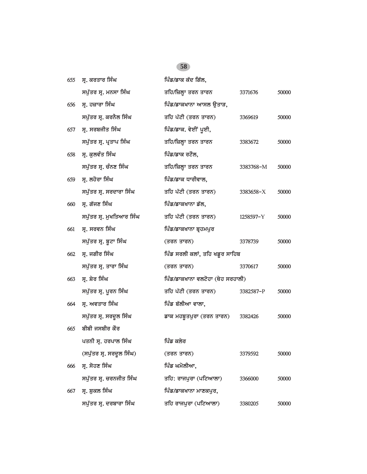| 655 | ਸ੍ਰ. ਕਰਤਾਰ ਸਿੰਘ          | ਪਿੰਡ/ਡਾਕ ਕੱਦ ਗਿੱਲ,               |           |       |
|-----|--------------------------|----------------------------------|-----------|-------|
|     | ਸਪੁੱਤਰ ਸ੍ਰ. ਮਨਸਾ ਸਿੰਘ    | ਤਹਿ/ਜ਼ਿਲ੍ਹਾ ਤਰਨ ਤਾਰਨ             | 3371676   | 50000 |
| 656 | ਸ੍ਰ. ਹਜ਼ਾਰਾ ਸਿੰਘ         | ਪਿੰਡ/ਡਾਕਖਾਨਾ ਆਸਲ ਉਤਾੜ,           |           |       |
|     | ਸਪੁੱਤਰ ਸ੍ਰ. ਕਰਨੈਲ ਸਿੰਘ   | ਤਹਿ ਪੱਟੀ (ਤਰਨ ਤਾਰਨ)              | 3369619   | 50000 |
| 657 | ਸ੍ਰ. ਸਰਬਜੀਤ ਸਿੰਘ         | ਪਿੰਡ/ਡਾਕ. ਵੇਈਂ ਪੂਈ,              |           |       |
|     | ਸਪੁੱਤਰ ਸ੍ਰ. ਪ੍ਰਤਾਪ ਸਿੰਘ  | ਤਹਿ/ਜ਼ਿਲ੍ਹਾ ਤਰਨ ਤਾਰਨ             | 3383672   | 50000 |
| 658 | ਸ੍ਰ. ਕੁਲਵੰਤ ਸਿੰਘ         | ਪਿੰਡ/ਡਾਕ ਰਟੌਲ,                   |           |       |
|     | ਸਪੁੱਤਰ ਸ੍ਰ. ਚੰਨਣ ਸਿੰਘ    | ਤਹਿ/ਜ਼ਿਲ੍ਹਾ ਤਰਨ ਤਾਰਨ             | 3383768-M | 50000 |
| 659 | ਸ੍ਰ. ਲਹੋਰਾ ਸਿੰਘ          | ਪਿੰਡ/ਡਾਕ ਧਾਰੀਵਾਲ,                |           |       |
|     | ਸਪੁੱਤਰ ਸ੍ਰ. ਸਰਦਾਰਾ ਸਿੰਘ  | ਤਹਿ ਪੱਟੀ (ਤਰਨ ਤਾਰਨ)              | 3383658-X | 50000 |
| 660 | ਸ੍ਰ. ਗੱਜਣ ਸਿੰਘ           | ਪਿੰਡ/ਡਾਕਖਾਨਾ ਡੱਲ,                |           |       |
|     | ਸਪੁੱਤਰ ਸ੍ਰ. ਮੁਖਤਿਆਰ ਸਿੰਘ | ਤਹਿ ਪੱਟੀ (ਤਰਨ ਤਾਰਨ)              | 1258597-Y | 50000 |
| 661 | ਸ੍ਰ. ਸਰਵਨ ਸਿੰਘ           | ਪਿੰਡ/ਡਾਕਖਾਨਾ ਬ੍ਰਹਮਪੁਰ            |           |       |
|     | ਸਪੁੱਤਰ ਸ੍ਰ. ਬੂਟਾ ਸਿੰਘ    | (ਤਰਨ ਤਾਰਨ)                       | 3378739   | 50000 |
| 662 | ਸ੍ਰ. ਜਗੀਰ ਸਿੰਘ           | ਪਿੰਡ ਸਰਲੀ ਕਲਾਂ, ਤਹਿ ਖਡੁਰ ਸਾਹਿਬ   |           |       |
|     | ਸਪੁੱਤਰ ਸ੍ਰ. ਤਾਰਾ ਸਿੰਘ    | (ਤਰਨ ਤਾਰਨ)                       | 3370617   | 50000 |
| 663 | ਸ੍ਰ. ਸ਼ੇਰ ਸਿੰਘ           | ਪਿੰਡ/ਡਾਕਖਾਨਾ ਵਲਟੋਹਾ (ਥੇਹ ਸਰਹਾਲੀ) |           |       |
|     | ਸਪੁੱਤਰ ਸ੍ਰ. ਪੁਰਨ ਸਿੰਘ    | ਤਹਿ ਪੱਟੀ (ਤਰਨ ਤਾਰਨ)              | 3382587-P | 50000 |
| 664 | ਸ੍ਰ. ਅਵਤਾਰ ਸਿੰਘ          | ਪਿੰਡ ਬੱਲੀਆ ਵਾਲਾ,                 |           |       |
|     | ਸਪੁੱਤਰ ਸ੍ਰ. ਸਰਦੁਲ ਸਿੰਘ   | ਡਾਕ ਮਹਬੂਤਪੁਰਾ (ਤਰਨ ਤਾਰਨ)         | 3382426   | 50000 |
| 665 | ਬੀਬੀ ਜਸਬੀਰ ਕੌਰ           |                                  |           |       |
|     | ਪਤਨੀ ਸ੍ਰ. ਹਰਪਾਲ ਸਿੰਘ     | ਪਿੰਡ ਕਲੇਰ                        |           |       |
|     | (ਸਪੁੱਤਰ ਸ੍ਰ. ਸਰਦੁਲ ਸਿੰਘ) | (ਤਰਨ ਤਾਰਨ)                       | 3379592   | 50000 |
| 666 | ਸ੍ਰ. ਸੋਹਣ ਸਿੰਘ           | ਪਿੰਡ ਘਮੋਲੀਆ,                     |           |       |
|     | ਸਪੁੱਤਰ ਸ੍ਰ. ਚਰਨਜੀਤ ਸਿੰਘ  | ਤਹਿ: ਰਾਜਪੁਰਾ (ਪਟਿਆਲਾ)            | 3366000   | 50000 |
| 667 | ਸ੍ਰ. ਸ਼ੁਕਲ ਸਿੰਘ          | ਪਿੰਡ/ਡਾਕਖਾਨਾ ਮਾਣਕਪਰ,             |           |       |
|     | ਸਪੁੱਤਰ ਸ੍ਰ. ਦਰਬਾਰਾ ਸਿੰਘ  | ਤਹਿ ਰਾਜਪੁਰਾ (ਪਟਿਆਲਾ)             | 3380205   | 50000 |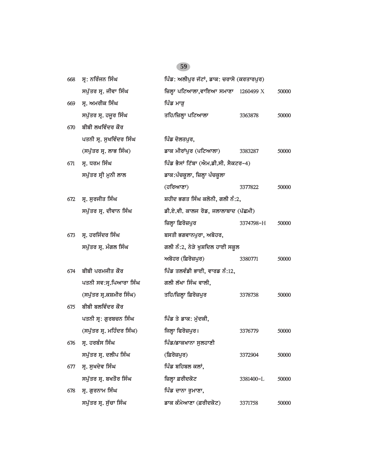| 668 | ਸ੍ਰ: ਨਰਿੰਜਨ ਸਿੰਘ          | ਪਿੰਡ: ਅਲੀਪੁਰ ਜੱਟਾਂ, ਡਾਕ: ਚਰਾਸੋ (ਕਰਤਾਰਪੁਰ) |           |       |
|-----|---------------------------|-------------------------------------------|-----------|-------|
|     | ਸਪੁੱਤਰ ਸ੍ਰ. ਜੀਵਾ ਸਿੰਘ     | ਜ਼ਿਲ੍ਹਾ ਪਟਿਆਲਾ,ਵਾਇਆ ਸਮਾਣਾ 1260499 $X$     |           | 50000 |
| 669 | ਸ੍ਰ. ਅਮਰੀਕ ਸਿੰਘ           | ਪਿੰਡ ਮਾੜ                                  |           |       |
|     | ਸਪੁੱਤਰ ਸ੍ਰ. ਹਜੂਰ ਸਿੰਘ     | ਤਹਿ/ਜ਼ਿਲ੍ਹਾ ਪਟਿਆਲਾ                        | 3363878   | 50000 |
| 670 | ਬੀਬੀ ਲਖਵਿੰਦਰ ਕੌਰ          |                                           |           |       |
|     | ਪਤਨੀ ਸ੍ਰ. ਸੁਖਵਿੰਦਰ ਸਿੰਘ   | ਪਿੰਡ ਦੋਲਤਪੁਰ,                             |           |       |
|     | (ਸਪੁੱਤਰ ਸ੍ਰ. ਲਾਭ ਸਿੰਘ)    | ਡਾਕ ਮੀਰਾਂਪੁਰ (ਪਟਿਆਲਾ)                     | 3383287   | 50000 |
| 671 | ਸ੍ਰ. ਧਰਮ ਸਿੰਘ             | ਪਿੰਡ ਭੈਸਾਂ ਟਿੱਬਾ (ਐਮ.ਡੀ.ਸੀ. ਸੈਕਟਰ–4)      |           |       |
|     | ਸਪੁੱਤਰ ਸ੍ਰੀ ਮੁਨੀ ਲਾਲ      | ਡਾਕ:ਪੰਚਕੁਲਾ, ਜ਼ਿਲ੍ਹਾ ਪੰਚਕੁਲਾ              |           |       |
|     |                           | (ਹਰਿਆਣਾ)                                  | 3377822   | 50000 |
| 672 | ਸ੍ਰ. ਸੁਰਜੀਤ ਸਿੰਘ          | ਸ਼ਹੀਦ ਭਗਤ ਸਿੰਘ ਕਲੋਨੀ, ਗਲੀ ਨੰ:2,           |           |       |
|     | ਸਪੁੱਤਰ ਸ੍ਰ. ਦੀਵਾਨ ਸਿੰਘ    | ਡੀ.ਏ.ਵੀ. ਕਾਲਜ ਰੋਡ, ਜਲਾਲਾਬਾਦ (ਪੱਛਮੀ)       |           |       |
|     |                           | ਜ਼ਿਲ੍ਹਾ ਫ਼ਿਰੋਜ਼ਪੁਰ                        | 3374798-H | 50000 |
| 673 | ਸ੍ਰ. ਹਰਜਿੰਦਰ ਸਿੰਘ         | ਬਸਤੀ ਭਗਵਾਨਪੁਰਾ, ਅਬੋਹਰ,                    |           |       |
|     | ਸਪੁੱਤਰ ਸ੍ਰ. ਮੰਗਲ ਸਿੰਘ     | ਗਲੀ ਨੰ:2, ਨੇੜੇ ਖੁਸ਼ਦਿਲ ਹਾਈ ਸਕੂਲ           |           |       |
|     |                           | ਅਬੋਹਰ (ਫ਼ਿਰੋਜ਼ਪੁਰ)                        | 3380771   | 50000 |
| 674 | ਬੀਬੀ ਪਰਮਜੀਤ ਕੌਰ           | ਪਿੰਡ ਤਲਵੰਡੀ ਭਾਈ, ਵਾਰਡ ਨੰ:12,              |           |       |
|     | ਪਤਨੀ ਸਵ:ਸ੍ਰ.ਪਿਆਰਾ ਸਿੰਘ    | ਗਲੀ ਲੱਖਾ ਸਿੰਘ ਵਾਲੀ,                       |           |       |
|     | (ਸਪੁੱਤਰ ਸ੍ਰ.ਕਸ਼ਮੀਰ ਸਿੰਘ)  | ਤਹਿ/ਜ਼ਿਲ੍ਹਾ ਫ਼ਿਰੋਜ਼ਪੁਰ                    | 3378738   | 50000 |
| 675 | ਬੀਬੀ ਬਲਵਿੰਦਰ ਕੌਰ          |                                           |           |       |
|     | ਪਤਨੀ ਸ੍ਰ: ਗੁਰਬਚਨ ਸਿੰਘ     | ਪਿੰਡ ਤੇ ਡਾਕ: ਮੱਦਕੀ,                       |           |       |
|     | (ਸਪੁੱਤਰ ਸ੍ਰ. ਮਹਿੰਦਰ ਸਿੰਘ) | ਜਿਲ੍ਹਾ ਫਿਰੋਜ਼ਪੁਰ।                         | 3376779   | 50000 |
| 676 | ਸ੍ਰ. ਹਰਬੰਸ ਸਿੰਘ           | ਪਿੰਡ/ਡਾਕਖਾਨਾ ਸੁਲਹਾਣੀ                      |           |       |
|     | ਸਪੁੱਤਰ ਸ੍ਰ. ਦਲੀਪ ਸਿੰਘ     | (ਫ਼ਿਰੋਜ਼ਪਰ)                               | 3372904   | 50000 |
| 677 | ਸ. ਸਖਦੇਵ ਸਿੰਘ             | ਪਿੰਡ ਬਹਿਬਲ ਕਲਾਂ,                          |           |       |
|     | ਸਪੁੱਤਰ ਸ੍ਰ. ਬਖਤੌਰ ਸਿੰਘ    | ਜ਼ਿਲ੍ਹਾ ਫ਼ਰੀਦਕੋਟ                          | 3381400-L | 50000 |
| 678 | ਸ੍ਰ. ਗੁਰਨਾਮ ਸਿੰਘ          | ਪਿੰਡ ਦਾਨਾ ਰੁਮਾਣਾ,                         |           |       |
|     | ਸਪੁੱਤਰ ਸ੍ਰ. ਸੁੱਚਾ ਸਿੰਘ    | ਡਾਕ ਕੰਮੇਆਣਾ (ਫ਼ਰੀਦਕੋਟ)                    | 3371758   | 50000 |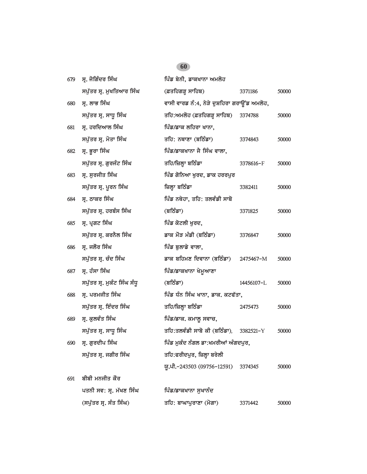| 679 | ਸ੍ਰ. ਜੋਗਿੰਦਰ ਸਿੰਘ           | ਪਿੰਡ ਬੇਨੀ, ਡਾਕਖਾਨਾ ਅਮਲੋਹ                    |            |       |
|-----|-----------------------------|---------------------------------------------|------------|-------|
|     | ਸਪੁੱਤਰ ਸ੍ਰ. ਮੁਖਤਿਆਰ ਸਿੰਘ    | (ਫ਼ਤਹਿਗੜ੍ਹ ਸਾਹਿਬ)                           | 3371186    | 50000 |
| 680 | ਸ੍ਰ. ਲਾਭ ਸਿੰਘ               | ਵਾਸੀ ਵਾਰਡ ਨੰ:4, ਨੇੜੇ ਦੁਸ਼ਹਿਰਾ ਗਰਾਉਂਡ ਅਮਲੋਹ, |            |       |
|     | ਸਪੁੱਤਰ ਸ੍ਰ. ਸਾਧੁ ਸਿੰਘ       | ਤਹਿ:ਅਮਲੋਹ (ਫ਼ਤਹਿਗੜ੍ਹ ਸਾਹਿਬ) 3374788         |            | 50000 |
| 681 | ਸ੍ਰ. ਹਰਦਿਆਲ ਸਿੰਘ            | ਪਿੰਡ/ਡਾਕ ਲਹਿਰਾ ਖਾਨਾ,                        |            |       |
|     | ਸਪੁੱਤਰ ਸ੍ਰ. ਮੋਤਾ ਸਿੰਘ       | ਤਹਿ: ਨਥਾਣਾ (ਬਠਿੰਡਾ)                         | 3374843    | 50000 |
| 682 | ਸ੍ਰ. ਭੂਰਾ ਸਿੰਘ              | ਪਿੰਡ/ਡਾਕਖਾਨਾ ਜੈ ਸਿੰਘ ਵਾਲਾ,                  |            |       |
|     | ਸਪੁੱਤਰ ਸ੍ਰ. ਗੁਰਜੰਟ ਸਿੰਘ     | ਤਹਿ/ਜ਼ਿਲ੍ਹਾ ਬਠਿੰਡਾ                          | 3378616-F  | 50000 |
| 683 | ਸ੍ਰ. ਸੁਰਜੀਤ ਸਿੰਘ            | ਪਿੰਡ ਗੋਨਿਆ ਖੁਰਦ, ਡਾਕ ਹਰਰਪੁਰ                 |            |       |
|     | ਸਪੁੱਤਰ ਸ੍ਰ. ਪੂਰਨ ਸਿੰਘ       | ਜ਼ਿਲ੍ਹਾ ਬਠਿੰਡਾ                              | 3382411    | 50000 |
| 684 | ਸੂ. ਠਾਕਰ ਸਿੰਘ               | ਪਿੰਡ ਨਥੇਹਾ, ਤਹਿ: ਤਲਵੰਡੀ ਸਾਬੋ                |            |       |
|     | ਸਪੁੱਤਰ ਸ੍ਰ. ਹਰਬੰਸ ਸਿੰਘ      | (ਬਠਿੰਡਾ)                                    | 3371825    | 50000 |
| 685 | ਸ੍ਰ. ਪ੍ਰਗਟ ਸਿੰਘ             | ਪਿੰਡ ਕੋਟਲੀ ਖਰਦ,                             |            |       |
|     | ਸਪੁੱਤਰ ਸ੍ਰ. ਕਰਨੈਲ ਸਿੰਘ      | ਡਾਕ ਮੌੜ ਮੰਡੀ (ਬਠਿੰਡਾ)                       | 3376847    | 50000 |
| 686 | ਸ੍ਰ. ਜਲੌਰ ਸਿੰਘ              | ਪਿੰਡ ਬੁਲਾਡੇ ਵਾਲਾ,                           |            |       |
|     | ਸਪੁੱਤਰ ਸ੍ਰ. ਚੰਦ ਸਿੰਘ        | ਡਾਕ ਬਹਿਮਣ ਦਿਵਾਨਾ (ਬਠਿੰਡਾ) 2475467-M         |            | 50000 |
| 687 | ਸ੍ਰ. ਹੰਸਾ ਸਿੰਘ              | ਪਿੰਡ/ਡਾਕਖਾਨਾ ਖੇਮੁਆਣਾ                        |            |       |
|     | ਸਪੁੱਤਰ ਸ੍ਰ. ਮੁਕੰਟ ਸਿੰਘ ਸੰਧੁ | (ਬਠਿੰਡਾ)                                    | 14456107-L | 50000 |
| 688 | ਸ੍ਰ. ਪਰਮਜੀਤ ਸਿੰਘ            | ਪਿੰਡ ਧੰਨ ਸਿੰਘ ਖਾਨਾ, ਡਾਕ. ਕਟਫੱਤਾ,            |            |       |
|     | ਸਪੁੱਤਰ ਸ੍ਰ. ਇੰਦਰ ਸਿੰਘ       | ਤਹਿ/ਜ਼ਿਲ੍ਹਾ ਬਠਿੰਡਾ                          | 2475473    | 50000 |
| 689 | ਸ੍ਰ. ਕੁਲਵੰਤ ਸਿੰਘ            | ਪਿੰਡ/ਡਾਕ. ਕਮਾਲੂ ਸਵਾਚ,                       |            |       |
|     | ਸਪੁੱਤਰ ਸ੍ਰ. ਸਾਧੂ ਸਿੰਘ       | ਤਹਿ:ਤਲਵੰਡੀ ਸਾਬੋ ਕੀ (ਬਠਿੰਡਾ), 3382521-Y      |            | 50000 |
| 690 | ਸ੍ਰ. ਗੁਰਦੀਪ ਸਿੰਘ            | ਪਿੰਡ ਮੁਕੰਦ ਨੰਗਲ ਡਾ:ਖਮਰੀਆਂ ਅੰਗਦਪੁਰ,          |            |       |
|     | ਸਪੁੱਤਰ ਸ੍ਰ. ਜਗੀਰ ਸਿੰਘ       | ਤਹਿ:ਫਰੀਦਪੁਰ, ਜ਼ਿਲ੍ਹਾ ਬਰੇਲੀ                  |            |       |
|     |                             | ਯੂ.ਪੀ.-243503 (09756-12591)                 | 3374345    | 50000 |
| 691 | ਬੀਬੀ ਮਨਜੀਤ ਕੌਰ              |                                             |            |       |
|     | ਪਤਨੀ ਸਵ: ਸ੍ਰ. ਮੱਖਣ ਸਿੰਘ     | ਪਿੰਡ/ਡਾਕਖਾਨਾ ਸੁਖਾਨੰਦ                        |            |       |
|     | (ਸਪੁੱਤਰ ਸ੍ਰ. ਸੰਤ ਸਿੰਘ)      | ਤਹਿ: ਬਾਘਾਪੁਰਾਣਾ (ਮੋਗਾ)                      | 3371442    | 50000 |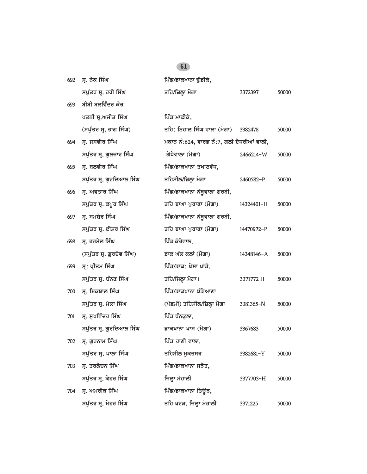$\overline{a}$ 

| 692 | ਸ੍ਰ. ਨੇਕ ਸਿੰਘ             | ਪਿੰਡ/ਡਾਕਖਾਨਾ ਢੁੱਡੀਕੇ,                     |            |       |
|-----|---------------------------|-------------------------------------------|------------|-------|
|     | ਸਪੁੱਤਰ ਸ੍ਰ. ਹਰੀ ਸਿੰਘ      | ਤਹਿ/ਜ਼ਿਲ੍ਹਾ ਮੋਗਾ                          | 3372397    | 50000 |
| 693 | ਬੀਬੀ ਬਲਵਿੰਦਰ ਕੌਰ          |                                           |            |       |
|     | ਪਤਨੀ ਸ੍ਰ.ਅਜੀਤ ਸਿੰਘ        | ਪਿੰਡ ਮਾਛੀਕੇ,                              |            |       |
|     | (ਸਪੁੱਤਰ ਸ੍ਰ. ਭਾਗ ਸਿੰਘ)    | ਤਹਿ: ਨਿਹਾਲ ਸਿੰਘ ਵਾਲਾ (ਮੋਗਾ)               | 3382478    | 50000 |
| 694 | ਸ੍ਰ. ਜਸਵੀਰ ਸਿੰਘ           | ਮਕਾਨ ਨੰ:624, ਵਾਰਡ ਨੰ:7, ਗਲੀ ਦੋਧਰੀਆਂ ਵਾਲੀ, |            |       |
|     | ਸਪੁੱਤਰ ਸ੍ਰ. ਗੁਲਜਾਰ ਸਿੰਘ   | ਗੋਧੇਵਾਲਾ (ਮੋਗਾ)                           | 2466214-W  | 50000 |
| 695 | ਸ੍ਰ. ਬਲਵੀਰ ਸਿੰਘ           | ਪਿੰਡ/ਡਾਕਖਾਨਾ ਤਖਾਣਵੱਧ,                     |            |       |
|     | ਸਪੁੱਤਰ ਸ੍ਰ. ਗੁਰਦਿਆਲ ਸਿੰਘ  | ਤਹਿਸੀਲ/ਜ਼ਿਲ੍ਹਾ ਮੋਗਾ                       | 2460582-P  | 50000 |
| 696 | ਸ੍ਰ. ਅਵਤਾਰ ਸਿੰਘ           | ਪਿੰਡ/ਡਾਕਖਾਨਾ ਨੱਥੂਵਾਲਾ ਗਰਬੀ,               |            |       |
|     | ਸਪੁੱਤਰ ਸ੍ਰ. ਕਪੂਰ ਸਿੰਘ     | ਤਹਿ ਬਾਘਾ ਪੁਰਾਣਾ (ਮੋਗਾ)                    | 14324401-H | 50000 |
| 697 | ਸ੍ਰ. ਸਮਸ਼ੇਰ ਸਿੰਘ          | ਪਿੰਡ/ਡਾਕਖਾਨਾ ਨੱਥੁਵਾਲਾ ਗਰਬੀ,               |            |       |
|     | ਸਪੁੱਤਰ ਸ੍ਰ. ਈਸ਼ਰ ਸਿੰਘ     | ਤਹਿ ਬਾਘਾ ਪੁਰਾਣਾ (ਮੋਗਾ)                    | 14470972-P | 50000 |
| 698 | ਸ੍ਰ. ਹਰਮੇਲ ਸਿੰਘ           | ਪਿੰਡ ਕੋਰੇਵਾਲ,                             |            |       |
|     | (ਸਪੁੱਤਰ ਸ੍ਰ. ਗੁਰਦੇਵ ਸਿੰਘ) | ਡਾਕ ਘੱਲ ਕਲਾਂ (ਮੋਗਾ)                       | 14348146-A | 50000 |
| 699 | ਸ੍ਰ: ਪ੍ਰੀਤਮ ਸਿੰਘ          | ਪਿੰਡ/ਡਾਕ: ਖੋਸਾ ਪਾਂਡੋ,                     |            |       |
|     | ਸਪੁੱਤਰ ਸ੍ਰ. ਚੰਨਣ ਸਿੰਘ     | ਤਹਿ/ਜਿਲ੍ਹਾ ਮੋਗਾ।                          | 3371772 H  | 50000 |
| 700 | ਸ੍ਰ. ਇਕਬਾਲ ਸਿੰਘ           | ਪਿੰਡ/ਡਾਕਖਾਨਾ ਝੰਡੇਆਣਾ                      |            |       |
|     | ਸਪੁੱਤਰ ਸ੍ਰ. ਮੇਲਾ ਸਿੰਘ     | (ਪੱਛਮੀ) ਤਹਿਸੀਲ/ਜ਼ਿਲ੍ਹਾ ਮੋਗਾ               | 3381365-N  | 50000 |
| 701 | ਸ੍ਰ. ਸੁਖਵਿੰਦਰ ਸਿੰਘ        | ਪਿੰਡ ਧੰਨਕੁਲਾ,                             |            |       |
|     | ਸਪੁੱਤਰ ਸ੍ਰ. ਗੁਰਦਿਆਲ ਸਿੰਘ  | ਡਾਕਖਾਨਾ ਖਾਸ (ਮੋਗਾ)                        | 3367683    | 50000 |
| 702 | ਸ੍ਰ. ਗੁਰਨਾਮ ਸਿੰਘ          | ਪਿੰਡ ਰਾਣੀ ਵਾਲਾ,                           |            |       |
|     | ਸਪੁੱਤਰ ਸ੍ਰ. ਪਾਲਾ ਸਿੰਘ     | ਤਹਿਸੀਲ ਮੁਕਤਸਰ                             | 3382681-Y  | 50000 |
| 703 | ਸ੍ਰ. ਤਰਲੋਚਨ ਸਿੰਘ          | ਪਿੰਡ/ਡਾਕਖਾਨਾ ਜੜੋਤ,                        |            |       |
|     | ਸਪੁੱਤਰ ਸ੍ਰ. ਕੇਹਰ ਸਿੰਘ     | ਜ਼ਿਲ੍ਹਾ ਮੋਹਾਲੀ                            | 3377703-H  | 50000 |
| 704 | ਸ੍ਰ. ਅਮਰੀਕ ਸਿੰਘ           | ਪਿੰਡ/ਡਾਕਖਾਨਾ ਤਿਉੜ,                        |            |       |
|     | ਸਪੁੱਤਰ ਸ੍ਰ. ਮੇਹਰ ਸਿੰਘ     | ਤਹਿ ਖਰੜ, ਜ਼ਿਲ੍ਹਾ ਮੋਹਾਲੀ                   | 3371225    | 50000 |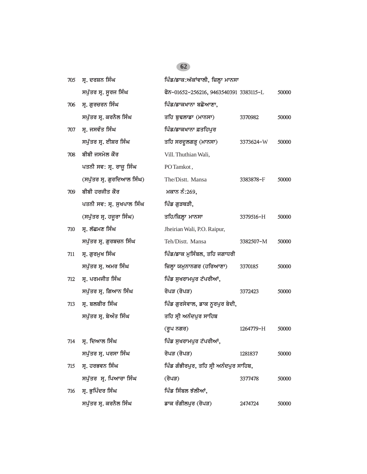| 705 | ਸ੍ਰ. ਦਰਸ਼ਨ ਸਿੰਘ            | ਪਿੰਡ/ਡਾਕ:ਅੱਕਾਂਵਾਲੀ, ਜ਼ਿਲ੍ਹਾ ਮਾਨਸਾ      |           |       |
|-----|----------------------------|----------------------------------------|-----------|-------|
|     | ਸਪੁੱਤਰ ਸ੍ਰ. ਸੁਰਜ ਸਿੰਘ      | ਫੋਨ-01652-256216, 9463540391 3383115-L |           | 50000 |
| 706 | ਸ੍ਰ. ਗੁਰਚਰਨ ਸਿੰਘ           | ਪਿੰਡ/ਡਾਕਖਾਨਾ ਬਛੋਆਣਾ,                   |           |       |
|     | ਸਪੁੱਤਰ ਸ੍ਰ. ਕਰਨੈਲ ਸਿੰਘ     | ਤਹਿ ਬੁਢਲਾਡਾ (ਮਾਨਸਾ)                    | 3370982   | 50000 |
| 707 | ਸ੍ਰ. ਜਸਵੰਤ ਸਿੰਘ            | ਪਿੰਡ/ਡਾਕਖਾਨਾ ਫ਼ਤਹਿਪੁਰ                  |           |       |
|     | ਸਪੁੱਤਰ ਸ੍ਰ. ਈਸ਼ਰ ਸਿੰਘ      | ਤਹਿ ਸਰਦੂਲਗੜ੍ਹ (ਮਾਨਸਾ)                  | 3373624-W | 50000 |
| 708 | ਬੀਬੀ ਜਸਮੇਲ ਕੌਰ             | Vill. Thuthian Wali,                   |           |       |
|     | ਪਤਨੀ ਸਵ: ਸ੍ਰ. ਰਾਜੂ ਸਿੰਘ    | PO Tamkot,                             |           |       |
|     | (ਸਪੁੱਤਰ ਸ੍ਰ. ਗੁਰਦਿਆਲ ਸਿੰਘ) | The/Distt. Mansa                       | 3383878-F | 50000 |
| 709 | ਬੀਬੀ ਹਰਜੀਤ ਕੌਰ             | ਮਕਾਨ ਨੰ:269,                           |           |       |
|     | ਪਤਨੀ ਸਵ: ਸ੍ਰ. ਸੁਖਪਾਲ ਸਿੰਘ  | ਪਿੰਡ ਗੁੜਥੜੀ,                           |           |       |
|     | (ਸਪੁੱਤਰ ਸ੍ਰ. ਹਜੁਰਾ ਸਿੰਘ)   | ਤਹਿ/ਜ਼ਿਲ੍ਹਾ ਮਾਨਸਾ                      | 3379516-H | 50000 |
| 710 | ਸ੍ਰ. ਲੱਛਮਣ ਸਿੰਘ            | Jheirian Wali, P.O. Raipur,            |           |       |
|     | ਸਪੁੱਤਰ ਸ੍ਰ. ਗੁਰਬਚਨ ਸਿੰਘ    | Teh/Distt. Mansa                       | 3382507-M | 50000 |
| 711 | ਸ੍ਰ. ਗੁਰਮੁਖ ਸਿੰਘ           | ਪਿੰਡ/ਡਾਕ ਮੁਸਿੰਬਲ, ਤਹਿ ਜਗਾਧਰੀ           |           |       |
|     | ਸਪੁੱਤਰ ਸ੍ਰ. ਅਮਰ ਸਿੰਘ       | ਜ਼ਿਲ੍ਹਾ ਯਮੁਨਾਨਗਰ (ਹਰਿਆਣਾ)              | 3370185   | 50000 |
| 712 | ਸ੍ਰ. ਪਰਮਜੀਤ ਸਿੰਘ           | ਪਿੰਡ ਸੁਖਰਾਮਪੁਰ ਟੱਪਰੀਆਂ,                |           |       |
|     | ਸਪੁੱਤਰ ਸ੍ਰ. ਗਿਆਨ ਸਿੰਘ      | ਰੋਪੜ (ਰੋਪੜ)                            | 3372423   | 50000 |
| 713 | ਸ੍ਰ. ਬਲਬੀਰ ਸਿੰਘ            | ਪਿੰਡ ਗੁਰਸੇਵਾਲ, ਡਾਕ ਨੁਰਪੁਰ ਬੇਦੀ,        |           |       |
|     | ਸਪੁੱਤਰ ਸ੍ਰ. ਬੇਅੰਤ ਸਿੰਘ     | ਤਹਿ ਸ੍ਰੀ ਅਨੰਦਪੁਰ ਸਾਹਿਬ                 |           |       |
|     |                            | (ਰੂਪ ਨਗਰ)                              | 1264779-H | 50000 |
| 714 | ਸ੍ਰ. ਦਿਆਲ ਸਿੰਘ             | ਪਿੰਡ ਸੁਖਰਾਮਪੁਰ ਟੱਪਰੀਆਂ,                |           |       |
|     | ਸਪੁੱਤਰ ਸ੍ਰ. ਪਰਸਾ ਸਿੰਘ      | ਰੋਪੜ (ਰੋਪੜ)                            | 1281837   | 50000 |
| 715 | ਸ੍ਰ. ਹਰਭਵਨ ਸਿੰਘ            | ਪਿੰਡ ਗੰਭੀਰਪੁਰ, ਤਹਿ ਸ੍ਰੀ ਅਨੰਦਪੁਰ ਸਾਹਿਬ, |           |       |
|     | ਸਪੁੱਤਰ ਸ੍ਰ. ਪਿਆਰਾ ਸਿੰਘ     | (ਰੋਪੜ)                                 | 3377478   | 50000 |
| 716 | ਸ੍ਰ. ਭੁਪਿੰਦਰ ਸਿੰਘ          | ਪਿੰਡ ਸਿੰਬਲ ਝੱਲੀਆਂ,                     |           |       |
|     | ਸਪੁੱਤਰ ਸ੍ਰ. ਕਰਨੈਲ ਸਿੰਘ     | ਡਾਕ ਰੰਗੀਲਪੁਰ (ਰੋਪੜ)                    | 2474724   | 50000 |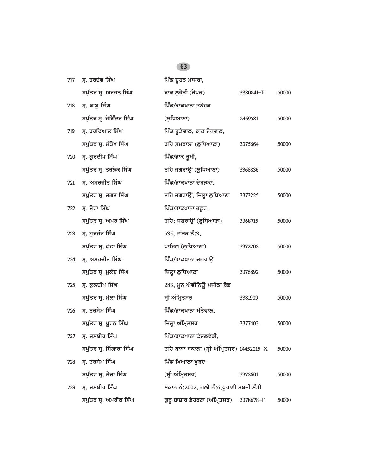| 717 | ਸ੍ਰ. ਹਰਦੇਵ ਸਿੰਘ           | ਪਿੰਡ ਚੁਹੜ ਮਾਜਰਾ,                           |           |       |
|-----|---------------------------|--------------------------------------------|-----------|-------|
|     | ਸਪੁੱਤਰ ਸ੍ਰ. ਅਰਜਨ ਸਿੰਘ     | ਡਾਕ ਲੁਭੇੜੀ (ਰੋਪੜ)                          | 3380841-P | 50000 |
| 718 | ਸ੍ਰ. ਬਾਬੂ ਸਿੰਘ            | ਪਿੰਡ/ਡਾਕਖਾਨਾ ਭਨੋਹੜ                         |           |       |
|     | ਸਪੁੱਤਰ ਸ੍ਰ. ਜੋਗਿੰਦਰ ਸਿੰਘ  | (ਲੁਧਿਆਣਾ)                                  | 2469581   | 50000 |
| 719 | ਸ੍ਰ. ਹਰਦਿਆਲ ਸਿੰਘ          | ਪਿੰਡ ਰੁੜੇਵਾਲ, ਡਾਕ ਜੋਧਵਾਲ,                  |           |       |
|     | ਸਪੁੱਤਰ ਸ੍ਰ. ਸੰਤੋਖ ਸਿੰਘ    | ਤਹਿ ਸਮਰਾਲਾ (ਲੁਧਿਆਣਾ)                       | 3375664   | 50000 |
| 720 | ਸ੍ਰ. ਗੁਰਦੀਪ ਸਿੰਘ          | ਪਿੰਡ/ਡਾਕ ਰੂਮੀ,                             |           |       |
|     | ਸਪੁੱਤਰ ਸ੍ਰ. ਤਰਲੋਕ ਸਿੰਘ    | ਤਹਿ ਜਗਰਾਉਂ (ਲੁਧਿਆਣਾ)                       | 3368836   | 50000 |
| 721 | ਸ੍ਰ. ਅਮਰਜੀਤ ਸਿੰਘ          | ਪਿੰਡ/ਡਾਕਖਾਨਾ ਦੇਹੜਕਾ,                       |           |       |
|     | ਸਪੁੱਤਰ ਸ੍ਰ. ਜਗਤ ਸਿੰਘ      | ਤਹਿ ਜਗਰਾਉਂ, ਜ਼ਿਲ੍ਹਾ ਲੁਧਿਆਣਾ                | 3373225   | 50000 |
| 722 | ਸ੍ਰ. ਜੋਰਾ ਸਿੰਘ            | ਪਿੰਡ/ਡਾਕਖਾਨਾ ਹਫੁਰ,                         |           |       |
|     | ਸਪੁੱਤਰ ਸ੍ਰ. ਅਮਰ ਸਿੰਘ      | ਤਹਿ: ਜਗਰਾਉਂ (ਲੁਧਿਆਣਾ)                      | 3368715   | 50000 |
| 723 | ਸ੍ਰ. ਗੁਰਜੰਟ ਸਿੰਘ          | 535, ਵਾਰਡ ਨੰ:3,                            |           |       |
|     | ਸਪੁੱਤਰ ਸ੍ਰ. ਛੋਟਾ ਸਿੰਘ     | ਪਾਇਲ (ਲੁਧਿਆਣਾ)                             | 3372202   | 50000 |
| 724 | ਸ੍ਰ. ਅਮਰਜੀਤ ਸਿੰਘ          | ਪਿੰਡ/ਡਾਕਖਾਨਾ ਜਗਰਾਉਂ                        |           |       |
|     | ਸਪੁੱਤਰ ਸ੍ਰ. ਮੁਕੰਦ ਸਿੰਘ    | ਜ਼ਿਲ੍ਹਾ ਲੁਧਿਆਣਾ                            | 3376892   | 50000 |
| 725 | ਸ੍ਰ. ਕੁਲਦੀਪ ਸਿੰਘ          | 283, ਮੁਨ ਐਵੀਨਿਊ ਮਜੀਠਾ ਰੋਡ                  |           |       |
|     | ਸਪੁੱਤਰ ਸ੍ਰ. ਮੇਲਾ ਸਿੰਘ     | ਸ੍ਰੀ ਅੰਮ੍ਰਿਤਸਰ                             | 3381909   | 50000 |
| 726 | ਸ੍ਰ. ਤਰਸੇਮ ਸਿੰਘ           | ਪਿੰਡ/ਡਾਕਖਾਨਾ ਮੱਤੇਵਾਲ,                      |           |       |
|     | ਸਪੁੱਤਰ ਸ੍ਰ. ਪੂਰਨ ਸਿੰਘ     | ਜ਼ਿਲ੍ਹਾ ਅੰਮ੍ਰਿਤਸਰ                          | 3377403   | 50000 |
| 727 | ਸ੍ਰ. ਜਸਬੀਰ ਸਿੰਘ           | ਪਿੰਡ/ਡਾਕਖਾਨਾ ਛੱਜਲਵੱਡੀ,                     |           |       |
|     | ਸਪੁੱਤਰ ਸ੍ਰ. ਸ਼ਿੰਗਾਰਾ ਸਿੰਘ | ਤਹਿ ਬਾਬਾ ਬਕਾਲਾ (ਸ੍ਰੀ ਅੰਮ੍ਰਿਤਸਰ) 14452215-X |           | 50000 |
| 728 | ਸ੍ਰ. ਤਰਸੇਮ ਸਿੰਘ           | ਪਿੰਡ ਖਿਆਲਾ ਖੁਰਦ                            |           |       |
|     | ਸਪੁੱਤਰ ਸ੍ਰ. ਤੇਜਾ ਸਿੰਘ     | (ਸ੍ਰੀ ਅੰਮ੍ਰਿਤਸਰ)                           | 3372601   | 50000 |
| 729 | ਸ੍ਰ. ਜਸਬੀਰ ਸਿੰਘ           | ਮਕਾਨ ਨੰ:2002, ਗਲੀ ਨੰ:6,ਪੁਰਾਣੀ ਸਬਜ਼ੀ ਮੰਡੀ   |           |       |
|     | ਸਪੁੱਤਰ ਸ੍ਰ. ਅਮਰੀਕ ਸਿੰਘ    | ਗੁਰੁ ਬਾਜ਼ਾਰ ਛੇਹਰਟਾ (ਅੰਮ੍ਰਿਤਸਰ)             | 3378678-F | 50000 |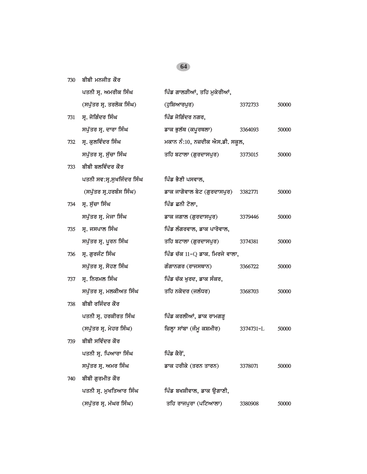|     | ਪਤਨੀ ਸ੍ਰ. ਅਮਰੀਕ ਸਿੰਘ      | ਪਿੰਡ ਗਾਲੜੀਆਂ, ਤਹਿ ਮੁਕੇਰੀਆਂ,         |           |       |
|-----|---------------------------|-------------------------------------|-----------|-------|
|     | (ਸਪੁੱਤਰ ਸ੍ਰ. ਤਰਲੋਕ ਸਿੰਘ)  | (ਹੁਸ਼ਿਆਰਪੁਰ)                        | 3372733   | 50000 |
| 731 | ਸ੍ਰ. ਜੋਗਿੰਦਰ ਸਿੰਘ         | ਪਿੰਡ ਜੋਗਿੰਦਰ ਨਗਰ,                   |           |       |
|     | ਸਪੁੱਤਰ ਸ੍ਰ. ਦਾਰਾ ਸਿੰਘ     | ਡਾਕ ਭੁਲੱਥ (ਕਪੂਰਥਲਾ)                 | 3364093   | 50000 |
| 732 | ਸ੍ਰ. ਕੁਲਵਿੰਦਰ ਸਿੰਘ        | ਮਕਾਨ ਨੰ:10, ਨਜ਼ਦੀਕ ਐਸ.ਡੀ. ਸਕੂਲ,     |           |       |
|     | ਸਪੁੱਤਰ ਸ੍ਰ. ਸੁੱਚਾ ਸਿੰਘ    | ਤਹਿ ਬਟਾਲਾ (ਗੁਰਦਾਸਪੁਰ)               | 3373015   | 50000 |
| 733 | ਬੀਬੀ ਬਲਵਿੰਦਰ ਕੌਰ          |                                     |           |       |
|     | ਪਤਨੀ ਸਵ:ਸ੍ਰ.ਸੁਖਜਿੰਦਰ ਸਿੰਘ | ਪਿੰਡ ਭੈਣੀ ਪਸਵਾਲ,                    |           |       |
|     | (ਸਪੁੱਤਰ ਸ੍ਰ.ਹਰਬੰਸ ਸਿੰਘ)   | ਡਾਕ ਜਾਗੋਵਾਲ ਬੇਟ (ਗੁਰਦਾਸਪੁਰ) 3382771 |           | 50000 |
| 734 | ਸ੍ਰ. ਸੁੱਚਾ ਸਿੰਘ           | ਪਿੰਡ ਛਨੀ ਟੋਲਾ,                      |           |       |
|     | ਸਪੁੱਤਰ ਸ੍ਰ. ਮੇਜਾ ਸਿੰਘ     | ਡਾਕ ਜਗਾਲ (ਗੁਰਦਾਸਪੁਰ)                | 3379446   | 50000 |
| 735 | ਸ੍ਰ. ਜਸਪਾਲ ਸਿੰਘ           | ਪਿੰਡ ਲੰਗਰਵਾਲ, ਡਾਕ ਪਾਰੋਵਾਲ,          |           |       |
|     | ਸਪੁੱਤਰ ਸ੍ਰ. ਪੂਰਨ ਸਿੰਘ     | ਤਹਿ ਬਟਾਲਾ (ਗੁਰਦਾਸਪੁਰ)               | 3374381   | 50000 |
| 736 | ਸ੍ਰ. ਗੁਰਜੰਟ ਸਿੰਘ          | ਪਿੰਡ ਚੱਕ 11−Q ਡਾਕ. ਮਿਰਜੇ ਵਾਲਾ,      |           |       |
|     | ਸਪੁੱਤਰ ਸ੍ਰ. ਸੋਹਣ ਸਿੰਘ     | ਗੰਗਾਨਗਰ (ਰਾਜਸਥਾਨ)                   | 3366722   | 50000 |
| 737 | ਸ੍ਰ. ਨਿਰਮਲ ਸਿੰਘ           | ਪਿੰਡ ਚੱਕ ਖੁਰਦ, ਡਾਕ ਸੰਕਰ,            |           |       |
|     | ਸਪੁੱਤਰ ਸ੍ਰ. ਮਲਕੀਅਤ ਸਿੰਘ   | ਤਹਿ ਨਕੋਦਰ (ਜਲੰਧਰ)                   | 3368703   | 50000 |
| 738 | ਬੀਬੀ ਰਜਿੰਦਰ ਕੌਰ           |                                     |           |       |
|     | ਪਤਨੀ ਸ੍ਰ. ਹਰਕੀਰਤ ਸਿੰਘ     | ਪਿੰਡ ਕਰਲੀਆਂ, ਡਾਕ ਰਾਮਗੜ੍ਹ            |           |       |
|     | (ਸਪੁੱਤਰ ਸ੍ਰ. ਮੇਹਰ ਸਿੰਘ)   | ਜ਼ਿਲ੍ਹਾ ਸਾਂਬਾ (ਜੰਮੂ ਕਸ਼ਮੀਰ)         | 3374731-L | 50000 |
| 739 | ਬੀਬੀ ਸਵਿੰਦਰ ਕੌਰ           |                                     |           |       |
|     | ਪਤਨੀ ਸ੍ਰ. ਪਿਆਰਾ ਸਿੰਘ      | ਪਿੰਡ ਕੈਰੋਂ,                         |           |       |
|     | ਸਪੁੱਤਰ ਸ੍ਰ. ਅਮਰ ਸਿੰਘ      | ਡਾਕ ਹਰੀਕੇ (ਤਰਨ ਤਾਰਨ)                | 3378071   | 50000 |
| 740 | ਬੀਬੀ ਗੁਰਮੀਤ ਕੌਰ           |                                     |           |       |
|     | ਪਤਨੀ ਸ੍ਰ. ਮੁਖਤਿਆਰ ਸਿੰਘ    | ਪਿੰਡ ਬਖਸ਼ੀਵਾਲ, ਡਾਕ ਉਗਾਣੀ,           |           |       |
|     | (ਸਪੁੱਤਰ ਸ੍ਰ. ਮੱਘਰ ਸਿੰਘ)   | ਤਹਿ ਰਾਜਪੁਰਾ (ਪਟਿਆਲਾ)                | 3380908   | 50000 |

*730 bIbI mnjIq kOr*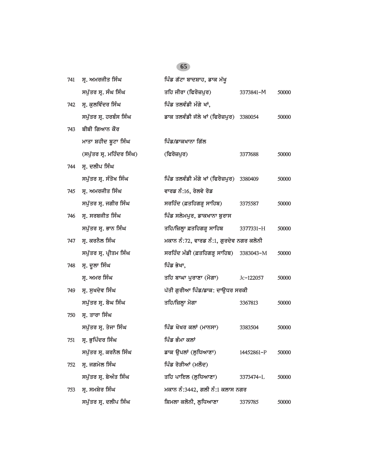| 741 | ਸ. ਅਮਰਜੀਤ ਸਿੰਘ            | ਪਿੰਡ ਗੱਟਾ ਬਾਦਸ਼ਾਹ, ਡਾਕ ਮੱਖੁ              |            |       |
|-----|---------------------------|------------------------------------------|------------|-------|
|     | ਸਪੁੱਤਰ ਸ੍ਰ. ਸੰਘ ਸਿੰਘ      | ਤਹਿ ਜੀਰਾ (ਫਿਰੋਜ਼ਪੁਰ)                     | 3373841-M  | 50000 |
| 742 | ਸ੍ਰ. ਕੁਲਵਿੰਦਰ ਸਿੰਘ        | ਪਿੰਡ ਤਲਵੰਡੀ ਮੰਗੇ ਖਾਂ,                    |            |       |
|     | ਸਪੁੱਤਰ ਸ੍ਰ. ਹਰਬੰਸ ਸਿੰਘ    | ਡਾਕ ਤਲਵੰਡੀ ਜੱਲੇ ਖਾਂ (ਫਿਰੋਜ਼ਪੁਰ) 3380054  |            | 50000 |
| 743 | ਬੀਬੀ ਗਿਆਨ ਕੌਰ             |                                          |            |       |
|     | ਮਾਤਾ ਸ਼ਹੀਦ ਬੂਟਾ ਸਿੰਘ      | ਪਿੰਡ/ਡਾਕਖਾਨਾ ਗਿੱਲ                        |            |       |
|     | (ਸਪੁੱਤਰ ਸ੍ਰ. ਮਹਿੰਦਰ ਸਿੰਘ) | (ਫਿਰੋਜ਼ਪੁਰ)                              | 3377688    | 50000 |
| 744 | ਸ੍ਰ. ਦਲੀਪ ਸਿੰਘ            |                                          |            |       |
|     | ਸਪੁੱਤਰ ਸ੍ਰ. ਸੰਤੋਖ ਸਿੰਘ    | ਪਿੰਡ ਤਲਵੰਡੀ ਮੰਗੇ ਖਾਂ (ਫਿਰੋਜ਼ਪੁਰ) 3380409 |            | 50000 |
| 745 | ਸ੍ਰ. ਅਮਰਜੀਤ ਸਿੰਘ          | ਵਾਰਡ ਨੰ:16, ਰੇਲਵੇ ਰੋਡ                    |            |       |
|     | ਸਪੁੱਤਰ ਸ੍ਰ. ਜਗੀਰ ਸਿੰਘ     | ਸਰਹਿੰਦ (ਫ਼ਤਹਿਗੜ੍ਹ ਸਾਹਿਬ)                 | 3375587    | 50000 |
| 746 | ਸ੍ਰ. ਸਰਬਜੀਤ ਸਿੰਘ          | ਪਿੰਡ ਸਲੇਮਪੁਰ, ਡਾਕਖਾਨਾ ਬੁਰਾਸ              |            |       |
|     | ਸਪੁੱਤਰ ਸ੍ਰ. ਭਾਨ ਸਿੰਘ      | ਤਹਿ/ਜ਼ਿਲ੍ਹਾ ਫ਼ਤਹਿਗੜ੍ਹ ਸਾਹਿਬ              | 3377331-H  | 50000 |
| 747 | ਸ੍ਰ. ਕਰਨੈਲ ਸਿੰਘ           | ਮਕਾਨ ਨੰ:72, ਵਾਰਡ ਨੰ:1, ਗੁਰਦੇਵ ਨਗਰ ਕਲੋਨੀ  |            |       |
|     | ਸਪੁੱਤਰ ਸ੍ਰ. ਪ੍ਰੀਤਮ ਸਿੰਘ   | ਸਰਹਿੰਦ ਮੰਡੀ (ਫ਼ਤਹਿਗੜ੍ਹ ਸਾਹਿਬ) 3383043-M  |            | 50000 |
| 748 | ਸ੍ਰ. ਦੁਲਾ ਸਿੰਘ            | ਪਿੰਡ ਭੇਖਾ,                               |            |       |
|     | ਸ੍ਰ. ਅਮਰ ਸਿੰਘ             | ਤਹਿ ਬਾਘਾ ਪੁਰਾਣਾ (ਮੋਗਾ)                   | Jc-122057  | 50000 |
| 749 | ਸ੍ਰ. ਸੁਖਦੇਵ ਸਿੰਘ          | ਪੱਤੀ ਗੁਰੀਆ ਪਿੰਡ/ਡਾਕ: ਦਾਉਧਰ ਸਰਕੀ          |            |       |
|     | ਸਪੁੱਤਰ ਸ੍ਰ. ਬੋਘ ਸਿੰਘ      | ਤਹਿ/ਜ਼ਿਲ੍ਹਾ ਮੋਗਾ                         | 3367813    | 50000 |
| 750 | ਸ੍ਰ. ਤਾਰਾ ਸਿੰਘ            |                                          |            |       |
|     | ਸਪੁੱਤਰ ਸ੍ਰ. ਤੇਜਾ ਸਿੰਘ     | ਪਿੰਡ ਖੋਖਰ ਕਲਾਂ (ਮਾਨਸਾ)                   | 3383504    | 50000 |
| 751 | ਸ੍ਰ. ਭੁਪਿੰਦਰ ਸਿੰਘ         | ਪਿੰਡ ਭੰਮਾ ਕਲਾਂ                           |            |       |
|     | ਸਪੁੱਤਰ ਸ੍ਰ. ਕਰਨੈਲ ਸਿੰਘ    | ਡਾਕ ਉਪਲਾਂ (ਲੁਧਿਆਣਾ)                      | 14452861-P | 50000 |
| 752 | ਸ੍ਰ. ਜਗਮੇਲ ਸਿੰਘ           | ਪਿੰਡ ਰੋੜੀਆਂ (ਮਲੌਦ)                       |            |       |
|     | ਸਪੁੱਤਰ ਸ੍ਰ. ਬੇਅੰਤ ਸਿੰਘ    | ਤਹਿ ਪਾਇਲ (ਲੁਧਿਆਣਾ)                       | 3373474-L  | 50000 |
| 753 | ਸ੍ਰ. ਸਮਸ਼ੇਰ ਸਿੰਘ          | ਮਕਾਨ ਨੰ:3442, ਗਲੀ ਨੰ:1 ਕਲਾਸ ਨਗਰ          |            |       |
|     | ਸਪੁੱਤਰ ਸ੍ਰ. ਦਲੀਪ ਸਿੰਘ     | ਸ਼ਿਮਲਾ ਕਲੋਨੀ, ਲੁਧਿਆਣਾ                    | 3379785    | 50000 |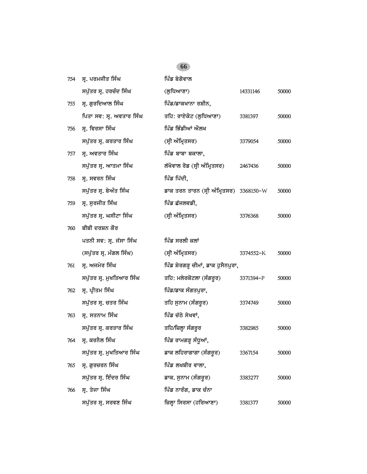| 754 | ਸ੍ਰ. ਪਰਮਜੀਤ ਸਿੰਘ         | ਪਿੰਡ ਬੇਗੋਵਾਲ                            |           |       |
|-----|--------------------------|-----------------------------------------|-----------|-------|
|     | ਸਪੁੱਤਰ ਸ੍ਰ. ਹਰਚੰਦ ਸਿੰਘ   | (ਲੁਧਿਆਣਾ)                               | 14331146  | 50000 |
| 755 | ਸ੍ਰ. ਗੁਰਦਿਆਲ ਸਿੰਘ        | ਪਿੰਡ/ਡਾਕਖਾਨਾ ਰਸ਼ੀਨ,                     |           |       |
|     | ਪਿਤਾ ਸਵ: ਸ੍ਰ. ਅਵਤਾਰ ਸਿੰਘ | ਤਹਿ: ਰਾਏਕੋਟ (ਲੁਧਿਆਣਾ)                   | 3381397   | 50000 |
| 756 | ਸ੍ਰ. ਵਿਰਸਾ ਸਿੰਘ          | ਪਿੰਡ ਭਿੰਡੀਆਂ ਔਲਖ                        |           |       |
|     | ਸਪੁੱਤਰ ਸ੍ਰ. ਕਰਤਾਰ ਸਿੰਘ   | (ਸ੍ਰੀ ਅੰਮ੍ਰਿਤਸਰ)                        | 3379054   | 50000 |
| 757 | ਸ੍ਰ. ਅਵਤਾਰ ਸਿੰਘ          | ਪਿੰਡ ਬਾਬਾ ਬਕਾਲਾ,                        |           |       |
|     | ਸਪੁੱਤਰ ਸ੍ਰ. ਆਤਮਾ ਸਿੰਘ    | ਲੱਖੋਵਾਲ ਰੋਡ (ਸ੍ਰੀ ਅੰਮ੍ਰਿਤਸਰ)            | 2467436   | 50000 |
| 758 | ਸ੍ਰ. ਸਵਰਨ ਸਿੰਘ           | ਪਿੰਡ ਪਿੱਦੀ,                             |           |       |
|     | ਸਪੁੱਤਰ ਸ੍ਰ. ਬੇਅੰਤ ਸਿੰਘ   | ਡਾਕ ਤਰਨ ਤਾਰਨ (ਸ੍ਰੀ ਅੰਮ੍ਰਿਤਸਰ) 3368150-W |           | 50000 |
| 759 | ਸ੍ਰ. ਸੁਰਜੀਤ ਸਿੰਘ         | ਪਿੰਡ ਛੱਜਲਵਡੀ,                           |           |       |
|     | ਸਪੁੱਤਰ ਸ੍ਰ. ਘਸੀਟਾ ਸਿੰਘ   | (ਸ੍ਰੀ ਅੰਮ੍ਰਿਤਸਰ)                        | 3376368   | 50000 |
| 760 | ਬੀਬੀ ਦਰਸ਼ਨ ਕੌਰ           |                                         |           |       |
|     | ਪਤਨੀ ਸਵ: ਸ੍ਰ. ਜੱਸਾ ਸਿੰਘ  | ਪਿੰਡ ਸਰਲੀ ਕਲਾਂ                          |           |       |
|     | (ਸਪੁੱਤਰ ਸ੍ਰ. ਮੰਗਲ ਸਿੰਘ)  | (ਸ੍ਰੀ ਅੰਮ੍ਰਿਤਸਰ)                        | 3374552-K | 50000 |
| 761 | ਸ੍ਰ. ਅਜਮੇਰ ਸਿੰਘ          | ਪਿੰਡ ਸ਼ੇਰਗੜ੍ਹ ਚੀਮਾਂ, ਡਾਕ ਹੁਸੈਨਪੁਰਾ,     |           |       |
|     | ਸਪੁੱਤਰ ਸ੍ਰ. ਮੁਖਤਿਆਰ ਸਿੰਘ | ਤਹਿ: ਮਲੇਰਕੋਟਲਾ (ਸੰਗਰੂਰ)                 | 3371394-P | 50000 |
| 762 | ਸ੍ਰ. ਪ੍ਰੀਤਮ ਸਿੰਘ         | ਪਿੰਡ/ਡਾਕ ਸੰਗਤਪੁਰਾ,                      |           |       |
|     | ਸਪੁੱਤਰ ਸ੍ਰ. ਚਤਰ ਸਿੰਘ     | ਤਹਿ ਸੁਨਾਮ (ਸੰਗਰੁਰ)                      | 3374749   | 50000 |
| 763 | ਸ੍ਰ. ਸਤਨਾਮ ਸਿੰਘ          | ਪਿੰਡ ਚੱਠੇ ਸੇਖਵਾਂ,                       |           |       |
|     | ਸਪੁੱਤਰ ਸ੍ਰ. ਕਰਤਾਰ ਸਿੰਘ   | ਤਹਿ/ਜ਼ਿਲ੍ਹਾ ਸੰਗਰੂਰ                      | 3382985   | 50000 |
| 764 | ਸ੍ਰ. ਕਰਨੈਲ ਸਿੰਘ          | ਪਿੰਡ ਰਾਮਗੜ੍ਹ ਸੰਧੂਆਂ,                    |           |       |
|     | ਸਪੁੱਤਰ ਸ੍ਰ. ਮੁਖਤਿਆਰ ਸਿੰਘ | ਡਾਕ ਲਹਿਰਾਗਾਗਾ (ਸੰਗਰੂਰ)                  | 3367154   | 50000 |
| 765 | ਸ੍ਰ. ਗੁਰਚਰਨ ਸਿੰਘ         | ਪਿੰਡ ਲਖਬੀਰ ਵਾਲਾ,                        |           |       |
|     | ਸਪੁੱਤਰ ਸ੍ਰ. ਇੰਦਰ ਸਿੰਘ    | ਡਾਕ. ਸੁਨਾਮ (ਸੰਗਰੂਰ)                     | 3383277   | 50000 |
| 766 | ਸ੍ਰ. ਤੇਜਾ ਸਿੰਘ           | ਪਿੰਡ ਨਾਰੰਗ, ਡਾਕ ਚੰਨਾ                    |           |       |
|     | ਸਪੁੱਤਰ ਸ੍ਰ. ਸਰਵਣ ਸਿੰਘ    | ਜ਼ਿਲ੍ਹਾ ਸਿਰਸਾ (ਹਰਿਆਣਾ)                  | 3381377   | 50000 |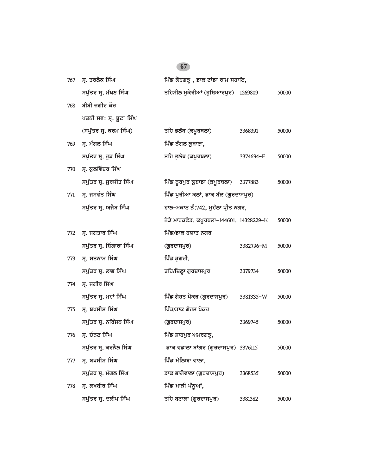| 767 | ਸ. ਤਰਲੋਕ ਸਿੰਘ             | ਪਿੰਡ ਲੋਹਗੜ੍ਹ , ਡਾਕ ਟਾਂਡਾ ਰਾਮ ਸਹਾਇ,       |           |       |
|-----|---------------------------|------------------------------------------|-----------|-------|
|     | ਸਪੁੱਤਰ ਸ੍ਰ. ਮੱਖਣ ਸਿੰਘ     | ਤਹਿਸੀਲ ਮੁਕੇਰੀਆਂ (ਹੁਸ਼ਿਆਰਪੁਰ) 1269809     |           | 50000 |
| 768 | ਬੀਬੀ ਜਗੀਰ ਕੌਰ             |                                          |           |       |
|     | ਪਤਨੀ ਸਵ: ਸ੍ਰ. ਬੂਟਾ ਸਿੰਘ   |                                          |           |       |
|     | (ਸਪੁੱਤਰ ਸ੍ਰ. ਕਰਮ ਸਿੰਘ)    | ਤਹਿ ਭਲੱਥ (ਕਪੂਰਥਲਾ)                       | 3368391   | 50000 |
| 769 | ਸ੍ਰ. ਮੰਗਲ ਸਿੰਘ            | ਪਿੰਡ ਨੰਗਲ ਲੁਬਾਣਾ,                        |           |       |
|     | ਸਪੁੱਤਰ ਸ੍ਰ. ਰੁੜ ਸਿੰਘ      | ਤਹਿ ਭੁਲੱਥ (ਕਪੁਰਥਲਾ)                      | 3374694-F | 50000 |
| 770 | ਸ੍ਰ. ਕੁਲਵਿੰਦਰ ਸਿੰਘ        |                                          |           |       |
|     | ਸਪੁੱਤਰ ਸ੍ਰ. ਸੁਰਜੀਤ ਸਿੰਘ   | ਪਿੰਡ ਨੁਰਪੁਰ ਲੁਬਾਡਾ (ਕਪੁਰਥਲਾ)             | 3377883   | 50000 |
| 771 | ਸ੍ਰ. ਜਸਵੰਤ ਸਿੰਘ           | ਪਿੰਡ ਪੁਰੀਆ ਕਲਾਂ, ਡਾਕ ਬੱਲ (ਗੁਰਦਾਸਪੁਰ)     |           |       |
|     | ਸਪੁੱਤਰ ਸ੍ਰ. ਅਜੈਬ ਸਿੰਘ     | ਹਾਲ-ਮਕਾਨ ਨੰ:742, ਮੁਹੱਲਾ ਪ੍ਰੀਤ ਨਗਰ,       |           |       |
|     |                           | ਨੇੜੇ ਮਾਰਕਫੈਡ, ਕਪੂਰਥਲਾ-144601. 14328229-K |           | 50000 |
| 772 | ਸ੍ਰ. ਜਗਤਾਰ ਸਿੰਘ           | ਪਿੰਡ/ਡਾਕ ਹਯਾਤ ਨਗਰ                        |           |       |
|     |                           |                                          |           |       |
|     | ਸਪੁੱਤਰ ਸ੍ਰ. ਸ਼ਿੰਗਾਰਾ ਸਿੰਘ | (ਗੁਰਦਾਸਪੁਰ)                              | 3382796-M | 50000 |
| 773 | ਸ੍ਰ. ਸਤਨਾਮ ਸਿੰਘ           | ਪਿੰਡ ਡੁਗਰੀ,                              |           |       |
|     | ਸਪੁੱਤਰ ਸ੍ਰ. ਲਾਭ ਸਿੰਘ      | ਤਹਿ/ਜ਼ਿਲ੍ਹਾ ਗੁਰਦਾਸਪੁਰ                    | 3379734   | 50000 |
| 774 | ਸ੍ਰ. ਜਗੀਰ ਸਿੰਘ            |                                          |           |       |
|     | ਸਪੁੱਤਰ ਸ੍ਰ. ਮਹਾਂ ਸਿੰਘ     | ਪਿੰਡ ਗੋਹਤ ਪੋਕਰ (ਗੁਰਦਾਸਪੁਰ)               | 3381335-W | 50000 |
| 775 | ਸ੍ਰ. ਬਖਸੀਸ਼ ਸਿੰਘ          | ਪਿੰਡ/ਡਾਕ ਗੋਹਤ ਪੋਕਰ                       |           |       |
|     | ਸਪੁੱਤਰ ਸ੍ਰ. ਨਰਿੰਜਨ ਸਿੰਘ   | (ਗੁਰਦਾਸਪੁਰ)                              | 3369745   | 50000 |
| 776 | ਸ੍ਰ. ਚੰਨਣ ਸਿੰਘ            | ਪਿੰਡ ਸ਼ਾਹਪੁਰ ਅਮਰਗੜ੍ਹ,                    |           |       |
|     | ਸਪੁੱਤਰ ਸ੍ਰ. ਕਰਨੈਲ ਸਿੰਘ    | ਡਾਕ ਵਡਾਲਾ ਬਾਂਗਰ (ਗੁਰਦਾਸਪੁਰ) 3376115      |           | 50000 |
| 777 | ਸ੍ਰ. ਬਖਸੀਸ਼ ਸਿੰਘ          | ਪਿੰਡ ਮੱਲਿਆ ਵਾਲਾ,                         |           |       |
|     | ਸਪੁੱਤਰ ਸ੍ਰ. ਮੰਗਲ ਸਿੰਘ     | ਡਾਕ ਭਾਗੋਵਾਲਾ (ਗੁਰਦਾਸਪੁਰ)                 | 3368535   | 50000 |
| 778 | ਸ੍ਰ. ਲਖਬੀਰ ਸਿੰਘ           | ਪਿੰਡ ਮਾੜੀ ਪੰਨੁਆਂ,                        |           |       |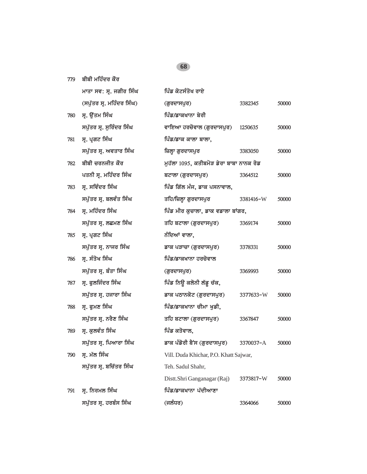*779 bIbI mihMdr kOr*

|     | ਮਾਤਾ ਸਵ: ਸ੍ਰ. ਜਗੀਰ ਸਿੰਘ   | ਪਿੰਡ ਕੋਟਸੰਤੋਖ ਰਾਏ                       |           |       |
|-----|---------------------------|-----------------------------------------|-----------|-------|
|     | (ਸਪੁੱਤਰ ਸ੍ਰ. ਮਹਿੰਦਰ ਸਿੰਘ) | (ਗੁਰਦਾਸਪੁਰ)                             | 3382345   | 50000 |
| 780 | ਸ੍ਰ. ਉੱਤਮ ਸਿੰਘ            | ਪਿੰਡ/ਡਾਕਖਾਨਾ ਬੇਰੀ                       |           |       |
|     | ਸਪੁੱਤਰ ਸ੍ਰ. ਸੁਰਿੰਦਰ ਸਿੰਘ  | ਵਾਇਆ ਹਰਚੋਵਾਲ (ਗੁਰਦਾਸਪੁਰ)                | 1250635   | 50000 |
| 781 | ਸ੍ਰ. ਪ੍ਰਗਟ ਸਿੰਘ           | ਪਿੰਡ/ਡਾਕ ਕਾਲਾ ਬਾਲਾ,                     |           |       |
|     | ਸਪੁੱਤਰ ਸ੍ਰ. ਅਵਤਾਰ ਸਿੰਘ    | ਜ਼ਿਲ੍ਹਾ ਗੁਰਦਾਸਪੁਰ                       | 3383050   | 50000 |
| 782 | ਬੀਬੀ ਚਰਨਜੀਤ ਕੌਰ           | ਮੁਹੱਲਾ 1095, ਕਤੀਬਮੋੜ ਡੇਰਾ ਬਾਬਾ ਨਾਨਕ ਰੋਡ |           |       |
|     | ਪਤਨੀ ਸ੍ਰ. ਮਹਿੰਦਰ ਸਿੰਘ     | ਬਟਾਲਾ (ਗੁਰਦਾਸਪੁਰ)                       | 3364512   | 50000 |
| 783 | ਸ੍ਰ. ਸਵਿੰਦਰ ਸਿੰਘ          | ਪਿੰਡ ਗਿੱਲ ਮੰਜ, ਡਾਕ ਪਸਨਾਵਾਲ,             |           |       |
|     | ਸਪੁੱਤਰ ਸ੍ਰ. ਬਲਵੰਤ ਸਿੰਘ    | ਤਹਿ/ਜ਼ਿਲ੍ਹਾ ਗੁਰਦਾਸਪੁਰ                   | 3381416-W | 50000 |
| 784 | ਸ੍ਰ. ਮਹਿੰਦਰ ਸਿੰਘ          | ਪਿੰਡ ਮੀਰ ਕੁਚਾਲਾ, ਡਾਕ ਵਡਾਲਾ ਬਾਂਗਰ,       |           |       |
|     | ਸਪੁੱਤਰ ਸ੍ਰ. ਲਛਮਣ ਸਿੰਘ     | ਤਹਿ ਬਟਾਲਾ (ਗੁਰਦਾਸਪੁਰ)                   | 3369174   | 50000 |
| 785 | ਸ੍ਰ. ਪ੍ਰਗਟ ਸਿੰਘ           | ਨੰਦਿਆਂ ਵਾਲਾ,                            |           |       |
|     | ਸਪੁੱਤਰ ਸ੍ਰ. ਨਾਜਰ ਸਿੰਘ     | ਡਾਕ ਪੜਾਚਾ (ਗੁਰਦਾਸਪੁਰ)                   | 3378331   | 50000 |
| 786 | ਸ੍ਰ. ਸੰਤੋਖ ਸਿੰਘ           | ਪਿੰਡ/ਡਾਕਖਾਨਾ ਹਰਚੋਵਾਲ                    |           |       |
|     | ਸਪੁੱਤਰ ਸ੍ਰ. ਬੰਤਾ ਸਿੰਘ     | (ਗੁਰਦਾਸਪੁਰ)                             | 3369993   | 50000 |
| 787 | ਸ੍ਰ. ਫੁਲਜਿੰਦਰ ਸਿੰਘ        | ਪਿੰਡ ਨਿਊ ਕਲੋਨੀ ਲੱਡੂ ਚੱਕ,                |           |       |
|     | ਸਪੁੱਤਰ ਸ੍ਰ. ਹਜਾਰਾ ਸਿੰਘ    | ਡਾਕ ਪਠਾਨਕੋਟ (ਗੁਰਦਾਸਪੁਰ)                 | 3377633-W | 50000 |
| 788 | ਸ੍ਰ. ਫੁਮਣ ਸਿੰਘ            | ਪਿੰਡ/ਡਾਕਖਾਨਾ ਚੀਮਾ ਖੁਡੀ,                 |           |       |
|     | ਸਪੁੱਤਰ ਸ੍ਰ. ਨਰੈਣ ਸਿੰਘ     | ਤਹਿ ਬਟਾਲਾ (ਗੁਰਦਾਸਪੁਰ)                   | 3367847   | 50000 |
| 789 | ਸ੍ਰ. ਕੁਲਵੰਤ ਸਿੰਘ          | ਪਿੰਡ ਕਤੋਵਾਲ,                            |           |       |
|     | ਸਪੁੱਤਰ ਸ੍ਰ. ਪਿਆਰਾ ਸਿੰਘ    | ਡਾਕ ਪੰਡੋਰੀ ਬੈਂਸ (ਗੁਰਦਾਸਪੁਰ)             | 3370037-A | 50000 |
| 790 | ਸ੍ਰ. ਮੱਲ ਸਿੰਘ             | Vill. Duda Khichar, P.O. Khatt Sajwar,  |           |       |
|     | ਸਪੁੱਤਰ ਸ੍ਰ. ਬਚਿੱਤਰ ਸਿੰਘ   | Teh. Sadul Shahr,                       |           |       |
|     |                           | Distt.Shri Ganganagar (Raj)             | 3373817-W | 50000 |
| 791 | ਸ੍ਰ. ਨਿਰਮਲ ਸਿੰਘ           | ਪਿੰਡ/ਡਾਕਖਾਨਾ ਪੱਦੀਆਣਾ                    |           |       |
|     | ਸਪੁੱਤਰ ਸ੍ਰ. ਹਰਬੰਸ ਸਿੰਘ    | (ਜਲੰਧਰ)                                 | 3364066   | 50000 |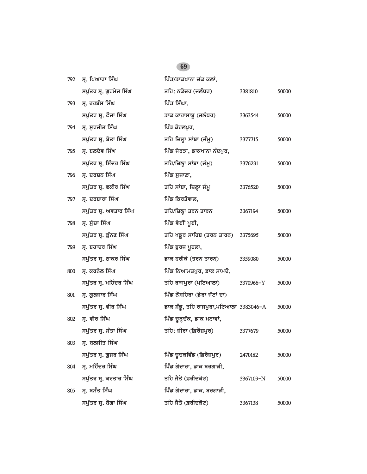| 792 | ਸ੍ਰ. ਪਿਆਰਾ ਸਿੰਘ         | ਪਿੰਡ/ਡਾਕਖਾਨਾ ਚੱਕ ਕਲਾਂ,                  |           |       |
|-----|-------------------------|-----------------------------------------|-----------|-------|
|     | ਸਪੁੱਤਰ ਸ੍ਰ. ਗੁਰਮੇਜ ਸਿੰਘ | ਤਹਿ: ਨਕੋਦਰ (ਜਲੰਧਰ)                      | 3381810   | 50000 |
| 793 | ਸ੍ਰ. ਹਰਬੰਸ ਸਿੰਘ         | ਪਿੰਡ ਸਿੰਘਾ,                             |           |       |
|     | ਸਪੁੱਤਰ ਸ੍ਰ. ਫੌਜਾ ਸਿੰਘ   | ਡਾਕ ਕਾਰਾਸਾਬੂ (ਜਲੰਧਰ)                    | 3363544   | 50000 |
| 794 | ਸ੍ਰ. ਸੁਰਜੀਤ ਸਿੰਘ        | ਪਿੰਡ ਕੋਹਲਪੁਰ,                           |           |       |
|     | ਸਪੁੱਤਰ ਸ੍ਰ. ਬੋਤਾ ਸਿੰਘ   | ਤਹਿ ਜ਼ਿਲ੍ਹਾ ਸਾਂਬਾ (ਜੰਮੂ)                | 3377715   | 50000 |
| 795 | ਸ੍ਰ. ਬਲਦੇਵ ਸਿੰਘ         | ਪਿੰਡ ਜੇਰੜਾ, ਡਾਕਖਾਨਾ ਨੰਦਪੁਰ,             |           |       |
|     | ਸਪੁੱਤਰ ਸ੍ਰ. ਇੰਦਰ ਸਿੰਘ   | ਤਹਿ/ਜ਼ਿਲ੍ਹਾ ਸਾਂਬਾ (ਜੰਮੂ)                | 3376231   | 50000 |
| 796 | ਸ੍ਰ. ਦਰਸ਼ਨ ਸਿੰਘ         | ਪਿੰਡ ਸੁਜਾਣਾ,                            |           |       |
|     | ਸਪੁੱਤਰ ਸ੍ਰ. ਫਕੀਰ ਸਿੰਘ   | ਤਹਿ ਸਾਂਬਾ, ਜ਼ਿਲ੍ਹਾ ਜੰਮੂ                 | 3376520   | 50000 |
| 797 | ਸ੍ਰ. ਦਰਬਾਰਾ ਸਿੰਘ        | ਪਿੰਡ ਕਿਰਤੋਵਾਲ,                          |           |       |
|     | ਸਪੁੱਤਰ ਸ੍ਰ. ਅਵਤਾਰ ਸਿੰਘ  | ਤਹਿ/ਜ਼ਿਲ੍ਹਾ ਤਰਨ ਤਾਰਨ                    | 3367194   | 50000 |
| 798 | ਸ੍ਰ. ਸੁੱਚਾ ਸਿੰਘ         | ਪਿੰਡ ਵੇਈਂ ਪੁਈ,                          |           |       |
|     | ਸਪੁੱਤਰ ਸ੍ਰ. ਕੁੰਨਣ ਸਿੰਘ  | ਤਹਿ ਖਡੁਰ ਸਾਹਿਬ (ਤਰਨ ਤਾਰਨ)               | 3375695   | 50000 |
| 799 | ਸ੍ਰ. ਬਹਾਦਰ ਸਿੰਘ         | ਪਿੰਡ ਬੁਰਜ ਪੁਹਲਾ,                        |           |       |
|     | ਸਪੁੱਤਰ ਸ੍ਰ. ਠਾਕਰ ਸਿੰਘ   | ਡਾਕ ਹਰੀਕੇ (ਤਰਨ ਤਾਰਨ)                    | 3359080   | 50000 |
| 800 | ਸ੍ਰ. ਕਰਨੈਲ ਸਿੰਘ         | ਪਿੰਡ ਨਿਆਮਤਪੁਰ, ਡਾਕ ਸਾਮਦੋ,               |           |       |
|     | ਸਪੁੱਤਰ ਸ੍ਰ. ਮਹਿੰਦਰ ਸਿੰਘ | ਤਹਿ ਰਾਜਪੁਰਾ (ਪਟਿਆਲਾ)                    | 3370966-Y | 50000 |
| 801 | ਸ੍ਰ. ਗੁਲਜਾਰ ਸਿੰਘ        | ਪਿੰਡ ਨੌਸ਼ਹਿਰਾ (ਡੇਰਾ ਜੱਟਾਂ ਦਾ)           |           |       |
|     | ਸਪੁੱਤਰ ਸ੍ਰ. ਵੀਰ ਸਿੰਘ    | ਡਾਕ ਸ਼ੰਭੂ, ਤਹਿ ਰਾਜਪੁਰਾ,ਪਟਿਆਲਾ 3383046-A |           | 50000 |
| 802 | ਸ੍ਰ. ਵੀਰ ਸਿੰਘ           | ਪਿੰਡ ਚੁੜ੍ਹਚੱਕ, ਡਾਕ ਮਨਾਵਾਂ,              |           |       |
|     | ਸਪੁੱਤਰ ਸ੍ਰ. ਸੰਤਾ ਸਿੰਘ   | ਤਹਿ: ਜ਼ੀਰਾ (ਫ਼ਿਰੋਜ਼ਪੁਰ)                 | 3377679   | 50000 |
| 803 | ਸ੍ਰ. ਬਲਜੀਤ ਸਿੰਘ         |                                         |           |       |
|     | ਸਪੁੱਤਰ ਸ੍ਰ. ਗੁਜਰ ਸਿੰਘ   | ਪਿੰਡ ਚੁਚਕਵਿੰਡ (ਫ਼ਿਰੋਜ਼ਪੁਰ)              | 2470182   | 50000 |
| 804 | ਸ੍ਰ. ਮਹਿੰਦਰ ਸਿੰਘ        | ਪਿੰਡ ਗੋਦਾਰਾ, ਡਾਕ ਬਰਗਾੜੀ,                |           |       |
|     | ਸਪੁੱਤਰ ਸ੍ਰ. ਕਰਤਾਰ ਸਿੰਘ  | ਤਹਿ ਜੈਤੋ (ਫ਼ਰੀਦਕੋਟ)                     | 3367109-N | 50000 |
| 805 | ਸ੍ਰ. ਬਸੰਤ ਸਿੰਘ          | ਪਿੰਡ ਗੋਦਾਰਾ, ਡਾਕ. ਬਰਗਾੜੀ,               |           |       |
|     | ਸਪੁੱਤਰ ਸ੍ਰ. ਬੋਗਾ ਸਿੰਘ   | ਤਹਿ ਜੈਤੋ (ਫ਼ਰੀਦਕੋਟ)                     | 3367138   | 50000 |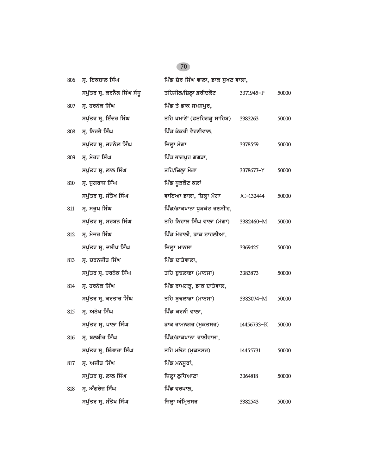| 806 | ਸ. ਇਕਬਾਲ ਸਿੰਘ               | ਪਿੰਡ ਸ਼ੇਰ ਸਿੰਘ ਵਾਲਾ, ਡਾਕ ਸੁਖਣ ਵਾਲਾ, |            |       |
|-----|-----------------------------|-------------------------------------|------------|-------|
|     | ਸਪੁੱਤਰ ਸ੍ਰ. ਕਰਨੈਲ ਸਿੰਘ ਸੰਧੁ | ਤਹਿਸੀਲ/ਜ਼ਿਲ੍ਹਾ ਫ਼ਰੀਦਕੋਟ             | 3371945-P  | 50000 |
| 807 | ਸ੍ਰ. ਹਰਨੇਕ ਸਿੰਘ             | ਪਿੰਡ ਤੇ ਡਾਕ ਸਮਸ਼ਪੁਰ,                |            |       |
|     | ਸਪੁੱਤਰ ਸ੍ਰ. ਇੰਦਰ ਸਿੰਘ       | ਤਹਿ ਖਮਾਣੋਂ (ਫ਼ਤਹਿਗੜ੍ਹ ਸਾਹਿਬ)        | 3383263    | 50000 |
| 808 | ਸ੍ਰ. ਨਿਰਭੈ ਸਿੰਘ             | ਪਿੰਡ ਕੋਕਰੀ ਵੈਹਣੀਵਾਲ,                |            |       |
|     | ਸਪੁੱਤਰ ਸ੍ਰ. ਜਰਨੈਲ ਸਿੰਘ      | ਜ਼ਿਲ੍ਹਾ ਮੋਗਾ                        | 3378559    | 50000 |
| 809 | ਸ੍ਰ. ਮੇਹਰ ਸਿੰਘ              | ਪਿੰਡ ਭਾਗਪੁਰ ਗਗੜਾ,                   |            |       |
|     | ਸਪੁੱਤਰ ਸ੍ਰ. ਲਾਲ ਸਿੰਘ        | ਤਹਿ/ਜ਼ਿਲ੍ਹਾ ਮੋਗਾ                    | 3378677-Y  | 50000 |
| 810 | ਸ੍ਰ. ਜੁਗਰਾਜ ਸਿੰਘ            | ਪਿੰਡ ਧੂੜਕੋਟ ਕਲਾਂ                    |            |       |
|     | ਸਪੁੱਤਰ ਸ੍ਰ. ਸੰਤੋਖ ਸਿੰਘ      | ਵਾਇਆ ਡਾਲਾ, ਜ਼ਿਲ੍ਹਾ ਮੋਗਾ             | JC-132444  | 50000 |
| 811 | ਸ੍ਰ. ਸਰੂਪ ਸਿੰਘ              | ਪਿੰਡ/ਡਾਕਖਾਨਾ ਧੂੜਕੋਟ ਰਣਸੀਂਹ,         |            |       |
|     | ਸਪੁੱਤਰ ਸ੍ਰ. ਸਰਬਨ ਸਿੰਘ       | ਤਹਿ ਨਿਹਾਲ ਸਿੰਘ ਵਾਲਾ (ਮੋਗਾ)          | 3382460-M  | 50000 |
| 812 | ਸ੍ਰ. ਮੇਜਰ ਸਿੰਘ              | ਪਿੰਡ ਮੋਹਾਲੀ, ਡਾਕ ਟਾਹਲੀਆ,            |            |       |
|     | ਸਪੁੱਤਰ ਸ੍ਰ. ਦਲੀਪ ਸਿੰਘ       | ਜ਼ਿਲ੍ਹਾ ਮਾਨਸਾ                       | 3369425    | 50000 |
| 813 | ਸ੍ਰ. ਚਰਨਜੀਤ ਸਿੰਘ            | ਪਿੰਡ ਦਾਤੇਵਾਲਾ,                      |            |       |
|     | ਸਪੁੱਤਰ ਸ੍ਰ. ਹਰਨੇਕ ਸਿੰਘ      | ਤਹਿ ਬੁਢਲਾਡਾ (ਮਾਨਸਾ)                 | 3383873    | 50000 |
| 814 | ਸ੍ਰ. ਹਰਨੇਕ ਸਿੰਘ             | ਪਿੰਡ ਰਾਮਗੜ੍ਹ, ਡਾਕ ਦਾਤੇਵਾਲ,          |            |       |
|     | ਸਪੁੱਤਰ ਸ੍ਰ. ਕਰਤਾਰ ਸਿੰਘ      | ਤਹਿ ਬੁਢਲਾਡਾ (ਮਾਨਸਾ)                 | 3383074-M  | 50000 |
| 815 | ਸ੍ਰ. ਅਨੋਖ ਸਿੰਘ              | ਪਿੰਡ ਕਰਨੀ ਵਾਲਾ,                     |            |       |
|     |                             |                                     |            |       |
|     | ਸਪੁੱਤਰ ਸ੍ਰ. ਪਾਲਾ ਸਿੰਘ       | ਡਾਕ ਰਾਮਨਗਰ (ਮੁਕਤਸਰ)                 | 14456793-K | 50000 |
| 816 | ਸ੍ਰ. ਬਲਬੀਰ ਸਿੰਘ             | ਪਿੰਡ/ਡਾਕਖਾਨਾ ਰਾਣੀਵਾਲਾ,              |            |       |
|     | ਸਪੁੱਤਰ ਸ੍ਰ. ਸ਼ਿੰਗਾਰਾ ਸਿੰਘ   | ਤਹਿ ਮਲੋਟ (ਮੁਕਤਸਰ)                   | 14455731   | 50000 |
| 817 | ਸ੍ਰ. ਅਜੀਤ ਸਿੰਘ              | ਪਿੰਡ ਮਨਸੂਰਾਂ,                       |            |       |
|     | ਸਪੁੱਤਰ ਸ੍ਰ. ਲਾਲ ਸਿੰਘ        | ਜ਼ਿਲ੍ਹਾ ਲੁਧਿਆਣਾ                     | 3364818    | 50000 |
| 818 | ਸ੍ਰ. ਅੰਗਰੇਜ਼ ਸਿੰਘ           | ਪਿੰਡ ਵਰਪਾਲ,                         |            |       |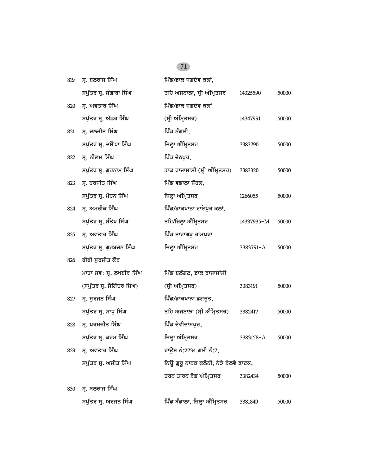| 819 | ਸ੍ਰ. ਬਲਰਾਜ ਸਿੰਘ            | ਪਿੰਡ/ਡਾਕ ਜਗਦੇਵ ਕਲਾਂ,                  |            |       |
|-----|----------------------------|---------------------------------------|------------|-------|
|     | ਸਪੁੱਤਰ ਸ੍ਰ. ਸੰਗਾਰਾ ਸਿੰਘ    | ਤਹਿ ਅਜਨਾਲਾ, ਸ੍ਰੀ ਅੰਮ੍ਰਿਤਸਰ            | 14325590   | 50000 |
| 820 | ਸ੍ਰ. ਅਵਤਾਰ ਸਿੰਘ            | ਪਿੰਡ/ਡਾਕ ਜਗਦੇਵ ਕਲਾਂ                   |            |       |
|     | ਸਪੁੱਤਰ ਸ੍ਰ. ਅੱਛਰ ਸਿੰਘ      | (ਸ੍ਰੀ ਅੰਮ੍ਰਿਤਸਰ)                      | 14347991   | 50000 |
| 821 | ਸ੍ਰ. ਦਲਜੀਤ ਸਿੰਘ            | ਪਿੰਡ ਨੰਗਲੀ,                           |            |       |
|     | ਸਪੁੱਤਰ ਸ੍ਰ. ਦਸੌਂਧਾ ਸਿੰਘ    | ਜ਼ਿਲ੍ਹਾ ਅੰਮ੍ਰਿਤਸਰ                     | 3383790    | 50000 |
| 822 | ਸ੍ਰ. ਨੀਲਮ ਸਿੰਘ             | ਪਿੰਡ ਚੈਨਪਰ,                           |            |       |
|     | ਸਪੁੱਤਰ ਸ੍ਰ. ਗੁਰਨਾਮ ਸਿੰਘ    | ਡਾਕ ਰਾਜਾਸਾਂਸੀ (ਸ੍ਰੀ ਅੰਮ੍ਰਿਤਸਰ)        | 3383320    | 50000 |
| 823 | ਸ੍ਰ. ਹਰਜੀਤ ਸਿੰਘ            | ਪਿੰਡ ਵਡਾਲਾ ਜੌਹਲ,                      |            |       |
|     | ਸਪੁੱਤਰ ਸ੍ਰ. ਮੋਹਨ ਸਿੰਘ      | ਜ਼ਿਲ੍ਹਾ ਅੰਮ੍ਰਿਤਸਰ                     | 1266055    | 50000 |
| 824 | ਸ੍ਰ. ਅਮਰੀਕ ਸਿੰਘ            | ਪਿੰਡ/ਡਾਕਖਾਨਾ ਰਾਏਪੁਰ ਕਲਾਂ,             |            |       |
|     | ਸਪੁੱਤਰ ਸ੍ਰ. ਸੰਤੋਖ ਸਿੰਘ     | ਤਹਿ/ਜ਼ਿਲ੍ਹਾ ਅੰਮ੍ਰਿਤਸਰ                 | 14337935-M | 50000 |
| 825 | ਸ੍ਰ. ਅਵਤਾਰ ਸਿੰਘ            | ਪਿੰਡ ਤਾਰਾਗੜ੍ਹ ਰਾਮਪੁਰਾ                 |            |       |
|     | ਸਪੁੱਤਰ ਸ੍ਰ. ਗੁਰਬਚਨ ਸਿੰਘ    | ਜ਼ਿਲ੍ਹਾ ਅੰਮ੍ਰਿਤਸਰ                     | 3383791-A  | 50000 |
| 826 | ਬੀਬੀ ਸੁਰਜੀਤ ਕੌਰ            |                                       |            |       |
|     | ਮਾਤਾ ਸਵ: ਸ੍ਰ. ਲਖਬੀਰ ਸਿੰਘ   | ਪਿੰਡ ਬਲੱਗਣ, ਡਾਕ ਰਾਜਾਸਾਂਸੀ             |            |       |
|     | (ਸਪੁੱਤਰ ਸ੍ਰ. ਜੋਗਿੰਦਰ ਸਿੰਘ) | (ਸ੍ਰੀ ਅੰਮ੍ਰਿਤਸਰ)                      | 3383191    | 50000 |
| 827 | ਸ੍ਰ. ਸੁਰਜਨ ਸਿੰਘ            | ਪਿੰਡ/ਡਾਕਖਾਨਾ ਡਗਤੁਤ,                   |            |       |
|     | ਸਪੁੱਤਰ ਸ੍ਰ. ਸਾਧੂ ਸਿੰਘ      | ਤਹਿ ਅਜਨਾਲਾ (ਸ੍ਰੀ ਅੰਮ੍ਰਿਤਸਰ)           | 3382417    | 50000 |
| 828 | ਸ੍ਰ. ਪਰਮਜੀਤ ਸਿੰਘ           | ਪਿੰਡ ਦੇਵੀਦਾਸਪੁਰ,                      |            |       |
|     | ਸਪੁੱਤਰ ਸ੍ਰ. ਕਰਮ ਸਿੰਘ       | ਜ਼ਿਲ੍ਹਾ ਅੰਮ੍ਰਿਤਸਰ                     | 3383158-A  | 50000 |
| 829 | ਸ੍ਰ. ਅਵਤਾਰ ਸਿੰਘ            | ਹਾਉਸ ਨੰ:2734,ਗਲੀ ਨੰ:7,                |            |       |
|     | ਸਪੁੱਤਰ ਸ੍ਰ. ਅਜੀਤ ਸਿੰਘ      | ਨਿਊ ਗੁਰੂ ਨਾਨਕ ਕਲੋਨੀ, ਨੇੜੇ ਰੇਲਵੇ ਫਾਟਕ, |            |       |
|     |                            | ਤਰਨ ਤਾਰਨ ਰੋਡ ਅੰਮ੍ਰਿਤਸਰ                | 3382434    | 50000 |
| 830 | ਸ੍ਰ. ਬਲਰਾਜ ਸਿੰਘ            |                                       |            |       |
|     | ਸਪੁੱਤਰ ਸ੍ਰ. ਅਰਜਨ ਸਿੰਘ      | ਪਿੰਡ ਬੰਡਾਲਾ, ਜ਼ਿਲ੍ਹਾ ਅੰਮ੍ਰਿਤਸਰ        | 3381849    | 50000 |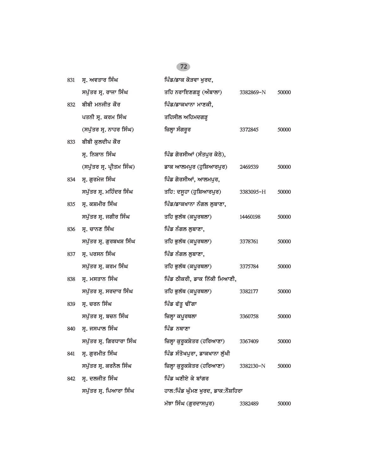| 831 | ਸ੍ਰ. ਅਵਤਾਰ ਸਿੰਘ           | ਪਿੰਡ/ਡਾਕ ਕੋੜਵਾ ਖਰਦ,               |           |       |
|-----|---------------------------|-----------------------------------|-----------|-------|
|     | ਸਪੁੱਤਰ ਸ੍ਰ. ਰਾਜਾ ਸਿੰਘ     | ਤਹਿ ਨਰਾਇਣਗੜ੍ਹ (ਅੰਬਾਲਾ)            | 3382869-N | 50000 |
| 832 | ਬੀਬੀ ਮਨਜੀਤ ਕੌਰ            | ਪਿੰਡ/ਡਾਕਖਾਨਾ ਮਾਣਕੀ,               |           |       |
|     | ਪਤਨੀ ਸ੍ਰ. ਕਰਮ ਸਿੰਘ        | ਤਹਿਸੀਲ ਅਹਿਮਦਗੜ੍ਹ                  |           |       |
|     | (ਸਪੁੱਤਰ ਸ੍ਰ. ਨਾਹਰ ਸਿੰਘ)   | ਜ਼ਿਲ੍ਹਾ ਸੰਗਰੂਰ                    | 3372845   | 50000 |
| 833 | ਬੀਬੀ ਕੁਲਦੀਪ ਕੌਰ           |                                   |           |       |
|     | ਸ੍ਰ. ਨਿਸ਼ਾਨ ਸਿੰਘ          | ਪਿੰਡ ਗੋਰਸੀਆਂ (ਸੰਤਪੁਰ ਕੋਠੇ),       |           |       |
|     | (ਸਪੁੱਤਰ ਸ੍ਰ. ਪ੍ਰੀਤਮ ਸਿੰਘ) | ਡਾਕ ਆਲਮਪੁਰ (ਹੁਸ਼ਿਆਰਪੁਰ)           | 2469539   | 50000 |
| 834 | ਸ੍ਰ. ਗੁਰਮੇਜ ਸਿੰਘ          | ਪਿੰਡ ਗੋਰਸੀਆਂ, ਆਲਮਪੁਰ,             |           |       |
|     | ਸਪੁੱਤਰ ਸ੍ਰ. ਮਹਿੰਦਰ ਸਿੰਘ   | ਤਹਿ: ਦਸੂਹਾ (ਹੁਸ਼ਿਆਰਪੁਰ)           | 3383095-H | 50000 |
| 835 | ਸ੍ਰ. ਕਸ਼ਮੀਰ ਸਿੰਘ          | ਪਿੰਡ/ਡਾਕਖਾਨਾ ਨੰਗਲ ਲੁਬਾਣਾ,         |           |       |
|     | ਸਪੁੱਤਰ ਸ੍ਰ. ਜਗੀਰ ਸਿੰਘ     | ਤਹਿ ਭੁਲੱਥ (ਕਪੁਰਥਲਾ)               | 14460198  | 50000 |
| 836 | ਸ੍ਰ. ਚਾਨਣ ਸਿੰਘ            | ਪਿੰਡ ਨੰਗਲ ਲੁਬਾਣਾ,                 |           |       |
|     | ਸਪੁੱਤਰ ਸ੍ਰ. ਗੁਰਬਖਸ਼ ਸਿੰਘ  | ਤਹਿ ਭੁਲੱਥ (ਕਪੁਰਥਲਾ)               | 3378761   | 50000 |
| 837 | ਸ੍ਰ. ਪਰਸਨ ਸਿੰਘ            | ਪਿੰਡ ਨੰਗਲ ਲੁਬਾਣਾ,                 |           |       |
|     | ਸਪੁੱਤਰ ਸ੍ਰ. ਕਰਮ ਸਿੰਘ      | ਤਹਿ ਭੁਲੱਥ (ਕਪੂਰਥਲਾ)               | 3375784   | 50000 |
| 838 | ਸ੍ਰ. ਮਸਤਾਨ ਸਿੰਘ           | ਪਿੰਡ ਠੀਕਰੀ, ਡਾਕ ਨਿੱਕੀ ਮਿਆਣੀ,      |           |       |
|     | ਸਪੁੱਤਰ ਸ੍ਰ. ਸਰਦਾਰ ਸਿੰਘ    | ਤਹਿ ਭੁਲੱਥ (ਕਪੁਰਥਲਾ)               | 3382177   | 50000 |
| 839 | ਸ੍ਰ. ਚਰਨ ਸਿੰਘ             | ਪਿੰਡ ਫੱਤੂ ਢੀਂਗਾ                   |           |       |
|     | ਸਪੁੱਤਰ ਸ੍ਰ. ਬਚਨ ਸਿੰਘ      | ਜ਼ਿਲ੍ਹਾ ਕਪੂਰਥਲਾ                   | 3360758   | 50000 |
| 840 | ਸ੍ਰ. ਜਸਪਾਲ ਸਿੰਘ           | ਪਿੰਡ ਨਥਾਣਾ                        |           |       |
|     | ਸਪੁੱਤਰ ਸ੍ਰ. ਗਿਰਧਾਰਾ ਸਿੰਘ  | ਜ਼ਿਲ੍ਹਾ ਕੁਰੂਕਸ਼ੇਤਰ (ਹਰਿਆਣਾ)       | 3367409   | 50000 |
| 841 | ਸ੍ਰ. ਗੁਰਮੀਤ ਸਿੰਘ          | ਪਿੰਡ ਸੰਤੋਖਪੁਰਾ, ਡਾਕਖਾਨਾ ਲੱਖੀ      |           |       |
|     | ਸਪੁੱਤਰ ਸ੍ਰ. ਕਰਨੈਲ ਸਿੰਘ    | ਜ਼ਿਲ੍ਹਾ ਕੁਰੂਕਸ਼ੇਤਰ (ਹਰਿਆਣਾ)       | 3382130-N | 50000 |
| 842 | ਸ੍ਰ. ਦਲਜੀਤ ਸਿੰਘ           | ਪਿੰਡ ਘਣੀਏ ਕੇ ਬਾਂਗਰ                |           |       |
|     | ਸਪੁੱਤਰ ਸ੍ਰ. ਪਿਆਰਾ ਸਿੰਘ    | ਹਾਲ:ਪਿੰਡ ਘੁੰਮਣ ਖੁਰਦ, ਡਾਕ:ਨੌਸ਼ਹਿਰਾ |           |       |
|     |                           | ਮੱਝਾ ਸਿੰਘ (ਗੁਰਦਾਸਪੁਰ)             | 3382489   | 50000 |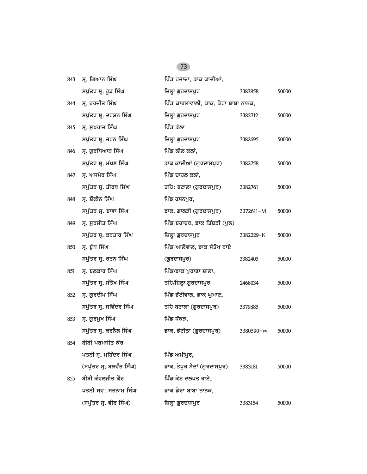| 843 | ਸ੍ਰ. ਗਿਆਨ ਸਿੰਘ           | ਪਿੰਡ ਰਜਾਦਾ, ਡਾਕ ਕਾਦੀਆਂ,              |           |       |
|-----|--------------------------|--------------------------------------|-----------|-------|
|     | ਸਪੁੱਤਰ ਸ੍ਰ. ਰੁੜ ਸਿੰਘ     | ਜ਼ਿਲ੍ਹਾ ਗੁਰਦਾਸਪੁਰ                    | 3383858   | 50000 |
| 844 | ਸ੍ਰ. ਹਰਜੀਤ ਸਿੰਘ          | ਪਿੰਡ ਕਾਹਲਾਵਾਲੀ, ਡਾਕ. ਡੇਰਾ ਬਾਬਾ ਨਾਨਕ, |           |       |
|     | ਸਪੁੱਤਰ ਸ੍ਰ. ਦਰਸ਼ਨ ਸਿੰਘ   | ਜ਼ਿਲ੍ਹਾ ਗੁਰਦਾਸਪੁਰ                    | 3382712   | 50000 |
| 845 | ਸ੍ਰ. ਸੁਖਰਾਜ ਸਿੰਘ         | ਪਿੰਡ ਡੱਲਾ                            |           |       |
|     | ਸਪੁੱਤਰ ਸ੍ਰ. ਚਰਨ ਸਿੰਘ     | ਜ਼ਿਲ੍ਹਾ ਗੁਰਦਾਸਪੁਰ                    | 3382695   | 50000 |
| 846 | ਸ੍ਰ. ਗੁਰਧਿਆਨ ਸਿੰਘ        | ਪਿੰਡ ਲੀਲ ਕਲਾਂ,                       |           |       |
|     | ਸਪੁੱਤਰ ਸ੍ਰ. ਮੱਖਣ ਸਿੰਘ    | ਡਾਕ ਕਾਦੀਆਂ (ਗੁਰਦਾਸਪੁਰ)               | 3382758   | 50000 |
| 847 | ਸ੍ਰ. ਅਜਮੇਰ ਸਿੰਘ          | ਪਿੰਡ ਚਾਹਲ ਕਲਾਂ,                      |           |       |
|     | ਸਪੁੱਤਰ ਸ੍ਰ. ਤੀਰਥ ਸਿੰਘ    | ਤਹਿ: ਬਟਾਲਾ (ਗੁਰਦਾਸਪੁਰ)               | 3382761   | 50000 |
| 848 | ਸ੍ਰ. ਸ਼ੌਕੀਨ ਸਿੰਘ         | ਪਿੰਡ ਹਸਨਪੁਰ,                         |           |       |
|     | ਸਪੁੱਤਰ ਸ੍ਰ. ਬਾਵਾ ਸਿੰਘ    | ਡਾਕ. ਗਾਲੜੀ (ਗੁਰਦਾਸਪੁਰ)               | 3372611-M | 50000 |
| 849 | ਸ੍ਰ. ਸੁਰਜੀਤ ਸਿੰਘ         | ਪਿੰਡ ਬਹਾਦਰ, ਡਾਕ ਤਿੱਬੜੀ (ਪੁਲ)         |           |       |
|     | ਸਪੁੱਤਰ ਸ੍ਰ. ਕਰਤਾਰ ਸਿੰਘ   | ਜ਼ਿਲ੍ਹਾ ਗੁਰਦਾਸਪੁਰ                    | 3382229-K | 50000 |
| 850 | ਸ੍ਰ. ਬੁੱਧ ਸਿੰਘ           | ਪਿੰਡ ਆਲੋਵਾਲ, ਡਾਕ ਸੰਤੋਖ ਰਾਏ           |           |       |
|     | ਸਪੁੱਤਰ ਸ੍ਰ. ਰਤਨ ਸਿੰਘ     | (ਗੁਰਦਾਸਪੁਰ)                          | 3382405   | 50000 |
| 851 | ਸ੍ਰ. ਬਲਕਾਰ ਸਿੰਘ          | ਪਿੰਡ/ਡਾਕ ਪੁਰਾਣਾ ਸ਼ਾਲਾ,               |           |       |
|     | ਸਪੁੱਤਰ ਸ੍ਰ. ਸੰਤੋਖ ਸਿੰਘ   | ਤਹਿ/ਜ਼ਿਲ੍ਹਾ ਗੁਰਦਾਸਪੁਰ                | 2468034   | 50000 |
| 852 | ਸ੍ਰ. ਗੁਰਦੀਪ ਸਿੰਘ         | ਪਿੰਡ ਭੱਟੀਵਾਲ, ਡਾਕ ਘੁਮਾਣ,             |           |       |
|     | ਸਪੁੱਤਰ ਸ੍ਰ. ਸਵਿੰਦਰ ਸਿੰਘ  | ਤਹਿ ਬਟਾਲਾ (ਗੁਰਦਾਸਪੁਰ)                | 3379885   | 50000 |
| 853 | ਸ੍ਰ. ਗੁਰਮੁਖ ਸਿੰਘ         | ਪਿੰਡ ਧੱਕੜ,                           |           |       |
|     | ਸਪੁੱਤਰ ਸ੍ਰ. ਕਰਨੈਲ ਸਿੰਘ   | ਡਾਕ. ਭੱਟੀਠਾ (ਗੁਰਦਾਸਪੁਰ)              | 3380590-W | 50000 |
| 854 | ਬੀਬੀ ਪਰਮਜੀਤ ਕੌਰ          |                                      |           |       |
|     | ਪਤਨੀ ਸ੍ਰ. ਮਹਿੰਦਰ ਸਿੰਘ    | ਪਿੰਡ ਅਮੀਪੁਰ,                         |           |       |
|     | (ਸਪੁੱਤਰ ਸ੍ਰ. ਬਲਵੰਤ ਸਿੰਘ) | ਡਾਕ. ਭੋਪੁਰ ਸੈਦਾਂ (ਗੁਰਦਾਸਪੁਰ)         | 3383181   | 50000 |
| 855 | ਬੀਬੀ ਕੰਵਲਜੀਤ ਕੌਰ         | ਪਿੰਡ ਕੋਟ ਦਲਪਤ ਰਾਏ,                   |           |       |
|     | ਪਤਨੀ ਸਵ: ਸਤਨਾਮ ਸਿੰਘ      | ਡਾਕ ਡੇਰਾ ਬਾਬਾ ਨਾਨਕ,                  |           |       |
|     | (ਸਪੁੱਤਰ ਸ੍ਰ. ਵੀਰ ਸਿੰਘ)   | ਜ਼ਿਲ੍ਹਾ ਗੁਰਦਾਸਪੁਰ                    | 3383154   | 50000 |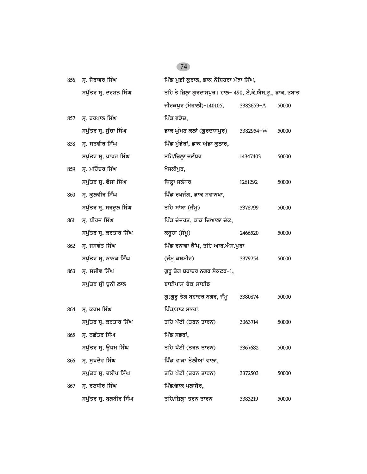| 856 | ਸ੍ਰ. ਜੋਰਾਵਰ ਸਿੰਘ       | ਪਿੰਡ ਮੁਡੀ ਕੁਰਾਲ, ਡਾਕ ਨੌਸ਼ਿਹਰਾ ਮੱਝਾ ਸਿੰਘ,                   |           |       |
|-----|------------------------|------------------------------------------------------------|-----------|-------|
|     | ਸਪੁੱਤਰ ਸ੍ਰ. ਦਰਸ਼ਨ ਸਿੰਘ | ਤਹਿ ਤੇ ਜ਼ਿਲ੍ਹਾ ਗੁਰਦਾਸਪੁਰ। ਹਾਲ– 490, ਏ.ਕੇ.ਐਸ.ਟੁ., ਡਾਕ. ਭਬਾਤ |           |       |
|     |                        | ਜੀਰਕਪੁਰ (ਮੋਹਾਲੀ)-140105.                                   | 3383659-A | 50000 |
| 857 | ਸ੍ਰ. ਹਰਪਾਲ ਸਿੰਘ        | ਪਿੰਡ ਵੜੈਚ,                                                 |           |       |
|     | ਸਪੁੱਤਰ ਸ੍ਰ. ਸੁੱਚਾ ਸਿੰਘ | ਡਾਕ ਘੁੰਮਣ ਕਲਾਂ (ਗੁਰਦਾਸਪੁਰ)                                 | 3382954-W | 50000 |
| 858 | ਸ੍ਰ. ਸਤਵੀਰ ਸਿੰਘ        | ਪਿੰਡ ਮੰਡੇਰਾਂ, ਡਾਕ ਅੱਡਾ ਕੁਠਾਰ,                              |           |       |
|     | ਸਪੁੱਤਰ ਸ੍ਰ. ਪਾਖਰ ਸਿੰਘ  | ਤਹਿ/ਜ਼ਿਲ੍ਹਾ ਜਲੰਧਰ                                          | 14347403  | 50000 |
| 859 | ਸ੍ਰ. ਮਹਿੰਦਰ ਸਿੰਘ       | ਖੋਜਕੀਪੁਰ,                                                  |           |       |
|     | ਸਪੁੱਤਰ ਸ੍ਰ. ਫੌਜਾ ਸਿੰਘ  | ਜ਼ਿਲ੍ਹਾ ਜਲੰਧਰ                                              | 1261292   | 50000 |
| 860 | ਸ੍ਰ. ਕੁਲਵੀਰ ਸਿੰਘ       | ਪਿੰਡ ਰਖਜੰਗ, ਡਾਕ ਸਵਾਨਖਾ,                                    |           |       |
|     | ਸਪੁੱਤਰ ਸ੍ਰ. ਸਰਦੁਲ ਸਿੰਘ | ਤਹਿ ਸਾਂਬਾ (ਜੰਮੂ)                                           | 3378799   | 50000 |
| 861 | ਸ੍ਰ. ਧੀਰਜ ਸਿੰਘ         | ਪਿੰਡ ਚੱਜਰਤ, ਡਾਕ ਦਿਆਲਾ ਚੱਕ,                                 |           |       |
|     | ਸਪੁੱਤਰ ਸ੍ਰ. ਕਰਤਾਰ ਸਿੰਘ | ਕਥੂਹਾ (ਜੰਮੂ)                                               | 2466520   | 50000 |
| 862 | ਸ੍ਰ. ਜਸਵੰਤ ਸਿੰਘ        | ਪਿੰਡ ਰਨਾਵਾ ਕੈਂਪ, ਤਹਿ ਆਰ.ਐਸ.ਪੁਰਾ                            |           |       |
|     | ਸਪੁੱਤਰ ਸ੍ਰ. ਨਾਨਕ ਸਿੰਘ  | (ਜੰਮੂ ਕਸ਼ਮੀਰ)                                              | 3379754   | 50000 |
| 863 | ਸ੍ਰ. ਸੰਜੀਵ ਸਿੰਘ        | ਗੁਰੂ ਤੇਗ ਬਹਾਦਰ ਨਗਰ ਸੈਕਟਰ–1,                                |           |       |
|     | ਸਪੁੱਤਰ ਸ੍ਰੀ ਚੁਨੀ ਲਾਲ   | ਬਾਈਪਾਸ ਬੈਕ ਸਾਈਡ                                            |           |       |
|     |                        | ਗੁ:ਗੁਰੁ ਤੇਗ ਬਹਾਦਰ ਨਗਰ, ਜੰਮੁ                                | 3380874   | 50000 |
| 864 | ਸ੍ਰ. ਕਰਮ ਸਿੰਘ          | ਪਿੰਡ/ਡਾਕ ਸਭਰਾਂ,                                            |           |       |
|     | ਸਪੁੱਤਰ ਸ੍ਰ. ਕਰਤਾਰ ਸਿੰਘ | ਤਹਿ ਪੱਟੀ (ਤਰਨ ਤਾਰਨ)                                        | 3363714   | 50000 |
| 865 | ਸ੍ਰ. ਨਛੱਤਰ ਸਿੰਘ        | ਪਿੰਡ ਸਭਰਾਂ,                                                |           |       |
|     | ਸਪੁੱਤਰ ਸ੍ਰ. ਊਧਮ ਸਿੰਘ   | ਤਹਿ ਪੱਟੀ (ਤਰਨ ਤਾਰਨ)                                        | 3367682   | 50000 |
| 866 | ਸ੍ਰ. ਸੁਖਦੇਵ ਸਿੰਘ       | ਪਿੰਡ ਵਾੜਾ ਤੇਲੀਆਂ ਵਾਲਾ,                                     |           |       |
|     | ਸਪੁੱਤਰ ਸ੍ਰ. ਦਲੀਪ ਸਿੰਘ  | ਤਹਿ ਪੱਟੀ (ਤਰਨ ਤਾਰਨ)                                        | 3372503   | 50000 |
| 867 | ਸ੍ਰ. ਰਣਧੀਰ ਸਿੰਘ        | ਪਿੰਡ/ਡਾਕ ਪਲਾਸੌਰ,                                           |           |       |
|     | ਸਪੁੱਤਰ ਸ੍ਰ. ਬਲਬੀਰ ਸਿੰਘ | ਤਹਿ/ਜ਼ਿਲ੍ਹਾ ਤਰਨ ਤਾਰਨ                                       | 3383219   | 50000 |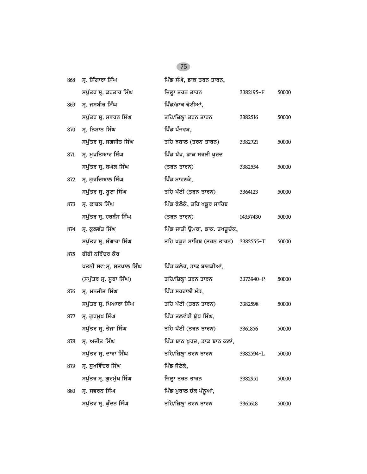| 868 | ਸ੍ਰ. ਸ਼ਿੰਗਾਰਾ ਸਿੰਘ       | ਪਿੰਡ ਸੰਘੇ, ਡਾਕ ਤਰਨ ਤਾਰਨ,            |           |       |
|-----|--------------------------|-------------------------------------|-----------|-------|
|     | ਸਪੁੱਤਰ ਸ੍ਰ. ਕਰਤਾਰ ਸਿੰਘ   | ਜ਼ਿਲ੍ਹਾ ਤਰਨ ਤਾਰਨ                    | 3382195-F | 50000 |
| 869 | ਸ੍ਰ. ਜਸਬੀਰ ਸਿੰਘ          | ਪਿੰਡ/ਡਾਕ ਢੋਟੀਆਂ,                    |           |       |
|     | ਸਪੁੱਤਰ ਸ੍ਰ. ਸਵਰਨ ਸਿੰਘ    | ਤਹਿ/ਜ਼ਿਲ੍ਹਾ ਤਰਨ ਤਾਰਨ                | 3382516   | 50000 |
| 870 | ਸ੍ਰ. ਨਿਸ਼ਾਨ ਸਿੰਘ         | ਪਿੰਡ ਪੰਜਵੜ,                         |           |       |
|     | ਸਪੁੱਤਰ ਸ੍ਰ. ਜਗਜੀਤ ਸਿੰਘ   | ਤਹਿ ਝਬਾਲ (ਤਰਨ ਤਾਰਨ)                 | 3382721   | 50000 |
| 871 | ਸ੍ਰ. ਮੁਖਤਿਆਰ ਸਿੰਘ        | ਪਿੰਡ ਖੱਖ, ਡਾਕ ਸਰਲੀ ਖੁਰਦ             |           |       |
|     | ਸਪੁੱਤਰ ਸ੍ਰ. ਬਘੇਲ ਸਿੰਘ    | (ਤਰਨ ਤਾਰਨ)                          | 3382554   | 50000 |
| 872 | ਸ੍ਰ. ਗੁਰਦਿਆਲ ਸਿੰਘ        | ਪਿੰਡ ਮਾਹਣਕੇ,                        |           |       |
|     | ਸਪੁੱਤਰ ਸ੍ਰ. ਬੁਟਾ ਸਿੰਘ    | ਤਹਿ ਪੱਟੀ (ਤਰਨ ਤਾਰਨ)                 | 3364123   | 50000 |
| 873 | ਸ੍ਰ. ਕਾਬਲ ਸਿੰਘ           | ਪਿੰਡ ਫੈਲੋਕੇ, ਤਹਿ ਖਡੁਰ ਸਾਹਿਬ         |           |       |
|     | ਸਪੁੱਤਰ ਸ੍ਰ. ਹਰਬੰਸ ਸਿੰਘ   | (ਤਰਨ ਤਾਰਨ)                          | 14357430  | 50000 |
| 874 | ਸ੍ਰ. ਕੁਲਵੰਤ ਸਿੰਘ         | ਪਿੰਡ ਜਾਤੀ ਉਮਰਾ, ਡਾਕ. ਤਖਤੁਚੱਕ,       |           |       |
|     | ਸਪੁੱਤਰ ਸ੍ਰ. ਸੰਗਾਰਾ ਸਿੰਘ  | ਤਹਿ ਖਡੂਰ ਸਾਹਿਬ (ਤਰਨ ਤਾਰਨ) 3382555-T |           | 50000 |
| 875 | ਬੀਬੀ ਨਰਿੰਦਰ ਕੌਰ          |                                     |           |       |
|     | ਪਤਨੀ ਸਵ:ਸ੍ਰ. ਸਤਪਾਲ ਸਿੰਘ  | ਪਿੰਡ ਕਲੇਰ, ਡਾਕ ਬਾਗੜੀਆਂ,             |           |       |
|     | (ਸਪੁੱਤਰ ਸ੍ਰ. ਸੂਬਾ ਸਿੰਘ)  | ਤਹਿ/ਜ਼ਿਲ੍ਹਾ ਤਰਨ ਤਾਰਨ                | 3373940-P | 50000 |
| 876 | ਸ੍ਰ. ਮਨਜੀਤ ਸਿੰਘ          | ਪਿੰਡ ਸਰਹਾਲੀ ਮੰਡ,                    |           |       |
|     | ਸਪੁੱਤਰ ਸ੍ਰ. ਪਿਆਰਾ ਸਿੰਘ   | ਤਹਿ ਪੱਟੀ (ਤਰਨ ਤਾਰਨ)                 | 3382598   | 50000 |
| 877 | ਸ੍ਰ. ਗੁਰਮੁਖ ਸਿੰਘ         | ਪਿੰਡ ਤਲਵੰਡੀ ਬੁੱਧ ਸਿੰਘ,              |           |       |
|     | ਸਪੁੱਤਰ ਸ੍ਰ. ਤੇਜਾ ਸਿੰਘ    | ਤਹਿ ਪੱਟੀ (ਤਰਨ ਤਾਰਨ)                 | 3361856   | 50000 |
| 878 | ਸ੍ਰ. ਅਜੀਤ ਸਿੰਘ           | n o<br>ਪਿੰਡ ਬਾਠ ਖੁਰਦ, ਡਾਕ ਬਾਠ ਕਲਾਂ, |           |       |
|     | ਸਪੁੱਤਰ ਸ੍ਰ. ਦਾਰਾ ਸਿੰਘ    | ਤਹਿ/ਜ਼ਿਲ੍ਹਾ ਤਰਨ ਤਾਰਨ                | 3382594-L | 50000 |
| 879 | ਸ੍ਰ. ਸੁਖਵਿੰਦਰ ਸਿੰਘ       | ਪਿੰਡ ਜੋਣੇਕੇ,                        |           |       |
|     | ਸਪੁੱਤਰ ਸ੍ਰ. ਗੁਰਮੁੱਖ ਸਿੰਘ | ਜ਼ਿਲ੍ਹਾ ਤਰਨ ਤਾਰਨ                    | 3382951   | 50000 |
| 880 | ਸ੍ਰ. ਸਵਰਨ ਸਿੰਘ           | ਪਿੰਡ ਮੁਰਾਲ ਚੱਕ ਪੰਨੂਆਂ,              |           |       |
|     | ਸਪੁੱਤਰ ਸ੍ਰ. ਕੁੰਦਨ ਸਿੰਘ   | ਤਹਿ/ਜ਼ਿਲ੍ਹਾ ਤਰਨ ਤਾਰਨ                | 3361618   | 50000 |
|     |                          |                                     |           |       |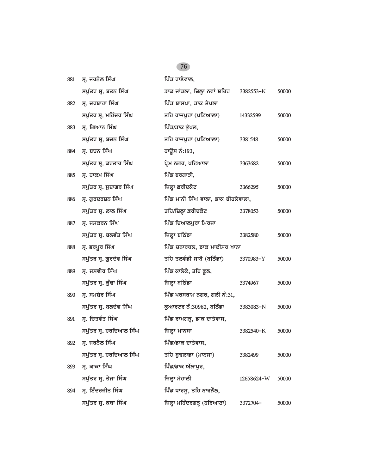| 881 | ਸ੍ਰ. ਜਰਨੈਲ ਸਿੰਘ         | ਪਿੰਡ ਰਾਣੇਵਾਲ,                       |            |       |
|-----|-------------------------|-------------------------------------|------------|-------|
|     | ਸਪੁੱਤਰ ਸ੍ਰ. ਬਤਨ ਸਿੰਘ    | ਡਾਕ ਜਾਂਡਲਾ, ਜ਼ਿਲ੍ਹਾ ਨਵਾਂ ਸ਼ਹਿਰ      | 3382553-K  | 50000 |
| 882 | ਸ੍ਰ. ਦਰਬਾਰਾ ਸਿੰਘ        | ਪਿੰਡ ਬਾਸਪਾ, ਡਾਕ ਤੇਪਲਾ               |            |       |
|     | ਸਪੁੱਤਰ ਸ੍ਰ. ਮਹਿੰਦਰ ਸਿੰਘ | ਤਹਿ ਰਾਜਪੁਰਾ (ਪਟਿਆਲਾ)                | 14332599   | 50000 |
| 883 | ਸ੍ਰ. ਗਿਆਨ ਸਿੰਘ          | ਪਿੰਡ/ਡਾਕ ਭੁੱਪਲ,                     |            |       |
|     | ਸਪੁੱਤਰ ਸ੍ਰ. ਬਚਨ ਸਿੰਘ    | ਤਹਿ ਰਾਜਪੁਰਾ (ਪਟਿਆਲਾ)                | 3381548    | 50000 |
| 884 | ਸ੍ਰ. ਬਚਨ ਸਿੰਘ           | ਹਾਉਸ ਨੰ:193,                        |            |       |
|     | ਸਪੁੱਤਰ ਸ੍ਰ. ਕਰਤਾਰ ਸਿੰਘ  | ਪ੍ਰੇਮ ਨਗਰ, ਪਟਿਆਲਾ                   | 3363682    | 50000 |
| 885 | ਸ੍ਰ. ਹਾਕਮ ਸਿੰਘ          | ਪਿੰਡ ਬਰਗਾੜੀ,                        |            |       |
|     | ਸਪੁੱਤਰ ਸ੍ਰ. ਸੁਦਾਗਰ ਸਿੰਘ | ਜ਼ਿਲ੍ਹਾ ਫ਼ਰੀਦਕੋਟ                    | 3366295    | 50000 |
| 886 | ਸ੍ਰ. ਗੁਰਦਰਸ਼ਨ ਸਿੰਘ      | ਪਿੰਡ ਮਾਨੀ ਸਿੰਘ ਵਾਲਾ, ਡਾਕ ਬੀਹਲੇਵਾਲਾ, |            |       |
|     | ਸਪੁੱਤਰ ਸ੍ਰ. ਲਾਲ ਸਿੰਘ    | ਤਹਿ/ਜ਼ਿਲ੍ਹਾ ਫ਼ਰੀਦਕੋਟ                | 3378053    | 50000 |
| 887 | ਸ੍ਰ. ਜਸਕਰਨ ਸਿੰਘ         | ਪਿੰਡ ਦਿਆਲਪੁਰਾ ਮਿਰਜਾ                 |            |       |
|     | ਸਪੁੱਤਰ ਸ੍ਰ. ਬਲਵੰਤ ਸਿੰਘ  | ਜ਼ਿਲ੍ਹਾ ਬਠਿੰਡਾ                      | 3382580    | 50000 |
| 888 | ਸ੍ਰ. ਭਰਪੂਰ ਸਿੰਘ         | ਪਿੰਡ ਚਨਾਰਥਲ, ਡਾਕ ਮਾਈਸਰ ਖਾਨਾ         |            |       |
|     | ਸਪੁੱਤਰ ਸ੍ਰ. ਗੁਰਦੇਵ ਸਿੰਘ | ਤਹਿ ਤਲਵੰਡੀ ਸਾਬੋ (ਬਠਿੰਡਾ)            | 3370983-Y  | 50000 |
| 889 | ਸ੍ਰ. ਜਸਵੀਰ ਸਿੰਘ         | ਪਿੰਡ ਕਾਲੇਕੇ, ਤਹਿ ਫੁਲ,               |            |       |
|     | ਸਪੁੱਤਰ ਸ੍ਰ. ਕੁੰਢਾ ਸਿੰਘ  | ਜ਼ਿਲ੍ਹਾ ਬਠਿੰਡਾ                      | 3374967    | 50000 |
| 890 | ਸ੍ਰ. ਸਮਸ਼ੇਰ ਸਿੰਘ        | ਪਿੰਡ ਪਰਸਰਾਮ ਨਗਰ, ਗਲੀ ਨੰ:31,         |            |       |
|     | ਸਪੁੱਤਰ ਸ੍ਰ. ਬਲਦੇਵ ਸਿੰਘ  | ਕੁਆਰਟਰ ਨੰ:30982, ਬਠਿੰਡਾ             | 3383083-N  | 50000 |
| 891 | ਸ੍ਰ. ਚਿਤਵੰਤ ਸਿੰਘ        | ਪਿੰਡ ਰਾਮਗੜ੍ਹ, ਡਾਕ ਦਾਤੇਵਾਸ,          |            |       |
|     | ਸਪੁੱਤਰ ਸ੍ਰ. ਹਰਦਿਆਲ ਸਿੰਘ | ਜ਼ਿਲ੍ਹਾ ਮਾਨਸਾ                       | 3382540-K  | 50000 |
| 892 | ਸ੍ਰ. ਜਰਨੈਲ ਸਿੰਘ         | ਪਿੰਡ/ਡਾਕ ਦਾਤੇਵਾਸ,                   |            |       |
|     | ਸਪੁੱਤਰ ਸ੍ਰ. ਹਰਦਿਆਲ ਸਿੰਘ | ਤਹਿ ਬੁਢਲਾਡਾ (ਮਾਨਸਾ)                 | 3382499    | 50000 |
| 893 | ਸ੍ਰ. ਕਾਕਾ ਸਿੰਘ          | ਪਿੰਡ/ਡਾਕ ਅੱਲਾਪੁਰ,                   |            |       |
|     | ਸਪੁੱਤਰ ਸ੍ਰ. ਤੇਜਾ ਸਿੰਘ   | ਜ਼ਿਲ੍ਹਾ ਮੋਹਾਲੀ                      | 12658624-W | 50000 |
| 894 | ਸ੍ਰ. ਇੰਦਰਜੀਤ ਸਿੰਘ       | ਪਿੰਡ ਧਾਰਸੁ, ਤਹਿ ਨਾਰਨੌਲ,             |            |       |
|     | ਸਪੁੱਤਰ ਸ੍ਰ. ਕਥਾ ਸਿੰਘ    | ਜ਼ਿਲ੍ਹਾ ਮਹਿੰਦਰਗੜ੍ਹ (ਹਰਿਆਣਾ)         | 3372704-   | 50000 |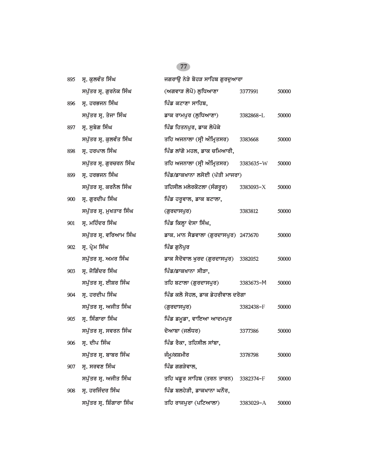| 895 | ਸ੍ਰ. ਕੁਲਵੰਤ ਸਿੰਘ          | ਜਗਰਾਉ ਨੇੜੇ ਬੋਹੜ ਸਾਹਿਬ ਗੁਰਦੁਆਰਾ       |           |       |
|-----|---------------------------|--------------------------------------|-----------|-------|
|     | ਸਪੁੱਤਰ ਸ੍ਰ. ਗੁਰਨੇਕ ਸਿੰਘ   | (ਅਗਵਾੜ ਲੋਪੋ) ਲੁਧਿਆਣਾ                 | 3377991   | 50000 |
| 896 | ਸ੍ਰ. ਹਰਭਜਨ ਸਿੰਘ           | ਪਿੰਡ ਕਟਾਣਾ ਸਾਹਿਬ,                    |           |       |
|     | ਸਪੁੱਤਰ ਸ੍ਰ. ਤੇਜਾ ਸਿੰਘ     | ਡਾਕ ਰਾਮਪੁਰ (ਲੁਧਿਆਣਾ)                 | 3382868-L | 50000 |
| 897 | ਸ੍ਰ. ਸੁਬੇਗ ਸਿੰਘ           | ਪਿੰਡ ਹਿਤਨਪੁਰ, ਡਾਕ ਲੋਪੋਕੇ             |           |       |
|     | ਸਪੁੱਤਰ ਸ੍ਰ. ਕੁਲਵੰਤ ਸਿੰਘ   | ਤਹਿ ਅਜਨਾਲਾ (ਸ੍ਰੀ ਅੰਮ੍ਰਿਤਸਰ)          | 3383668   | 50000 |
| 898 | ਸ੍ਰ. ਹਰਪਾਲ ਸਿੰਘ           | ਪਿੰਡ ਲਾਂਗੋ ਮਹਲ, ਡਾਕ ਚਮਿਆਰੀ,          |           |       |
|     | ਸਪੁੱਤਰ ਸ੍ਰ. ਗੁਰਚਰਨ ਸਿੰਘ   | ਤਹਿ ਅਜਨਾਲਾ (ਸ੍ਰੀ ਅੰਮ੍ਰਿਤਸਰ)          | 3383635-W | 50000 |
| 899 | ਸ੍ਰ. ਹਰਭਜਨ ਸਿੰਘ           | ਪਿੰਡ/ਡਾਕਖਾਨਾ ਲਸੋਈ (ਪੱਤੀ ਮਾਜਰਾ)       |           |       |
|     | ਸਪੁੱਤਰ ਸ੍ਰ. ਕਰਨੈਲ ਸਿੰਘ    | ਤਹਿਸੀਲ ਮਲੇਰਕੋਟਲਾ (ਸੰਗਰੂਰ)            | 3383093-X | 50000 |
| 900 | ਸ੍ਰ. ਗੁਰਦੀਪ ਸਿੰਘ          | ਪਿੰਡ ਹਰੁਵਾਲ, ਡਾਕ ਬਟਾਲਾ,              |           |       |
|     | ਸਪੁੱਤਰ ਸ੍ਰ. ਮੁਖਤਾਰ ਸਿੰਘ   | (ਗੁਰਦਾਸਪੁਰ)                          | 3383812   | 50000 |
| 901 | ਸ੍ਰ. ਮਹਿੰਦਰ ਸਿੰਘ          | ਪਿੰਡ ਕਿਲ੍ਹਾ ਦੇਸਾ ਸਿੰਘ,               |           |       |
|     | ਸਪੁੱਤਰ ਸ੍ਰ. ਵਰਿਆਮ ਸਿੰਘ    | ਡਾਕ. ਮਾਨ ਸੈਡਵਾਲਾ (ਗੁਰਦਾਸਪੁਰ) 2473670 |           | 50000 |
| 902 | ਸ੍ਰ. ਪ੍ਰੇਮ ਸਿੰਘ           | ਪਿੰਡ ਗੁਨੋਪੁਰ                         |           |       |
|     | ਸਪੁੱਤਰ ਸ੍ਰ. ਅਮਰ ਸਿੰਘ      | ਡਾਕ ਸੈਦੋਵਾਲ ਖੁਰਦ (ਗੁਰਦਾਸਪੁਰ)         | 3382052   | 50000 |
| 903 | ਸ੍ਰ. ਜੋਗਿੰਦਰ ਸਿੰਘ         | ਪਿੰਡ/ਡਾਕਖਾਨਾ ਸੀੜਾ,                   |           |       |
|     | ਸਪੁੱਤਰ ਸ੍ਰ. ਈਸ਼ਰ ਸਿੰਘ     | ਤਹਿ ਬਟਾਲਾ (ਗੁਰਦਾਸਪੁਰ)                | 3383673-M | 50000 |
| 904 | ਸ੍ਰ. ਹਰਦੀਪ ਸਿੰਘ           | ਪਿੰਡ ਕਲੋ ਸੋਹਲ, ਡਾਕ ਡੇਹਰੀਵਾਲ ਦਰੋਗਾ    |           |       |
|     | ਸਪੁੱਤਰ ਸ੍ਰ. ਅਜੀਤ ਸਿੰਘ     | (ਗੁਰਦਾਸਪੁਰ)                          | 3382438-F | 50000 |
| 905 | ਸ੍ਰ. ਸਿੰਗਾਰਾ ਸਿੰਘ         | ਪਿੰਡ ਡਮੁਡਾ, ਵਾਇਆ ਆਦਮਪੁਰ              |           |       |
|     | ਸਪੁੱਤਰ ਸ੍ਰ. ਸਵਰਨ ਸਿੰਘ     | ਦੋਆਬਾ (ਜਲੰਧਰ)                        | 3377386   | 50000 |
| 906 | ਸ੍ਰ. ਦੀਪ ਸਿੰਘ             | ਪਿੰਡ ਰੈਕਾ, ਤਹਿਸੀਲ ਸਾਂਬਾ,             |           |       |
|     | ਸਪੁੱਤਰ ਸ੍ਰ. ਬਾਬਰ ਸਿੰਘ     | ਜੰਮੂ/ਕਸ਼ਮੀਰ                          | 3378798   | 50000 |
| 907 | ਸ੍ਰ. ਸਰਵਣ ਸਿੰਘ            | ਪਿੰਡ ਗਗੜੇਵਾਲ,                        |           |       |
|     | ਸਪੁੱਤਰ ਸ੍ਰ. ਅਜੀਤ ਸਿੰਘ     | ਤਹਿ ਖਡੁਰ ਸਾਹਿਬ (ਤਰਨ ਤਾਰਨ)            | 3382374-F | 50000 |
| 908 | ਸ੍ਰ. ਹਰਜਿੰਦਰ ਸਿੰਘ         | ਪਿੰਡ ਬਲਹੇੜੀ, ਡਾਕਖਾਨਾ ਘਨੌਰ,           |           |       |
|     | ਸਪੁੱਤਰ ਸ੍ਰ. ਸ਼ਿੰਗਾਰਾ ਸਿੰਘ | ਤਹਿ ਰਾਜਪੁਰਾ (ਪਟਿਆਲਾ)                 | 3383029-A | 50000 |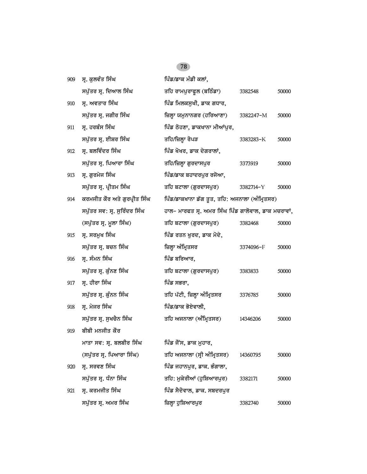| 909 | ਸ੍ਰ. ਕੁਲਵੰਤ ਸਿੰਘ             | ਪਿੰਡ/ਡਾਕ ਮੰਡੀ ਕਲਾਂ,                                 |           |       |
|-----|------------------------------|-----------------------------------------------------|-----------|-------|
|     | ਸਪੁੱਤਰ ਸ੍ਰ. ਦਿਆਲ ਸਿੰਘ        | ਤਹਿ ਰਾਮਪੁਰਾਫੁਲ (ਬਠਿੰਡਾ)                             | 3382548   | 50000 |
| 910 | ਸ੍ਰ. ਅਵਤਾਰ ਸਿੰਘ              | ਪਿੰਡ ਮਿਲਕਸੁਖੀ, ਡਾਕ ਗਧਾਰ,                            |           |       |
|     | ਸਪੁੱਤਰ ਸ੍ਰ. ਜਗੀਰ ਸਿੰਘ        | ਜ਼ਿਲ੍ਹਾ ਯਮੁਨਾਨਗਰ (ਹਰਿਆਣਾ)                           | 3382247-M | 50000 |
| 911 | ਸ੍ਰ. ਹਰਬੰਸ ਸਿੰਘ              | ਪਿੰਡ ਠੋਹਣਾ, ਡਾਕਖਾਨਾ ਮੀਆਂਪੁਰ,                        |           |       |
|     | ਸਪੁੱਤਰ ਸ੍ਰ. ਈਸ਼ਰ ਸਿੰਘ        | ਤਹਿ/ਜ਼ਿਲ੍ਹਾ ਰੋਪੜ                                    | 3383283-K | 50000 |
| 912 | ਸ੍ਰ. ਬਲਵਿੰਦਰ ਸਿੰਘ            | ਪਿੰਡ ਖੋਖਰ, ਡਾਕ ਦੇਗਰਾਲਾਂ,                            |           |       |
|     | ਸਪੁੱਤਰ ਸ੍ਰ. ਪਿਆਰਾ ਸਿੰਘ       | ਤਹਿ/ਜ਼ਿਲ੍ਹਾ ਗੁਰਦਾਸਪੁਰ                               | 3373919   | 50000 |
| 913 | ਸ੍ਰ. ਗੁਰਮੇਜ ਸਿੰਘ             | ਪਿੰਡ/ਡਾਕ ਬਹਾਦਰਪੁਰ ਰਜੋਆ,                             |           |       |
|     | ਸਪੁੱਤਰ ਸ੍ਰ. ਪ੍ਰੀਤਮ ਸਿੰਘ      | ਤਹਿ ਬਟਾਲਾ (ਗੁਰਦਾਸਪੁਰ)                               | 3382714-Y | 50000 |
| 914 | ਕਰਮਜੀਤ ਕੌਰ ਅਤੇ ਗੁਰਪ੍ਰੀਤ ਸਿੰਘ | ਪਿੰਡ/ਡਾਕਖਾਨਾ ਡੱਗ ਤੁਤ, ਤਹਿ: ਅਜਨਾਲਾ (ਅੰਮ੍ਰਿਤਸਰ)       |           |       |
|     | ਸਪੁੱਤਰ ਸਵ: ਸ੍ਰ. ਸੁਰਿੰਦਰ ਸਿੰਘ | ਹਾਲ- ਮਾਰਫਤ ਸ੍ਰ. ਅਮਰ ਸਿੰਘ ਪਿੰਡ ਗਾਲੋਵਾਲ, ਡਾਕ ਮਚਰਾਵਾਂ, |           |       |
|     | (ਸਪੁੱਤਰ ਸ੍ਰ. ਮੂਲਾ ਸਿੰਘ)      | ਤਹਿ ਬਟਾਲਾ (ਗੁਰਦਾਸਪੁਰ)                               | 3382468   | 50000 |
| 915 | ਸ੍ਰ. ਸਰਮੁਖ ਸਿੰਘ              | ਪਿੰਡ ਰਤਨ ਖੁਰਦ, ਡਾਕ ਮੋਦੇ,                            |           |       |
|     | ਸਪੁੱਤਰ ਸ੍ਰ. ਬਚਨ ਸਿੰਘ         | ਜ਼ਿਲ੍ਹਾ ਅੰਮ੍ਰਿਤਸਰ                                   | 3374096-F | 50000 |
| 916 | ਸ੍ਰ. ਸੰਮਨ ਸਿੰਘ               | ਪਿੰਡ ਬਰਿਆਰ,                                         |           |       |
|     | ਸਪੁੱਤਰ ਸ੍ਰ. ਕੁੰਨਣ ਸਿੰਘ       | ਤਹਿ ਬਟਾਲਾ (ਗੁਰਦਾਸਪੁਰ)                               | 3383833   | 50000 |
| 917 | ਸ੍ਰ. ਹੀਰਾ ਸਿੰਘ               | ਪਿੰਡ ਸਭਰਾ,                                          |           |       |
|     | ਸਪੁੱਤਰ ਸ੍ਰ. ਕੁੰਨਨ ਸਿੰਘ       | ਤਹਿ ਪੱਟੀ, ਜ਼ਿਲ੍ਹਾ ਅੰਮ੍ਰਿਤਸਰ                         | 3376785   | 50000 |
| 918 | ਸ੍ਰ. ਮੇਜਰ ਸਿੰਘ               | ਪਿੰਡ/ਡਾਕ ਭੋਏਵਾਲੀ,                                   |           |       |
|     | ਸਪੁੱਤਰ ਸ੍ਰ. ਸੁਖਚੈਨ ਸਿੰਘ      | ਤਹਿ ਅਜਨਾਲਾ (ਅੰਮ੍ਰਿਤਸਰ)                              | 14346206  | 50000 |
| 919 | ਬੀਬੀ ਮਨਜੀਤ ਕੌਰ               |                                                     |           |       |
|     | ਮਾਤਾ ਸਵ: ਸ੍ਰ. ਬਲਬੀਰ ਸਿੰਘ     | ਪਿੰਡ ਜੌਂਸ, ਡਾਕ ਮੁਹਾਰ,                               |           |       |
|     | (ਸਪੁੱਤਰ ਸ੍ਰ. ਪਿਆਰਾ ਸਿੰਘ)     | ਤਹਿ ਅਜਨਾਲਾ (ਸ੍ਰੀ ਅੰਮ੍ਰਿਤਸਰ)                         | 14360795  | 50000 |
| 920 | ਸ੍ਰ. ਸਰਵਣ ਸਿੰਘ               | ਪਿੰਡ ਜਹਾਨਪੁਰ, ਡਾਕ. ਭੰਗਾਲਾ,                          |           |       |
|     | ਸਪੁੱਤਰ ਸ੍ਰ. ਧੰਨਾ ਸਿੰਘ        | ਤਹਿ: ਮੁਕੇਰੀਆਂ (ਹੁਸ਼ਿਆਰਪੁਰ)                          | 3382171   | 50000 |
| 921 | ਸ੍ਰ. ਕਰਮਜੀਤ ਸਿੰਘ             | ਪਿੰਡ ਸੈਦੋਵਾਲ, ਡਾਕ. ਸਬਦਰਪੁਰ                          |           |       |
|     | ਸਪੁੱਤਰ ਸ੍ਰ. ਅਮਰ ਸਿੰਘ         | ਜ਼ਿਲ੍ਹਾ ਹੁਸ਼ਿਆਰਪੁਰ                                  | 3382740   | 50000 |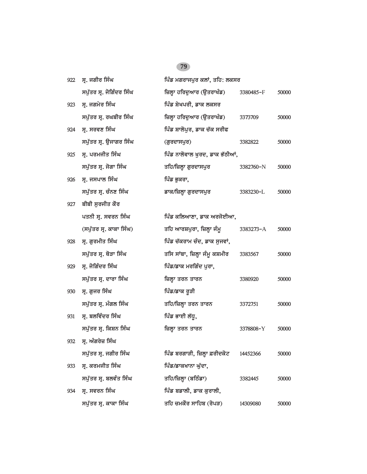| 922 | ਸ੍ਰ. ਜਗੀਰ ਸਿੰਘ           | ਪਿੰਡ ਮਗਰਾਜਪੁਰ ਕਲਾਂ, ਤਹਿ: ਲਕਸਰ  |           |       |
|-----|--------------------------|--------------------------------|-----------|-------|
|     | ਸਪੁੱਤਰ ਸ੍ਰ. ਜੋਗਿੰਦਰ ਸਿੰਘ | ਜ਼ਿਲ੍ਹਾ ਹਰਿਦੁਆਰ (ਉਤਰਾਖੰਡ)      | 3380485-F | 50000 |
| 923 | ਸ੍ਰ. ਜਗਮੇਰ ਸਿੰਘ          | ਪਿੰਡ ਸ਼ੇਖਪਰੀ, ਡਾਕ ਲਕਸਰ         |           |       |
|     | ਸਪੁੱਤਰ ਸ੍ਰ. ਰਘਬੀਰ ਸਿੰਘ   | ਜ਼ਿਲ੍ਹਾ ਹਰਿਦੁਆਰ (ਉਤਰਾਖੰਡ)      | 3373709   | 50000 |
| 924 | ਸ੍ਰ. ਸਰਵਣ ਸਿੰਘ           | ਪਿੰਡ ਸ਼ਾਲੋਪੁਰ, ਡਾਕ ਚੱਕ ਸਰੀਫ    |           |       |
|     | ਸਪੁੱਤਰ ਸ੍ਰ. ਉਜਾਗਰ ਸਿੰਘ   | (ਗੁਰਦਾਸਪੁਰ)                    | 3382822   | 50000 |
| 925 | ਸ੍ਰ. ਪਰਮਜੀਤ ਸਿੰਘ         | ਪਿੰਡ ਨਾਲੋਵਾਲ ਖੁਰਦ, ਡਾਕ ਭੱਠੀਆਂ, |           |       |
|     | ਸਪੁੱਤਰ ਸ੍ਰ. ਜੋਗਾ ਸਿੰਘ    | ਤਹਿ/ਜ਼ਿਲ੍ਹਾ ਗੁਰਦਾਸਪੁਰ          | 3382760-N | 50000 |
| 926 | ਸ੍ਰ. ਜਸਪਾਲ ਸਿੰਘ          | ਪਿੰਡ ਭੁਕਰਾ,                    |           |       |
|     | ਸਪੁੱਤਰ ਸ੍ਰ. ਚੰਨਣ ਸਿੰਘ    | ਡਾਕ/ਜ਼ਿਲ੍ਹਾ ਗੁਰਦਾਸਪੁਰ          | 3383230-L | 50000 |
| 927 | ਬੀਬੀ ਸੁਰਜੀਤ ਕੌਰ          |                                |           |       |
|     | ਪਤਨੀ ਸੁ. ਸਵਰਨ ਸਿੰਘ       | ਪਿੰਡ ਕਲਿਆਣਾ, ਡਾਕ ਅਰਜੋਈਆ,       |           |       |
|     | (ਸਪੁੱਤਰ ਸ੍ਰ. ਕਾਕਾ ਸਿੰਘ)  | ਤਹਿ ਆਰਸ਼ਪੁਰਾ, ਜ਼ਿਲ੍ਹਾ ਜੰਮੂ     | 3383273-A | 50000 |
| 928 | ਸ੍ਰ. ਗੁਰਮੀਤ ਸਿੰਘ         | ਪਿੰਡ ਚੱਕਰਾਮ ਚੰਦ, ਡਾਕ ਸੁਜਵਾਂ,   |           |       |
|     | ਸਪੁੱਤਰ ਸ੍ਰ. ਥੋੜਾ ਸਿੰਘ    | ਤਸਿ ਸਾਂਬਾ, ਜ਼ਿਲ੍ਹਾ ਜੰਮੂ ਕਸ਼ਮੀਰ | 3383567   | 50000 |
| 929 | ਸ੍ਰ. ਜੋਗਿੰਦਰ ਸਿੰਘ        | ਪਿੰਡ/ਡਾਕ ਮਰਗਿੰਦ ਪੁਰਾ,          |           |       |
|     | ਸਪੁੱਤਰ ਸ੍ਰ. ਦਾਰਾ ਸਿੰਘ    | ਜ਼ਿਲ੍ਹਾ ਤਰਨ ਤਾਰਨ               | 3380920   | 50000 |
| 930 | ਸ੍ਰ. ਗੁਜਰ ਸਿੰਘ           | ਪਿੰਡ/ਡਾਕ ਰੁੜੀ                  |           |       |
|     | ਸਪੁੱਤਰ ਸ੍ਰ. ਮੰਗਲ ਸਿੰਘ    | ਤਹਿ/ਜ਼ਿਲ੍ਹਾ ਤਰਨ ਤਾਰਨ           | 3372751   | 50000 |
| 931 | ਸ੍ਰ. ਬਲਵਿੰਦਰ ਸਿੰਘ        | ਪਿੰਡ ਭਾਈ ਲੱਧੂ,                 |           |       |
|     | ਸਪੱਤਰ ਸੁ. ਕਿਸ਼ਨ ਸਿੰਘ     | ਜ਼ਿਲ੍ਹਾ ਤਰਨ ਤਾਰਨ               | 3378808-Y | 50000 |
| 932 | ਸ੍ਰ. ਅੰਗਰੇਜ਼ ਸਿੰਘ        |                                |           |       |
|     | ਸਪੁੱਤਰ ਸ੍ਰ. ਜਗੀਰ ਸਿੰਘ    | ਪਿੰਡ ਬਰਗਾੜੀ, ਜ਼ਿਲ੍ਹਾ ਫ਼ਰੀਦਕੋਟ  | 14452366  | 50000 |
| 933 | ਸ੍ਰ. ਕਰਮਜੀਤ ਸਿੰਘ         | ਪਿੰਡ/ਡਾਕਖਾਨਾ ਘੱਦਾ,             |           |       |
|     | ਸਪੁੱਤਰ ਸ੍ਰ. ਬਲਵੰਤ ਸਿੰਘ   | ਤਹਿ/ਜ਼ਿਲ੍ਹਾ (ਬਠਿੰਡਾ)           | 3382445   | 50000 |
| 934 | ਸ੍ਰ. ਸਵਰਨ ਸਿੰਘ           | ਪਿੰਡ ਬਡਾਲੀ, ਡਾਕ ਕੁਰਾਲੀ,        |           |       |
|     | ਸਪੁੱਤਰ ਸ੍ਰ. ਕਾਕਾ ਸਿੰਘ    | ਤਹਿ ਚਮਕੌਰ ਸਾਹਿਬ (ਰੋਪੜ)         | 14309080  | 50000 |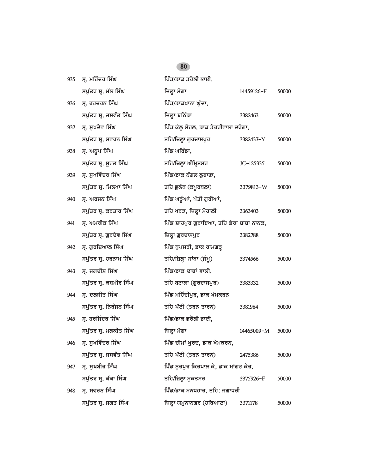| 935 | ਸ੍ਰ. ਮਹਿੰਦਰ ਸਿੰਘ        | ਪਿੰਡ/ਡਾਕ ਡਰੋਲੀ ਭਾਈ,                      |            |       |
|-----|-------------------------|------------------------------------------|------------|-------|
|     | ਸਪੁੱਤਰ ਸ੍ਰ. ਮੱਲ ਸਿੰਘ    | ਜ਼ਿਲ੍ਹਾ ਮੋਗਾ                             | 14459126-F | 50000 |
| 936 | ਸ੍ਰ. ਹਰਚਰਨ ਸਿੰਘ         | ਪਿੰਡ/ਡਾਕਖਾਨਾ ਘੁੱਦਾ,                      |            |       |
|     | ਸਪੁੱਤਰ ਸ੍ਰ. ਜਸਵੰਤ ਸਿੰਘ  | ਜ਼ਿਲ੍ਹਾ ਬਠਿੰਡਾ                           | 3382463    | 50000 |
| 937 | ਸ੍ਰ. ਸੁਖਦੇਵ ਸਿੰਘ        | ਪਿੰਡ ਕੱਲੂ ਸੋਹਲ, ਡਾਕ ਡੇਹਰੀਵਾਲਾ ਦਰੋਗਾ,     |            |       |
|     | ਸਪੁੱਤਰ ਸ੍ਰ. ਸਵਰਨ ਸਿੰਘ   | ਤਹਿ/ਜ਼ਿਲ੍ਹਾ ਗੁਰਦਾਸਪੁਰ                    | 3382437-Y  | 50000 |
| 938 | ਸ੍ਰ. ਅਨੂਪ ਸਿੰਘ          | ਪਿੰਡ ਘਰਿੰਡਾ,                             |            |       |
|     | ਸਪੁੱਤਰ ਸ੍ਰ. ਸੂਰਤ ਸਿੰਘ   | ਤਹਿ/ਜ਼ਿਲ੍ਹਾ ਅੰਮ੍ਰਿਤਸਰ                    | JC-125335  | 50000 |
| 939 | ਸ੍ਰ. ਸੁਖਵਿੰਦਰ ਸਿੰਘ      | ਪਿੰਡ/ਡਾਕ ਨੰਗਲ ਲੁਬਾਣਾ,                    |            |       |
|     | ਸਪੁੱਤਰ ਸ੍ਰ. ਮਿਲਖਾ ਸਿੰਘ  | ਤਹਿ ਭੁਲੱਥ (ਕਪੂਰਥਲਾ)                      | 3379813-W  | 50000 |
| 940 | ਸ੍ਰ. ਅਰਜਨ ਸਿੰਘ          | ਪਿੰਡ ਘੜੂੰਆਂ, ਪੱਤੀ ਗੁਰੀਆਂ,                |            |       |
|     | ਸਪੁੱਤਰ ਸ੍ਰ. ਕਰਤਾਰ ਸਿੰਘ  | ਤਹਿ ਖਰੜ, ਜ਼ਿਲ੍ਹਾ ਮੋਹਾਲੀ                  | 3363403    | 50000 |
| 941 | ਸ੍ਰ. ਅਮਰੀਕ ਸਿੰਘ         | ਪਿੰਡ ਸ਼ਾਹਪੁਰ ਗੁਰਾਇਆ, ਤਹਿ ਡੇਰਾ ਬਾਬਾ ਨਾਨਕ, |            |       |
|     | ਸਪੁੱਤਰ ਸ੍ਰ. ਗੁਰਦੇਵ ਸਿੰਘ | ਜ਼ਿਲ੍ਹਾ ਗੁਰਦਾਸਪੁਰ                        | 3382788    | 50000 |
| 942 | ਸ੍ਰ. ਗੁਰਦਿਆਲ ਸਿੰਘ       | ਪਿੰਡ ਧੁਪਸਰੀ, ਡਾਕ ਰਾਮਗੜ੍ਹ                 |            |       |
|     | ਸਪੁੱਤਰ ਸ੍ਰ. ਹਰਨਾਮ ਸਿੰਘ  | ਤਹਿ/ਜ਼ਿਲ੍ਹਾ ਸਾਂਬਾ (ਜੰਮੂ)                 | 3374566    | 50000 |
| 943 | ਸ੍ਰ. ਜਗਦੀਸ਼ ਸਿੰਘ        | ਪਿੰਡ/ਡਾਕ ਦਾਬਾਂ ਵਾਲੀ,                     |            |       |
|     | ਸਪੁੱਤਰ ਸ੍ਰ. ਕਸ਼ਮੀਰ ਸਿੰਘ | ਤਹਿ ਬਟਾਲਾ (ਗੁਰਦਾਸਪੁਰ)                    | 3383332    | 50000 |
| 944 | ਸ੍ਰ. ਦਲਜੀਤ ਸਿੰਘ         | ਪਿੰਡ ਮਹਿੰਦੀਪੁਰ, ਡਾਕ ਖੇਮਕਰਨ               |            |       |
|     | ਸਪੁੱਤਰ ਸ੍ਰ. ਨਿਰੰਜਨ ਸਿੰਘ | ਤਹਿ ਪੱਟੀ (ਤਰਨ ਤਾਰਨ)                      | 3381984    | 50000 |
| 945 | ਸ੍ਰ. ਹਰਜਿੰਦਰ ਸਿੰਘ       | ਪਿੰਡ/ਡਾਕ ਡਰੋਲੀ ਭਾਈ,                      |            |       |
|     | ਸਪੁੱਤਰ ਸ੍ਰ. ਮਲਕੀਤ ਸਿੰਘ  | ਜ਼ਿਲ੍ਹਾ ਮੋਗਾ                             | 14465009-M | 50000 |
|     | 946 ਸ੍ਰ. ਸੁਖਵਿੰਦਰ ਸਿੰਘ  | ਪਿੰਡ ਚੀਮਾਂ ਖੁਰਦ, ਡਾਕ ਖੇਮਕਰਨ,             |            |       |
|     | ਸਪੁੱਤਰ ਸ੍ਰ. ਜਸਵੰਤ ਸਿੰਘ  | ਤਹਿ ਪੱਟੀ (ਤਰਨ ਤਾਰਨ)                      | 2475386    | 50000 |
| 947 | ਸ੍ਰ. ਸੁਖਬੀਰ ਸਿੰਘ        | ਪਿੰਡ ਨੁਰਪੁਰ ਕਿਰਪਾਲ ਕੇ, ਡਾਕ ਮਾਂਗਟ ਕੇਰ,    |            |       |
|     | ਸਪੁੱਤਰ ਸ੍ਰ. ਕੱਕਾ ਸਿੰਘ   | ਤਹਿ/ਜ਼ਿਲ੍ਹਾ ਮੁਕਤਸਰ                       | 3375926-F  | 50000 |
| 948 | ਸ੍ਰ. ਸਵਰਨ ਸਿੰਘ          | ਪਿੰਡ/ਡਾਕ ਮਨਧਹਾਰ, ਤਹਿ: ਜਗਾਧਰੀ             |            |       |
|     | ਸਪੁੱਤਰ ਸ੍ਰ. ਜਗਤ ਸਿੰਘ    | ਜ਼ਿਲ੍ਹਾ ਯਮੁਨਾਨਗਰ (ਹਰਿਆਣਾ)                | 3371178    | 50000 |
|     |                         |                                          |            |       |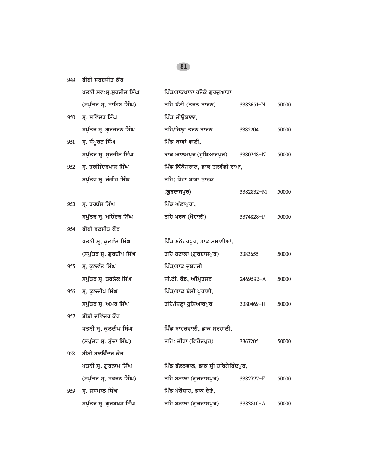|     | ਪਤਨੀ ਸਵ:ਸ੍ਰ.ਸੁਰਜੀਤ ਸਿੰਘ  | ਪਿੰਡ/ਡਾਕਖਾਨਾ ਰੱਤੋਕੇ ਗੁਰਦੁਆਰਾ         |           |       |
|-----|--------------------------|--------------------------------------|-----------|-------|
|     | (ਸਪੁੱਤਰ ਸ੍ਰ. ਸਾਹਿਬ ਸਿੰਘ) | ਤਹਿ ਪੱਟੀ (ਤਰਨ ਤਾਰਨ)                  | 3383651-N | 50000 |
| 950 | ਸ੍ਰ. ਸਵਿੰਦਰ ਸਿੰਘ         | ਪਿੰਡ ਜੀਉਬਾਲਾ,                        |           |       |
|     | ਸਪੁੱਤਰ ਸ੍ਰ. ਗੁਰਚਰਨ ਸਿੰਘ  | ਤਹਿ/ਜ਼ਿਲ੍ਹਾ ਤਰਨ ਤਾਰਨ                 | 3382204   | 50000 |
| 951 | ਸ੍ਰ. ਸੰਪੂਰਨ ਸਿੰਘ         | ਪਿੰਡ ਕਾਵਾਂ ਵਾਲੀ,                     |           |       |
|     | ਸਪੁੱਤਰ ਸ੍ਰ. ਸੁਰਜੀਤ ਸਿੰਘ  | ਡਾਕ ਆਲਮਪੁਰ (ਹੁਸ਼ਿਆਰਪੁਰ)              | 3380748-N | 50000 |
| 952 | ਸ੍ਰ. ਹਰਜਿੰਦਰਪਾਲ ਸਿੰਘ     | ਪਿੰਡ ਕਿੱਕੋਸਰਾਏ, ਡਾਕ ਤਲਵੰਡੀ ਰਾਮਾ,     |           |       |
|     | ਸਪੁੱਤਰ ਸ੍ਰ. ਜੰਗੀਰ ਸਿੰਘ   | ਤਹਿ: ਡੇਰਾ ਬਾਬਾ ਨਾਨਕ                  |           |       |
|     |                          | (ਗੁਰਦਾਸਪੁਰ)                          | 3382832-M | 50000 |
| 953 | ਸ੍ਰ. ਹਰਬੰਸ ਸਿੰਘ          | ਪਿੰਡ ਅੱਲਾਪੁਰਾ,                       |           |       |
|     | ਸਪੁੱਤਰ ਸ੍ਰ. ਮਹਿੰਦਰ ਸਿੰਘ  | ਤਹਿ ਖਰੜ (ਮੋਹਾਲੀ)                     | 3374828-P | 50000 |
| 954 | ਬੀਬੀ ਰਣਜੀਤ ਕੌਰ           |                                      |           |       |
|     | ਪਤਨੀ ਸ੍ਰ. ਕੁਲਵੰਤ ਸਿੰਘ    | ਪਿੰਡ ਮਨੋਹਰਪੁਰ, ਡਾਕ ਮਸਾਣੀਆਂ,          |           |       |
|     | (ਸਪੁੱਤਰ ਸ੍ਰ. ਗੁਰਦੀਪ ਸਿੰਘ | ਤਹਿ ਬਟਾਲਾ (ਗੁਰਦਾਸਪੁਰ)                | 3383655   | 50000 |
| 955 | ਸ੍ਰ. ਕੁਲਵੰਤ ਸਿੰਘ         | ਪਿੰਡ/ਡਾਕ ਦੁਬਰਜੀ                      |           |       |
|     | ਸਪੁੱਤਰ ਸ੍ਰ. ਤਰਲੋਕ ਸਿੰਘ   | ਜੀ.ਟੀ. ਰੋਡ, ਅੰਮ੍ਰਿਤਸਰ                | 2469592-A | 50000 |
| 956 | ਸ੍ਰ. ਕੁਲਦੀਪ ਸਿੰਘ         | ਪਿੰਡ/ਡਾਕ ਬੱਸੀ ਪੁਰਾਣੀ,                |           |       |
|     | ਸਪੁੱਤਰ ਸ੍ਰ. ਅਮਰ ਸਿੰਘ     | ਤਹਿ/ਜ਼ਿਲ੍ਹਾ ਹੁਸ਼ਿਆਰਪੁਰ               | 3380469-H | 50000 |
| 957 | ਬੀਬੀ ਦਵਿੰਦਰ ਕੌਰ          |                                      |           |       |
|     | ਪਤਨੀ ਸ੍ਰ. ਕੁਲਦੀਪ ਸਿੰਘ    | ਪਿੰਡ ਬਾਹਰਵਾਲੀ, ਡਾਕ ਸਰਹਾਲੀ,           |           |       |
|     | (ਸਪੁੱਤਰ ਸ੍ਰ. ਸੁੱਚਾ ਸਿੰਘ) | ਤਹਿ: ਜ਼ੀਰਾ (ਫ਼ਿਰੋਜ਼ਪੁਰ)              | 3367205   | 50000 |
| 958 | ਬੀਬੀ ਬਲਵਿੰਦਰ ਕੌਰ         |                                      |           |       |
|     | ਪਤਨੀ ਸ੍ਰ. ਗੁਰਨਾਮ ਸਿੰਘ    | ਪਿੰਡ ਬੱਲੜਵਾਲ, ਡਾਕ ਸ੍ਰੀ ਹਰਿਗੋਬਿੰਦਪੁਰ, |           |       |
|     | (ਸਪੁੱਤਰ ਸ੍ਰ. ਸਵਰਨ ਸਿੰਘ)  | ਤਹਿ ਬਟਾਲਾ (ਗੁਰਦਾਸਪੁਰ)                | 3382777-F | 50000 |
| 959 | ਸ੍ਰ. ਜਸਪਾਲ ਸਿੰਘ          | ਪਿੰਡ ਪੇਰੋਸ਼ਾਹ, ਡਾਕ ਢੋਣੇ,             |           |       |
|     | ਸਪੁੱਤਰ ਸ੍ਰ. ਗੁਰਬਖਸ਼ ਸਿੰਘ | ਤਹਿ ਬਟਾਲਾ (ਗੁਰਦਾਸਪੁਰ)                | 3383810-A | 50000 |

*949* ਬੀਬੀ ਸਰਬਜੀਤ ਕੌਰ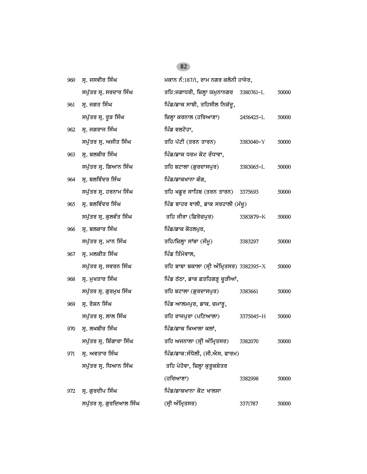| 960 | ਸ੍ਰ. ਜਸਵੀਰ ਸਿੰਘ           | ਮਕਾਨ ਨੰ:187/1, ਰਾਮ ਨਗਰ ਕਲੋਨੀ ਹਾਜੇਰ,       |           |       |
|-----|---------------------------|-------------------------------------------|-----------|-------|
|     | ਸਪੁੱਤਰ ਸ੍ਰ. ਸਰਦਾਰ ਸਿੰਘ    | ਤਹਿ:ਜਗਾਧਰੀ, ਜ਼ਿਲ੍ਹਾ ਯਮੁਨਾਨਗਰ 3380761-L    |           | 50000 |
| 961 | ਸ੍ਰ. ਜਗਤ ਸਿੰਘ             | ਪਿੰਡ/ਡਾਕ ਸਾਬੀ, ਤਹਿਸੀਲ ਨਿਕੱਦੂ,             |           |       |
|     | ਸਪੁੱਤਰ ਸ੍ਰ. ਰੁੜ ਸਿੰਘ      | ਜ਼ਿਲ੍ਹਾ ਕਰਨਾਲ (ਹਰਿਆਣਾ)                    | 2456425-L | 50000 |
| 962 | ਸ੍ਰ. ਜਗਰਾਜ ਸਿੰਘ           | ਪਿੰਡ ਵਲਟੋਹਾ,                              |           |       |
|     | ਸਪੁੱਤਰ ਸ੍ਰ. ਅਜੀਤ ਸਿੰਘ     | ਤਹਿ ਪੱਟੀ (ਤਰਨ ਤਾਰਨ)                       | 3383040-Y | 50000 |
| 963 | ਸ੍ਰ. ਬਲਬੀਰ ਸਿੰਘ           | ਪਿੰਡ/ਡਾਕ ਧਰਮ ਕੋਟ ਰੰਧਾਵਾ,                  |           |       |
|     | ਸਪੁੱਤਰ ਸ੍ਰ. ਗਿਆਨ ਸਿੰਘ     | ਤਹਿ ਬਟਾਲਾ (ਗੁਰਦਾਸਪੁਰ)                     | 3383065-L | 50000 |
| 964 | ਸ੍ਰ. ਬਲਵਿੰਦਰ ਸਿੰਘ         | ਪਿੰਡ/ਡਾਕਖਾਨਾ ਕੰਗ,                         |           |       |
|     | ਸਪੁੱਤਰ ਸ੍ਰ. ਹਰਨਾਮ ਸਿੰਘ    | ਤਹਿ ਖਡੁਰ ਸਾਹਿਬ (ਤਰਨ ਤਾਰਨ)                 | 3375693   | 50000 |
| 965 | ਸ੍ਰ. ਬਲਵਿੰਦਰ ਸਿੰਘ         | ਪਿੰਡ ਬਾਹਰ ਵਾਲੀ, ਡਾਕ ਸਰਹਾਲੀ (ਮੱਖੂ)         |           |       |
|     | ਸਪੁੱਤਰ ਸ੍ਰ. ਕੁਲਵੰਤ ਸਿੰਘ   | ਤਹਿ ਜੀਰਾ (ਫ਼ਿਰੋਜ਼ਪਰ)                      | 3383879-K | 50000 |
| 966 | ਸ੍ਰ. ਬਲਕਾਰ ਸਿੰਘ           | ਪਿੰਡ/ਡਾਕ ਕੋਹਲਪੁਰ,                         |           |       |
|     | ਸਪੁੱਤਰ ਸ੍ਰ. ਮਾਨ ਸਿੰਘ      | ਤਹਿ/ਜ਼ਿਲ੍ਹਾ ਸਾਂਬਾ (ਜੰਮੂ)                  | 3383297   | 50000 |
| 967 | ਸ੍ਰ. ਮਲਕੀਤ ਸਿੰਘ           | ਪਿੰਡ ਤਿੰਮੋਵਾਲ,                            |           |       |
|     | ਸਪੁੱਤਰ ਸ੍ਰ. ਸਵਰਨ ਸਿੰਘ     | ਤਹਿ ਬਾਬਾ ਬਕਾਲਾ (ਸ੍ਰੀ ਅੰਮ੍ਰਿਤਸਰ) 3382395-X |           | 50000 |
| 968 | ਸ੍ਰ. ਮੁਖਤਾਰ ਸਿੰਘ          | ਪਿੰਡ ਠੱਠਾ, ਡਾਕ ਫ਼ਤਹਿਗੜ੍ਹ ਚੁੜੀਆਂ,          |           |       |
|     | ਸਪੁੱਤਰ ਸ੍ਰ. ਗੁਰਮੁਖ ਸਿੰਘ   | ਤਹਿ ਬਟਾਲਾ (ਗੁਰਦਾਸਪੁਰ)                     | 3383661   | 50000 |
| 969 | ਸ੍ਰ. ਰੋਸ਼ਨ ਸਿੰਘ           | ਪਿੰਡ ਆਲਮਪੁਰ, ਡਾਕ. ਚਮਾਰੂ,                  |           |       |
|     | ਸਪੁੱਤਰ ਸ੍ਰ. ਲਾਲ ਸਿੰਘ      | ਤਹਿ ਰਾਜਪੁਰਾ (ਪਟਿਆਲਾ)                      | 3375045-H | 50000 |
| 970 | ਸ੍ਰ. ਲਖਬੀਰ ਸਿੰਘ           | ਪਿੰਡ/ਡਾਕ ਖਿਆਲਾ ਕਲਾਂ,                      |           |       |
|     | ਸਪੁੱਤਰ ਸ੍ਰ. ਸ਼ਿੰਗਾਰਾ ਸਿੰਘ | ਤਹਿ ਅਜਨਾਲਾ (ਸ੍ਰੀ ਅੰਮ੍ਰਿਤਸਰ)               | 3382070   | 50000 |
| 971 | ਸ੍ਰ. ਅਵਤਾਰ ਸਿੰਘ           | ਪਿੰਡ/ਡਾਕ:ਸੰਧੋਲੀ, (ਜੀ.ਐਸ. ਫਾਰਮ)            |           |       |
|     | ਸਪੁੱਤਰ ਸ੍ਰ. ਧਿਆਨ ਸਿੰਘ     | ਤਹਿ ਪੇਹੋਵਾ, ਜ਼ਿਲ੍ਹਾ ਕੁਰੁਕਸ਼ੇਤਰ            |           |       |
|     |                           | (ਹਰਿਆਣਾ)                                  | 3382998   | 50000 |
| 972 | ਸ੍ਰ. ਗੁਰਦੀਪ ਸਿੰਘ          | ਪਿੰਡ/ਡਾਕਖਾਨਾ ਕੋਟ ਖਾਲਸਾ                    |           |       |
|     | ਸਪੁੱਤਰ ਸ੍ਰ. ਗੁਰਦਿਆਲ ਸਿੰਘ  | (ਸ੍ਰੀ ਅੰਮ੍ਰਿਤਸਰ)                          | 3371787   | 50000 |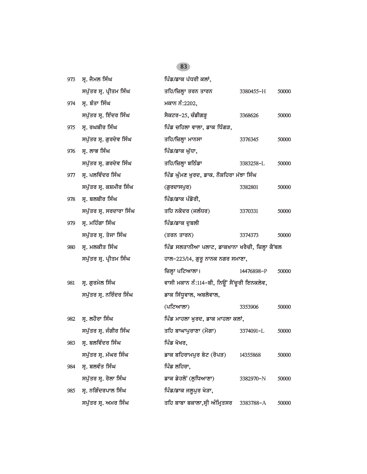| 973 | ਸ੍ਰ. ਜੈਮਲ ਸਿੰਘ          | ਪਿੰਡ/ਡਾਕ ਪੱਧਰੀ ਕਲਾਂ,                            |            |       |
|-----|-------------------------|-------------------------------------------------|------------|-------|
|     | ਸਪੁੱਤਰ ਸ੍ਰ. ਪ੍ਰੀਤਮ ਸਿੰਘ | ਤਹਿ/ਜ਼ਿਲ੍ਹਾ ਤਰਨ ਤਾਰਨ                            | 3380455-H  | 50000 |
| 974 | ਸ੍ਰ. ਬੰਤਾ ਸਿੰਘ          | ਮਕਾਨ ਨੰ:2202,                                   |            |       |
|     | ਸਪੁੱਤਰ ਸ੍ਰ. ਇੰਦਰ ਸਿੰਘ   | ਸੈਕਟਰ-25, ਚੰਡੀਗੜ੍ਹ                              | 3368626    | 50000 |
| 975 | ਸ੍ਰ. ਰਘਬੀਰ ਸਿੰਘ         | ਪਿੰਡ ਚਹਿਲਾ ਵਾਲਾ, ਡਾਕ ਧਿੰਗੜ,                     |            |       |
|     | ਸਪੁੱਤਰ ਸ੍ਰ. ਗੁਰਦੇਵ ਸਿੰਘ | ਤਹਿ/ਜ਼ਿਲ੍ਹਾ ਮਾਨਸਾ                               | 3376345    | 50000 |
| 976 | ਸ੍ਰ. ਲਾਭ ਸਿੰਘ           | ਪਿੰਡ/ਡਾਕ ਘੁੱਧਾ,                                 |            |       |
|     | ਸਪੁੱਤਰ ਸ੍ਰ. ਗਰਦੇਵ ਸਿੰਘ  | ਤਹਿ/ਜ਼ਿਲ੍ਹਾ ਬਠਿੰਡਾ                              | 3383258-L  | 50000 |
| 977 | ਸ੍ਰ. ਪਲਵਿੰਦਰ ਸਿੰਘ       | ਪਿੰਡ ਘੁੰਮਣ ਖੁਰਦ, ਡਾਕ. ਨੌਸ਼ਹਿਰਾ ਮੱਝਾ ਸਿੰਘ        |            |       |
|     | ਸਪੁੱਤਰ ਸ੍ਰ. ਕਸ਼ਮੀਰ ਸਿੰਘ | (ਗੁਰਦਾਸਪੁਰ)                                     | 3382801    | 50000 |
| 978 | ਸ੍ਰ. ਬਲਬੀਰ ਸਿੰਘ         | ਪਿੰਡ/ਡਾਕ ਪੰਡੋਰੀ,                                |            |       |
|     | ਸਪੁੱਤਰ ਸ੍ਰ. ਸਰਦਾਰਾ ਸਿੰਘ | ਤਹਿ ਨਕੋਦਰ (ਜਲੰਧਰ)                               | 3370331    | 50000 |
| 979 | ਸ੍ਰ. ਮਹਿੰਗਾ ਸਿੰਘ        | ਪਿੰਡ/ਡਾਕ ਦੁਬਲੀ                                  |            |       |
|     | ਸਪੁੱਤਰ ਸ੍ਰ. ਤੇਜਾ ਸਿੰਘ   | (ਤਰਨ ਤਾਰਨ)                                      | 3374373    | 50000 |
| 980 | ਸ੍ਰ. ਮਲਕੀਤ ਸਿੰਘ         | ਪਿੰਡ ਸਲਤਾਨੀਆ ਪਲਾਟ, ਡਾਕਖਾਨਾ ਖਰੈਚੀ, ਜ਼ਿਲ੍ਹਾ ਕੈਂਥਲ |            |       |
|     | ਸਪੁੱਤਰ ਸ੍ਰ. ਪ੍ਰੀਤਮ ਸਿੰਘ | ਹਾਲ-223/14, ਗੁਰੂ ਨਾਨਕ ਨਗਰ ਸਮਾਣਾ,                |            |       |
|     |                         | ਜ਼ਿਲ੍ਹਾ ਪਟਿਆਲਾ।                                 | 14476898-P | 50000 |
| 981 | ਸ੍ਰ. ਗੁਰਮੇਲ ਸਿੰਘ        | ਵਾਸੀ ਮਕਾਨ ਨੰ:114-ਬੀ, ਨਿਊਂ ਸੈਂਚੁਰੀ ਇਨਕਲੇਵ,       |            |       |
|     | ਸਪੁੱਤਰ ਸ੍ਰ. ਨਰਿੰਦਰ ਸਿੰਘ | ਡਾਕ ਸਿੱਧੂਵਾਲ, ਅਬਲੋਵਾਲ,                          |            |       |
|     |                         | $(4$ ਟਿਆਲਾ $)$                                  | 3353906    | 50000 |
| 982 | ਸ੍ਰ. ਲਹੋਰਾ ਸਿੰਘ         | ਪਿੰਡ ਮਾਹਲਾ ਖੁਰਦ, ਡਾਕ ਮਾਹਲਾ ਕਲਾਂ,                |            |       |
|     | ਸਪੁੱਤਰ ਸ੍ਰ. ਜੰਗੀਰ ਸਿੰਘ  | ਤਹਿ ਬਾਘਾਪੁਰਾਣਾ (ਮੋਗਾ)                           | 3374091-L  | 50000 |
| 983 | ਸ੍ਰ. ਬਲਵਿੰਦਰ ਸਿੰਘ       | ਪਿੰਡ ਖੋਖਰ,                                      |            |       |
|     | ਸਪੁੱਤਰ ਸ੍ਰ. ਮੱਘਰ ਸਿੰਘ   | ਡਾਕ ਬਹਿਰਾਮਪੁਰ ਬੇਟ (ਰੋਪੜ)                        | 14355868   | 50000 |
| 984 | ਸ੍ਰ. ਬਲਵੰਤ ਸਿੰਘ         | ਪਿੰਡ ਲਹਿਰਾ,                                     |            |       |
|     | ਸਪੁੱਤਰ ਸ੍ਰ. ਰੋਲਾ ਸਿੰਘ   | ਡਾਕ ਡੇਹਲੋਂ (ਲੁਧਿਆਣਾ)                            | 3382970-N  | 50000 |
| 985 | ਸ੍ਰ. ਨਗਿੰਦਰਪਾਲ ਸਿੰਘ     | ਪਿੰਡ/ਡਾਕ ਜਲੁਪੁਰ ਖੇੜਾ,                           |            |       |
|     | ਸਪੁੱਤਰ ਸ੍ਰ. ਅਮਰ ਸਿੰਘ    | ਤਹਿ ਬਾਬਾ ਬਕਾਲਾ,ਸ੍ਰੀ ਅੰਮ੍ਰਿਤਸਰ                   | 3383788-A  | 50000 |
|     |                         |                                                 |            |       |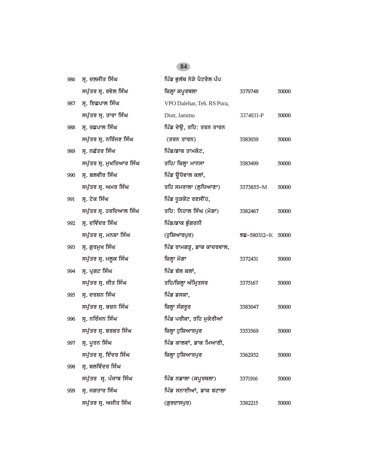| 986 | ਸ੍ਰ. ਦਲਜੀਤ ਸਿੰਘ          | ਪਿੰਡ ਭੁਲੱਥ ਨੇੜੇ ਪੈਟਰੋਲ ਪੰਪ |                   |       |
|-----|--------------------------|----------------------------|-------------------|-------|
|     | ਸਪੁੱਤਰ ਸ੍ਰ. ਰਵੇਲ ਸਿੰਘ    | ਜ਼ਿਲ੍ਹਾ ਕਪੂਰਥਲਾ            | 3379748           | 50000 |
| 987 | ਸ੍ਰ. ਇਛਪਾਲ ਸਿੰਘ          | VPO Dalehar, Teh. RS Pura, |                   |       |
|     | ਸਪੁੱਤਰ ਸ੍ਰ. ਤਾਰਾ ਸਿੰਘ    | Distt. Jammu               | 3374831-P         | 50000 |
| 988 | ਸ੍ਰ. ਰਛਪਾਲ ਸਿੰਘ          | ਪਿੰਡ ਦੇਉ, ਤਹਿ: ਤਰਨ ਤਾਰਨ    |                   |       |
|     | ਸਪੁੱਤਰ ਸ੍ਰ. ਨਰਿੰਜਣ ਸਿੰਘ  | (ਤਰਨ ਤਾਰਨ)                 | 3383039           | 50000 |
| 989 | ਸ੍ਰ. ਨਛੱਤਰ ਸਿੰਘ          | ਪਿੰਡ/ਡਾਕ ਤਾਮਕੋਟ,           |                   |       |
|     | ਸਪੁੱਤਰ ਸ੍ਰ. ਮੁਖਤਿਆਰ ਸਿੰਘ | ਤਹਿ/ ਜ਼ਿਲ੍ਹਾ ਮਾਨਸਾ         | 3383499           | 50000 |
| 990 | ਸ੍ਰ. ਬਲਵੀਰ ਸਿੰਘ          | ਪਿੰਡ ਉਧੋਵਾਲ ਕਲਾਂ,          |                   |       |
|     | ਸਪੁੱਤਰ ਸ੍ਰ. ਅਮਰ ਸਿੰਘ     | ਤਹਿ ਸਮਰਾਲਾ (ਲੁਧਿਆਣਾ)       | 3373855-M         | 50000 |
| 991 | ਸ੍ਰ. ਟੇਕ ਸਿੰਘ            | ਪਿੰਡ ਧੁੜਕੋਟ ਰਣਸੀਂਹ,        |                   |       |
|     | ਸਪੁੱਤਰ ਸ੍ਰ. ਹਰਦਿਆਲ ਸਿੰਘ  | ਤਹਿ: ਨਿਹਾਲ ਸਿੰਘ (ਮੋਗਾ)     | 3382467           | 50000 |
| 992 | ਸ੍ਰ. ਦਵਿੰਦਰ ਸਿੰਘ         | ਪਿੰਡ/ਡਾਕ ਭੁੰਗਰਨੀ           |                   |       |
|     | ਸਪੁੱਤਰ ਸ੍ਰ. ਮਨਸ਼ਾ ਸਿੰਘ   | (ਹੁਸ਼ਿਆਰਪੁਰ)               | ਝਛ-580312-K 50000 |       |
| 993 | ਸ੍ਰ. ਗੁਰਮੁਖ ਸਿੰਘ         | ਪਿੰਡ ਰਾਮਗੜ੍ਹ, ਡਾਕ ਕਾਦਰਵਾਲ, |                   |       |
|     | ਸਪੁੱਤਰ ਸ੍ਰ. ਮਲੂਕ ਸਿੰਘ    | ਜ਼ਿਲ੍ਹਾ ਮੋਗਾ               | 3372431           | 50000 |
| 994 | ਸ੍ਰ. ਪ੍ਰਗਟ ਸਿੰਘ          | ਪਿੰਡ ਬੱਲ ਕਲਾਂ,             |                   |       |
|     | ਸਪੁੱਤਰ ਸ੍ਰ. ਜੀਤ ਸਿੰਘ     | ਤਹਿ/ਜ਼ਿਲ੍ਹਾ ਅੰਮ੍ਰਿਤਸਰ      | 3375167           | 50000 |
| 995 | ਸ੍ਰ. ਦਰਸ਼ਨ ਸਿੰਘ          | ਪਿੰਡ ਡਸਕਾ,                 |                   |       |
|     | ਸਪੁੱਤਰ ਸ੍ਰ. ਬਚਨ ਸਿੰਘ     | ਜ਼ਿਲ੍ਹਾ ਸੰਗਰੂਰ             | 3383047           | 50000 |
| 996 | ਸ੍ਰ. ਨਰਿੰਜਨ ਸਿੰਘ         | ਪਿੰਡ ਪਰੀਕਾ, ਤਹਿ ਮੁਕੇਰੀਆਂ   |                   |       |
|     | ਸਪੁੱਤਰ ਸ੍ਰ. ਬਰਕਤ ਸਿੰਘ    | ਜ਼ਿਲ੍ਹਾ ਹੁਸ਼ਿਆਰਪੁਰ         | 3353569           | 50000 |
|     | 997 ਸ੍ਰ. ਪੂਰਨ ਸਿੰਘ       | ਪਿੰਡ ਕਾਲਵਾਂ, ਡਾਕ ਮਿਆਣੀ,    |                   |       |
|     | ਸਪੁੱਤਰ ਸ੍ਰ. ਇੰਦਰ ਸਿੰਘ    | ਜ਼ਿਲ੍ਹਾ ਹੁਸ਼ਿਆਰਪੁਰ         | 3362932           | 50000 |
| 998 | ਸ੍ਰ. ਬਲਵਿੰਦਰ ਸਿੰਘ        |                            |                   |       |
|     | ਸਪੁੱਤਰ ਸ੍ਰ. ਪੰਜਾਬ ਸਿੰਘ   | ਪਿੰਡ ਨਡਾਲਾ (ਕਪੂਰਥਲਾ)       | 3371916           | 50000 |
| 999 | ਸ੍ਰ. ਜਗਤਾਰ ਸਿੰਘ          | ਪਿੰਡ ਸਨਾਈਆਂ, ਡਾਕ ਬਟਾਲਾ     |                   |       |
|     | ਸਪੁੱਤਰ ਸ੍ਰ. ਅਜੀਤ ਸਿੰਘ    | (ਗੁਰਦਾਸਪੁਰ)                | 3382215           | 50000 |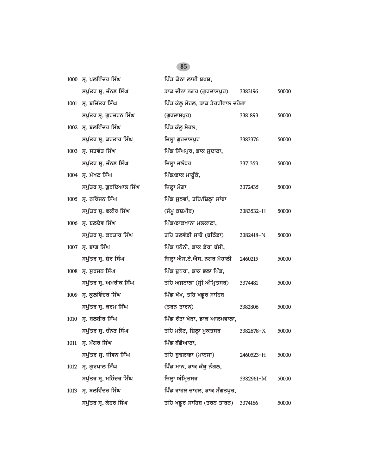|      | 1000 ਸ੍ਰ. ਪਲਵਿੰਦਰ ਸਿੰਘ   | ਪਿੰਡ ਕੋਠਾ ਲਾਈ ਬਖਸ਼,                |           |       |
|------|--------------------------|------------------------------------|-----------|-------|
|      | ਸਪੁੱਤਰ ਸ੍ਰ. ਚੰਨਣ ਸਿੰਘ    | ਡਾਕ ਦੀਨਾ ਨਗਰ (ਗੁਰਦਾਸਪੁਰ)           | 3383196   | 50000 |
|      | 1001 ਸ੍ਰ. ਬਚਿੱਤਰ ਸਿੰਘ    | ਪਿੰਡ ਕੱਲੂ ਮੋਹਲ, ਡਾਕ ਡੇਹਰੀਵਾਲ ਦਰੋਗਾ |           |       |
|      | ਸਪੁੱਤਰ ਸ੍ਰ. ਗੁਰਚਰਨ ਸਿੰਘ  | (ਗੁਰਦਾਸਪੁਰ)                        | 3381893   | 50000 |
|      | 1002 ਸ੍ਰ. ਬਲਵਿੰਦਰ ਸਿੰਘ   | ਪਿੰਡ ਕੱਲੂ ਸੋਹਲ,                    |           |       |
|      | ਸਪੁੱਤਰ ਸ੍ਰ. ਕਰਤਾਰ ਸਿੰਘ   | ਜ਼ਿਲ੍ਹਾ ਗੁਰਦਾਸਪੁਰ                  | 3383376   | 50000 |
|      | 1003 ਸ੍ਰ. ਸਤਵੰਤ ਸਿੰਘ     | ਪਿੰਡ ਸਿੰਘਪੁਰ, ਡਾਕ ਸੁਦਾਣਾ,          |           |       |
|      | ਸਪੁੱਤਰ ਸ੍ਰ. ਚੰਨਣ ਸਿੰਘ    | ਜ਼ਿਲ੍ਹਾ ਜਲੰਧਰ                      | 3371353   | 50000 |
|      | 1004 ਸ੍ਰ. ਮੱਖਣ ਸਿੰਘ      | ਪਿੰਡ/ਡਾਕ ਮਾਣੂੰਕੇ,                  |           |       |
|      | ਸਪੁੱਤਰ ਸ੍ਰ. ਗੁਰਦਿਆਲ ਸਿੰਘ | ਜ਼ਿਲ੍ਹਾ ਮੋਗਾ                       | 3372435   | 50000 |
|      | $1005$ ਸ੍ਰ. ਨਰਿੰਜਨ ਸਿੰਘ  | ਪਿੰਡ ਸੁਝਵਾਂ, ਤਹਿ/ਜ਼ਿਲ੍ਹਾ ਸਾਂਬਾ     |           |       |
|      | ਸਪੁੱਤਰ ਸ੍ਰ. ਫਕੀਰ ਸਿੰਘ    | (ਜੰਮੂ ਕਸ਼ਮੀਰ)                      | 3383532-H | 50000 |
|      | 1006 ਸ੍ਰ. ਬਲਦੇਵ ਸਿੰਘ     | ਪਿੰਡ/ਡਾਕਖਾਨਾ ਮਲਕਾਣਾ,               |           |       |
|      | ਸਪੁੱਤਰ ਸ੍ਰ. ਕਰਤਾਰ ਸਿੰਘ   | ਤਹਿ ਤਲਵੰਡੀ ਸਾਬੋ (ਬਠਿੰਡਾ)           | 3382418-N | 50000 |
|      | 1007 ਸ੍ਰ. ਭਾਗ ਸਿੰਘ       | ਪਿੰਡ ਧਨੌਨੀ, ਡਾਕ ਡੇਰਾ ਬੱਸੀ,         |           |       |
|      | ਸਪੁੱਤਰ ਸ੍ਰ. ਸ਼ੇਰ ਸਿੰਘ    | ਜ਼ਿਲ੍ਹਾ ਐਸ.ਏ.ਐਸ. ਨਗਰ ਮੋਹਾਲੀ        | 2460215   | 50000 |
|      | 1008 ਸ੍ਰ. ਸੁਰਜਨ ਸਿੰਘ     | ਪਿੰਡ ਦੁਧਰਾ, ਡਾਕ ਭਲਾ ਪਿੰਡ,          |           |       |
|      | ਸਪੁੱਤਰ ਸ੍ਰ. ਅਮਰੀਕ ਸਿੰਘ   | ਤਹਿ ਅਜਨਾਲਾ (ਸ੍ਰੀ ਅੰਮ੍ਰਿਤਸਰ)        | 3374481   | 50000 |
|      | 1009 ਸ੍ਰ. ਕੁਲਵਿੰਦਰ ਸਿੰਘ  | ਪਿੰਡ ਖੱਖ, ਤਹਿ ਖਡੁਰ ਸਾਹਿਬ           |           |       |
|      | ਸਪੁੱਤਰ ਸ੍ਰ. ਕਰਮ ਸਿੰਘ     | (ਤਰਨ ਤਾਰਨ)                         | 3382806   | 50000 |
| 1010 | ਸ੍ਰ. ਬਲਬੀਰ ਸਿੰਘ          | ਪਿੰਡ ਰੱਤਾ ਖੇੜਾ, ਡਾਕ ਆਲਮਵਾਲਾ,       |           |       |
|      | ਸਪੁੱਤਰ ਸ੍ਰ. ਚੰਨਣ ਸਿੰਘ    | ਤਹਿ ਮਲੋਟ, ਜ਼ਿਲ੍ਹਾ ਮੁਕਤਸਰ           | 3382678-X | 50000 |
|      | 1011 ਸ. ਮੱਗਰ ਸਿੰਘ        | ਪਿੰਡ ਬੱਛੋਆਣਾ,                      |           |       |
|      | ਸਪੁੱਤਰ ਸ੍ਰ. ਜੀਵਨ ਸਿੰਘ    | ਤਹਿ ਬੁਢਲਾਡਾ (ਮਾਨਸਾ)                | 2460523-H | 50000 |
| 1012 | ਸ੍ਰ. ਗੁਰਪਾਲ ਸਿੰਘ         | ਪਿੰਡ ਮਾਨ, ਡਾਕ ਕੱਥੂ ਨੰਗਲ,           |           |       |
|      | ਸਪੁੱਤਰ ਸ੍ਰ. ਮਹਿੰਦਰ ਸਿੰਘ  | ਜ਼ਿਲ੍ਹਾ ਅੰਮ੍ਰਿਤਸਰ                  | 3382961-M | 50000 |
| 1013 | ਸ੍ਰ. ਬਲਵਿੰਦਰ ਸਿੰਘ        | ਪਿੰਡ ਰਾਹਲ ਚਾਹਲ, ਡਾਕ ਸੰਗਤਪੁਰ,       |           |       |
|      | ਸਪੁੱਤਰ ਸ੍ਰ. ਕੇਹਰ ਸਿੰਘ    | ਤਹਿ ਖਡੂਰ ਸਾਹਿਬ (ਤਰਨ ਤਾਰਨ)          | 3374166   | 50000 |
|      |                          |                                    |           |       |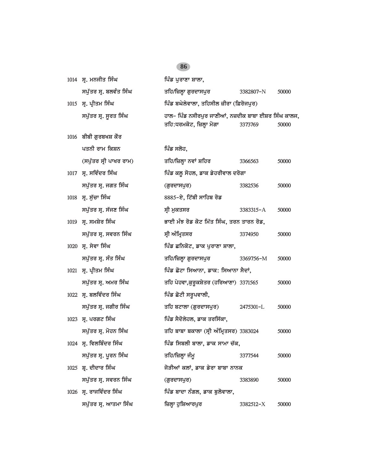| 1014 ਸ੍ਰ. ਮਨਜੀਤ ਸਿੰਘ    | ਪਿੰਡ ਪੁਰਾਣਾ ਸ਼ਾਲਾ,                                                                |               |       |
|-------------------------|-----------------------------------------------------------------------------------|---------------|-------|
| ਸਪੁੱਤਰ ਸ੍ਰ. ਬਲਵੰਤ ਸਿੰਘ  | ਤਹਿ/ਜ਼ਿਲ੍ਹਾ ਗੁਰਦਾਸਪੁਰ                                                             | 3382807-N     | 50000 |
| 1015 ਸ੍ਰ. ਪ੍ਰੀਤਮ ਸਿੰਘ   | ਪਿੰਡ ਬਘੇਲੇਵਾਲਾ, ਤਹਿਸੀਲ ਜ਼ੀਰਾ (ਫ਼ਿਰੋਜਪੁਰ)                                          |               |       |
| ਸਪੁੱਤਰ ਸ੍ਰ. ਸੁਰਤ ਸਿੰਘ   | ਹਾਲ- ਪਿੰਡ ਨਸੀਰਪੁਰ ਜਾਣੀਆਂ, ਨਜ਼ਦੀਕ ਬਾਬਾ ਈਸ਼ਰ ਸਿੰਘ ਕਾਲਜ,<br>ਤਹਿ:ਧਰਮਕੋਟ, ਜ਼ਿਲ੍ਹਾ ਮੋਗਾ | 3373769       | 50000 |
| 1016 ਬੀਬੀ ਗੁਰਬਖਸ਼ ਕੌਰ   |                                                                                   |               |       |
| ਪਤਨੀ ਰਾਮ ਕਿਸ਼ਨ          | ਪਿੰਡ ਸਲੋਹ,                                                                        |               |       |
| (ਸਪੁੱਤਰ ਸ੍ਰੀ ਪਾਖਰ ਰਾਮ)  | ਤਹਿ/ਜ਼ਿਲ੍ਹਾ ਨਵਾਂ ਸ਼ਹਿਰ                                                            | 3366563       | 50000 |
| 1017 ਸ੍ਰ. ਸਵਿੰਦਰ ਸਿੰਘ   | ਪਿੰਡ ਕਲੂ ਸੋਹਲ, ਡਾਕ ਡੇਹਰੀਵਾਲ ਦਰੋਗਾ                                                 |               |       |
| ਸਪੁੱਤਰ ਸ੍ਰ. ਜਗਤ ਸਿੰਘ    | (ਗੁਰਦਾਸਪੁਰ)                                                                       | 3382536       | 50000 |
| 1018 ਸ੍ਰ. ਸੁੱਚਾ ਸਿੰਘ    | 8885-ਏ, ਟਿੱਬੀ ਸਾਹਿਬ ਰੋਡ                                                           |               |       |
| ਸਪੁੱਤਰ ਸ੍ਰ. ਸੱਜਣ ਸਿੰਘ   | ਸ੍ਰੀ ਮੁਕਤਸਰ                                                                       | 3383315-A     | 50000 |
| 1019 ਸ੍ਰ. ਸਮਸ਼ੇਰ ਸਿੰਘ   | ਭਾਈ ਮੰਝ ਰੋਡ ਕੋਟ ਮਿੱਤ ਸਿੰਘ, ਤਰਨ ਤਾਰਨ ਰੋਡ,                                          |               |       |
| ਸਪੁੱਤਰ ਸ੍ਰ. ਸਵਰਨ ਸਿੰਘ   | ਸ੍ਰੀ ਅੰਮ੍ਰਿਤਸਰ                                                                    | 3374950       | 50000 |
| 1020 ਸ੍ਰ. ਸੇਵਾ ਸਿੰਘ     | ਪਿੰਡ ਛਨਿਕੋਟ, ਡਾਕ ਪੁਰਾਣਾ ਸ਼ਾਲਾ,                                                    |               |       |
| ਸਪੁੱਤਰ ਸ੍ਰ. ਸੰਤ ਸਿੰਘ    | ਤਹਿ/ਜ਼ਿਲ੍ਹਾ ਗੁਰਦਾਸਪੁਰ                                                             | 3369756-M     | 50000 |
| 1021 ਸ੍ਰ. ਪ੍ਰੀਤਮ ਸਿੰਘ   | ਪਿੰਡ ਛੋਟਾ ਸਿਆਨਾ, ਡਾਕ: ਸਿਆਨਾ ਸੈਦਾਂ,                                                |               |       |
| ਸਪੁੱਤਰ ਸ੍ਰ. ਅਮਰ ਸਿੰਘ    | ਤਹਿ ਪੇਹਵਾ,ਕੁਰੁਕਸ਼ੇਤਰ (ਹਰਿਆਣਾ) 3371565                                             |               | 50000 |
| 1022 ਸ੍ਰ. ਬਲਵਿੰਦਰ ਸਿੰਘ  | ਪਿੰਡ ਛੋਟੀ ਸਰੁਪਵਾਲੀ,                                                               |               |       |
| ਸਪੁੱਤਰ ਸ੍ਰ. ਜਗੀਰ ਸਿੰਘ   | ਤਹਿ ਬਟਾਲਾ (ਗੁਰਦਾਸਪੁਰ)                                                             | 2475301-L     | 50000 |
| 1023 ਸ੍ਰ. ਪਰਗਟ ਸਿੰਘ     | ਪਿੰਡ ਸੈਦੋਲੇਹਲ, ਡਾਕ ਤਰਸਿੱਕਾ,                                                       |               |       |
| ਸਪੁੱਤਰ ਸ੍ਰ. ਮੋਹਨ ਸਿੰਘ   | ਤਹਿ ਬਾਬਾ ਬਕਾਲਾ (ਸ੍ਰੀ ਅੰਮ੍ਰਿਤਸਰ) 3383024                                           |               | 50000 |
| 1024 ਸ੍ਰ. ਵਿਲਬਿੰਦਰ ਸਿੰਘ | ਪਿੰਡ ਸਿਬਲੀ ਬਾਲਾ, ਡਾਕ ਸਾਮਾ ਚੱਕ,                                                    |               |       |
| ਸਪੁੱਤਰ ਸ੍ਰ. ਪੂਰਨ ਸਿੰਘ   | ਤਹਿ/ਜ਼ਿਲ੍ਹਾ ਜੰਮੁ                                                                  | 3377544       | 50000 |
| 1025 ਸ਼੍ਰ. ਦੀਦਾਰ ਸਿੰਘ   | ਜੋੜੀਆਂ ਕਲਾਂ, ਡਾਕ ਡੇਰਾ ਬਾਬਾ ਨਾਨਕ                                                   |               |       |
| ਸਪੁੱਤਰ ਸ੍ਰ. ਸਵਰਨ ਸਿੰਘ   | (ਗੁਰਦਾਸਪੁਰ)                                                                       | 3383890       | 50000 |
| 1026 ਸ੍ਰ. ਰਾਜਵਿੰਦਰ ਸਿੰਘ | ਪਿੰਡ ਬਾਦਾ ਨੰਗਲ, ਡਾਕ ਬੁਲੋਵਾਲਾ,                                                     |               |       |
| ਸਪੁੱਤਰ ਸ੍ਰ. ਆਤਮਾ ਸਿੰਘ   | ਜ਼ਿਲ੍ਹਾ ਹੁਸ਼ਿਆਰਪੁਰ                                                                | $3382512 - X$ | 50000 |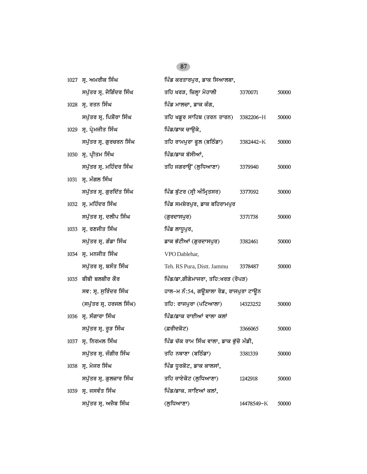$\overline{a}$ 

|      | 1027 ਸ. ਅਮਰੀਕ ਸਿੰਘ       | ਪਿੰਡ ਕਰਤਾਰਪੁਰ, ਡਾਕ ਸਿਆਲਬਾ,              |            |       |
|------|--------------------------|-----------------------------------------|------------|-------|
|      | ਸਪੁੱਤਰ ਸ੍ਰ. ਜੋਗਿੰਦਰ ਸਿੰਘ | ਤਹਿ ਖਰੜ, ਜ਼ਿਲ੍ਹਾ ਮੋਹਾਲੀ                 | 3370071    | 50000 |
|      | 1028 ਸ੍ਰ. ਰਤਨ ਸਿੰਘ       | ਪਿੰਡ ਮਾਲਚਾ, ਡਾਕ ਕੰਗ,                    |            |       |
|      | ਸਪੁੱਤਰ ਸ੍ਰ. ਪਿਸ਼ੋਰਾ ਸਿੰਘ | ਤਹਿ ਖਡੁਰ ਸਾਹਿਬ (ਤਰਨ ਤਾਰਨ) 3382206-H     |            | 50000 |
|      | 1029 ਸ੍ਰ. ਪ੍ਰੇਮਜੀਤ ਸਿੰਘ  | ਪਿੰਡ/ਡਾਕ ਚਾਉਕੇ,                         |            |       |
|      | ਸਪੁੱਤਰ ਸ੍ਰ. ਗੁਰਚਰਨ ਸਿੰਘ  | ਤਹਿ ਰਾਮਪੁਰਾ ਫੁਲ (ਬਠਿੰਡਾ)                | 3382442-K  | 50000 |
|      | 1030 ਸ੍ਰ. ਪ੍ਰੀਤਮ ਸਿੰਘ    | ਪਿੰਡ/ਡਾਕ ਬੱਸੀਆਂ,                        |            |       |
|      | ਸਪੁੱਤਰ ਸ੍ਰ. ਮਹਿੰਦਰ ਸਿੰਘ  | ਤਹਿ ਜਗਰਾਉਂ (ਲੁਧਿਆਣਾ)                    | 3379940    | 50000 |
|      | 1031 ਸ੍ਰ. ਮੰਗਲ ਸਿੰਘ      |                                         |            |       |
|      | ਸਪੁੱਤਰ ਸ੍ਰ. ਗੁਰਦਿੱਤ ਸਿੰਘ | ਪਿੰਡ ਬੁੱਟਰ (ਸ੍ਰੀ ਅੰਮ੍ਰਿਤਸਰ)             | 3377092    | 50000 |
|      | 1032 ਸ੍ਰ. ਮਹਿੰਦਰ ਸਿੰਘ    | ਪਿੰਡ ਸਮਸ਼ੇਰਪੁਰ, ਡਾਕ ਬਹਿਰਾਮਪੁਰ           |            |       |
|      | ਸਪੁੱਤਰ ਸ੍ਰ. ਦਲੀਪ ਸਿੰਘ    | (ਗੁਰਦਾਸਪੁਰ)                             | 3371738    | 50000 |
|      | 1033 ਸ੍ਰ. ਰਣਜੀਤ ਸਿੰਘ     | ਪਿੰਡ ਲਾਧੁਪੁਰ,                           |            |       |
|      | ਸਪੁੱਤਰ ਸ੍ਰ. ਗੰਡਾ ਸਿੰਘ    | ਡਾਕ ਭੱਟੀਆਂ (ਗੁਰਦਾਸਪੁਰ)                  | 3382461    | 50000 |
|      | 1034 ਸ੍ਰ. ਮਨਜੀਤ ਸਿੰਘ     | VPO Dablehar,                           |            |       |
|      | ਸਪੁੱਤਰ ਸ੍ਰ. ਬਸੰਤ ਸਿੰਘ    | Teh. RS Pura, Distt. Jammu              | 3378487    | 50000 |
|      | $1035$ ਬੀਬੀ ਬਲਬੀਰ ਕੌਰ    | ਪਿੰਡ/ਡਾ.ਗੀਗੇਮਾਜਰਾ, ਤਹਿ:ਖਰੜ (ਰੋਪੜ)       |            |       |
|      | ਸਵ: ਸ੍ਰ. ਸੁਰਿੰਦਰ ਸਿੰਘ    | ਹਾਲ–ਮ ਨੰ:54, ਗਊਸ਼ਾਲਾ ਰੋਡ, ਰਾਜਪੁਰਾ ਟਾਊਨ  |            |       |
|      | (ਸਪੁੱਤਰ ਸ੍ਰ. ਹਰਜਲ ਸਿੰਘ)  | ਤਹਿ: ਰਾਜਪੁਰਾ (ਪਟਿਆਲਾ)                   | 14323252   | 50000 |
|      | 1036 ਸ੍ਰ. ਸੰਗਾਰਾ ਸਿੰਘ    | ਪਿੰਡ/ਡਾਕ ਰਾਈਆਂ ਵਾਲਾ ਕਲਾਂ                |            |       |
|      | ਸਪੁੱਤਰ ਸ੍ਰ. ਰੁੜ ਸਿੰਘ     | (ਫ਼ਰੀਦਕੋਟ)                              | 3366065    | 50000 |
|      | 1037 ਸ੍ਰ. ਨਿਰਮਲ ਸਿੰਘ     | ਪਿੰਡ ਚੱਕ ਰਾਮ ਸਿੰਘ ਵਾਲਾ, ਡਾਕ ਭੁੱਚੋ ਮੰਡੀ, |            |       |
|      | ਸਪੁੱਤਰ ਸ੍ਰ. ਜੰਗੀਰ ਸਿੰਘ   | ਤਹਿ ਨਥਾਣਾ (ਬਠਿੰਡਾ)                      | 3381339    | 50000 |
|      | 1038 ਸ੍ਰ. ਮੇਜਰ ਸਿੰਘ      | ਪਿੰਡ ਧੁਰਕੋਟ, ਡਾਕ ਕਾਲਸਾਂ,                |            |       |
|      | ਸਪੁੱਤਰ ਸ੍ਰ. ਗੁਲਜ਼ਾਰ ਸਿੰਘ | ਤਹਿ ਰਾਏਕੋਟ (ਲੁਧਿਆਣਾ)                    | 1242918    | 50000 |
| 1039 | ਸ੍ਰ. ਜਸਵੰਤ ਸਿੰਘ          | ਪਿੰਡ/ਡਾਕ. ਸਾਇਆਂ ਕਲਾਂ,                   |            |       |
|      | ਸਪੁੱਤਰ ਸ੍ਰ. ਅਜੈਬ ਸਿੰਘ    | (ਲੁਧਿਆਣਾ)                               | 14478549-K | 50000 |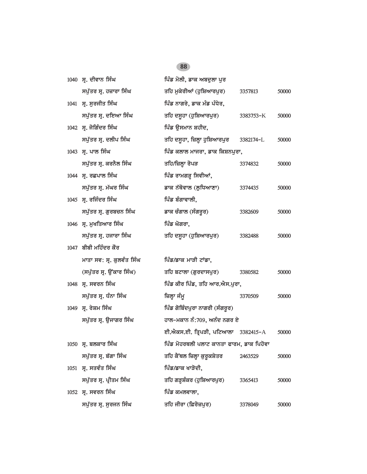| 1040 ਸ੍ਰ. ਦੀਵਾਨ ਸਿੰਘ      | ਪਿੰਡ ਮੋਲੀ, ਡਾਕ ਅਬਦੁਲਾ ਪੁਰ                |           |       |
|---------------------------|------------------------------------------|-----------|-------|
| ਸਪੁੱਤਰ ਸ੍ਰ. ਹਜ਼ਾਰਾ ਸਿੰਘ   | ਤਹਿ ਮੁਕੇਰੀਆਂ (ਹੁਸ਼ਿਆਰਪੁਰ)                | 3357813   | 50000 |
| 1041 ਸ੍ਰ. ਸੁਰਜੀਤ ਸਿੰਘ     | ਪਿੰਡ ਨਾਗਰੇ, ਡਾਕ ਮੰਡ ਪੰਧੇਰ,               |           |       |
| ਸਪੁੱਤਰ ਸ੍ਰ. ਦਇਆ ਸਿੰਘ      | ਤਹਿ ਦਸੂਹਾ (ਹੁਸ਼ਿਆਰਪੁਰ)                   | 3383753-K | 50000 |
| 1042 ਸ੍ਰ. ਜੋਗਿੰਦਰ ਸਿੰਘ    | ਪਿੰਡ ਉਸਮਾਨ ਸ਼ਹੀਦ,                        |           |       |
| ਸਪੁੱਤਰ ਸ੍ਰ. ਦਲੀਪ ਸਿੰਘ     | ਤਹਿ ਦਸੁਹਾ, ਜ਼ਿਲ੍ਹਾ ਹੁਸ਼ਿਆਰਪੁਰ 3382174-L  |           | 50000 |
| 1043 ਸ. ਪਾਲ ਸਿੰਘ          | ਪਿੰਡ ਕਲਾਲ ਮਾਜਰਾ, ਡਾਕ ਕਿਸ਼ਨਪੁਰਾ,          |           |       |
| ਸਪੁੱਤਰ ਸ੍ਰ. ਕਰਨੈਲ ਸਿੰਘ    | ਤਹਿ/ਜ਼ਿਲ੍ਹਾ ਰੋਪੜ                         | 3374832   | 50000 |
| 1044 ਸ੍ਰ. ਰਛਪਾਲ ਸਿੰਘ      | ਪਿੰਡ ਰਾਮਗੜ੍ਹ ਸਿਵੀਆਂ,                     |           |       |
| ਸਪੁੱਤਰ ਸ੍ਰ. ਮੱਘਰ ਸਿੰਘ     | ਡਾਕ ਨੱਥੋਵਾਲ (ਲੁਧਿਆਣਾ)                    | 3374435   | 50000 |
| 1045 ਸ੍ਰ. ਰਜਿੰਦਰ ਸਿੰਘ     | ਪਿੰਡ ਬੰਗਾਵਾਲੀ,                           |           |       |
| ਸਪੁੱਤਰ ਸ੍ਰ. ਗੁਰਬਚਨ ਸਿੰਘ   | ਡਾਕ ਚੰਗਾਲ (ਸੰਗਰੂਰ)                       | 3382609   | 50000 |
| 1046 ਸ੍ਰ. ਮੁਖਤਿਆਰ ਸਿੰਘ    | ਪਿੰਡ ਘੋਗਰਾ,                              |           |       |
| ਸਪੁੱਤਰ ਸ੍ਰ. ਹਜਾਰਾ ਸਿੰਘ    | ਤਹਿ ਦਸੁਹਾ (ਹੁਸ਼ਿਆਰਪੁਰ)                   | 3382488   | 50000 |
| 1047 ਬੀਬੀ ਮਹਿੰਦਰ ਕੌਰ      |                                          |           |       |
| ਮਾਤਾ ਸਵ: ਸ੍ਰ. ਕੁਲਵੰਤ ਸਿੰਘ | ਪਿੰਡ/ਡਾਕ ਮਾੜੀ ਟਾਂਡਾ,                     |           |       |
| (ਸਪੁੱਤਰ ਸ੍ਰ. ਉਂਕਾਰ ਸਿੰਘ)  | ਤਹਿ ਬਟਾਲਾ (ਗੁਰਦਾਸਪੁਰ)                    | 3380582   | 50000 |
| 1048 ਸ੍ਰ. ਸਵਰਨ ਸਿੰਘ       | ਪਿੰਡ ਕੀਰ ਪਿੰਡ, ਤਹਿ ਆਰ.ਐਸ.ਪੁਰਾ,           |           |       |
| ਸਪੁੱਤਰ ਸ੍ਰ. ਧੰਨਾ ਸਿੰਘ     | ਜ਼ਿਲ੍ਹਾ ਜੰਮੂ                             | 3370509   | 50000 |
| 1049 ਸ੍ਰ. ਰੇਸ਼ਮ ਸਿੰਘ      | ਪਿੰਡ ਗੋਬਿੰਦਪੁਰਾ ਨਾਗਰੀ (ਸੰਗਰੂਰ)           |           |       |
| ਸਪੁੱਤਰ ਸ੍ਰ. ਉਜਾਗਰ ਸਿੰਘ    | ਹਾਲ-ਮਕਾਨ ਨੰ:709, ਅਨੰਦ ਨਗਰ ਏ              |           |       |
|                           | ਈ.ਐਕਸ.ਈ. ਤ੍ਰਿਪੜੀ, ਪਟਿਆਲਾ 3382415-A       |           | 50000 |
| 1050 ਸ੍ਰ. ਬਲਕਾਰ ਸਿੰਘ      | ਪਿੰਡ ਮੋਹਰਥਲੀ ਪਲਾਟ ਕਾਨਤਾ ਫਾਰਮ, ਡਾਕ ਪਿਹੋਵਾ |           |       |
| ਸਪੁੱਤਰ ਸ੍ਰ. ਬੱਗਾ ਸਿੰਘ     | ਤਹਿ ਕੈਂਥਲ ਜ਼ਿਲ੍ਹਾ ਕੁਰੁਕਸ਼ੇਤਰ             | 2463529   | 50000 |
| 1051 ਸ੍ਰ. ਸਤਵੰਤ ਸਿੰਘ      | ਪਿੰਡ/ਡਾਕ ਖਾੜੋਦੀ,                         |           |       |
| ਸਪੁੱਤਰ ਸ੍ਰ. ਪ੍ਰੀਤਮ ਸਿੰਘ   | ਤਹਿ ਗੜ੍ਹਸ਼ੰਕਰ (ਹੁਸ਼ਿਆਰਪੁਰ)               | 3365413   | 50000 |
| 1052 ਸ੍ਰ. ਸਵਰਨ ਸਿੰਘ       | ਪਿੰਡ ਕਮਲਵਾਲਾ,                            |           |       |
| ਸਪੁੱਤਰ ਸ੍ਰ. ਸੁਰਜਨ ਸਿੰਘ    | ਤਹਿ ਜੀਰਾ (ਫ਼ਿਰੋਜ਼ਪੁਰ)                    | 3378049   | 50000 |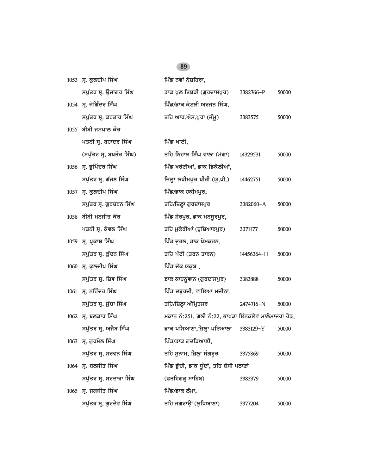| 1053 ਸ੍ਰ. ਕੁਲਦੀਪ ਸਿੰਘ    | ਪਿੰਡ ਨਵਾਂ ਨੌਸ਼ਹਿਰਾ,                                  |            |       |
|--------------------------|------------------------------------------------------|------------|-------|
| ਸਪੁੱਤਰ ਸ੍ਰ. ਉਜਾਗਰ ਸਿੰਘ   | ਡਾਕ ਪੁਲ ਤਿਬੜੀ (ਗੁਰਦਾਸਪੁਰ)                            | 3382766-P  | 50000 |
| 1054 ਸ੍ਰ. ਜੋਗਿੰਦਰ ਸਿੰਘ   | ਪਿੰਡ/ਡਾਕ ਕੋਟਲੀ ਅਰਜਨ ਸਿੰਘ,                            |            |       |
| ਸਪੁੱਤਰ ਸ੍ਰ. ਕਰਤਾਰ ਸਿੰਘ   | ਤਹਿ ਆਰ.ਐਸ.ਪੁਰਾ (ਜੰਮੂ)                                | 3383575    | 50000 |
| $1055$ ਬੀਬੀ ਜਸਪਾਲ ਕੌਰ    |                                                      |            |       |
| ਪਤਨੀ ਸ੍ਰ. ਬਹਾਦਰ ਸਿੰਘ     | ਪਿੰਡ ਖਾਈ,                                            |            |       |
| (ਸਪੁੱਤਰ ਸ੍ਰ. ਬਖਤੌਰ ਸਿੰਘ) | ਤਹਿ ਨਿਹਾਲ ਸਿੰਘ ਵਾਲਾ (ਮੋਗਾ)                           | 14329531   | 50000 |
| 1056 ਸ੍ਰ. ਭੁਪਿੰਦਰ ਸਿੰਘ   | ਪਿੰਡ ਖਰੱਟੀਆਂ, ਡਾਕ ਡਿਕੋਲੀਆਂ,                          |            |       |
| ਸਪੁੱਤਰ ਸ੍ਰ. ਗੱਜਣ ਸਿੰਘ    | ਜ਼ਿਲ੍ਹਾ ਲਖੀਮਪੁਰ ਖੀਰੀ (ਯੂ.ਪੀ.)                        | 14462751   | 50000 |
| 1057 ਸ੍ਰ. ਕੁਲਦੀਪ ਸਿੰਘ    | ਪਿੰਡ/ਡਾਕ ਹਕੀਮਪੁਰ,                                    |            |       |
| ਸਪੁੱਤਰ ਸ੍ਰ. ਗੁਰਚਰਨ ਸਿੰਘ  | ਤਹਿ/ਜ਼ਿਲ੍ਹਾ ਗੁਰਦਾਸਪੁਰ                                | 3382060-A  | 50000 |
| $1058$ ਬੀਬੀ ਮਨਜੀਤ ਕੌਰ    | ਪਿੰਡ ਸ਼ੇਰਪੁਰ, ਡਾਕ ਮਨਸੁਰਪੁਰ,                          |            |       |
| ਪਤਨੀ ਸ੍ਰ. ਕੇਵਲ ਸਿੰਘ      | ਤਹਿ ਮੁਕੇਰੀਆਂ (ਹੁਸ਼ਿਆਰਪੁਰ)                            | 3371177    | 50000 |
| 1059 ਸ੍ਰ. ਪ੍ਰਕਾਸ਼ ਸਿੰਘ   | ਪਿੰਡ ਦੂਹਲ, ਡਾਕ ਖੇਮਕਰਨ,                               |            |       |
| ਸਪੁੱਤਰ ਸ੍ਰ. ਕੁੰਦਨ ਸਿੰਘ   | ਤਹਿ ਪੱਟੀ (ਤਰਨ ਤਾਰਨ)                                  | 14456364-H | 50000 |
| 1060 ਸ੍ਰ. ਕੁਲਦੀਪ ਸਿੰਘ    | ਪਿੰਡ ਚੱਕ ਯਕੂਬ ,                                      |            |       |
| ਸਪੁੱਤਰ ਸ੍ਰ. ਸ਼ਿਵ ਸਿੰਘ    | ਡਾਕ ਕਾਹਨੂੰਵਾਨ (ਗੁਰਦਾਸਪੁਰ)                            | 3383888    | 50000 |
| 1061 ਸ੍ਰ. ਨਰਿੰਦਰ ਸਿੰਘ    | ਪਿੰਡ ਦਬੁਰਜੀ, ਵਾਇਆ ਮਜੀਠਾ,                             |            |       |
| ਸਪੁੱਤਰ ਸ੍ਰ. ਸੁੱਚਾ ਸਿੰਘ   | ਤਹਿ/ਜ਼ਿਲ੍ਹਾ ਅੰਮ੍ਰਿਤਸਰ                                | 2474716-N  | 50000 |
| 1062 ਸ੍ਰ. ਬਲਕਾਰ ਸਿੰਘ     | ਮਕਾਨ ਨੰ:251, ਗਲੀ ਨੰ:22, ਭਾਖੜਾ ਇੰਨਕਲੈਵ ਮਾਲੋਮਾਜਰਾ ਰੋਡ, |            |       |
| ਸਪੁੱਤਰ ਸ੍ਰ. ਅਜੈਬ ਸਿੰਘ    | ਡਾਕ ਪਸਿਆਣਾ,ਜ਼ਿਲ੍ਹਾ ਪਟਿਆਲਾ                            | 3383129-Y  | 50000 |
| 1063 ਸ੍ਰ. ਗੁਰਮੇਲ ਸਿੰਘ    | ਪਿੰਡ/ਡਾਕ ਗਦੜਿਆਣੀ,                                    |            |       |
| ਸਪੁੱਤਰ ਸ੍ਰ. ਸਰਵਨ ਸਿੰਘ    | ਤਹਿ ਸੁਨਾਮ, ਜ਼ਿਲ੍ਹਾ ਸੰਗਰੂਰ                            | 3375869    | 50000 |
| 1064 ਸ੍ਰ. ਬਲਜੀਤ ਸਿੰਘ     | ਪਿੰਡ ਭੁੱਚੀ, ਡਾਕ ਧੁੰਦਾਂ, ਤਹਿ ਬੱਸੀ ਪਠਾਣਾਂ              |            |       |
| ਸਪੁੱਤਰ ਸ੍ਰ. ਸਰਦਾਰਾ ਸਿੰਘ  | (ਫ਼ਤਹਿਗੜ੍ਹ ਸਾਹਿਬ)                                    | 3383379    | 50000 |
| $1065$ ਸ੍ਰ. ਜਗਜੀਤ ਸਿੰਘ   | ਪਿੰਡ/ਡਾਕ ਲੰਮਾ,                                       |            |       |
| ਸਪੁੱਤਰ ਸ੍ਰ. ਗੁਰਦੇਵ ਸਿੰਘ  | ਤਹਿ ਜਗਰਾਉਂ (ਲੁਧਿਆਣਾ)                                 | 3377204    | 50000 |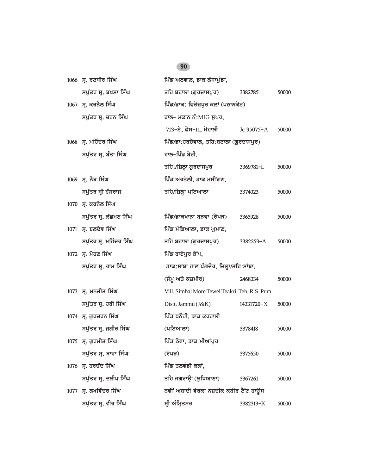| 1066 ਸ੍ਰ. ਰਣਧੀਰ ਸਿੰਘ    | ਪਿੰਡ ਅਠਵਾਲ, ਡਾਕ ਲੱਧਾਮੰਡਾ,                       |            |       |
|-------------------------|-------------------------------------------------|------------|-------|
| ਸਪੁੱਤਰ ਸ੍ਰ. ਬਖਸ਼ਾ ਸਿੰਘ  | ਤਹਿ ਬਟਾਲਾ (ਗੁਰਦਾਸਪੁਰ)                           | 3382785    | 50000 |
| 1067 ਸ੍ਰ. ਕਰਨੈਲ ਸਿੰਘ    | ਪਿੰਡ/ਡਾਕ: ਫਿਰੋਜ਼ਪੁਰ ਕਲਾਂ (ਪਠਾਨਕੋਟ)              |            |       |
| ਸਪੁੱਤਰ ਸ੍ਰ. ਚਰਨ ਸਿੰਘ    | ਹਾਲ– ਮਕਾਨ ਨੰ:MIG ਸੁਪਰ,                          |            |       |
|                         | 713-ਏ, ਫੇਸ-11, ਮੋਹਾਲੀ Jc 95075-A                |            | 50000 |
| 1068 ਸ੍ਰ. ਮਹਿੰਦਰ ਸਿੰਘ   | ਪਿੰਡ/ਡਾ:ਹਰਚੋਵਾਲ, ਤਹਿ:ਬਟਾਲਾ (ਗੁਰਦਾਸਪੁਰ)          |            |       |
| ਸਪੁੱਤਰ ਸ੍ਰ. ਬੰਤਾ ਸਿੰਘ   | ਹਾਲ-ਪਿੰਡ ਬੇਰੀ,                                  |            |       |
|                         | ਤਹਿ:/ਜ਼ਿਲ੍ਹਾ ਗੁਰਦਾਸਪੁਰ                          | 3369781-L  | 50000 |
| 1069 ਸ੍ਰ. ਨੈਬ ਸਿੰਘ      | ਪਿੰਡ ਅਰਨੋਲੀ, ਡਾਕ ਮਸੀਂਗਣ,                        |            |       |
| ਸਪੁੱਤਰ ਸ੍ਰੀ ਹੰਸਰਾਜ      | ਤਹਿ/ਜ਼ਿਲ੍ਹਾ ਪਟਿਆਲਾ                              | 3374023    | 50000 |
| 1070 ਸ੍ਰ. ਕਰਨੈਲ ਸਿੰਘ    |                                                 |            |       |
| ਸਪੁੱਤਰ ਸ੍ਰ. ਲੱਛਮਣ ਸਿੰਘ  | ਪਿੰਡ/ਡਾਕਖਾਨਾ ਬੜਵਾ (ਰੋਪੜ)                        | 3365928    | 50000 |
| 1071 ਸ੍ਰ. ਬਲਦੇਵ ਸਿੰਘ    | ਪਿੰਡ ਮੰਡਿਆਲਾ, ਡਾਕ ਘੁਮਾਣ,                        |            |       |
| ਸਪੁੱਤਰ ਸ੍ਰ. ਮਹਿੰਦਰ ਸਿੰਘ | ਤਹਿ ਬਟਾਲਾ (ਗੁਰਦਾਸਪੁਰ)                           | 3382253-A  | 50000 |
| 1072 ਸ੍ਰ. ਮੋਹਣ ਸਿੰਘ     | ਪਿੰਡ ਰਾਏਪੁਰ ਕੈਂਪ,                               |            |       |
| ਸਪੁੱਤਰ ਸ੍ਰ. ਰਾਮ ਸਿੰਘ    | ਡਾਕ:ਸਾਂਬਾ ਹਾਲ ਪੰਗਦੌਰ, ਜ਼ਿਲ੍ਹਾ/ਤਹਿ:ਸਾਂਬਾ,        |            |       |
|                         | (ਜੰਮੂ ਅਤੇ ਕਸ਼ਮੀਰ)                               | 2468334    | 50000 |
| 1073 ਸ੍ਰ. ਮਨਜੀਤ ਸਿੰਘ    | Vill. Simbal More Tewel Teakri, Teh. R.S. Pura, |            |       |
| ਸਪੁੱਤਰ ਸ੍ਰ. ਹਰੀ ਸਿੰਘ    | Distt. Jammu (J&K)                              | 14331720-X | 50000 |
| 1074 ਸ੍ਰ. ਗੁਰਚਰਨ ਸਿੰਘ   | ਪਿੰਡ ਧਨੌਰੀ, ਡਾਕ ਕਰਹਾਲੀ                          |            |       |
| ਸਪੁੱਤਰ ਸ੍ਰ. ਜਗੀਰ ਸਿੰਘ   | (ਪਟਿਆਲਾ)                                        | 3378418    | 50000 |
| 1075 ਸ੍ਰ. ਗੁਰਮੀਤ ਸਿੰਘ   | ਪਿੰਡ ਠੋਵਾ, ਡਾਕ ਮੀਆਂਪੁਰ                          |            |       |
| ਸਪੁੱਤਰ ਸ੍ਰ. ਬਾਵਾ ਸਿੰਘ   | (ਰੋਪੜ)                                          | 3375650    | 50000 |
| 1076 ਸ੍ਰ. ਹਰਚੰਦ ਸਿੰਘ    | ਪਿੰਡ ਤਲਵੰਡੀ ਕਲਾਂ,                               |            |       |
| ਸਪੁੱਤਰ ਸ੍ਰ. ਦਲੀਪ ਸਿੰਘ   | ਤਹਿ ਜਗਰਾਉਂ (ਲੁਧਿਆਣਾ)                            | 3367261    | 50000 |
| 1077 ਸ੍ਰ. ਲਖਵਿੰਦਰ ਸਿੰਘ  | ਨਵੀਂ ਅਬਾਦੀ ਵੇਰਕਾ ਨਜ਼ਦੀਕ ਕਬੀਰ ਟੈਂਟ ਹਾਊਸ          |            |       |
| ਸਪੁੱਤਰ ਸ੍ਰ. ਵੀਰ ਸਿੰਘ    | ਸ੍ਰੀ ਅੰਮ੍ਰਿਤਸਰ                                  | 3382313-K  | 50000 |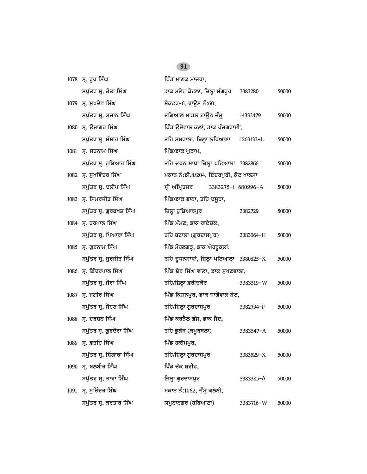|      | 1078 ਸ੍ਰ. ਰੂਪ ਸਿੰਘ        | ਪਿੰਡ ਮਾਣਕ ਮਾਜਰਾ,                           |           |       |
|------|---------------------------|--------------------------------------------|-----------|-------|
|      | ਸਪੁੱਤਰ ਸ੍ਰ. ਤੋਤਾ ਸਿੰਘ     | ਡਾਕ ਮਲੇਰ ਕੋਟਲਾ, ਜ਼ਿਲ੍ਹਾ ਸੰਗਰੁਰ     3383280 |           | 50000 |
|      | 1079 ਸ੍ਰ. ਸੁਖਦੇਵ ਸਿੰਘ     | ਸੈਕਟਰ–6, ਹਾਉਸ ਨੰ:60,                       |           |       |
|      | ਸਪੁੱਤਰ ਸ੍ਰ. ਸੁਜਾਨ ਸਿੰਘ    | ਜਗਿਆਲ ਮਾਡਲ ਟਾਊਨ ਜੰਮੁ $14333479$            |           | 50000 |
|      | 1080 ਸ੍ਰ. ਉਜਾਗਰ ਸਿੰਘ      | ਪਿੰਡ ਉਦੋਵਾਲ ਕਲਾਂ, ਡਾਕ ਪੰਜਗਰਾਈਂ,            |           |       |
|      | ਸਪੁੱਤਰ ਸ੍ਰ. ਸੰਸਾਰ ਸਿੰਘ    | ਤਹਿ ਸਮਰਾਲਾ, ਜ਼ਿਲ੍ਹਾ ਲੁਧਿਆਣਾ 1263133-L      |           | 50000 |
|      | 1081 ਸ੍ਰ. ਸਤਨਾਮ ਸਿੰਘ      | ਪਿੰਡ/ਡਾਕ ਘੁੜਾਮ,                            |           |       |
|      | ਸਪੁੱਤਰ ਸ੍ਰ. ਹੁਸ਼ਿਆਰ ਸਿੰਘ  | ਤਹਿ ਦੁਧਨ ਸਾਧਾਂ ਜ਼ਿਲ੍ਹਾ ਪਟਿਆਲਾ 3382866      |           | 50000 |
|      | 1082 ਸ੍ਰ. ਸੁਖਵਿੰਦਰ ਸਿੰਘ   | ਮਕਾਨ ਨੰ:ਡੀ.8/204, ਇੰਦਰਪੁਰੀ, ਕੋਟ ਖਾਲਸਾ      |           |       |
|      | ਸਪੁੱਤਰ ਸ੍ਰ. ਦਲੀਪ ਸਿੰਘ     | ਸ੍ਰੀ ਅੰਮ੍ਰਿਤਸਰ<br>3383275-L 680996-A       |           | 50000 |
|      | 1083 ਸ੍ਰ. ਸਿਮਰਜੀਤ ਸਿੰਘ    | ਪਿੰਡ/ਡਾਕ ਭਾਨਾ, ਤਹਿ ਦਸੁਹਾ,                  |           |       |
|      | ਸਪੁੱਤਰ ਸ੍ਰ. ਗੁਰਬਖਸ਼ ਸਿੰਘ  | ਜ਼ਿਲ੍ਹਾ ਹੁਸ਼ਿਆਰਪੁਰ                         | 3382729   | 50000 |
|      | 1084 ਸ੍ਰ. ਹਰਪਾਲ ਸਿੰਘ      | ਪਿੰਡ ਮੰਮਣ, ਡਾਕ ਰਾਏਚੱਕ,                     |           |       |
|      | ਸਪੁੱਤਰ ਸ੍ਰ. ਪਿਆਰਾ ਸਿੰਘ    | ਤਹਿ ਬਟਾਲਾ (ਗੁਰਦਾਸਪੁਰ)                      | 3383064-H | 50000 |
|      | 1085 ਸ੍ਰ. ਗੁਰਨਾਮ ਸਿੰਘ     | ਪਿੰਡ ਮੋਹਲਗੜ੍ਹ, ਡਾਕ ਐਹਰੁਕਲਾਂ,               |           |       |
|      | ਸਪੁੱਤਰ ਸ੍ਰ. ਸੁਰਜੀਤ ਸਿੰਘ   | ਤਹਿ ਦੁਧਨਸਾਧਾਂ, ਜ਼ਿਲ੍ਹਾ ਪਟਿਆਲਾ 3380825-X    |           | 50000 |
|      | 1086 ਸ੍ਰ. ਛਿੰਦਰਪਾਲ ਸਿੰਘ   | ਪਿੰਡ ਸ਼ੇਰ ਸਿੰਘ ਵਾਲਾ, ਡਾਕ ਸੁਖਣਵਾਲਾ,         |           |       |
|      | ਸਪੁੱਤਰ ਸ੍ਰ. ਜੋਰਾ ਸਿੰਘ     | ਤਹਿ/ਜ਼ਿਲ੍ਹਾ ਫ਼ਰੀਦਕੋਟ                       | 3383519-W | 50000 |
|      | 1087 ਸ੍ਰ. ਜਗੀਰ ਸਿੰਘ       | ਪਿੰਡ ਕਿਸ਼ਨਪੁਰ, ਡਾਕ ਜਾਗੋਵਾਲ ਬੇਟ,            |           |       |
|      | ਸਪੁੱਤਰ ਸ੍ਰ. ਸੋਹਣ ਸਿੰਘ     | ਤਹਿ/ਜ਼ਿਲ੍ਹਾ ਗੁਰਦਾਸਪੁਰ                      | 3382794-F | 50000 |
|      | 1088 ਸ੍ਰ. ਦਰਸ਼ਨ ਸਿੰਘ      | ਪਿੰਡ ਕਰਨੈਲ ਗੰਜ, ਡਾਕ ਜੈਦ,                   |           |       |
|      | ਸਪੁੱਤਰ ਸ੍ਰ. ਗੁਰਦੋਰਾ ਸਿੰਘ  | ਤਹਿ ਭੁਲੱਥ (ਕਪੂਰਥਲਾ)                        | 3383547-A | 50000 |
|      | 1089 ਸ੍ਰ. ਫ਼ਤਹਿ ਸਿੰਘ      | ਪਿੰਡ ਹਕੀਮਪੁਰ,                              |           |       |
|      | ਸਪੁੱਤਰ ਸ੍ਰ. ਸ਼ਿੰਗਾਰਾ ਸਿੰਘ | ਤਹਿ/ਜ਼ਿਲ੍ਹਾ ਗੁਰਦਾਸਪੁਰ                      | 3383529-X | 50000 |
| 1090 | ਸ੍ਰ. ਬਲਬੀਰ ਸਿੰਘ           | ਪਿੰਡ ਚੱਕ ਸ਼ਰੀਫ,                            |           |       |
|      | ਸਪੁੱਤਰ ਸ੍ਰ. ਤਾਰਾ ਸਿੰਘ     | ਜ਼ਿਲ੍ਹਾ ਗੁਰਦਾਸਪੁਰ                          | 3383385-A | 50000 |
| 1091 | ਸ੍ਰ. ਸੁਰਿੰਦਰ ਸਿੰਘ         | ਮਕਾਨ ਨੰ:1062, ਜੰਮੂ ਕਲੋਨੀ,                  |           |       |
|      | ਸਪੁੱਤਰ ਸ੍ਰ. ਕਰਤਾਰ ਸਿੰਘ    | ਯਮੁਨਾਨਗਰ (ਹਰਿਆਣਾ)                          | 3383716-W | 50000 |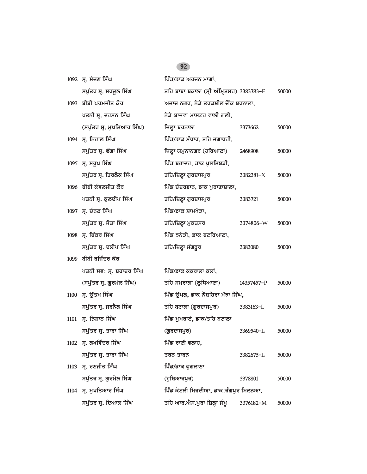| 1092 ਸ੍ਰ. ਸੱਜਣ ਸਿੰਘ        | ਪਿੰਡ/ਡਾਕ ਅਰਜਨ ਮਾਗਾਂ,           |            |                                                                                                                                                                 |
|----------------------------|--------------------------------|------------|-----------------------------------------------------------------------------------------------------------------------------------------------------------------|
| ਸਪੁੱਤਰ ਸ੍ਰ. ਸਰਦੁਲ ਸਿੰਘ     |                                |            | 50000                                                                                                                                                           |
| 1093 ਬੀਬੀ ਪਰਮਜੀਤ ਕੌਰ       |                                |            |                                                                                                                                                                 |
| ਪਤਨੀ ਸ੍ਰ. ਦਰਸ਼ਨ ਸਿੰਘ       | ਨੇੜੇ ਬਾਜਵਾ ਮਾਸਟਰ ਵਾਲੀ ਗਲੀ,     |            |                                                                                                                                                                 |
| (ਸਪੁੱਤਰ ਸ੍ਰ. ਮੁਖਤਿਆਰ ਸਿੰਘ) | ਜ਼ਿਲ੍ਹਾ ਬਰਨਾਲਾ                 | 3373662    | 50000                                                                                                                                                           |
| 1094 ਸ੍ਰ. ਨਿਹਾਲ ਸਿੰਘ       | ਪਿੰਡ/ਡਾਕ ਮੰਧਾਰ, ਤਹਿ ਜਗਾਧਰੀ,    |            |                                                                                                                                                                 |
| ਸਪੁੱਤਰ ਸ੍ਰ. ਫੱਗਾ ਸਿੰਘ      | ਜ਼ਿਲ੍ਹਾ ਯਮੁਨਾਨਗਰ (ਹਰਿਆਣਾ)      | 2468908    | 50000                                                                                                                                                           |
| 1095 ਸ੍ਰ. ਸਰੂਪ ਸਿੰਘ        | ਪਿੰਡ ਬਹਾਦਰ, ਡਾਕ ਪੁਲਤਿਬੜੀ,      |            |                                                                                                                                                                 |
| ਸਪੁੱਤਰ ਸ੍ਰ. ਤਿਰਲੋਕ ਸਿੰਘ    | ਤਹਿ/ਜ਼ਿਲ੍ਹਾ ਗੁਰਦਾਸਪੁਰ          | 3382381-X  | 50000                                                                                                                                                           |
| 1096 ਬੀਬੀ ਕੰਵਲਜੀਤ ਕੌਰ      | ਪਿੰਡ ਚੰਦਰਭਾਨ, ਡਾਕ ਪੁਰਾਣਾਸ਼ਾਲਾ, |            |                                                                                                                                                                 |
| ਪਤਨੀ ਸ੍ਰ. ਕੁਲਦੀਪ ਸਿੰਘ      | ਤਹਿ/ਜ਼ਿਲ੍ਹਾ ਗੁਰਦਾਸਪੁਰ          | 3383721    | 50000                                                                                                                                                           |
| 1097 ਸ੍ਰ. ਚੰਨਣ ਸਿੰਘ        | ਪਿੰਡ/ਡਾਕ ਸ਼ਾਮਖੇੜਾ,             |            |                                                                                                                                                                 |
| ਸਪੁੱਤਰ ਸ੍ਰ. ਜੋਤਾ ਸਿੰਘ      | ਤਹਿ/ਜ਼ਿਲ੍ਹਾ ਮੁਕਤਸਰ             | 3374806-W  | 50000                                                                                                                                                           |
| 1098 ਸ੍ਰ. ਬਿੱਕਰ ਸਿੰਘ       | ਪਿੰਡ ਝਨੇੜੀ, ਡਾਕ ਬਟਰਿਆਣਾ,       |            |                                                                                                                                                                 |
| ਸਪੁੱਤਰ ਸ੍ਰ. ਦਲੀਪ ਸਿੰਘ      | ਤਹਿ/ਜ਼ਿਲ੍ਹਾ ਸੰਗਰੂਰ             | 3383080    | 50000                                                                                                                                                           |
| 1099 ਬੀਬੀ ਰਜਿੰਦਰ ਕੌਰ       |                                |            |                                                                                                                                                                 |
| ਪਤਨੀ ਸਵ: ਸ੍ਰ. ਬਹਾਦਰ ਸਿੰਘ   | ਪਿੰਡ/ਡਾਕ ਕਕਰਾਲਾ ਕਲਾਂ,          |            |                                                                                                                                                                 |
| (ਸਪੁੱਤਰ ਸ੍ਰ. ਗੁਰਮੇਲ ਸਿੰਘ)  | ਤਹਿ ਸਮਰਾਲਾ (ਲੁਧਿਆਣਾ)           | 14357457-P | 50000                                                                                                                                                           |
| $1100$ ਸ੍ਰ. ਉੱਤਮ ਸਿੰਘ      |                                |            |                                                                                                                                                                 |
| ਸਪੁੱਤਰ ਸ੍ਰ. ਜਰਨੈਲ ਸਿੰਘ     | ਤਹਿ ਬਟਾਲਾ (ਗੁਰਦਾਸਪੁਰ)          | 3383163-L  | 50000                                                                                                                                                           |
| ਸ੍ਰ. ਨਿਸ਼ਾਨ ਸਿੰਘ           | ਪਿੰਡ ਮੁਮਰਾਏ, ਡਾਕ/ਤਹਿ ਬਟਾਲਾ     |            |                                                                                                                                                                 |
| ਸਪੁੱਤਰ ਸ੍ਰ. ਤਾਰਾ ਸਿੰਘ      | (ਗੁਰਦਾਸਪੁਰ)                    | 3369540-L  | 50000                                                                                                                                                           |
| $1102$ ਸ. ਲਖਵਿੰਦਰ ਸਿੰਘ     | ਪਿੰਡ ਰਾਣੀ ਵਲਾਹ,                |            |                                                                                                                                                                 |
| ਸਪੁੱਤਰ ਸ੍ਰ. ਤਾਰਾ ਸਿੰਘ      | ਤਰਨ ਤਾਰਨ                       | 3382675-L  | 50000                                                                                                                                                           |
| ਸ੍ਰ. ਰਣਜੀਤ ਸਿੰਘ            | ਪਿੰਡ/ਡਾਕ ਫੁਗਲਾਣਾ               |            |                                                                                                                                                                 |
| ਸਪੁੱਤਰ ਸ੍ਰ. ਗੁਰਮੇਲ ਸਿੰਘ    | (ਹੁਸ਼ਿਆਰਪੁਰ)                   | 3378801    | 50000                                                                                                                                                           |
| ਸ੍ਰ. ਮੁਖਤਿਆਰ ਸਿੰਘ          |                                |            |                                                                                                                                                                 |
| ਸਪੁੱਤਰ ਸ੍ਰ. ਦਿਆਲ ਸਿੰਘ      | ਤਹਿ ਆਰ.ਐਸ.ਪੁਰਾ ਜ਼ਿਲ੍ਹਾ ਜੰਮੁ    | 3376182-M  | 50000                                                                                                                                                           |
|                            |                                |            | ਤਹਿ ਬਾਬਾ ਬਕਾਲਾ (ਸ੍ਰੀ ਅੰਮ੍ਰਿਤਸਰ) 3383783-F<br>ਅਜ਼ਾਦ ਨਗਰ, ਨੇੜੇ ਤਰਕਸ਼ੀਲ ਚੌਂਕ ਬਰਨਾਲਾ,<br>ਪਿੰਡ ਉਂਪਲ, ਡਾਕ ਨੌਸ਼ਹਿਰਾ ਮੱਝਾ ਸਿੰਘ,<br>ਪਿੰਡ ਕੋਟਲੀ ਮਿਰਦੀਆ, ਡਾਕ:ਰੰਗਪੁਰ ਮਿਲਨਆ, |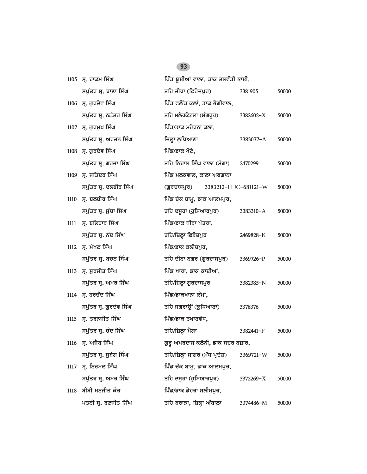|      | 1105 ਸ੍ਰ. ਹਾਕਮ ਸਿੰਘ     | ਪਿੰਡ ਬੁਈਆਂ ਵਾਲਾ, ਡਾਕ ਤਲਵੰਡੀ ਭਾਈ,     |               |       |
|------|-------------------------|--------------------------------------|---------------|-------|
|      | ਸਪੁੱਤਰ ਸ੍ਰ. ਥਾਣਾ ਸਿੰਘ   | ਤਹਿ ਜੀਰਾ (ਫ਼ਿਰੋਜ਼ਪੁਰ)                | 3381905       | 50000 |
|      | 1106 ਸ੍ਰ. ਗੁਰਦੇਵ ਸਿੰਘ   | ਪਿੰਡ ਫਲੌਂਡ ਕਲਾਂ, ਡਾਕ ਭੋਗੀਵਾਲ,        |               |       |
|      | ਸਪੁੱਤਰ ਸ੍ਰ. ਨਛੱਤਰ ਸਿੰਘ  | ਤਹਿ ਮਲੇਰਕੋਟਲਾ (ਸੰਗਰੂਰ)               | 3382602-X     | 50000 |
| 1107 | ਸ੍ਰ. ਗੁਰਮੁਖ ਸਿੰਘ        | ਪਿੰਡ/ਡਾਕ ਮਹੇਰਨਾ ਕਲਾਂ,                |               |       |
|      | ਸਪੁੱਤਰ ਸ੍ਰ. ਅਰਜਨ ਸਿੰਘ   | ਜ਼ਿਲ੍ਹਾ ਲੁਧਿਆਣਾ                      | 3383077-A     | 50000 |
|      | 1108 ਸ. ਗੁਰਦੇਵ ਸਿੰਘ     | ਪਿੰਡ/ਡਾਕ ਖੋਟੇ,                       |               |       |
|      | ਸਪੁੱਤਰ ਸ੍ਰ. ਗਰਜਾ ਸਿੰਘ   | ਤਹਿ ਨਿਹਾਲ ਸਿੰਘ ਵਾਲਾ (ਮੋਗਾ)           | 2470299       | 50000 |
| 1109 | ਸ੍ਰ. ਜਤਿੰਦਰ ਸਿੰਘ        | ਪਿੰਡ ਮਲਕਵਾਲ, ਕਾਲਾ ਅਫਗਾਨਾ             |               |       |
|      | ਸਪੁੱਤਰ ਸ੍ਰ. ਦਲਬੀਰ ਸਿੰਘ  | (ਗੁਰਦਾਸਪੁਰ)<br>3383212-H JC-681121-W |               | 50000 |
| 1110 | ਸ੍ਰ. ਬਲਬੀਰ ਸਿੰਘ         | ਪਿੰਡ ਚੱਕ ਬਾਮੂ, ਡਾਕ ਆਲਮਪੁਰ,           |               |       |
|      | ਸਪੁੱਤਰ ਸ੍ਰ. ਸੁੱਚਾ ਸਿੰਘ  | ਤਹਿ ਦਸੁਹਾ (ਹੁਸ਼ਿਆਰਪੁਰ)               | $3383310 - A$ | 50000 |
| 1111 | ਸ੍ਰ. ਬਲਿਹਾਰ ਸਿੰਘ        | ਪਿੰਡ/ਡਾਕ ਧੀਰਾ ਪੱਤਰਾ,                 |               |       |
|      | ਸਪੁੱਤਰ ਸ੍ਰ. ਨੰਦ ਸਿੰਘ    | ਤਹਿ/ਜ਼ਿਲ੍ਹਾ ਫ਼ਿਰੋਜ਼ਪੁਰ               | 2469828-K     | 50000 |
| 1112 | ਸ੍ਰ. ਮੱਖਣ ਸਿੰਘ          | ਪਿੰਡ/ਡਾਕ ਕਲੀਚਪੁਰ,                    |               |       |
|      | ਸਪੁੱਤਰ ਸ੍ਰ. ਬਚਨ ਸਿੰਘ    | ਤਹਿ ਦੀਨਾ ਨਗਰ (ਗੁਰਦਾਸਪੁਰ)             | 3369726-P     | 50000 |
| 1113 | ਸ੍ਰ. ਸੁਰਜੀਤ ਸਿੰਘ        | ਪਿੰਡ ਖਾਰਾ, ਡਾਕ ਕਾਦੀਆਂ,               |               |       |
|      | ਸਪੁੱਤਰ ਸ੍ਰ. ਅਮਰ ਸਿੰਘ    | ਤਹਿ/ਜ਼ਿਲ੍ਹਾ ਗੁਰਦਾਸਪੁਰ                | 3382385-N     | 50000 |
|      | 1114 ਸ੍ਰ. ਹਰਚੰਦ ਸਿੰਘ    | ਪਿੰਡ/ਡਾਕਖਾਨਾ ਲੰਮਾ,                   |               |       |
|      | ਸਪੁੱਤਰ ਸ੍ਰ. ਗੁਰਦੇਵ ਸਿੰਘ | ਤਹਿ ਜਗਰਾਉਂ (ਲੁਧਿਆਣਾ)                 | 3378376       | 50000 |
| 1115 | ਸ੍ਰ. ਤਰਨਜੀਤ ਸਿੰਘ        | ਪਿੰਡ/ਡਾਕ ਤਖਾਣਵੱਧ,                    |               |       |
|      | ਸਪੁੱਤਰ ਸ੍ਰ. ਚੰਦ ਸਿੰਘ    | ਤਹਿ/ਜ਼ਿਲ੍ਹਾ ਮੋਗਾ                     | 3382441-F     | 50000 |
| 1116 | ਸ੍ਰ. ਅਜੈਬ ਸਿੰਘ          | ਗੁਰੁ ਅਮਰਦਾਸ ਕਲੋਨੀ, ਡਾਕ ਸਦਰ ਬਜ਼ਾਰ,    |               |       |
|      | ਸਪੁੱਤਰ ਸ੍ਰ. ਸੁਬੇਗ ਸਿੰਘ  | ਤਹਿ/ਜ਼ਿਲ੍ਹਾ ਸਾਗਰ (ਮੱਧ ਪ੍ਰਦੇਸ਼)       | 3369721-W     | 50000 |
| 1117 | ਸ੍ਰ. ਨਿਰਮਲ ਸਿੰਘ         | ਪਿੰਡ ਚੱਕ ਬਾਮੂ, ਡਾਕ ਆਲਮਪੁਰ,           |               |       |
|      | ਸਪੁੱਤਰ ਸ੍ਰ. ਅਮਰ ਸਿੰਘ    | ਤਹਿ ਦਸੁਹਾ (ਹੁਸ਼ਿਆਰਪੁਰ)               | 3372269-X     | 50000 |
| 1118 | ਬੀਬੀ ਮਨਜੀਤ ਕੌਰ          | ਪਿੰਡ/ਡਾਕ ਡੇਹਰਾ ਸਲੀਮਪੁਰ,              |               |       |
|      | ਪਤਨੀ ਸ੍ਰ. ਰਣਜੀਤ ਸਿੰਘ    | ਤਹਿ ਬਰਾੜਾ, ਜ਼ਿਲ੍ਹਾ ਅੰਬਾਲਾ            | 3374486-M     | 50000 |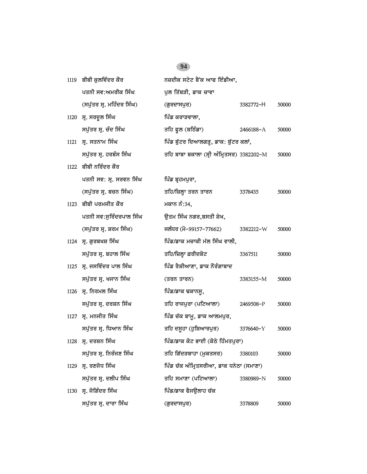# *1119 bIbI kulivMdr kOr nzdIk styt bYNk AwP ieMfIAw, ਪ*ਤਨੀ ਸਵ:ਅਮਰੀਕ ਸਿੰਘ *ਪੁਲ* ਤਿੱਬੜੀ, ਡਾਕ ਚਾਵਾ *(spu`qr sR. mihMdr isMG) (gurdwspur) 3382772-*H *50000* 1120 ਸ੍ਰ. ਸਰਦੂਲ ਸਿੰਘ **1120 ਸ੍ਰ. ਸਰਦੂਲ ਸਿੰਘ** *spu`qr sR. cMd isMG qih PUl (biTMfw) 2466188-*A *50000* 1121 ਸ੍ਰ. ਸਤਨਾਮ ਸਿੰਘ **idam is amazi idam in the book is i**dentically face in the buite in the buite in the buite *spu`qr sR. hrbMs isMG qih bwbw bkwlw (sRI AMimRqsr) 3382202-*M *50000* 1122 **ਬੀਬੀ ਨਰਿੰਦਰ ਕੌਰ** *pqnI sv: sR. srvn isMG ipMf bRhmpurw, (spu`qr sR. bcn isMG) qih/izlHw qrn qwrn 3378435 50000 1123 bIbI prmjIq kOr mkwn nM:34, pqnI sv:suirMdrpwl isMG auqm isMG ngr,bsqI SyK, (spu`qr sR. Srm isMG) jlMDr (mo-99157-77662) 3382212-*W *50000* 1124 ਸ੍ਰ. ਗੁਰਬਖਸ਼ ਸਿੰਘ **ਮਾਲ ਵਿੱਡ/ਡਾਕ ਮਚਾਕੀ ਮੱਲ ਸਿੰਘ ਵਾਲੀ**, *spu`qr sR. bhwl isMG qih/izlHw &rIdkot 3367511 50000* 1125 ਸ੍ਰ. ਜਸਵਿੰਦਰ ਪਾਲ ਸਿੰਘ **ਵਿੱਚ ਸਿੰਘ ਸੰਮਿਆ**ਣਾ, ਡਾਕ ਨੌਰੰਗਾਬਾਦ *spu`qr sR. Kjwn isMG (qrn qwrn) 3383155-*M *50000 1126 sR. inrml isMG ipMf/fwk FkwnsU, spu`qr sR. drSn isMG qih rwjpurw (pitAwlw) 2469508-*P *50000* 1127 ਸ੍ਰ. ਮਨਜੀਤ ਸਿੰਘ **ਨਿੰਦਰ ਸ਼ਹਿੰਡ ਚੱਕ ਬਾਮੂ, ਡਾਕ ਆਲਮਪੁਰ**, *spu`qr sR. iDAwn isMG qih dsUhw (huiSAwrpur) 3376640-*Y *50000* 1128 **ਸ. ਦਰਸ਼ਨ ਸਿੰਘ ਪਿੰਡ/ਡਾਕ ਕੋਟ ਭਾਈ (ਕੋਠੇ ਹਿੰਮਤਪੁਰਾ)** *spu`qr sR. inrMjx isMG qih ig`dVbwhw (mukqsr) 3380103 50000* 1129 **ਸ. ਰਣਜੋਧ ਸਿੰਘ ਪਿੰਡ ਚੱਕ ਅੰਮ੍ਰਿਤਸਰੀਆ, ਡਾਕ ਧਨੇਠਾ (ਸਮਾਣਾ)** *spu`qr sR. dlIp isMG qih smwxw (pitAwlw) 3380989-*N *50000* 1130 ਸ੍ਰ. ਜੋਗਿੰਦਰ ਸਿੰਘ **independent is a function function** function <del>di</del>a *spu`qr sR. dwrw isMG (gurdwspur) 3378809 50000*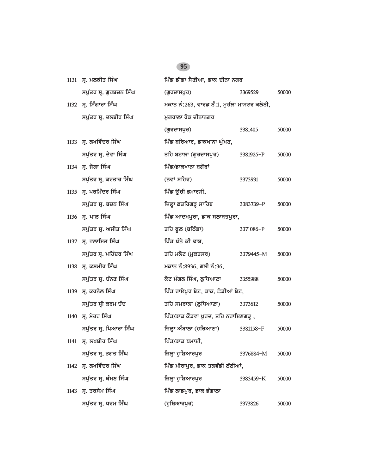| 1131 | ਸ੍ਰ. ਮਲਕੀਤ ਸਿੰਘ         | ਪਿੰਡ ਡੀਡਾ ਸੈਣੀਆ, ਡਾਕ ਦੀਨਾ ਨਗਰ               |           |       |
|------|-------------------------|---------------------------------------------|-----------|-------|
|      | ਸਪੁੱਤਰ ਸ੍ਰ. ਗੁਰਬਚਨ ਸਿੰਘ | (ਗੁਰਦਾਸਪੁਰ)                                 | 3369529   | 50000 |
|      | 1132 ਸ੍ਰ. ਸ਼ਿੰਗਾਰਾ ਸਿੰਘ | ਮਕਾਨ ਨੰ:263, ਵਾਰਡ ਨੰ:1, ਮੁਹੱਲਾ ਮਾਸਟਰ ਕਲੋਨੀ, |           |       |
|      | ਸਪੁੱਤਰ ਸ੍ਰ. ਦਲਬੀਰ ਸਿੰਘ  | ਮਗਰਾਲਾ ਰੋਡ ਦੀਨਾਨਗਰ                          |           |       |
|      |                         | (ਗੁਰਦਾਸਪੁਰ)                                 | 3381405   | 50000 |
|      | 1133 ਸ੍ਰ. ਲਖਵਿੰਦਰ ਸਿੰਘ  | ਪਿੰਡ ਬਰਿਆਰ, ਡਾਕਖਾਨਾ ਘੰਮਣ,                   |           |       |
|      | ਸਪੁੱਤਰ ਸ੍ਰ. ਦੇਵਾ ਸਿੰਘ   | ਤਹਿ ਬਟਾਲਾ (ਗੁਰਦਾਸਪੁਰ)                       | 3381925-P | 50000 |
|      | 1134 ਸ੍ਰ. ਜੋਗਾ ਸਿੰਘ     | ਪਿੰਡ/ਡਾਕਖਾਨਾ ਬਗੌਰਾਂ                         |           |       |
|      | ਸਪੁੱਤਰ ਸ੍ਰ. ਕਰਤਾਰ ਸਿੰਘ  | (ਨਵਾਂ ਸ਼ਹਿਰ)                                | 3373931   | 50000 |
|      | 1135 ਸ੍ਰ. ਪਰਮਿੰਦਰ ਸਿੰਘ  | ਪਿੰਡ ਉੱਚੀ ਭਮਾਰਸੀ,                           |           |       |
|      | ਸਪੁੱਤਰ ਸ੍ਰ. ਬਚਨ ਸਿੰਘ    | ਜ਼ਿਲ੍ਹਾ ਫ਼ਤਹਿਗੜ੍ਹ ਸਾਹਿਬ                     | 3383739-P | 50000 |
|      | 1136 ਸ੍ਰ. ਪਾਲ ਸਿੰਘ      | ਪਿੰਡ ਆਦਮਪੁਰਾ, ਡਾਕ ਸਲਾਬਤਪੁਰਾ,                |           |       |
|      | ਸਪੁੱਤਰ ਸ੍ਰ. ਅਜੀਤ ਸਿੰਘ   | ਤਹਿ ਫੁਲ (ਬਠਿੰਡਾ)                            | 3371086-P | 50000 |
|      | 1137 ਸ੍ਰ. ਵਲਾਇਤ ਸਿੰਘ    | ਪਿੰਡ ਖੰਨੇ ਕੀ ਢਾਬ,                           |           |       |
|      | ਸਪੁੱਤਰ ਸ੍ਰ. ਮਹਿੰਦਰ ਸਿੰਘ | ਤਹਿ ਮਲੋਟ (ਮੁਕਤਸਰ)                           | 3379445-M | 50000 |
|      | 1138 ਸ੍ਰ. ਕਸ਼ਮੀਰ ਸਿੰਘ   | ਮਕਾਨ ਨੰ:8936, ਗਲੀ ਨੰ:36,                    |           |       |
|      | ਸਪੁੱਤਰ ਸ੍ਰ. ਚੰਨਣ ਸਿੰਘ   | ਕੋਟ ਮੰਗਲ ਸਿੰਘ, ਲੁਧਿਆਣਾ                      | 3355988   | 50000 |
|      | 1139 ਸ੍ਰ. ਕਰਨੈਲ ਸਿੰਘ    | ਪਿੰਡ ਰਾਏਪੁਰ ਬੇਟ, ਡਾਕ. ਛੋੜੀਆਂ ਬੇਟ,           |           |       |
|      | ਸਪੁੱਤਰ ਸ੍ਰੀ ਕਰਮ ਚੰਦ     | ਤਹਿ ਸਮਰਾਲਾ (ਲੁਧਿਆਣਾ)                        | 3373612   | 50000 |
|      | 1140 ਸ੍ਰ. ਮੇਹਰ ਸਿੰਘ     | ਪਿੰਡ/ਡਾਕ ਕੌੜਵਾ ਖੂਰਦ, ਤਹਿ ਨਰਾਇਣਗੜ੍ਹ ,        |           |       |
|      | ਸਪੁੱਤਰ ਸ੍ਰ. ਪਿਆਰਾ ਸਿੰਘ  | ਜ਼ਿਲ੍ਹਾ ਅੰਬਾਲਾ (ਹਰਿਆਣਾ)                     | 3381158-F | 50000 |
|      | 1141 ਸ੍ਰ. ਲਖਬੀਰ ਸਿੰਘ    | ਪਿੰਡ/ਡਾਕ ਧਮਾਈ,                              |           |       |
|      | ਸਪੁੱਤਰ ਸ੍ਰ. ਭਗਤ ਸਿੰਘ    | ਜ਼ਿਲ੍ਹਾ ਹੁਸ਼ਿਆਰਪੁਰ                          | 3376884-M | 50000 |
| 1142 | ਸ੍ਰ. ਲਖਵਿੰਦਰ ਸਿੰਘ       | ਪਿੰਡ ਮੀਰਾਪੁਰ, ਡਾਕ ਤਲਵੰਡੀ ਠੱਠੀਆਂ,            |           |       |
|      | ਸਪੁੱਤਰ ਸ੍ਰ. ਥੰਮਣ ਸਿੰਘ   | ਜ਼ਿਲ੍ਹਾ ਹੁਸ਼ਿਆਰਪੁਰ                          | 3383459-K | 50000 |
| 1143 | ਸ੍ਰ. ਤਰਸੇਮ ਸਿੰਘ         | ਪਿੰਡ ਲਾਡਪੁਰ, ਡਾਕ ਭੰਗਾਲਾ                     |           |       |
|      | ਸਪੁੱਤਰ ਸ੍ਰ. ਧਰਮ ਸਿੰਘ    | (ਹੁਸ਼ਿਆਰਪੁਰ)                                | 3373826   | 50000 |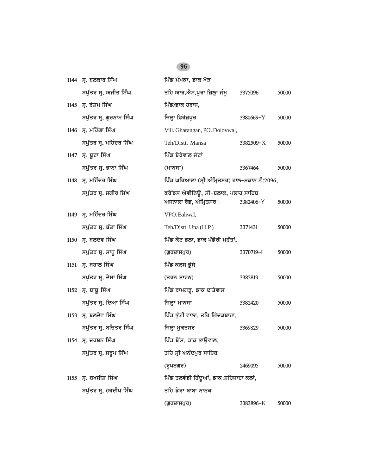| 1144 ਸ੍ਰ. ਬਲਕਾਰ ਸਿੰਘ         | ਪਿੰਡ ਮੰਮਕਾ, ਡਾਕ ਖੋੜ                                          |           |       |
|------------------------------|--------------------------------------------------------------|-----------|-------|
| ਸਪੁੱਤਰ ਸ੍ਰ. ਅਜੀਤ ਸਿੰਘ        | ਤਹਿ ਆਰ.ਐਸ.ਪੁਰਾ ਜ਼ਿਲ੍ਹਾ ਜੰਮੁ                                  | 3375096   | 50000 |
| 1145 ਸ੍ਰ. ਰੇਸ਼ਮ ਸਿੰਘ         | ਪਿੰਡ/ਡਾਕ ਹਰਾਜ,                                               |           |       |
| ਸਪੁੱਤਰ ਸ੍ਰ. ਗੁਰਨਾਮ ਸਿੰਘ      | ਜ਼ਿਲ੍ਹਾ ਫ਼ਿਰੋਜ਼ਪੁਰ                                           | 3380669-Y | 50000 |
| 1146 ਸ੍ਰ. ਮਹਿੰਗਾ ਸਿੰਘ        | Vill. Gharangan, PO. Dolovwal,                               |           |       |
| ਸਪੁੱਤਰ ਸ੍ਰ. ਮਹਿੰਦਰ ਸਿੰਘ      | Teh/Distt. Mansa                                             | 3382509-X | 50000 |
| 1147 <b>ਸ੍ਰ.</b> ਬੁਟਾ ਸਿੰਘ   | ਪਿੰਡ ਬੇਰੇਵਾਲ ਜੱਟਾਂ                                           |           |       |
| ਸਪੁੱਤਰ ਸ੍ਰ. ਭਾਨਾ ਸਿੰਘ        | (HT <sub>0</sub> HT)                                         | 3367464   | 50000 |
| 1148 ਸ੍ਰ. ਮਹਿੰਦਰ ਸਿੰਘ        | ਪਿੰਡ ਘਰਿਆਲਾ (ਸ੍ਰੀ ਅੰਮ੍ਰਿਤਸਰ) ਹਾਲ-ਮਕਾਨ ਨੰ:2096,               |           |       |
| ਸਪੁੱਤਰ ਸ੍ਰ. ਜਗੀਰ ਸਿੰਘ        | ਫਰੈਂਡਸ ਐਵੀਨਿਊ, ਸੀ-ਬਲਾਕ, ਪਲਾਹ ਸਾਹਿਬ<br>ਅਜਨਾਲਾ ਰੋਡ, ਅੰਮ੍ਰਿਤਸਰ। | 3382406-Y | 50000 |
| 1149 ਸ, ਮਹਿੰਦਰ ਸਿੰਘ          | VPO. Baliwal,                                                |           |       |
| ਸਪੁੱਤਰ ਸ੍ਰ. ਬੰਤਾ ਸਿੰਘ        | Teh/Distt. Una (H.P.)                                        | 3371431   | 50000 |
| 1150 ਸ੍ਰ. ਬਲਦੇਵ ਸਿੰਘ         | ਪਿੰਡ ਕੋਟ ਭਲਾ, ਡਾਕ ਪੰਡੋਰੀ ਮਹੰਤਾਂ,                             |           |       |
| ਸਪੁੱਤਰ ਸ੍ਰ. ਸਾਧੁ ਸਿੰਘ        | (ਗੁਰਦਾਸਪੁਰ)                                                  | 3370719-L | 50000 |
| 1151   ਸ੍ਰ. ਬਹਾਲ ਸਿੰਘ        | ਪਿੰਡ ਕਲਸ ਭੁੱਸੇ                                               |           |       |
| ਸਪੁੱਤਰ ਸ੍ਰ. ਦੇਸਾ ਸਿੰਘ        | (ਤਰਨ ਤਾਰਨ)                                                   | 3383813   | 50000 |
| 1152 <b>ਸ੍ਰ.</b> ਬਾਬੁ ਸਿੰਘ   | ਪਿੰਡ ਰਾਮਗੜ੍ਹ, ਡਾਕ ਦਾਤੇਵਾਸ                                    |           |       |
| ਸਪੁੱਤਰ ਸ੍ਰ. ਦਿਆ ਸਿੰਘ         | ਜ਼ਿਲ੍ਹਾ ਮਾਨਸਾ                                                | 3382420   | 50000 |
| 1153   ਸ੍ਰ. ਬਲਦੇਵ ਸਿੰਘ       | ਪਿੰਡ ਭੁੱਟੀ ਵਾਲਾ, ਤਹਿ ਗਿੱਦੜਬਾਹਾ,                              |           |       |
| ਸਪੁੱਤਰ ਸ੍ਰ. ਬਚਿਤਰ ਸਿੰਘ       | ਜ਼ਿਲ੍ਹਾ ਮੁਕਤਸਰ                                               | 3369829   | 50000 |
| 1154 ਸ੍ਰ. ਦਰਸ਼ਨ ਸਿੰਘ         | ਪਿੰਡ ਬੈਂਸ, ਡਾਕ ਭਾਉਵਾਲ,                                       |           |       |
| ਸਪੁੱਤਰ ਸ੍ਰ. ਸਰੂਪ ਸਿੰਘ        | ਤਹਿ ਸ੍ਰੀ ਅਨੰਦਪੁਰ ਸਾਹਿਬ                                       |           |       |
|                              | (ਰੂਪਨਗਰ)                                                     | 2469095   | 50000 |
| 1155 <b>ਸ੍ਰ. ਬਖਸੀਸ਼ ਸਿੰਘ</b> | ਪਿੰਡ ਤਲਵੰਡੀ ਹਿੰਦੁਆਂ, ਡਾਕ:ਸ਼ਹਿਜਾਦਾ ਕਲਾਂ,                      |           |       |
| ਸਪੁੱਤਰ ਸ੍ਰ. ਹਰਦੀਪ ਸਿੰਘ       | ਤਹਿ ਡੇਰਾ ਬਾਬਾ ਨਾਨਕ                                           |           |       |
|                              | (ਗੁਰਦਾਸਪੁਰ)                                                  | 3383896-K | 50000 |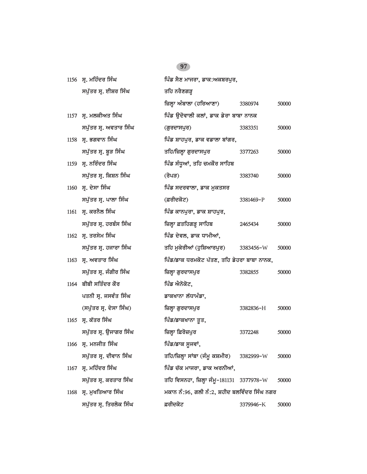|      | 1156 ਸ੍ਰ. ਮਹਿੰਦਰ ਸਿੰਘ   | ਪਿੰਡ ਸੈਣ ਮਾਜਰਾ, ਡਾਕ:ਅਕਬਰਪੁਰ,                 |           |       |
|------|-------------------------|----------------------------------------------|-----------|-------|
|      | ਸਪੁੱਤਰ ਸ੍ਰ. ਈਸ਼ਰ ਸਿੰਘ   | ਤਹਿ ਨਰੈਣਗੜ੍ਹ                                 |           |       |
|      |                         | ਜ਼ਿਲ੍ਹਾ ਅੰਬਾਲਾ (ਹਰਿਆਣਾ)                      | 3380974   | 50000 |
|      | 1157 ਸ੍ਰ. ਮਲਕੀਅਤ ਸਿੰਘ   | ਪਿੰਡ ਉਦੋਵਾਲੀ ਕਲਾਂ, ਡਾਕ ਡੇਰਾ ਬਾਬਾ ਨਾਨਕ        |           |       |
|      | ਸਪੁੱਤਰ ਸ੍ਰ. ਅਵਤਾਰ ਸਿੰਘ  | (ਗੁਰਦਾਸਪੁਰ)                                  | 3383351   | 50000 |
|      | 1158 ਸ੍ਰ. ਭਗਵਾਨ ਸਿੰਘ    | ਪਿੰਡ ਸ਼ਾਹਪੁਰ, ਡਾਕ ਵਡਾਲਾ ਬਾਂਗਰ,               |           |       |
|      | ਸਪੁੱਤਰ ਸ੍ਰ. ਬੁੜ ਸਿੰਘ    | ਤਹਿ/ਜ਼ਿਲ੍ਹਾ ਗੁਰਦਾਸਪੁਰ                        | 3377263   | 50000 |
|      | 1159 ਸ੍ਰ. ਨਰਿੰਦਰ ਸਿੰਘ   | ਪਿੰਡ ਸੰਧੂਆਂ, ਤਹਿ ਚਮਕੌਰ ਸਾਹਿਬ                 |           |       |
|      | ਸਪੁੱਤਰ ਸ੍ਰ. ਕਿਸ਼ਨ ਸਿੰਘ  | (ਰੋਪੜ)                                       | 3383740   | 50000 |
|      | 1160 ਸ੍ਰ. ਦੇਸਾ ਸਿੰਘ     | ਪਿੰਡ ਸਦਰਵਾਲਾ, ਡਾਕ ਮੁਕਤਸਰ                     |           |       |
|      | ਸਪੁੱਤਰ ਸ੍ਰ. ਪਾਲਾ ਸਿੰਘ   | (ਫ਼ਰੀਦਕੋਟ)                                   | 3381469-P | 50000 |
|      | 1161 ਸ੍ਰ. ਕਰਨੈਲ ਸਿੰਘ    | ਪਿੰਡ ਕਾਨਪੁਰਾ, ਡਾਕ ਸ਼ਾਹਪੁਰ,                   |           |       |
|      | ਸਪੁੱਤਰ ਸ੍ਰ. ਹਰਬੰਸ ਸਿੰਘ  | ਜ਼ਿਲ੍ਹਾ ਫ਼ਤਹਿਗੜ੍ਹ ਸਾਹਿਬ                      | 2465434   | 50000 |
|      | 1162 ਸ੍ਰ. ਤਰਸੇਮ ਸਿੰਘ    | ਪਿੰਡ ਦੇਵਲ, ਡਾਕ ਧਾਮੀਆਂ,                       |           |       |
|      | ਸਪੁੱਤਰ ਸ੍ਰ. ਹਜਾਰਾ ਸਿੰਘ  | ਤਹਿ ਮੁਕੇਰੀਆਂ (ਹੁਸ਼ਿਆਰਪੁਰ)                    | 3383456-W | 50000 |
|      | 1163 ਸ੍ਰ. ਅਵਤਾਰ ਸਿੰਘ    | ਪਿੰਡ/ਡਾਕ ਧਰਮਕੋਟ ਪੱਤਣ, ਤਹਿ ਡੇਹਰਾ ਬਾਬਾ ਨਾਨਕ,   |           |       |
|      | ਸਪੁੱਤਰ ਸ੍ਰ. ਜੰਗੀਰ ਸਿੰਘ  | ਜ਼ਿਲ੍ਹਾ ਗੁਰਦਾਸਪੁਰ                            | 3382855   | 50000 |
|      | 1164 ਬੀਬੀ ਸਤਿੰਦਰ ਕੌਰ    | ਪਿੰਡ ਐਨੋਕੋਟ,                                 |           |       |
|      | ਪਤਨੀ ਸ੍ਰ. ਜਸਵੰਤ ਸਿੰਘ    | ਡਾਕਖਾਨਾ ਲੱਧਾਮੰਡਾ,                            |           |       |
|      | (ਸਪੁੱਤਰ ਸ੍ਰ. ਦੇਸਾ ਸਿੰਘ) | ਜ਼ਿਲ੍ਹਾ ਗੁਰਦਾਸਪੁਰ                            | 3382836-H | 50000 |
|      | 1165 ਸ੍ਰ. ਕੱਤਰ ਸਿੰਘ     | ਪਿੰਡ/ਡਾਕਖਾਨਾ ਤੁਤ,                            |           |       |
|      | ਸਪੁੱਤਰ ਸ੍ਰ. ਉਜਾਗਰ ਸਿੰਘ  | ਜ਼ਿਲ੍ਹਾ ਫ਼ਿਰੋਜ਼ਪੁਰ                           | 3372248   | 50000 |
|      | 1166 ਸ੍ਰ. ਮਨਜੀਤ ਸਿੰਘ    | ਪਿੰਡ/ਡਾਕ ਸਜਵਾਂ,                              |           |       |
|      | ਸਪੁੱਤਰ ਸ੍ਰ. ਦੀਵਾਨ ਸਿੰਘ  | ਤਹਿ/ਜ਼ਿਲ੍ਹਾ ਸਾਂਬਾ (ਜੰਮੂ ਕਸ਼ਮੀਰ)              | 3382999-W | 50000 |
| 1167 | ਸ੍ਰ. ਮਹਿੰਦਰ ਸਿੰਘ        | ਪਿੰਡ ਚੱਕ ਮਾਜਰਾ, ਡਾਕ ਅਰਨੀਆਂ,                  |           |       |
|      | ਸਪੁੱਤਰ ਸ੍ਰ. ਕਰਤਾਰ ਸਿੰਘ  | ਤਹਿ ਵਿਸਨਹਾ, ਜ਼ਿਲ੍ਹਾ ਜੰਮੁ-181131 3377978-W    |           | 50000 |
| 1168 | ਸ੍ਰ. ਮੁਖਤਿਆਰ ਸਿੰਘ       | ਮਕਾਨ ਨੰ:96, ਗਲੀ ਨੰ:2, ਸ਼ਹੀਦ ਬਲਵਿੰਦਰ ਸਿੰਘ ਨਗਰ |           |       |
|      | ਸਪੁੱਤਰ ਸ੍ਰ. ਤਿਰਲੋਕ ਸਿੰਘ | ਫ਼ਰੀਦਕੋਟ                                     | 3379946-K | 50000 |
|      |                         |                                              |           |       |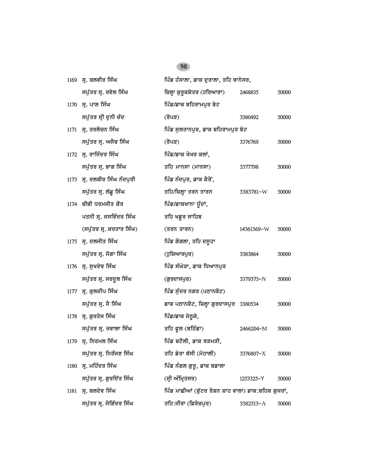| 1169 | ਸ੍ਰ. ਬਲਵੀਰ ਸਿੰਘ              | ਪਿੰਡ ਹੰਸਾਲਾ, ਡਾਕ ਦੁਰਾਲਾ, ਤਹਿ ਥਾਨੇਸਰ,                 |               |       |
|------|------------------------------|------------------------------------------------------|---------------|-------|
|      | ਸਪੁੱਤਰ ਸ੍ਰ. ਰਵੇਲ ਸਿੰਘ        | ਜ਼ਿਲ੍ਹਾ ਕੁਰੁਕਸ਼ੇਤਰ (ਹਰਿਆਣਾ)                          | 2468835       | 50000 |
|      | 1170 ਸ੍ਰ. ਪਾਲ ਸਿੰਘ           | ਪਿੰਡ/ਡਾਕ ਬਹਿਰਾਮਪੁਰ ਬੇਟ                               |               |       |
|      | ਸਪੁੱਤਰ ਸ੍ਰੀ ਦੁਨੀ ਚੰਦ         | (ਰੋਪੜ)                                               | 3380492       | 50000 |
|      | 1171 ਸ੍ਰ. ਤਰਲੋਚਨ ਸਿੰਘ        | ਪਿੰਡ ਸੁਲਤਾਨਪੁਰ, ਡਾਕ ਬਹਿਰਾਮਪੁਰ ਬੇਟ                    |               |       |
|      | ਸਪੁੱਤਰ ਸ੍ਰ. ਅਜੈਬ ਸਿੰਘ        | (ਰੋਪੜ)                                               | 3376769       | 50000 |
|      | 1172 ਸ੍ਰ. ਰਾਜਿੰਦਰ ਸਿੰਘ       | ਪਿੰਡ/ਡਾਕ ਖੋਖਰ ਕਲਾਂ,                                  |               |       |
|      | ਸਪੁੱਤਰ ਸ੍ਰ. ਭਾਗ ਸਿੰਘ         | ਤਹਿ ਮਾਨਸਾ (ਮਾਨਸਾ)                                    | 3377798       | 50000 |
|      | 1173 ਸ੍ਰ. ਦਲਬੀਰ ਸਿੰਘ ਨੰਦਪੁਰੀ | ਪਿੰਡ ਨੰਦਪੁਰ, ਡਾਕ ਕੈਰੋਂ,                              |               |       |
|      | ਸਪੁੱਤਰ ਸ੍ਰ. ਲੱਛੂ ਸਿੰਘ        | ਤਹਿ/ਜ਼ਿਲ੍ਹਾ ਤਰਨ ਤਾਰਨ                                 | 3383781-W     | 50000 |
|      | 1174 ਬੀਬੀ ਧਰਮਜੀਤ ਕੌਰ         | ਪਿੰਡ/ਡਾਕਖਾਨਾ ਧੁੰਦਾਂ,                                 |               |       |
|      | ਪਤਨੀ ਸ੍ਰ. ਜਸਵਿੰਦਰ ਸਿੰਘ       | ਤਹਿ ਖਡੂਰ ਸਾਹਿਬ                                       |               |       |
|      | (ਸਪੁੱਤਰ ਸ੍ਰ. ਕਰਤਾਰ ਸਿੰਘ)     | (ਤਰਨ ਤਾਰਨ)                                           | 14361369-W    | 50000 |
|      | 1175 ਸ੍ਰ. ਦਲਜੀਤ ਸਿੰਘ         | ਪਿੰਡ ਗੋਗਲਾ, ਤਹਿ ਦਸੂਹਾ                                |               |       |
|      | ਸਪੁੱਤਰ ਸ੍ਰ. ਜੋਗਾ ਸਿੰਘ        | (ਹੁਸ਼ਿਆਰਪੁਰ)                                         | 3383864       | 50000 |
|      | 1176 ਸ੍ਰ. ਸੁਖਦੇਵ ਸਿੰਘ        | ਪਿੰਡ ਸੰਘੇੜਾ, ਡਾਕ ਧਿਆਨਪੁਰ                             |               |       |
|      | ਸਪੁੱਤਰ ਸ੍ਰ. ਸਰਦੁਲ ਸਿੰਘ       | (ਗੁਰਦਾਸਪੁਰ)                                          | 3379373-N     | 50000 |
|      | 1177 ਸ੍ਰ. ਕੁਲਦੀਪ ਸਿੰਘ        | ਪਿੰਡ ਸੁੰਦਰ ਨਗਰ (ਪਠਾਨਕੋਟ)                             |               |       |
|      | ਸਪੁੱਤਰ ਸ੍ਰ. ਜੈ ਸਿੰਘ          | ਡਾਕ ਪਠਾਨਕੋਟ, ਜ਼ਿਲ੍ਹਾ ਗੁਰਦਾਸਪੁਰ 3380534               |               | 50000 |
|      | 1178 ਸ੍ਰ. ਗੁਰਤੇਜ ਸਿੰਘ        | ਪਿੰਡ/ਡਾਕ ਜੇਠੁਕੇ,                                     |               |       |
|      | ਸਪੁੱਤਰ ਸ੍ਰ. ਜਵਾਲਾ ਸਿੰਘ       | ਤਹਿ ਫੁਲ (ਬਠਿੰਡਾ)                                     | 2466204-M     | 50000 |
| 1179 | ਸ੍ਰ. ਨਿਰਮਲ ਸਿੰਘ              | ਪਿੰਡ ਬਟੋਲੀ, ਡਾਕ ਝੜਮੜੀ,                               |               |       |
|      | ਸਪੁੱਤਰ ਸ੍ਰ. ਨਿਰੰਜਣ ਸਿੰਘ      | ਤਹਿ ਡੇਰਾ ਬੱਸੀ (ਮੋਹਾਲੀ)                               | 3376807-X     | 50000 |
| 1180 | ਸ੍ਰ. ਮਹਿੰਦਰ ਸਿੰਘ             | ਪਿੰਡ ਨੰਗਲ ਗੁਰੂ, ਡਾਕ ਬਡਾਲਾ                            |               |       |
|      | ਸਪੁੱਤਰ ਸ੍ਰ. ਗੁਰਦਿੱਤ ਸਿੰਘ     | (ਸ੍ਰੀ ਅੰਮ੍ਰਿਤਸਰ)                                     | 1253325-Y     | 50000 |
| 1181 | ਸ੍ਰ. ਬਲਦੇਵ ਸਿੰਘ              | ਪਿੰਡ ਮਾਛੀਆਂ (ਬੁੱਟਰ ਰੋਸ਼ਨ ਸ਼ਾਹ ਵਾਲਾ) ਡਾਕ:ਬਹਿਕ ਗੁਜਰਾਂ, |               |       |
|      | ਸਪੁੱਤਰ ਸ੍ਰ. ਜੋਗਿੰਦਰ ਸਿੰਘ     | ਤਹਿ:ਜੀਰਾ (ਫ਼ਿਰੋਜ਼ਪੁਰ)                                | $3382513 - A$ | 50000 |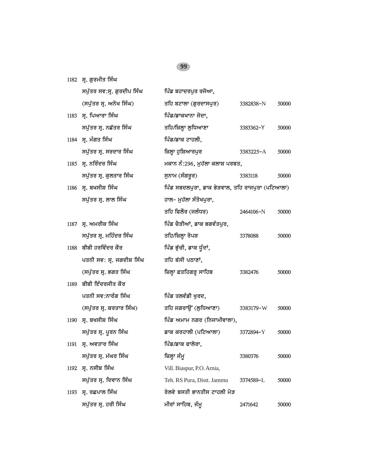1182 ਸ੍ਰ. ਗੁਰਮੀਤ ਸਿੰਘ

|      | ਸਪੁੱਤਰ ਸਵ:ਸ੍ਰ. ਗੁਰਦੀਪ ਸਿੰਘ | ਪਿੰਡ ਬਹਾਦਰਪੁਰ ਰਜੋਆ,                             |               |       |
|------|----------------------------|-------------------------------------------------|---------------|-------|
|      | (ਸਪੁੱਤਰ ਸ੍ਰ. ਅਨੋਖ ਸਿੰਘ)    | ਤਹਿ ਬਟਾਲਾ (ਗੁਰਦਾਸਪੁਰ)                           | 3382838-N     | 50000 |
|      | 1183 ਸ. ਪਿਆਰਾ ਸਿੰਘ         | ਪਿੰਡ/ਡਾਕਖਾਨਾ ਜੋਦਾ,                              |               |       |
|      | ਸਪੁੱਤਰ ਸ੍ਰ. ਨਛੱਤਰ ਸਿੰਘ     | ਤਹਿ/ਜ਼ਿਲ੍ਹਾ ਲੁਧਿਆਣਾ                             | 3383362-Y     | 50000 |
|      | 1184 ਸ੍ਰ. ਮੰਗਤ ਸਿੰਘ        | ਪਿੰਡ/ਡਾਕ ਟਾਹਲੀ,                                 |               |       |
|      | ਸਪੁੱਤਰ ਸ੍ਰ. ਸਰਦਾਰ ਸਿੰਘ     | ਜ਼ਿਲ੍ਹਾ ਹੁਸ਼ਿਆਰਪੁਰ                              | $3383225 - A$ | 50000 |
|      | 1185 ਸ੍ਰ. ਨਰਿੰਦਰ ਸਿੰਘ      | ਮਕਾਨ ਨੰ:296, ਮੁਹੱਲਾ ਕਲਾਸ਼ ਪਰਬਤ,                 |               |       |
|      | ਸਪੁੱਤਰ ਸ੍ਰ. ਕੁਲਤਾਰ ਸਿੰਘ    | ਸੁਨਾਮ (ਸੰਗਰੁਰ)                                  | 3383118       | 50000 |
|      | 1186 ਸ੍ਰ. ਬਖਸੀਸ਼ ਸਿੰਘ      | ਪਿੰਡ ਸਬਦਲਪੁਰਾ, ਡਾਕ ਭੇੜਵਾਲ, ਤਹਿ ਰਾਜਪੁਰਾ (ਪਟਿਆਲਾ) |               |       |
|      | ਸਪੁੱਤਰ ਸ੍ਰ. ਲਾਲ ਸਿੰਘ       | ਹਾਲ– ਮੁਹੱਲਾ ਸੰਤੋਖਪੁਰਾ,                          |               |       |
|      |                            | ਤਹਿ ਫਿਲੌਰ (ਜਲੰਧਰ)                               | 2464106-N     | 50000 |
| 1187 | ਸ੍ਰ. ਅਮਰੀਕ ਸਿੰਘ            | ਪਿੰਡ ਚੈੜੀਆਂ, ਡਾਕ ਭਗਵੰਤਪੁਰ,                      |               |       |
|      | ਸਪੁੱਤਰ ਸ੍ਰ. ਮਹਿੰਦਰ ਸਿੰਘ    | ਤਹਿ/ਜ਼ਿਲ੍ਹਾ ਰੋਪੜ                                | 3378088       | 50000 |
|      | 1188 ਬੀਬੀ ਹਰਵਿੰਦਰ ਕੌਰ      | ਪਿੰਡ ਭੁੱਚੀ, ਡਾਕ ਧੁੰਦਾਂ,                         |               |       |
|      | ਪਤਨੀ ਸਵ: ਸ੍ਰ. ਜਗਦੀਸ਼ ਸਿੰਘ  | ਤਹਿ ਬੱਸੀ ਪਠਾਣਾਂ,                                |               |       |
|      | (ਸਪੁੱਤਰ ਸ੍ਰ. ਭਗਤ ਸਿੰਘ      | ਜ਼ਿਲ੍ਹਾ ਫ਼ਤਹਿਗੜ੍ਹ ਸਾਹਿਬ                         | 3382476       | 50000 |
|      | 1189 ਬੀਬੀ ਇੰਦਰਜੀਤ ਕੌਰ      |                                                 |               |       |
|      | ਪਤਨੀ ਸਵ:ਨਾਰੰਗ ਸਿੰਘ         | ਪਿੰਡ ਤਲਵੰਡੀ ਖੁਰਦ,                               |               |       |
|      | (ਸਪੁੱਤਰ ਸ੍ਰ. ਕਰਤਾਰ ਸਿੰਘ)   | ਤਹਿ ਜਗਰਾਉਂ (ਲੁਧਿਆਣਾ)                            | 3383179-W     | 50000 |
| 1190 | ਸ੍ਰ. ਬਖਸੀਸ਼ ਸਿੰਘ           | ਪਿੰਡ ਅਮਾਮ ਨਗਰ (ਨਿਜਾਮੀਵਾਲਾ),                     |               |       |
|      | ਸਪੁੱਤਰ ਸ੍ਰ. ਪੂਰਨ ਸਿੰਘ      | ਡਾਕ ਕਰਹਾਲੀ (ਪਟਿਆਲਾ)                             | 3372894-Y     | 50000 |
| 1191 | ਸ੍ਰ. ਅਵਤਾਰ ਸਿੰਘ            | ਪਿੰਡ/ਡਾਕ ਫਾਲੋਰਾ,                                |               |       |
|      | ਸਪੁੱਤਰ ਸ੍ਰ. ਮੱਘਰ ਸਿੰਘ      | ਜ਼ਿਲ੍ਹਾ ਜੰਮੂ                                    | 3380376       | 50000 |
| 1192 | ਸ੍ਰ. ਨਸੀਬ ਸਿੰਘ             | Vill. Biaspur, P.O. Arnia,                      |               |       |
|      | ਸਪੁੱਤਰ ਸ੍ਰ. ਦਿਵਾਨ ਸਿੰਘ     | Teh. RS Pura, Distt. Jammu                      | 3374589-L     | 50000 |
| 1193 | ਸ੍ਰ. ਰਛਪਾਲ ਸਿੰਘ            | ਰੇਲਵੇ ਬਸਤੀ ਭਾਨਤੀਸ ਟਾਹਲੀ ਮੋੜ                     |               |       |
|      | ਸਪੁੱਤਰ ਸ੍ਰ. ਹਰੀ ਸਿੰਘ       | ਮੀਰਾਂ ਸਾਹਿਬ, ਜੰਮੁ                               | 2471642       | 50000 |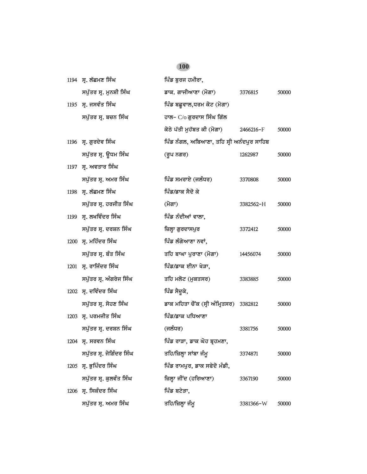# **1194 ਸੁ. ਲੱਛਮਣ ਸਿੰਘ ਪਿੰਡ ਬੁਰਜ ਹਮੀਰਾ,** *spu`qr sR. munSI isMG fwk. gwjIAwxw (mogw) 3376815 50000* 1195 ਸ੍ਰ. ਜਸਵੰਤ ਸਿੰਘ **1195 ਸ**਼ਿਲ ਬਛੁਵਾਲ,ਧਰਮ ਕੋਟ (ਮੋਗਾ) *spu`qr sR. bcn isMG hwl-* C/o *gurdws isMG ig`l koTy p`qI muh`bq kI (mogw) 2466216-*F *50000* 1196 ਸ੍ਰ. ਗੁਰਦੇਵ ਸਿੰਘ **information ਸਿੰਡ ਨੰਗਲ, ਅਬਿਆਣਾ, ਤਹਿ ਸ੍ਰੀ** ਅਨੰਦਪੁਰ ਸਾਹਿਬ *spu`qr sR. aUDm isMG (rUp ngr) 1262987 50000* **1197 ਸ. ਅਵਤਾਰ ਸਿੰਘ** *spu`qr sR. Amr isMG ipMf smrwey (jlMDr) 3370808 50000* 1198 ਸ. ਲੱਛਮਣ ਸਿੰਘ *ਵਿੱਚ ਵਿੱਚ ਸਿੰਘ* ਨਿਪੰਡ/ਡਾਕ ਸੈਦੋ ਕੇ *spu`qr sR. hrjIq isMG (mogw) 3382562-*H *50000* 1199 ਸ੍ਰ. ਲਖਵਿੰਦਰ ਸਿੰਘ **1199 ਸ**. ਲਖਵਿੰਦਰ ਸਿੰਘ *spu`qr sR. drSn isMG izlHw gurdwspur 3372412 50000* 1200 **ਯ. ਮਹਿੰਦਰ ਸਿੰਘ ਪਿੰਡ** ਲੰਗੇਆਣਾ ਨਵਾਂ, *spu`qr sR. bMq isMG qih bwGw purwxw (mogw) 14456074 50000* 1201 **ਸ੍ਰ. ਰਾਜਿੰਦਰ ਸਿੰਘ ਪਿੰਡ/ਡਾਕ ਈਨਾ ਖੇੜਾ,** *spu`qr sR. AMgryj isMG qih mlot (mukqsr) 3383885 50000* 1202 ਸ੍ਰ. ਦਵਿੰਦਰ ਸਿੰਘ **1202 ਸ੍ਰ. ਦ**ਵਿੰਦਰ ਸਿੰਘ *spu`qr sR. sohx isMG fwk mihqw cONk (sRI AMimRqsr) 3382812 50000* 1203 ਸ੍ਰ. ਪਰਮਜੀਤ ਸਿੰਘ **ਮਹਿੰਡ/ਡਾਕ ਪਧਿਆ**ਣਾ *spu`qr sR. drSn isMG (jlMDr) 3381756 50000* 1204 **ਸ. ਸਰਵਨ ਸਿੰਘ ਪਿੰਡ ਰਾੜਾ, ਡਾਕ ਘੋਹ ਬੁਹਮਣਾ,** *spu`qr sR. joigMdr isMG qih/izlHw sWbw jMmU 3374871 50000* 1205 ਸ੍ਰ. ਭੁਪਿੰਦਰ ਸਿੰਘ **indeptive is and interest in the function** function  $\frac{1}{2}$ *spu`qr sR. kulvMq isMG izlHw jINd (hirAwxw) 3367190 50000* 1206 ਸ੍ਰ. ਸਿਕੰਦਰ ਸਿੰਘ **1206 ਸ੍ਰ. ਸਿਕੰਦਰ ਸਿੰਘ** *spu`qr sR. Amr isMG qih/izlHw jMmU 3381366-*W *50000*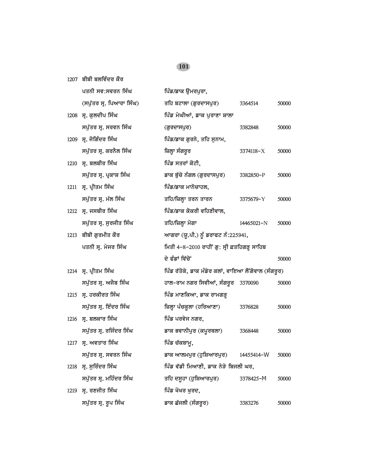1207 ਬੀਬੀ ਬਲਵਿੰਦਰ ਕੌਰ

|      | ਪਤਨੀ ਸਵ:ਸਵਰਨ ਸਿੰਘ        | ਪਿੰਡ/ਡਾਕ ਉਮਰਪੁਰਾ,                                   |            |       |
|------|--------------------------|-----------------------------------------------------|------------|-------|
|      | (ਸਪੁੱਤਰ ਸ੍ਰ. ਪਿਆਰਾ ਸਿੰਘ) | ਤਹਿ ਬਟਾਲਾ (ਗੁਰਦਾਸਪੁਰ)                               | 3364514    | 50000 |
|      | 1208 ਸ੍ਰ. ਕੁਲਦੀਪ ਸਿੰਘ    | ਪਿੰਡ ਮੇਘੀਆਂ, ਡਾਕ ਪੁਰਾਣਾ ਸ਼ਾਲਾ                       |            |       |
|      | ਸਪੁੱਤਰ ਸ੍ਰ. ਸਰਵਨ ਸਿੰਘ    | (ਗਰਦਾਸਪੁਰ)                                          | 3382848    | 50000 |
|      | 1209 ਸ੍ਰ. ਜੋਗਿੰਦਰ ਸਿੰਘ   | ਪਿੰਡ/ਡਾਕ ਗੁਰਨੇ, ਤਹਿ ਸੁਨਾਮ,                          |            |       |
|      | ਸਪੁੱਤਰ ਸ੍ਰ. ਕਰਨੈਲ ਸਿੰਘ   | ਜ਼ਿਲ੍ਹਾ ਸੰਗਰੂਰ                                      | 3374118-X  | 50000 |
| 1210 | ਸ੍ਰ. ਬਲਬੀਰ ਸਿੰਘ          | ਪਿੰਡ ਸਤਰਾਂ ਕੋਟੀ,                                    |            |       |
|      | ਸਪੁੱਤਰ ਸ੍ਰ. ਪ੍ਰਕਾਸ਼ ਸਿੰਘ | ਡਾਕ ਬੁੱਚੇ ਨੰਗਲ (ਗੁਰਦਾਸਪੁਰ)                          | 3382850-P  | 50000 |
| 1211 | ਸ੍ਰ. ਪ੍ਰੀਤਮ ਸਿੰਘ         | ਪਿੰਡ/ਡਾਕ ਮਾਨੋਚਾਹਲ,                                  |            |       |
|      | ਸਪੁੱਤਰ ਸ੍ਰ. ਮੱਲ ਸਿੰਘ     | ਤਹਿ/ਜ਼ਿਲ੍ਹਾ ਤਰਨ ਤਾਰਨ                                | 3375679-Y  | 50000 |
|      | 1212 ਸ੍ਰ. ਜਸਬੀਰ ਸਿੰਘ     | ਪਿੰਡ/ਡਾਕ ਕੋਕਰੀ ਵਹਿਣੀਵਾਲ,                            |            |       |
|      | ਸਪੁੱਤਰ ਸ੍ਰ. ਸੁਰਜੀਤ ਸਿੰਘ  | ਤਹਿ/ਜ਼ਿਲ੍ਹਾ ਮੋਗਾ                                    | 14465021-N | 50000 |
|      | 1213 ਬੀਬੀ ਗੁਰਮੀਤ ਕੌਰ     | ਆਗਰਾ (ਯੂ.ਪੀ.) ਨੂੰ ਡਰਾਫਟ ਨੰ:225941,                  |            |       |
|      | ਪਤਨੀ ਸ੍ਰ. ਮੇਜਰ ਸਿੰਘ      | ਮਿਤੀ 4-8-2010 ਰਾਹੀਂ ਗੁ: ਸ੍ਰੀ ਫ਼ਤਹਿਗੜ੍ਹ ਸਾਹਿਬ        |            |       |
|      |                          | ਦੇ ਫੰਡਾਂ ਵਿੱਚੋਂ                                     |            | 50000 |
|      | 1214 ਸ੍ਰ. ਪ੍ਰੀਤਮ ਸਿੰਘ    | ਪਿੰਡ ਰੱਤੋਕੇ, ਡਾਕ ਮੰਡੇਰ ਕਲਾਂ, ਵਾਇਆ ਲੌਂਗੋਵਾਲ (ਸੰਗਰੂਰ) |            |       |
|      | ਸਪੁੱਤਰ ਸ੍ਰ. ਅਜੈਬ ਸਿੰਘ    | ਹਾਲ-ਰਾਮ ਨਗਰ ਸਿਵੀਆਂ, ਸੰਗਰੂਰ                          | 3370090    | 50000 |
| 1215 | ਸ੍ਰ. ਹਰਕੀਰਤ ਸਿੰਘ         | ਪਿੰਡ ਮਾਣਕਿਆ, ਡਾਕ ਰਾਮਗੜ੍ਹ                            |            |       |
|      | ਸਪੁੱਤਰ ਸ੍ਰ. ਇੰਦਰ ਸਿੰਘ    | ਜ਼ਿਲ੍ਹਾ ਪੰਚਕੁਲਾ (ਹਰਿਆਣਾ)                            | 3376828    | 50000 |
|      | 1216 ਸ੍ਰ. ਬਲਕਾਰ ਸਿੰਘ     | ਪਿੰਡ ਪਰਵੇਜ ਨਗਰ,                                     |            |       |
|      | ਸਪੁੱਤਰ ਸ੍ਰ. ਰਜਿੰਦਰ ਸਿੰਘ  | ਡਾਕ ਭਵਾਨੀਪੁਰ (ਕਪੁਰਥਲਾ)                              | 3368448    | 50000 |
|      | 1217 ਸ੍ਰ. ਅਵਤਾਰ ਸਿੰਘ     | ਪਿੰਡ ਚੱਕਬਾਮੁ,                                       |            |       |
|      | ਸਪੁੱਤਰ ਸ੍ਰ. ਸਵਰਨ ਸਿੰਘ    | ਡਾਕ ਆਲਮਪੁਰ (ਹੁਸ਼ਿਆਰਪੁਰ)                             | 14455414-W | 50000 |
| 1218 | ਸ੍ਰ. ਸੁਰਿੰਦਰ ਸਿੰਘ        | ਪਿੰਡ ਵੱਡੀ ਮਿਆਣੀ, ਡਾਕ ਨੇੜੇ ਬਿਜਲੀ ਘਰ,                 |            |       |
|      | ਸਪੁੱਤਰ ਸ੍ਰ. ਮਹਿੰਦਰ ਸਿੰਘ  | ਤਹਿ ਦਸੁਹਾ (ਹੁਸ਼ਿਆਰਪੁਰ)                              | 3378425-M  | 50000 |
| 1219 | ਸ੍ਰ. ਰਣਜੀਤ ਸਿੰਘ          | ਪਿੰਡ ਖੋਖਰ ਖੁਰਦ,                                     |            |       |
|      | ਸਪੁੱਤਰ ਸ੍ਰ. ਰੂਪ ਸਿੰਘ     | ਡਾਕ ਛੱਜਲੀ (ਸੰਗਰੂਰ)                                  | 3383276    | 50000 |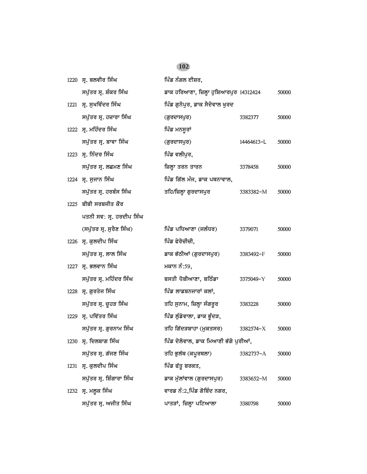| 1220 ਸ੍ਰ. ਬਲਵੀਰ ਸਿੰਘ        | ਪਿੰਡ ਨੰਗਲ ਈਸ਼ਰ,                         |            |       |
|-----------------------------|-----------------------------------------|------------|-------|
| ਸਪੁੱਤਰ ਸ੍ਰ. ਸ਼ੰਕਰ ਸਿੰਘ      | ਡਾਕ ਹਰਿਆਣਾ, ਜ਼ਿਲ੍ਹਾ ਹੁਸ਼ਿਆਰਪੁਰ 14312424 |            | 50000 |
| 1221 ਸ੍ਰ. ਸੁਖਵਿੰਦਰ ਸਿੰਘ     | ਪਿੰਡ ਗਨੋਪਰ, ਡਾਕ ਸੈਦੋਵਾਲ ਖਰਦ             |            |       |
| ਸਪੁੱਤਰ ਸ੍ਰ. ਹਜ਼ਾਰਾ ਸਿੰਘ     | (ਗੁਰਦਾਸਪੁਰ)                             | 3382377    | 50000 |
| 1222 ਸ੍ਰ. ਮਹਿੰਦਰ ਸਿੰਘ       | ਪਿੰਡ ਮਨਸੂਰਾਂ                            |            |       |
| ਸਪੁੱਤਰ ਸ੍ਰ. ਬਾਵਾ ਸਿੰਘ       | (ਗੁਰਦਾਸਪੁਰ)                             | 14464613-L | 50000 |
| 1223 ਸ੍ਰ. ਨਿੰਦਰ ਸਿੰਘ        | ਪਿੰਡ ਵਲੀਪੁਰ,                            |            |       |
| ਸਪੁੱਤਰ ਸ੍ਰ. ਲਛਮਣ ਸਿੰਘ       | ਜ਼ਿਲ੍ਹਾ ਤਰਨ ਤਾਰਨ                        | 3378458    | 50000 |
| 1224 ਸ੍ਰ. ਸੁਜਾਨ ਸਿੰਘ        | ਪਿੰਡ ਗਿੱਲ ਮੰਜ, ਡਾਕ ਪਥਨਾਵਾਲ,             |            |       |
| ਸਪੁੱਤਰ ਸ੍ਰ. ਹਰਬੰਸ ਸਿੰਘ      | ਤਹਿ/ਜ਼ਿਲ੍ਹਾ ਗੁਰਦਾਸਪੁਰ                   | 3383382-M  | 50000 |
| $1225$ ਬੀਬੀ ਸਰਬਜੀਤ ਕੌਰ      |                                         |            |       |
| ਪਤਨੀ ਸਵ: ਸ੍ਰ. ਹਰਦੀਪ ਸਿੰਘ    |                                         |            |       |
| (ਸਪੁੱਤਰ ਸ੍ਰ. ਸੁਰੈਣ ਸਿੰਘ)    | ਪਿੰਡ ਪਧਿਆਣਾ (ਜਲੰਧਰ)                     | 3379071    | 50000 |
| 1226 ਸ੍ਰ. ਕੁਲਦੀਪ ਸਿੰਘ       | ਪਿੰਡ ਫੇਰੋਚੀਚੀ,                          |            |       |
| ਸਪੁੱਤਰ ਸ੍ਰ. ਲਾਲ ਸਿੰਘ        | ਡਾਕ ਭੱਠੀਆਂ (ਗੁਰਦਾਸਪੁਰ)                  | 3383492-F  | 50000 |
| <u>1227 ਸ੍ਰ. ਭਲਵਾਨ ਸਿੰਘ</u> | ਮਕਾਨ ਨੰ:59,                             |            |       |
| ਸਪੁੱਤਰ ਸ੍ਰ. ਮਹਿੰਦਰ ਸਿੰਘ     | ਬਸਤੀ ਧੋਬੀਆਣਾ, ਬਠਿੰਡਾ                    | 3375049-Y  | 50000 |
| 1228 ਸ੍ਰ. ਗੁਰਤੇਜ ਸਿੰਘ       | ਪਿੰਡ ਲਾਡਬਨਜਾਰਾਂ ਕਲਾਂ,                   |            |       |
| ਸਪੁੱਤਰ ਸ੍ਰ. ਚੂਹੜ ਸਿੰਘ       | ਤਹਿ ਸੁਨਾਮ, ਜ਼ਿਲ੍ਹਾ ਸੰਗਰੁਰ               | 3383228    | 50000 |
| 1229 ਸ੍ਰ. ਪਵਿੱਤਰ ਸਿੰਘ       | ਪਿੰਡ ਲੁੰਡੇਵਾਲਾ, ਡਾਕ ਭੁੰਦੜ,              |            |       |
| ਸਪੁੱਤਰ ਸ੍ਰ. ਗੁਰਨਾਮ ਸਿੰਘ     | ਤਹਿ ਗਿੱਦੜਬਾਹਾ (ਮੁਕਤਸਰ)                  | 3382574-X  | 50000 |
| 1230 ਸ੍ਰ. ਦਿਲਬਾਗ ਸਿੰਘ       | ਪਿੰਡ ਦੋਲੋਵਾਲ, ਡਾਕ ਮਿਆਣੀ ਭੱਗੋ ਪੁਰੀਆਂ,    |            |       |
| ਸਪੁੱਤਰ ਸ੍ਰ. ਗੱਜਣ ਸਿੰਘ       | ਤਹਿ ਭੁਲੱਥ (ਕਪੁਰਥਲਾ)                     | 3382737-A  | 50000 |
| 1231 ਸ੍ਰ. ਕੁਲਦੀਪ ਸਿੰਘ       | ਪਿੰਡ ਫੱਤੂ ਬਰਕਤ,                         |            |       |
| ਸਪੁੱਤਰ ਸ੍ਰ. ਸ਼ਿੰਗਾਰਾ ਸਿੰਘ   | ਡਾਕ ਮੁੱਲਾਂਵਾਲ (ਗੁਰਦਾਸਪੁਰ)               | 3383652-M  | 50000 |
| 1232 ਸ੍ਰ. ਮਲੁਕ ਸਿੰਘ         | ਵਾਰਡ ਨੰ:2,ਪਿੰਡ ਗੋਬਿੰਦ ਨਗਰ,              |            |       |
| ਸਪੁੱਤਰ ਸ੍ਰ. ਅਜੀਤ ਸਿੰਘ       | ਪਾਤੜਾਂ, ਜ਼ਿਲ੍ਹਾ ਪਟਿਆਲਾ                  | 3380798    | 50000 |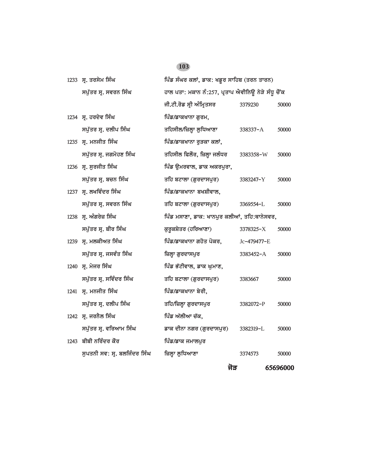| 1233 ਸ੍ਰ. ਤਰਸੇਮ ਸਿੰਘ         | ਪਿੰਡ ਸੰਘਰ ਕਲਾਂ, ਡਾਕ: ਖਡੁਰ ਸਾਹਿਬ (ਤਰਨ ਤਾਰਨ)         |               |          |
|------------------------------|----------------------------------------------------|---------------|----------|
| ਸਪੁੱਤਰ ਸ੍ਰ. ਸਵਰਨ ਸਿੰਘ        | ਹਾਲ ਪਤਾ: ਮਕਾਨ ਨੰ:257, ਪ੍ਰਤਾਪ ਐਵੀਨਿਊ ਨੇੜੇ ਸੰਧੂ ਚੋਂਕ |               |          |
|                              | ਜੀ.ਟੀ.ਰੋਡ ਸ੍ਰੀ ਅੰਮ੍ਰਿਤਸਰ                           | 3379230       | 50000    |
| 1234 ਸ੍ਰ. ਹਰਦੇਵ ਸਿੰਘ         | ਪਿੰਡ/ਡਾਕਖਾਨਾ ਗੁਰਮ,                                 |               |          |
| ਸਪੁੱਤਰ ਸ੍ਰ. ਦਲੀਪ ਸਿੰਘ        | ਤਹਿਸੀਲ/ਜ਼ਿਲ੍ਹਾ ਲੁਧਿਆਣਾ                             | 338337-A      | 50000    |
| 1235 ਸ. ਮਨਜੀਤ ਸਿੰਘ           | ਪਿੰਡ/ਡਾਕਖਾਨਾ ਰੁੜਕਾ ਕਲਾਂ,                           |               |          |
| ਸਪੁੱਤਰ ਸ੍ਰ. ਜਗਮੋਹਣ ਸਿੰਘ      | ਤਹਿਸੀਲ ਫਿਲੌਰ, ਜ਼ਿਲ੍ਹਾ ਜਲੰਧਰ                        | 3383358-W     | 50000    |
| 1236 ਸ੍ਰ. ਸੁਰਜੀਤ ਸਿੰਘ        | ਪਿੰਡ ਉਮਰਵਾਲ, ਡਾਕ ਅਕਰਪੁਰਾ,                          |               |          |
| ਸਪੁੱਤਰ ਸ੍ਰ. ਬਚਨ ਸਿੰਘ         | ਤਹਿ ਬਟਾਲਾ (ਗੁਰਦਾਸਪੁਰ)                              | 3383247-Y     | 50000    |
| 1237 ਸ੍ਰ. ਲਖਵਿੰਦਰ ਸਿੰਘ       | ਪਿੰਡ/ਡਾਕਖਾਨਾ ਬਖਸ਼ੀਵਾਲ,                             |               |          |
| ਸਪੁੱਤਰ ਸ੍ਰ. ਸਵਰਨ ਸਿੰਘ        | ਤਹਿ ਬਟਾਲਾ (ਗੁਰਦਾਸਪੁਰ)                              | 3369554-L     | 50000    |
| 1238 ਸ੍ਰ. ਅੰਗਰੇਜ਼ ਸਿੰਘ       | ਪਿੰਡ ਮਸਾਣਾ, ਡਾਕ: ਖਾਨਪੁਰ ਕਲੀਆਂ, ਤਹਿ:ਥਾਨੇਸਵਰ,        |               |          |
| ਸਪੁੱਤਰ ਸ੍ਰ. ਬੀਰ ਸਿੰਘ         | ਕੁਰੁਕਸ਼ੇਤਰ (ਹਰਿਆਣਾ)                                | 3378325-X     | 50000    |
| 1239 ਸ੍ਰ. ਮਲਕੀਅਤ ਸਿੰਘ        | ਪਿੰਡ/ਡਾਕਖਾਨਾ ਗਹੋਤ ਪੋਕਰ,                            | Jc-479477-E   |          |
| ਸਪੁੱਤਰ ਸ੍ਰ. ਜਸਵੰਤ ਸਿੰਘ       | ਜ਼ਿਲ੍ਹਾ ਗੁਰਦਾਸਪੁਰ                                  | $3383452 - A$ | 50000    |
| 1240 ਸ੍ਰ. ਮੇਜਰ ਸਿੰਘ          | ਪਿੰਡ ਭੱਟੀਵਾਲ, ਡਾਕ ਘੁਮਾਣ,                           |               |          |
| ਸਪੁੱਤਰ ਸ੍ਰ. ਸਵਿੰਦਰ ਸਿੰਘ      | ਤਹਿ ਬਟਾਲਾ (ਗੁਰਦਾਸਪੁਰ)                              | 3383667       | 50000    |
| 1241 ਸ੍ਰ. ਮਨਜੀਤ ਸਿੰਘ         | ਪਿੰਡ/ਡਾਕਖਾਨਾ ਬੇਰੀ,                                 |               |          |
| ਸਪੁੱਤਰ ਸ੍ਰ. ਦਲੀਪ ਸਿੰਘ        | ਤਹਿ/ਜ਼ਿਲ੍ਹਾ ਗੁਰਦਾਸਪੁਰ                              | 3382072-P     | 50000    |
| 1242 ਸ੍ਰ. ਜਰਨੈਲ ਸਿੰਘ         | ਪਿੰਡ ਅੱਲੀਆ ਚੱਕ,                                    |               |          |
| ਸਪੁੱਤਰ ਸ੍ਰ. ਵਰਿਆਮ ਸਿੰਘ       | ਡਾਕ ਦੀਨਾ ਨਗਰ (ਗੁਰਦਾਸਪੁਰ)                           | 3382319-L     | 50000    |
| 1243 ਬੀਬੀ ਨਰਿੰਦਰ ਕੌਰ         | ਪਿੰਡ/ਡਾਕ ਜਮਾਲਪੁਰ                                   |               |          |
| ਸੁਪਤਨੀ ਸਵ: ਸ੍ਰ. ਬਲਜਿੰਦਰ ਸਿੰਘ | ਜ਼ਿਲ੍ਹਾ ਲੁਧਿਆਣਾ                                    | 3374573       | 50000    |
|                              | ਜੋੜ                                                |               | 65696000 |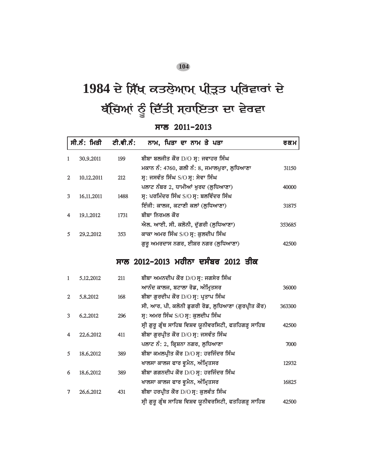# 1984 ਦੇ ਸਿੱਖ ਕਤਲੇ**ਆਮ ਪੀ੍ੜਤ ਪ੍ਰਰਿਵਾਰਾਂ** ਦੇ ਬੱਚਿਆਂ ਨੂੰ ਦਿੱਤੀ ਸਹਾਇਤਾ ਦਾ ਵੇਰਵਾ

### *swl 2011-2013*

|                | ਸੀ.ਨੰ: ਮਿਤੀ | ਟੀ.ਵੀ.ਨੰ: | ਨਾਮ, ਪਿਤਾ ਦਾ ਨਾਮ ਤੇ ਪਤਾ                                | ਰਕਮ    |
|----------------|-------------|-----------|--------------------------------------------------------|--------|
| 1              | 30.9.2011   | 199       | ਬੀਬਾ ਬਲਜੀਤ ਕੌਰ D/O ਸ੍ਰ: ਜਵਾਹਰ ਸਿੰਘ                     |        |
|                |             |           | ਮਕਾਨ ਨੰ: 4760, ਗਲੀ ਨੰ: 8, ਜਮਾਲਪੁਰਾ, ਲੁਧਿਆਣਾ            | 31150  |
| $\overline{2}$ | 10.12.2011  | 212       | ਸ੍ਰ: ਜਸਵੰਤ ਸਿੰਘ S/O ਸ੍ਰ: ਸੇਵਾ ਸਿੰਘ                     |        |
|                |             |           | ਪਲਾਟ ਨੰਬਰ 2, ਧਾਮੀਆਂ ਖੁਰਦ (ਲੁਧਿਆਣਾ)                     | 40000  |
| 3              | 16,11,2011  | 1488      | ਸ੍ਰ: ਪਰਮਿੰਦਰ ਸਿੰਘ S/O ਸ੍ਰ: ਬਲਵਿੰਦਰ ਸਿੰਘ                |        |
|                |             |           | ਇੰਜੀ: ਕਾਲਜ, ਕਟਾਣੀ ਕਲਾਂ (ਲੁਧਿਆਣਾ)                       | 31875  |
| 4              | 19.1.2012   | 1731      | ਬੀਬਾ ਨਿਰਮਲ ਕੌਰ                                         |        |
|                |             |           | ਐਲ. ਆਈ. ਸੀ. ਕਲੋਨੀ, ਦੁੱਗਰੀ (ਲੁਧਿਆਣਾ)                    | 353685 |
| 5              | 29.2.2012   | 353       | ਕਾਕਾ ਅਮਰ ਸਿੰਘ S/O ਸ੍ਰ: ਕੁਲਦੀਪ ਸਿੰਘ                     |        |
|                |             |           | ਗੁਰੂ ਅਮਰਦਾਸ ਨਗਰ, ਈਸ਼ਰ ਨਗਰ (ਲੁਧਿਆਣਾ)                    | 42500  |
|                |             |           | <u>ਸਾਲ 2012–2013 ਮਹੀਨਾ ਦਸੰਬਰ 2012 ਤੀਕ</u>              |        |
| 1              | 5.12.2012   | 211       | ਬੀਬਾ ਅਮਨਦੀਪ ਕੌਰ D/O ਸ੍ਰ: ਜਗਸੇਰ ਸਿੰਘ                    |        |
|                |             |           | ਆਨੰਦ ਕਾਲਜ, ਬਟਾਲਾ ਰੋਡ, ਅੰਮ੍ਰਿਤਸਰ                        | 36000  |
| $\overline{2}$ | 5,8,2012    | 168       | ਬੀਬਾ ਗੁਰਦੀਪ ਕੌਰ D/O ਸ੍ਰ: ਪ੍ਰਤਾਪ ਸਿੰਘ                   |        |
|                |             |           | ਸੀ. ਆਰ. ਪੀ. ਕਲੋਨੀ ਡੁਗਰੀ ਰੋਡ, ਲੁਧਿਆਣਾ (ਗੁਰਪ੍ਰੀਤ ਕੌਰ)    | 363300 |
| 3              | 6.2.2012    | 296       | ਸ੍ਰ: ਅਮਰ ਸਿੰਘ S/O ਸ੍ਰ: ਕੁਲਦੀਪ ਸਿੰਘ                     |        |
|                |             |           | ਸ੍ਰੀ ਗੁਰੁ ਗ੍ਰੰਥ ਸਾਹਿਬ ਵਿਸ਼ਵ ਯੂਨੀਵਰਸਿਟੀ, ਫਤਹਿਗੜ੍ਹ ਸਾਹਿਬ | 42500  |
| 4              | 22.6.2012   | 411       | ਬੀਬਾ ਗੁਰਪ੍ਰੀਤ ਕੌਰ D/O ਸ੍ਰ: ਜਸਵੰਤ ਸਿੰਘ                  |        |
|                |             |           | ਪਲਾਟ ਨੰ: 2, ਕ੍ਰਿਸ਼ਨਾ ਨਗਰ, ਲੁਧਿਆਣਾ                      | 7000   |
| 5              | 18,6,2012   | 389       | ਬੀਬਾ ਕਮਲਪ੍ਰੀਤ ਕੌਰ D/O ਸ੍ਰ: ਹਰਜਿੰਦਰ ਸਿੰਘ                |        |
|                |             |           | ਖਾਲਸਾ ਕਾਲਜ ਫਾਰ ਵੁਮੈਨ, ਅੰਮ੍ਰਿਤਸਰ                        | 12932  |
| 6              | 18,6,2012   | 389       | ਬੀਬਾ ਗਗਨਦੀਪ ਕੌਰ D/O ਸ੍ਰ: ਹਰਜਿੰਦਰ ਸਿੰਘ                  |        |
|                |             |           | ਖਾਲਸਾ ਕਾਲਜ ਫਾਰ ਵੁਮੈਨ, ਅੰਮ੍ਰਿਤਸਰ                        | 16825  |
| 7              | 26,6,2012   | 431       | ਬੀਬਾ ਹਰਪ੍ਰੀਤ ਕੌਰ D/O ਸ੍ਰ: ਕੁਲਵੰਤ ਸਿੰਘ                  |        |
|                |             |           | ਸ੍ਰੀ ਗੁਰੁ ਗ੍ਰੰਥ ਸਾਹਿਬ ਵਿਸ਼ਵ ਯੂਨੀਵਰਸਿਟੀ, ਫਤਹਿਗੜ੍ਹ ਸਾਹਿਬ | 42500  |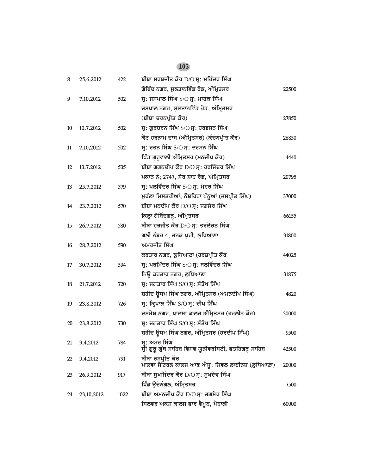| 8  | 25.6.2012  | 422  | ਬੀਬਾ ਸਰਬਜੀਤ ਕੌਰ D/O ਸ੍ਰ: ਮਹਿੰਦਰ ਸਿੰਘ                                    |       |
|----|------------|------|-------------------------------------------------------------------------|-------|
|    |            |      | ਗੋਬਿੰਦ ਨਗਰ, ਸੁਲਤਾਨਵਿੰਡ ਰੋਡ, ਅੰਮ੍ਰਿਤਸਰ                                   | 22500 |
| 9  | 7.10.2012  | 502  | ਸ੍ਰ: ਜਸਪਾਲ ਸਿੰਘ S/O ਸ੍ਰ: ਮਾਣਕ ਸਿੰਘ                                      |       |
|    |            |      | ਜਸਪਾਲ ਨਗਰ, ਸੁਲਤਾਨਵਿੰਡ ਰੋਡ, ਅੰਮ੍ਰਿਤਸਰ                                    |       |
|    |            |      | (ਬੀਬਾ ਚਰਨਪ੍ਰੀਤ ਕੌਰ)                                                     | 27850 |
| 10 | 10.7.2012  | 502  | ਸ੍ਰ: ਗੁਰਚਰਨ ਸਿੰਘ S/O ਸ੍ਰ: ਹਰਭਜਨ ਸਿੰਘ                                    |       |
|    |            |      | ਕੋਟ ਹਰਨਾਮ ਦਾਸ (ਅੰਮ੍ਰਿਤਸਰ) (ਕੰਚਨਪ੍ਰੀਤ ਕੌਰ)                               | 28850 |
| 11 | 7.10.2012  | 502  | ਸ੍ਰ: ਰਤਨ ਸਿੰਘ S/O ਸ੍ਰ: ਦਰਸ਼ਨ ਸਿੰਘ                                       |       |
|    |            |      | ਪਿੰਡ ਗੁਰੁਵਾਲੀ ਅੰਮ੍ਰਿਤਸਰ (ਮਨਦੀਪ ਕੌਰ)                                     | 4440  |
| 12 | 13,7,2012  | 535  | ਬੀਬਾ ਗਗਨਦੀਪ ਕੌਰ D/O ਸ੍ਰ: ਹਰਜਿੰਦਰ ਸਿੰਘ                                   |       |
|    |            |      | ਮਕਾਨ ਨੰ; 2747, ਸ਼ੇਰ ਸ਼ਾਹ ਰੋਡ, ਅੰਮ੍ਰਿਤਸਰ                                 | 20795 |
| 13 | 25.7.2012  | 579  | ਸ੍ਰ: ਪਲਵਿੰਦਰ ਸਿੰਘ S/O ਸ੍ਰ: ਮੇਹਰ ਸਿੰਘ                                    |       |
|    |            |      | ਮੁਹੱਲਾ ਮਿਸਤਰੀਆਂ, ਨੌਸ਼ਹਿਰਾ ਪੰਨੁਆਂ (ਜਸਪ੍ਰੀਤ ਸਿੰਘ)                         | 37000 |
| 14 | 23.7.2012  | 570  | ਬੀਬਾ ਮਨਦੀਪ ਕੌਰ D/O ਸ੍ਰ: ਜਗਸੇਰ ਸਿੰਘ                                      |       |
|    |            |      | ਕਿਲ੍ਹਾ ਗੋਬਿੰਦਗੜ੍ਹ, ਅੰਮ੍ਰਿਤਸਰ                                            | 66155 |
| 15 | 26.7.2012  | 580  | ਬੀਬਾ ਹਰਜੀਤ ਕੌਰ D/O ਸ੍ਰ: ਤਰਲੋਚਨ ਸਿੰਘ                                     |       |
|    |            |      | ਗਲੀ ਨੰਬਰ 4, ਜਨਕ ਪੂਰੀ, ਲੁਧਿਆਣਾ                                           | 31800 |
| 16 | 28,7,2012  | 590  | ਅਮਰਜੀਤ ਸਿੰਘ                                                             |       |
|    |            |      | ਕਰਤਾਰ ਨਗਰ, ਲੁਧਿਆਣਾ (ਹਰਸ਼ਪ੍ਰੀਤ ਕੌਰ                                       | 44025 |
| 17 | 30.7.2012  | 594  | ਸ੍ਰ: ਪਰਮਿੰਦਰ ਸਿੰਘ $S/O$ ਸ੍ਰ: ਬਲਵਿੰਦਰ ਸਿੰਘ                               |       |
|    |            |      | ਨਿਊ ਕਰਤਾਰ ਨਗਰ, ਲੁਧਿਆਣਾ                                                  | 31875 |
| 18 | 21.7.2012  | 720  | ਸ੍ਰ: ਜਗਤਾਰ ਸਿੰਘ S/O ਸ੍ਰ: ਸੰਤੋਖ ਸਿੰਘ                                     |       |
|    |            |      | ਸ਼ਹੀਦ ਊਧਮ ਸਿੰਘ ਨਗਰ, ਅੰਮ੍ਰਿਤਸਰ (ਅਮਨਦੀਪ ਸਿੰਘ)                             | 4820  |
| 19 | 23,8,2012  | 726  | ਸ੍ਰ: ਕ੍ਰਿਪਾਲ ਸਿੰਘ S/O ਸ੍ਰ: ਦੀਪ ਸਿੰਘ                                     |       |
|    |            |      | ਦਸਮੇਸ਼ ਨਗਰ, ਖਾਲਸਾ ਕਾਲਜ ਅੰਮ੍ਰਿਤਸਰ (ਹਰਲੀਨ ਕੌਰ)                            | 30000 |
| 20 | 23,8,2012  | 730  | ਸ੍ਰ: ਜਗਤਾਰ ਸਿੰਘ S/O ਸ੍ਰ: ਸੰਤੋਖ ਸਿੰਘ                                     |       |
|    |            |      | ਸ਼ਹੀਦ ਉਧਮ ਸਿੰਘ ਨਗਰ, ਅੰਮ੍ਰਿਤਸਰ (ਹਰਦੀਪ ਸਿੰਘ)                              | 9500  |
| 21 | 9.4.2012   | 784  | ਸ੍ਰ: ਅਮਰ ਸਿੰਘ<br>ਸ੍ਰੀ ਗੁਰੂ ਗ੍ਰੰਥ ਸਾਹਿਬ ਵਿਸ਼ਵ ਯੂਨੀਵਰਸਿਟੀ, ਫਤਹਿਗੜ੍ਹ ਸਾਹਿਬ | 42500 |
| 22 | 9.4.2012   | 791  | ਬੀਬਾ ਰਸਪ੍ਰੀਤ ਕੌਰ                                                        |       |
|    |            |      | ਮਾਲਵਾ ਸੈਂਟਰਲ ਕਾਲਜ ਆਫ ਐਜੂ: ਸਿਵਲ ਲਾਈਨਜ਼ (ਲੁਧਿਆਣਾ)                         | 20000 |
| 23 | 26.9.2012  | 917  | ਬੀਬਾ ਸੁਖਜਿੰਦਰ ਕੌਰ D/O ਸ੍ਰ: ਸੁਖਦੇਵ ਸਿੰਘ                                  |       |
|    |            |      | ਪਿੰਡ ਉਦੋਨੰਗਲ, ਅੰਮ੍ਰਿਤਸਰ                                                 | 7500  |
| 24 | 23,10,2012 | 1022 | ਬੀਬਾ ਅਮਨਦੀਪ ਕੌਰ D/O ਸ੍ਰ: ਜਗਸੇਰ ਸਿੰਘ                                     |       |
|    |            |      | ਸਿਲਵਰ ਅਕਸ਼ ਕਾਲਜ ਫਾਰ ਵੈਮੂਨ, ਮੋਹਾਲੀ                                       | 60000 |
|    |            |      |                                                                         |       |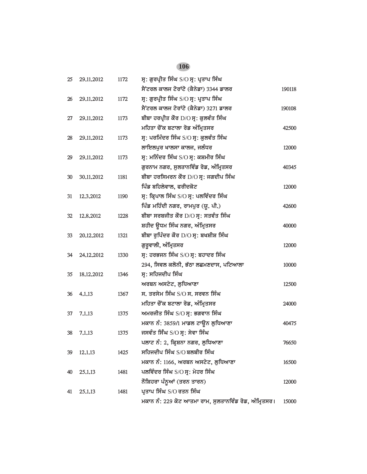| 25 | 29.11.2012   | 1172 | ਸ੍ਰ: ਗੁਰਪ੍ਰੀਤ ਸਿੰਘ S/O ਸ੍ਰ: ਪ੍ਰਤਾਪ ਸਿੰਘ               |        |
|----|--------------|------|-------------------------------------------------------|--------|
|    |              |      | ਸੈਂਟਰਲ ਕਾਲਜ ਟੋਰਾਂਟੋ (ਕੈਨੇਡਾ) 3344 ਡਾਲਰ                | 190118 |
| 26 | 29.11.2012   | 1172 | ਸ੍ਰ: ਗੁਰਪ੍ਰੀਤ ਸਿੰਘ S/O ਸ੍ਰ: ਪ੍ਰਤਾਪ ਸਿੰਘ               |        |
|    |              |      | ਸੈਂਟਰਲ ਕਾਲਜ ਟੋਰਾਂਟੋ (ਕੈਨੇਡਾ) 3271 ਡਾਲਰ                | 190108 |
| 27 | 29.11.2012   | 1173 | ਬੀਬਾ ਹਰਪ੍ਰੀਤ ਕੌਰ D/O ਸ੍ਰ: ਕੁਲਵੰਤ ਸਿੰਘ                 |        |
|    |              |      | ਮਹਿਤਾ ਚੌਂਕ ਬਟਾਲਾ ਰੋਡ ਅੰਮ੍ਰਿਤਸਰ                        | 42500  |
| 28 | 29, 11, 2012 | 1173 | ਸ੍ਰ: ਪਰਮਿੰਦਰ ਸਿੰਘ S/O ਸ੍ਰ: ਕੁਲਵੰਤ ਸਿੰਘ                |        |
|    |              |      | ਲਾਇਲਪੁਰ ਖਾਲਸਾ ਕਾਲਜ, ਜਲੰਧਰ                             | 12000  |
| 29 | 29, 11, 2012 | 1173 | ਸ੍ਰ: ਮਨਿੰਦਰ ਸਿੰਘ S/O ਸ੍ਰ: ਕਸ਼ਮੀਰ ਸਿੰਘ                 |        |
|    |              |      | ਗੁਰਨਾਮ ਨਗਰ, ਸੁਲਤਾਨਵਿੰਡ ਰੋਡ, ਅੰਮ੍ਰਿਤਸਰ                 | 40345  |
| 30 | 30.11.2012   | 1181 | ਬੀਬਾ ਹਰਸਿਮਰਨ ਕੌਰ D/O ਸ੍ਰ: ਜਗਦੀਪ ਸਿੰਘ                  |        |
|    |              |      | ਪਿੰਡ ਬਹਿਲੇਵਾਲ, ਫਰੀਦਕੋਟ                                | 12000  |
| 31 | 12,3,2012    | 1190 | ਸ੍ਰ: ਕ੍ਰਿਪਾਲ ਸਿੰਘ S/O ਸ੍ਰ: ਪਲਵਿੰਦਰ ਸਿੰਘ               |        |
|    |              |      | ਪਿੰਡ ਮਹਿੰਦੀ ਨਗਰ, ਰਾਮਪੁਰ (ਯੂ. ਪੀ.)                     | 42600  |
| 32 | 12,8,2012    | 1228 | ਬੀਬਾ ਸਰਬਜੀਤ ਕੌਰ D/O ਸ੍ਰ: ਸਤਵੰਤ ਸਿੰਘ                   |        |
|    |              |      | ਸ਼ਹੀਦ ਉਧਮ ਸਿੰਘ ਨਗਰ, ਅੰਮ੍ਰਿਤਸਰ                         | 40000  |
| 33 | 20.12.2012   | 1321 | ਬੀਬਾ ਰੁਪਿੰਦਰ ਕੌਰ D/O ਸ੍ਰ: ਬਖਸ਼ੀਸ਼ ਸਿੰਘ                |        |
|    |              |      | ਗੁਰੁਵਾਲੀ, ਅੰਮ੍ਰਿਤਸਰ                                   | 12000  |
| 34 | 24.12.2012   | 1330 | ਸ੍ਰ: ਹਰਭਜਨ ਸਿੰਘ $S/O$ ਸ੍ਰ: ਬਹਾਦਰ ਸਿੰਘ                 |        |
|    |              |      | 294, ਸਿਵਲ ਕਲੋਨੀ, ਭੱਠਾ ਲਛਮਣਦਾਸ, ਪਟਿਆਲਾ                 | 10000  |
| 35 | 18.12.2012   | 1346 | ਸ੍ਰ: ਸਹਿਜਦੀਪ ਸਿੰਘ                                     |        |
|    |              |      | ਅਰਬਨ ਅਸਟੇਟ, ਲੁਧਿਆਣਾ                                   | 12500  |
| 36 | 4.1.13       | 1367 | ਸ. ਤਰਸੇਮ ਸਿੰਘ $S/O$ ਸ. ਸਰਵਨ ਸਿੰਘ                      |        |
|    |              |      | ਮਹਿਤਾ ਚੌਂਕ ਬਟਾਲਾ ਰੋਡ, ਅੰਮ੍ਰਿਤਸਰ                       | 24000  |
| 37 | 7.1.13       | 1375 | ਅਮਰਜੀਤ ਸਿੰਘ S/O ਸ੍ਰ: ਭਗਵਾਨ ਸਿੰਘ                       |        |
|    |              |      | ਮਕਾਨ ਨੰ: 3859/1 ਮਾਡਲ ਟਾਊਨ ਲੁਧਿਆਣਾ                     | 40475  |
| 38 | 7.1.13       | 1375 | ਜਸਵੰਤ ਸਿੰਘ S/O ਸ੍ਰ: ਸੇਵਾ ਸਿੰਘ                         |        |
|    |              |      | ਪਲਾਟ ਨੰ: 2, ਕ੍ਰਿਸ਼ਨਾ ਨਗਰ, ਲੁਧਿਆਣਾ                     | 76650  |
| 39 | 12.1.13      | 1425 | ਸਹਿਜਦੀਪ ਸਿੰਘ S/O ਬਲਬੀਰ ਸਿੰਘ                           |        |
|    |              |      | ਮਕਾਨ ਨੰ: 1166, ਅਰਬਨ ਅਸਟੇਟ, ਲੁਧਿਆਣਾ                    | 16500  |
| 40 | 25.1.13      | 1481 | ਪਲਵਿੰਦਰ ਸਿੰਘ S/O ਸ੍ਰ: ਮੇਹਰ ਸਿੰਘ                       |        |
|    |              |      | ਨੌਸ਼ਿਹਰਾ ਪੰਨੂਆਂ (ਤਰਨ ਤਾਰਨ)                            | 12000  |
| 41 | 25.1.13      | 1481 | ਪ੍ਰਤਾਪ ਸਿੰਘ S/O ਰਤਨ ਸਿੰਘ                              |        |
|    |              |      | ਮਕਾਨ ਨੰ: 229 ਕੋਟ ਆਤਮਾ ਰਾਮ, ਸੁਲਤਾਨਵਿੰਡ ਰੋਡ, ਅੰਮ੍ਰਿਤਸਰ। | 15000  |
|    |              |      |                                                       |        |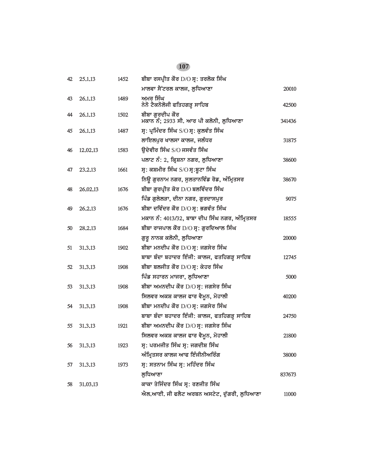| 42 | 25.1.13   | 1452 | ਬੀਬਾ ਰਸਪ੍ਰੀਤ ਕੌਰ D/O ਸ੍ਰ: ਤਰਲੋਕ ਸਿੰਘ                      |        |
|----|-----------|------|-----------------------------------------------------------|--------|
|    |           |      | ਮਾਲਵਾ ਸੈਂਟਰਲ ਕਾਲਜ, ਲੁਧਿਆਣਾ                                | 20010  |
| 43 | 26.1.13   | 1489 | ਅਮਰ ਸਿੰਘ<br>ਨੇਨੋ ਟੈਕਨੋਲੋਜੀ ਫਤਿਹਗੜ੍ਹ ਸਾਹਿਬ                 | 42500  |
| 44 | 26,1,13   | 1502 | ਬੀਬਾ ਗੁਰਦੀਪ ਕੌਰ<br>ਮਕਾਨ ਨੰ; 2933 ਸੀ. ਆਰ ਪੀ ਕਲੋਨੀ, ਲੁਧਿਆਣਾ | 341436 |
| 45 | 26.1.13   | 1487 | ਸ੍ਰ: ਪ੍ਰਮਿੰਦਰ ਸਿੰਘ S/O ਸ੍ਰ: ਕੁਲਵੰਤ ਸਿੰਘ                   |        |
|    |           |      | ਲਾਇਲਪੁਰ ਖਾਲਸਾ ਕਾਲਜ, ਜਲੰਧਰ                                 | 31875  |
| 46 | 12.02.13  | 1583 | ਉਦੇਵੀਰ ਸਿੰਘ S/O ਜਸਵੰਤ ਸਿੰਘ                                |        |
|    |           |      | ਪਲਾਟ ਨੰ: 2, ਕ੍ਰਿਸ਼ਨਾ ਨਗਰ, ਲੁਧਿਆਣਾ                         | 38600  |
| 47 | 23, 2, 13 | 1661 | ਸ੍ਰ: ਕਸ਼ਮੀਰ ਸਿੰਘ S/O ਸ੍ਰ:ਬੁਟਾ ਸਿੰਘ                        |        |
|    |           |      | ਨਿਊ ਗੁਰਨਾਮ ਨਗਰ, ਸੁਲਤਾਨਵਿੰਡ ਰੋਡ, ਅੰਮ੍ਰਿਤਸਰ                 | 38670  |
| 48 | 26,02.13  | 1676 | ਬੀਬਾ ਗੁਰਪ੍ਰੀਤ ਕੋਰ D/O ਬਲਵਿੰਦਰ ਸਿੰਘ                        |        |
|    |           |      | ਪਿੰਡ ਗੁਲੇਲੜਾ, ਦੀਨਾ ਨਗਰ, ਗੁਰਦਾਸਪੁਰ                         | 9075   |
| 49 | 26.2.13   | 1676 | ਬੀਬਾ ਦਵਿੰਦਰ ਕੌਰ D/O ਸ੍ਰ: ਭਗਵੰਤ ਸਿੰਘ                       |        |
|    |           |      | ਮਕਾਨ ਨੰ: 4013/32, ਬਾਬਾ ਦੀਪ ਸਿੰਘ ਨਗਰ, ਅੰਮ੍ਰਿਤਸਰ            | 18555  |
| 50 | 28.2.13   | 1684 | ਬੀਬਾ ਰਾਜਪਾਲ ਕੌਰ D/O ਸ੍ਰ: ਗੁਰਦਿਆਲ ਸਿੰਘ                     |        |
|    |           |      | ਗੁਰੂ ਨਾਨਕ ਕਲੋਨੀ, ਲੁਧਿਆਣਾ                                  | 20000  |
| 51 | 31.3.13   | 1902 | ਬੀਬਾ ਮਨਦੀਪ ਕੌਰ D/O ਸ੍ਰ: ਜਗਸੇਰ ਸਿੰਘ                        |        |
|    |           |      | ਬਾਬਾ ਬੰਦਾ ਬਹਾਦਰ ਇੰਜੀ: ਕਾਲਜ, ਫਤਹਿਗੜ੍ਹ ਸਾਹਿਬ                | 12745  |
| 52 | 31.3.13   | 1908 | ਬੀਬਾ ਬਲਜੀਤ ਕੌਰ D/O ਸ੍ਰ: ਕੇਹਰ ਸਿੰਘ                         |        |
|    |           |      | ਪਿੰਡ ਸਹਾਰਨ ਮਾਜਰਾ, ਲੁਧਿਆਣਾ                                 | 5000   |
| 53 | 31.3.13   | 1908 | ਬੀਬਾ ਅਮਨਦੀਪ ਕੌਰ D/O ਸ੍ਰ: ਜਗਸੇਰ ਸਿੰਘ                       |        |
|    |           |      | ਸਿਲਵਰ ਅਕਸ਼ ਕਾਲਜ ਫਾਰ ਵੈਮੂਨ, ਮੋਹਾਲੀ                         | 40200  |
| 54 | 31.3.13   | 1908 | ਬੀਬਾ ਮਨਦੀਪ ਕੌਰ D/O ਸ੍ਰ: ਜਗਸੇਰ ਸਿੰਘ                        |        |
|    |           |      | ਬਾਬਾ ਬੰਦਾ ਬਹਾਦਰ ਇੰਜੀ: ਕਾਲਜ, ਫਤਹਿਗੜ੍ਹ ਸਾਹਿਬ                | 24750  |
| 55 | 31.3.13   | 1921 | ਬੀਬਾ ਅਮਨਦੀਪ ਕੌਰ D/O ਸ੍ਰ: ਜਗਸੇਰ ਸਿੰਘ                       |        |
|    |           |      | ਸਿਲਵਰ ਅਕਸ਼ ਕਾਲਜ ਫਾਰ ਵੈਮੂਨ, ਮੋਹਾਲੀ                         | 21800  |
| 56 | 31.3.13   | 1923 | ਸ੍ਰ: ਪਰਮਜੀਤ ਸਿੰਘ ਸ੍ਰ: ਜਗਦੀਸ਼ ਸਿੰਘ                         |        |
|    |           |      | ਅੰਮ੍ਰਿਤਸਰ ਕਾਲਜ ਆਫ ਇੰਜੀਨੀਅਰਿੰਗ                             | 38000  |
| 57 | 31.3.13   | 1973 | ਸ੍ਰ: ਸਤਨਾਮ ਸਿੰਘ ਸ੍ਰ: ਮਹਿੰਦਰ ਸਿੰਘ                          |        |
|    |           |      | ਲ਼ਧਿਆਣਾ                                                   | 837673 |
| 58 | 31.03.13  |      | ਕਾਕਾ ਤੇਜਿੰਦਰ ਸਿੰਘ ਸ੍ਰ: ਰਣਜੀਤ ਸਿੰਘ                         |        |
|    |           |      | ਐਲ.ਆਈ. ਜੀ ਫਲੈਟ ਅਰਬਨ ਅਸਟੇਟ, ਦੁੱਗਰੀ, ਲੁਧਿਆਣਾ                | 11000  |